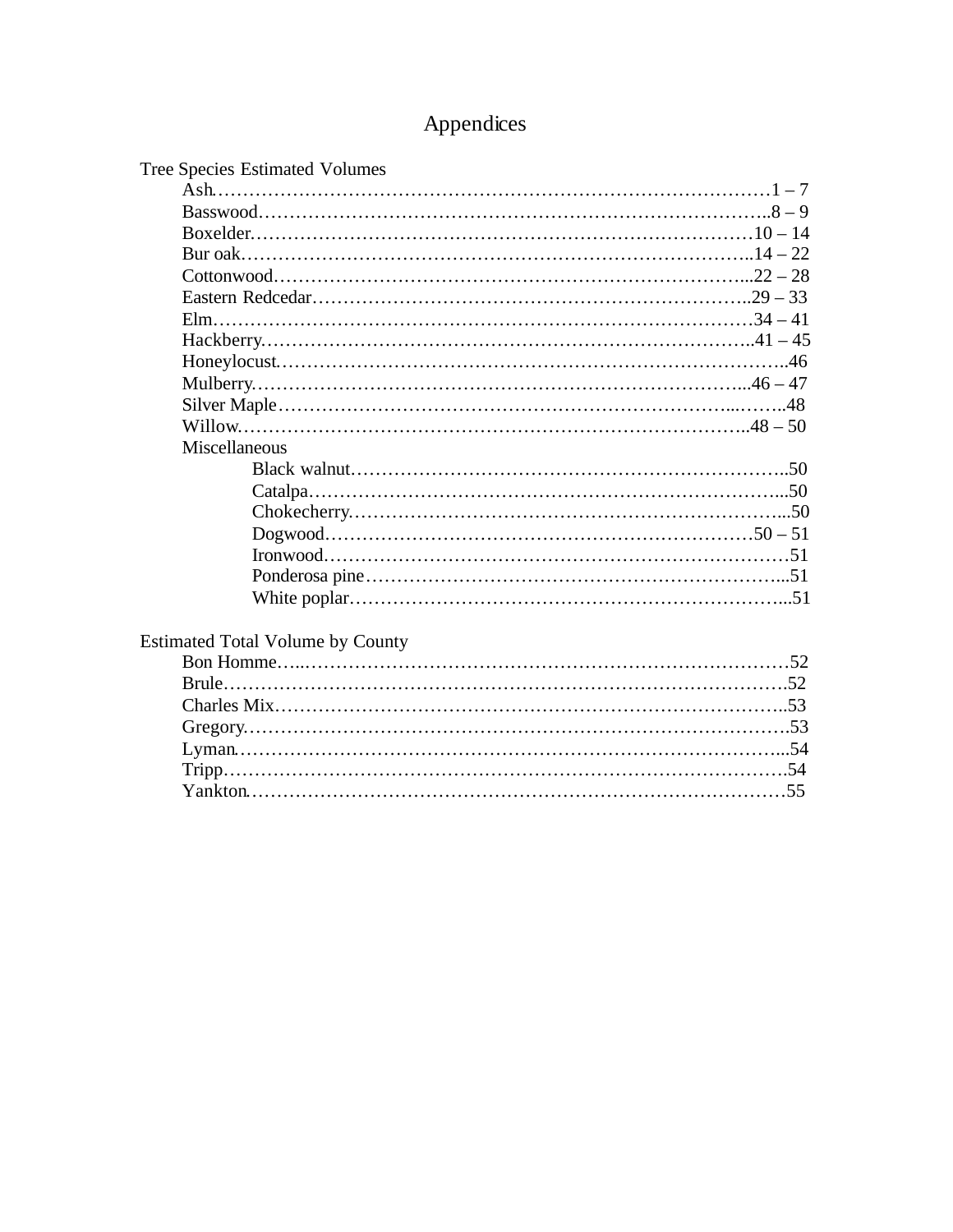# Appendices

| Miscellaneous<br><b>Estimated Total Volume by County</b> | Tree Species Estimated Volumes |  |
|----------------------------------------------------------|--------------------------------|--|
|                                                          |                                |  |
|                                                          |                                |  |
|                                                          |                                |  |
|                                                          |                                |  |
|                                                          |                                |  |
|                                                          |                                |  |
|                                                          |                                |  |
|                                                          |                                |  |
|                                                          |                                |  |
|                                                          |                                |  |
|                                                          |                                |  |
|                                                          |                                |  |
|                                                          |                                |  |
|                                                          |                                |  |
|                                                          |                                |  |
|                                                          |                                |  |
|                                                          |                                |  |
|                                                          |                                |  |
|                                                          |                                |  |
|                                                          |                                |  |
|                                                          |                                |  |
|                                                          |                                |  |
|                                                          |                                |  |
|                                                          |                                |  |
|                                                          |                                |  |
|                                                          |                                |  |
|                                                          |                                |  |
|                                                          |                                |  |
|                                                          |                                |  |
|                                                          |                                |  |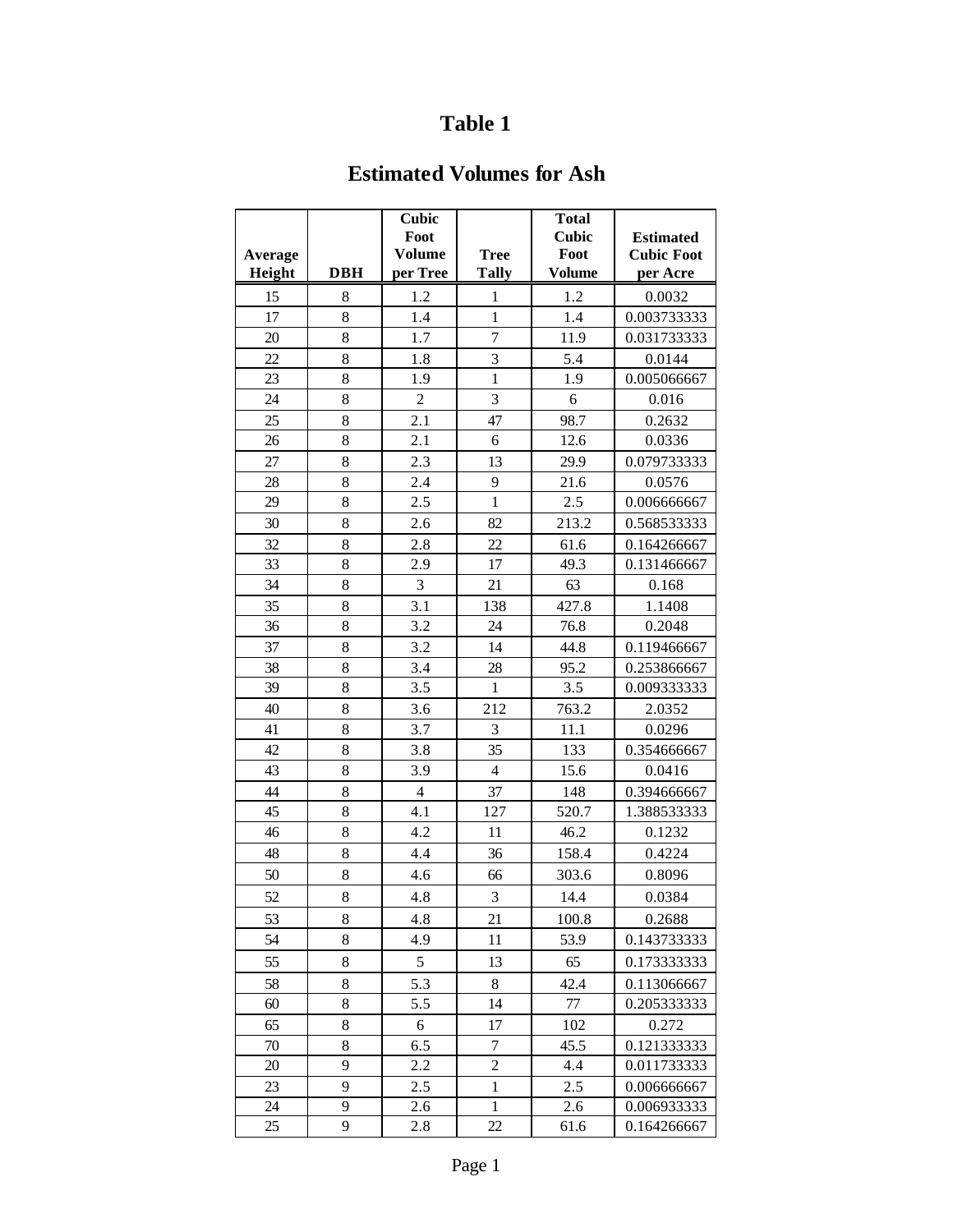### **Estimated Volumes for Ash**

| <b>Estimated</b><br><b>Cubic Foot</b> |
|---------------------------------------|
|                                       |
| per Acre                              |
|                                       |
| 0.0032                                |
| 0.003733333                           |
| 0.031733333                           |
| 0.0144                                |
| 0.005066667                           |
| 0.016                                 |
| 0.2632                                |
| 0.0336                                |
| 0.079733333                           |
| 0.0576                                |
| 0.006666667                           |
| 0.568533333                           |
| 0.164266667                           |
| 0.131466667                           |
| 0.168                                 |
| 1.1408                                |
| 0.2048                                |
| 0.119466667                           |
| 0.253866667                           |
| 0.009333333                           |
| 2.0352                                |
| 0.0296                                |
| 0.354666667                           |
| 0.0416                                |
| 0.394666667                           |
| 1.388533333                           |
| 0.1232                                |
| 0.4224                                |
| 0.8096                                |
| 0.0384                                |
| 0.2688                                |
| 0.143733333                           |
| 0.173333333                           |
| 0.113066667                           |
| 0.205333333                           |
| 0.272                                 |
| 0.121333333                           |
| 0.011733333                           |
| 0.006666667                           |
| 0.006933333                           |
| 0.164266667                           |
|                                       |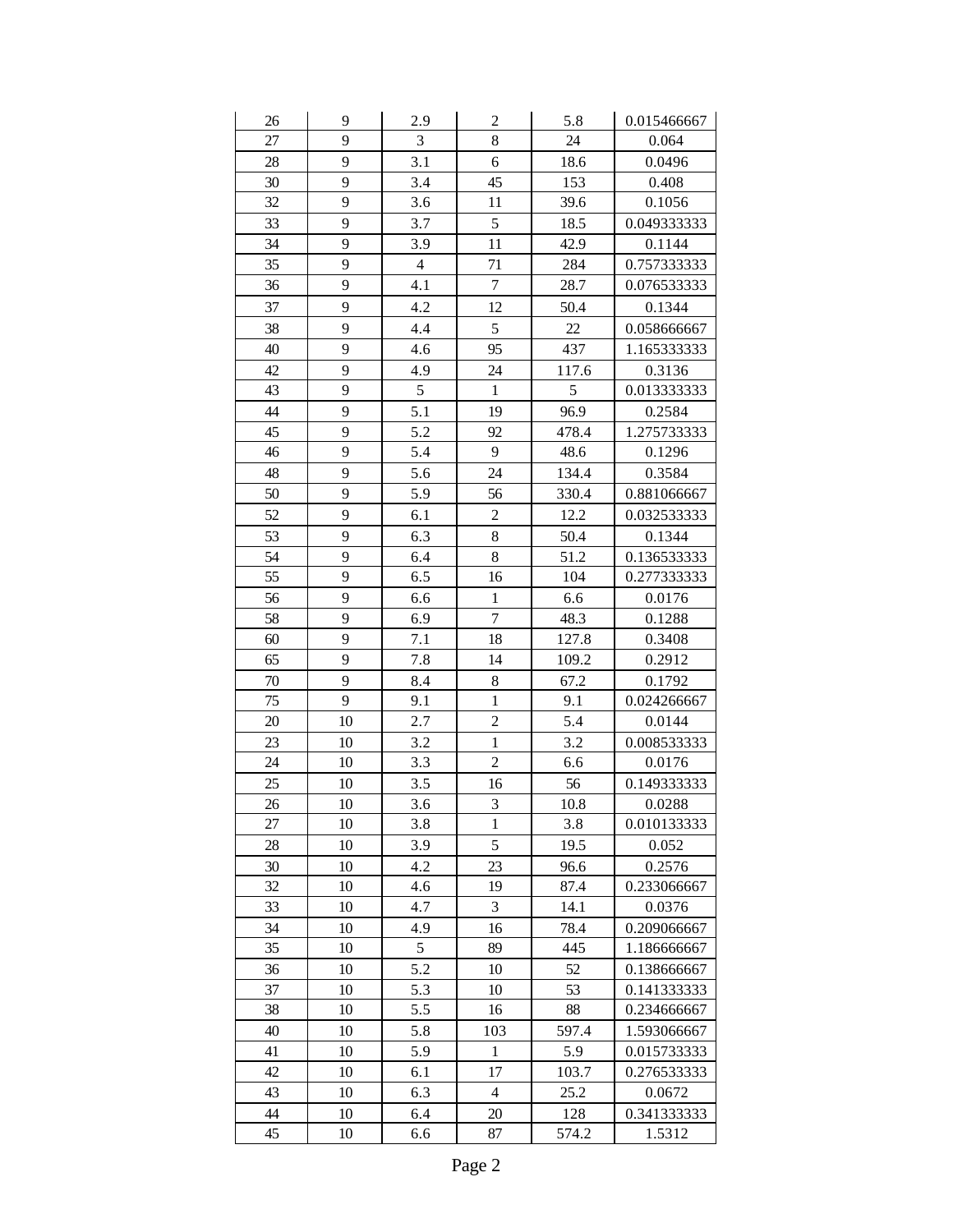| 26     | 9  | 2.9            | $\overline{\mathbf{c}}$ | 5.8      | 0.015466667 |
|--------|----|----------------|-------------------------|----------|-------------|
| 27     | 9  | 3              | 8                       | 24       | 0.064       |
| 28     | 9  | 3.1            | 6                       | 18.6     | 0.0496      |
| 30     | 9  | 3.4            | 45                      | 153      | 0.408       |
| 32     | 9  | 3.6            | 11                      | 39.6     | 0.1056      |
| 33     | 9  | 3.7            | 5                       | 18.5     | 0.049333333 |
| 34     | 9  | 3.9            | 11                      | 42.9     | 0.1144      |
| 35     | 9  | $\overline{4}$ | 71                      | 284      | 0.757333333 |
| 36     | 9  | 4.1            | $\overline{7}$          | 28.7     | 0.076533333 |
| 37     | 9  | 4.2            | 12                      | 50.4     | 0.1344      |
| 38     | 9  | 4.4            | 5                       | $22\,$   | 0.058666667 |
| 40     | 9  | 4.6            | 95                      | 437      | 1.165333333 |
| 42     | 9  | 4.9            | 24                      | 117.6    | 0.3136      |
| 43     | 9  | 5              | $\mathbf{1}$            | 5        | 0.013333333 |
| 44     | 9  | 5.1            | 19                      | 96.9     | 0.2584      |
| 45     | 9  | 5.2            | 92                      | 478.4    | 1.275733333 |
| 46     | 9  | 5.4            | 9                       | 48.6     | 0.1296      |
| 48     | 9  | 5.6            | 24                      | 134.4    | 0.3584      |
| 50     | 9  | 5.9            | 56                      | 330.4    | 0.881066667 |
| 52     | 9  | 6.1            | $\overline{c}$          | 12.2     | 0.032533333 |
| 53     | 9  | 6.3            | 8                       | 50.4     | 0.1344      |
| 54     | 9  | 6.4            | 8                       | 51.2     | 0.136533333 |
| 55     | 9  | 6.5            | 16                      | 104      | 0.277333333 |
| 56     | 9  | 6.6            | $\,1$                   | 6.6      | 0.0176      |
| 58     | 9  | 6.9            | $\overline{7}$          | 48.3     | 0.1288      |
| 60     | 9  | 7.1            | 18                      | 127.8    | 0.3408      |
| 65     | 9  | 7.8            | 14                      | 109.2    | 0.2912      |
| $70\,$ | 9  | 8.4            | 8                       | 67.2     | 0.1792      |
| 75     | 9  | 9.1            | $\,1$                   | 9.1      | 0.024266667 |
| 20     | 10 | 2.7            | $\overline{c}$          | 5.4      | 0.0144      |
| 23     | 10 | 3.2            | $\mathbf{1}$            | 3.2      | 0.008533333 |
| 24     | 10 | 3.3            | $\overline{c}$          | 6.6      | 0.0176      |
| 25     | 10 | 3.5            | 16                      | 56       | 0.149333333 |
| 26     | 10 | 3.6            | 3                       | $10.8\,$ | 0.0288      |
| 27     | 10 | 3.8            | $\mathbf{1}$            | 3.8      | 0.010133333 |
| 28     | 10 | 3.9            | 5                       | 19.5     | 0.052       |
| 30     | 10 | 4.2            | 23                      | 96.6     | 0.2576      |
| 32     | 10 | 4.6            | 19                      | 87.4     | 0.233066667 |
| 33     | 10 | 4.7            | 3                       | 14.1     | 0.0376      |
| 34     | 10 | 4.9            | 16                      | 78.4     | 0.209066667 |
| 35     | 10 | 5              | 89                      | 445      | 1.186666667 |
| 36     | 10 | 5.2            | 10                      | 52       | 0.138666667 |
| 37     | 10 | 5.3            | 10                      | 53       | 0.141333333 |
| 38     | 10 | 5.5            | 16                      | 88       | 0.234666667 |
| 40     | 10 | 5.8            | 103                     | 597.4    | 1.593066667 |
| 41     | 10 | 5.9            | $\mathbf{1}$            | 5.9      | 0.015733333 |
| 42     | 10 | 6.1            | 17                      | 103.7    | 0.276533333 |
| 43     | 10 | 6.3            | $\overline{4}$          | 25.2     | 0.0672      |
| 44     | 10 | 6.4            | 20                      | 128      | 0.341333333 |
| 45     | 10 | 6.6            | 87                      | 574.2    | 1.5312      |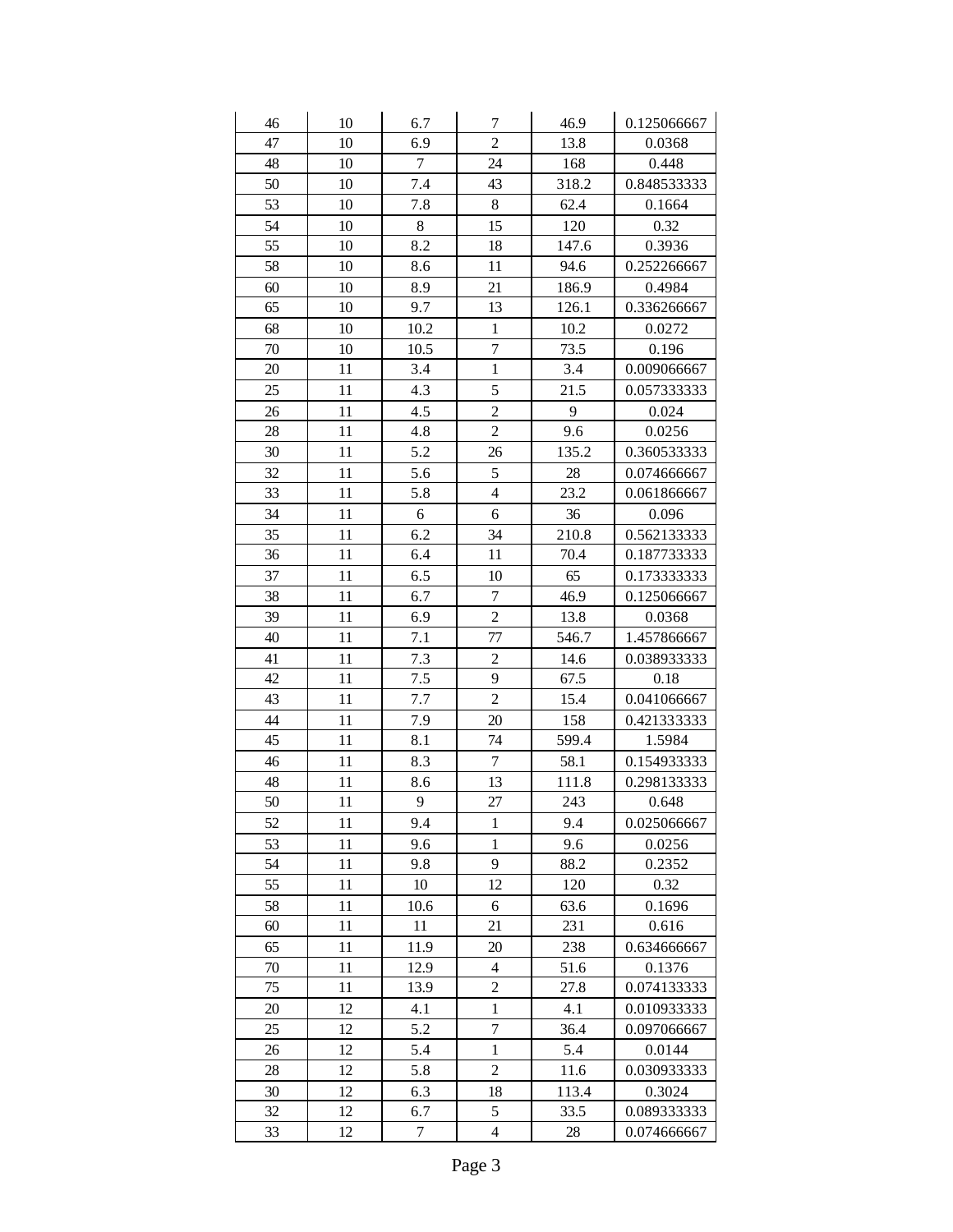| 46 | 10 | 6.7    | 7              | 46.9  | 0.125066667 |
|----|----|--------|----------------|-------|-------------|
| 47 | 10 | 6.9    | $\overline{2}$ | 13.8  | 0.0368      |
| 48 | 10 | 7      | 24             | 168   | 0.448       |
| 50 | 10 | 7.4    | 43             | 318.2 | 0.848533333 |
| 53 | 10 | 7.8    | 8              | 62.4  | 0.1664      |
| 54 | 10 | 8      | 15             | 120   | 0.32        |
| 55 | 10 | 8.2    | 18             | 147.6 | 0.3936      |
| 58 | 10 | 8.6    | 11             | 94.6  | 0.252266667 |
| 60 | 10 | 8.9    | 21             | 186.9 | 0.4984      |
| 65 | 10 | 9.7    | 13             | 126.1 | 0.336266667 |
| 68 | 10 | 10.2   | $\mathbf 1$    | 10.2  | 0.0272      |
| 70 | 10 | 10.5   | $\overline{7}$ | 73.5  | 0.196       |
| 20 | 11 | 3.4    | $\mathbf 1$    | 3.4   | 0.009066667 |
| 25 | 11 | 4.3    | 5              | 21.5  | 0.057333333 |
| 26 | 11 | 4.5    | $\overline{c}$ | 9     | 0.024       |
| 28 | 11 | 4.8    | $\overline{2}$ | 9.6   | 0.0256      |
| 30 | 11 | 5.2    | 26             | 135.2 | 0.360533333 |
| 32 | 11 | 5.6    | 5              | 28    | 0.074666667 |
| 33 | 11 | 5.8    | $\overline{4}$ | 23.2  | 0.061866667 |
| 34 | 11 | 6      | 6              | 36    | 0.096       |
| 35 | 11 | 6.2    | 34             | 210.8 | 0.562133333 |
| 36 | 11 | 6.4    | 11             | 70.4  | 0.187733333 |
| 37 | 11 | 6.5    | 10             | 65    | 0.173333333 |
| 38 | 11 | 6.7    | $\overline{7}$ | 46.9  | 0.125066667 |
| 39 | 11 | 6.9    | $\overline{2}$ | 13.8  | 0.0368      |
| 40 | 11 | 7.1    | 77             | 546.7 | 1.457866667 |
| 41 | 11 | 7.3    | $\overline{c}$ | 14.6  | 0.038933333 |
| 42 | 11 | 7.5    | 9              | 67.5  | 0.18        |
| 43 | 11 | 7.7    | $\overline{2}$ | 15.4  | 0.041066667 |
| 44 | 11 | 7.9    | 20             | 158   | 0.421333333 |
| 45 | 11 | 8.1    | 74             | 599.4 | 1.5984      |
| 46 | 11 | 8.3    | $\overline{7}$ | 58.1  | 0.154933333 |
| 48 | 11 | 8.6    | 13             | 111.8 | 0.298133333 |
| 50 | 11 | 9      | 27             | 243   | 0.648       |
| 52 | 11 | 9.4    | 1              | 9.4   | 0.025066667 |
| 53 | 11 | 9.6    | 1              | 9.6   | 0.0256      |
| 54 | 11 | 9.8    | 9              | 88.2  | 0.2352      |
| 55 | 11 | 10     | 12             | 120   | 0.32        |
| 58 | 11 | 10.6   | 6              | 63.6  | 0.1696      |
| 60 | 11 | 11     | 21             | 231   | 0.616       |
| 65 | 11 | 11.9   | 20             | 238   | 0.634666667 |
| 70 | 11 | 12.9   | 4              | 51.6  | 0.1376      |
| 75 | 11 | 13.9   | $\overline{c}$ | 27.8  | 0.074133333 |
| 20 | 12 | 4.1    | $\mathbf{1}$   | 4.1   | 0.010933333 |
| 25 | 12 | 5.2    | $\overline{7}$ | 36.4  | 0.097066667 |
| 26 | 12 | 5.4    | $\mathbf{1}$   | 5.4   | 0.0144      |
| 28 | 12 | 5.8    | $\overline{c}$ | 11.6  | 0.030933333 |
| 30 | 12 | 6.3    | 18             | 113.4 | 0.3024      |
| 32 | 12 | 6.7    | 5              | 33.5  | 0.089333333 |
| 33 | 12 | $\tau$ | 4              | 28    | 0.074666667 |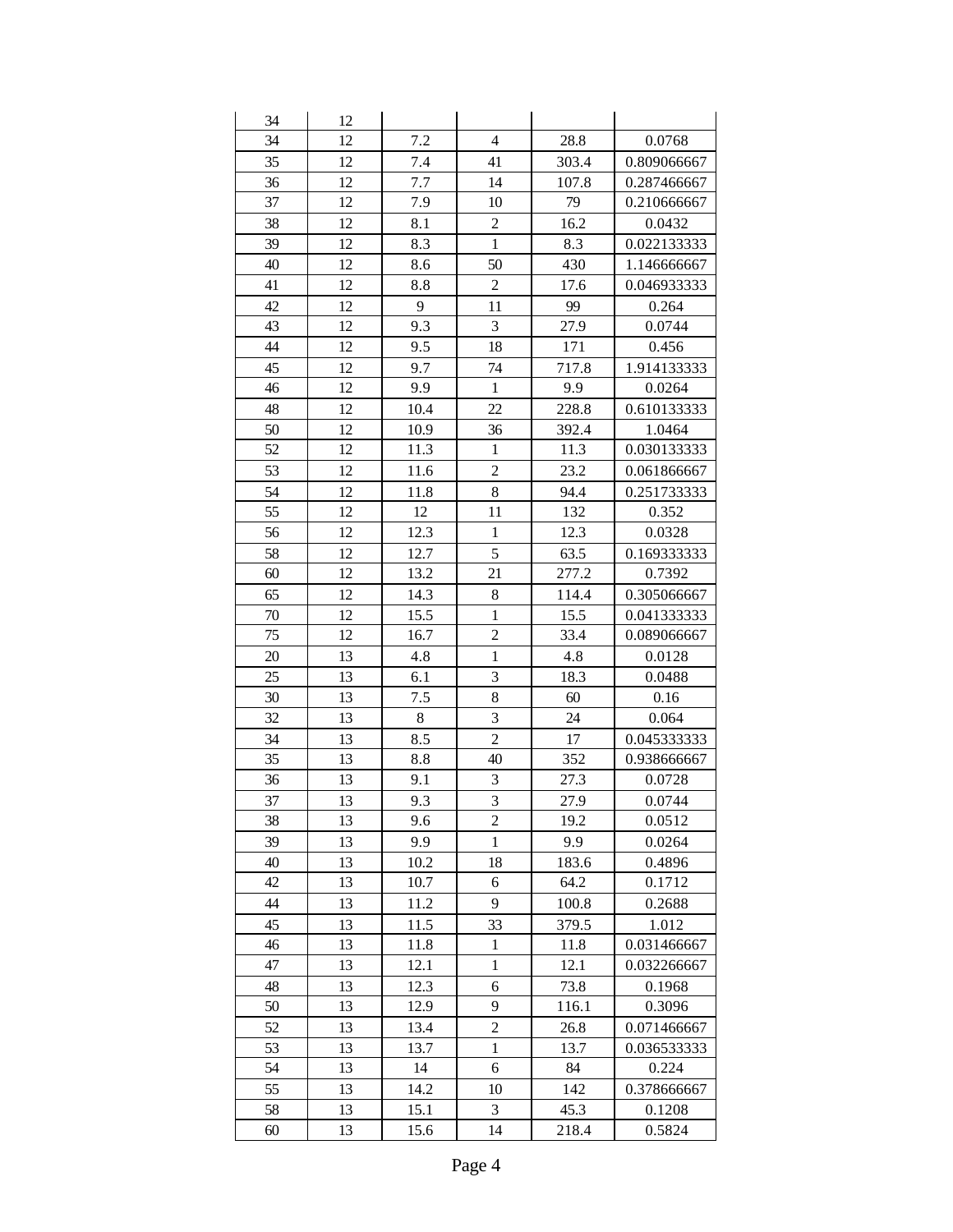| 34 | 12 |      |                                |       |             |
|----|----|------|--------------------------------|-------|-------------|
| 34 | 12 | 7.2  | $\overline{4}$                 | 28.8  | 0.0768      |
| 35 | 12 | 7.4  | 41                             | 303.4 | 0.809066667 |
| 36 | 12 | 7.7  | 14                             | 107.8 | 0.287466667 |
| 37 | 12 | 7.9  | 10                             | 79    | 0.210666667 |
| 38 | 12 | 8.1  | $\overline{c}$                 | 16.2  | 0.0432      |
| 39 | 12 | 8.3  | $\mathbf{1}$                   | 8.3   | 0.022133333 |
| 40 | 12 | 8.6  | 50                             | 430   | 1.146666667 |
| 41 | 12 | 8.8  | $\overline{c}$                 | 17.6  | 0.046933333 |
| 42 | 12 | 9    | 11                             | 99    | 0.264       |
| 43 | 12 | 9.3  | 3                              | 27.9  | 0.0744      |
| 44 | 12 | 9.5  | 18                             | 171   | 0.456       |
| 45 | 12 | 9.7  | 74                             | 717.8 | 1.914133333 |
| 46 | 12 | 9.9  | $\mathbf{1}$                   | 9.9   | 0.0264      |
| 48 | 12 | 10.4 | 22                             | 228.8 | 0.610133333 |
| 50 | 12 | 10.9 | 36                             | 392.4 | 1.0464      |
| 52 | 12 | 11.3 | $\mathbf{1}$                   | 11.3  | 0.030133333 |
| 53 | 12 | 11.6 | $\overline{c}$                 | 23.2  | 0.061866667 |
| 54 | 12 | 11.8 | 8                              | 94.4  | 0.251733333 |
| 55 | 12 | 12   | 11                             | 132   | 0.352       |
| 56 | 12 | 12.3 | $\mathbf{1}$                   | 12.3  | 0.0328      |
| 58 | 12 | 12.7 | 5                              | 63.5  | 0.169333333 |
| 60 | 12 | 13.2 | 21                             | 277.2 | 0.7392      |
|    | 12 |      |                                |       |             |
| 65 |    | 14.3 | 8                              | 114.4 | 0.305066667 |
| 70 | 12 | 15.5 | $\mathbf{1}$<br>$\overline{c}$ | 15.5  | 0.041333333 |
| 75 | 12 | 16.7 |                                | 33.4  | 0.089066667 |
| 20 | 13 | 4.8  | $\mathbf 1$                    | 4.8   | 0.0128      |
| 25 | 13 | 6.1  | 3                              | 18.3  | 0.0488      |
| 30 | 13 | 7.5  | 8                              | 60    | 0.16        |
| 32 | 13 | 8    | 3                              | 24    | 0.064       |
| 34 | 13 | 8.5  | $\overline{2}$                 | 17    | 0.045333333 |
| 35 | 13 | 8.8  | 40                             | 352   | 0.938666667 |
| 36 | 13 | 9.1  | 3                              | 27.3  | 0.0728      |
| 37 | 13 | 9.3  | $\overline{3}$                 | 27.9  | 0.0744      |
| 38 | 13 | 9.6  | $\overline{c}$                 | 19.2  | 0.0512      |
| 39 | 13 | 9.9  | $\mathbf{1}$                   | 9.9   | 0.0264      |
| 40 | 13 | 10.2 | 18                             | 183.6 | 0.4896      |
| 42 | 13 | 10.7 | 6                              | 64.2  | 0.1712      |
| 44 | 13 | 11.2 | 9                              | 100.8 | 0.2688      |
| 45 | 13 | 11.5 | 33                             | 379.5 | 1.012       |
| 46 | 13 | 11.8 | 1                              | 11.8  | 0.031466667 |
| 47 | 13 | 12.1 | $\mathbf{1}$                   | 12.1  | 0.032266667 |
| 48 | 13 | 12.3 | 6                              | 73.8  | 0.1968      |
| 50 | 13 | 12.9 | 9                              | 116.1 | 0.3096      |
| 52 | 13 | 13.4 | $\overline{c}$                 | 26.8  | 0.071466667 |
| 53 | 13 | 13.7 | $\mathbf{1}$                   | 13.7  | 0.036533333 |
| 54 | 13 | 14   | 6                              | 84    | 0.224       |
| 55 | 13 | 14.2 | 10                             | 142   | 0.378666667 |
| 58 | 13 | 15.1 | 3                              | 45.3  | 0.1208      |
| 60 | 13 | 15.6 | 14                             | 218.4 | 0.5824      |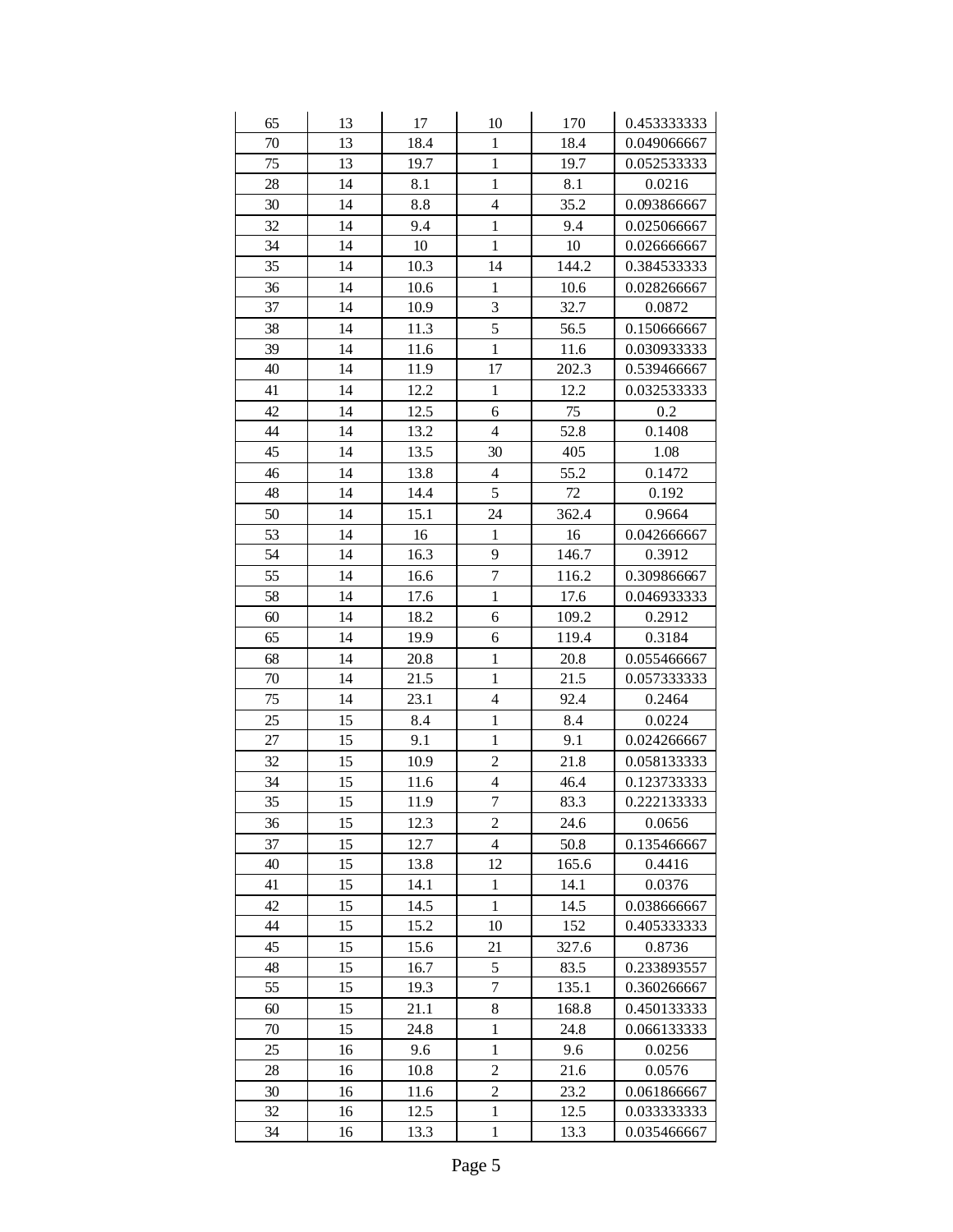| 65     | 13 | 17   | 10                       | 170    | 0.453333333 |
|--------|----|------|--------------------------|--------|-------------|
| 70     | 13 | 18.4 | $\mathbf{1}$             | 18.4   | 0.049066667 |
| 75     | 13 | 19.7 | $\mathbf{1}$             | 19.7   | 0.052533333 |
| 28     | 14 | 8.1  | $\mathbf{1}$             | 8.1    | 0.0216      |
| 30     | 14 | 8.8  | $\overline{\mathcal{L}}$ | 35.2   | 0.093866667 |
| 32     | 14 | 9.4  | $\mathbf{1}$             | 9.4    | 0.025066667 |
| 34     | 14 | 10   | $\mathbf{1}$             | 10     | 0.026666667 |
| 35     | 14 | 10.3 | 14                       | 144.2  | 0.384533333 |
| 36     | 14 | 10.6 | $\,1$                    | 10.6   | 0.028266667 |
| 37     | 14 | 10.9 | 3                        | 32.7   | 0.0872      |
| 38     | 14 | 11.3 | 5                        | 56.5   | 0.150666667 |
| 39     | 14 | 11.6 | $\mathbf{1}$             | 11.6   | 0.030933333 |
| 40     | 14 | 11.9 | 17                       | 202.3  | 0.539466667 |
| 41     | 14 | 12.2 | $\mathbf{1}$             | 12.2   | 0.032533333 |
| 42     | 14 | 12.5 | 6                        | 75     | 0.2         |
| 44     | 14 | 13.2 | $\overline{4}$           | 52.8   | 0.1408      |
| 45     | 14 | 13.5 | 30                       | 405    | 1.08        |
| 46     | 14 | 13.8 | $\overline{4}$           | 55.2   | 0.1472      |
| 48     | 14 | 14.4 | 5                        | $72\,$ | 0.192       |
| 50     | 14 | 15.1 | 24                       | 362.4  | 0.9664      |
| 53     | 14 | 16   | $\mathbf{1}$             | 16     | 0.042666667 |
| 54     | 14 | 16.3 | 9                        | 146.7  | 0.3912      |
| 55     | 14 | 16.6 | $\overline{7}$           | 116.2  | 0.309866667 |
| 58     | 14 | 17.6 | $\mathbf{1}$             | 17.6   | 0.046933333 |
| 60     | 14 | 18.2 | 6                        | 109.2  | 0.2912      |
| 65     | 14 | 19.9 | 6                        | 119.4  | 0.3184      |
| 68     | 14 | 20.8 | $\mathbf{1}$             | 20.8   | 0.055466667 |
| $70\,$ | 14 | 21.5 | $\mathbf{1}$             | 21.5   | 0.057333333 |
| 75     | 14 | 23.1 | $\overline{\mathbf{4}}$  | 92.4   | 0.2464      |
| 25     | 15 | 8.4  | $\mathbf{1}$             | 8.4    | 0.0224      |
| 27     | 15 | 9.1  | $\mathbf{1}$             | 9.1    | 0.024266667 |
| 32     | 15 | 10.9 | $\overline{c}$           | 21.8   | 0.058133333 |
| 34     | 15 | 11.6 | $\overline{4}$           | 46.4   | 0.123733333 |
| 35     | 15 | 11.9 | $\overline{7}$           | 83.3   | 0.222133333 |
| 36     | 15 | 12.3 | $\overline{c}$           | 24.6   | 0.0656      |
| 37     | 15 | 12.7 | $\overline{4}$           | 50.8   | 0.135466667 |
| 40     | 15 | 13.8 | 12                       | 165.6  | 0.4416      |
| 41     | 15 | 14.1 | $\,1$                    | 14.1   | 0.0376      |
| 42     | 15 | 14.5 | 1                        | 14.5   | 0.038666667 |
| 44     | 15 | 15.2 | 10                       | 152    | 0.405333333 |
| 45     | 15 | 15.6 | 21                       | 327.6  | 0.8736      |
| 48     | 15 | 16.7 | 5                        | 83.5   | 0.233893557 |
| 55     | 15 | 19.3 | 7                        | 135.1  | 0.360266667 |
| 60     | 15 | 21.1 | 8                        | 168.8  | 0.450133333 |
| 70     | 15 | 24.8 | $\,1$                    | 24.8   | 0.066133333 |
| 25     | 16 | 9.6  | $\mathbf{1}$             | 9.6    | 0.0256      |
| 28     | 16 | 10.8 | $\overline{c}$           | 21.6   | 0.0576      |
| 30     | 16 | 11.6 | $\overline{c}$           | 23.2   | 0.061866667 |
| 32     | 16 | 12.5 | $\mathbf{1}$             | 12.5   | 0.033333333 |
| 34     | 16 | 13.3 | $\,1$                    | 13.3   | 0.035466667 |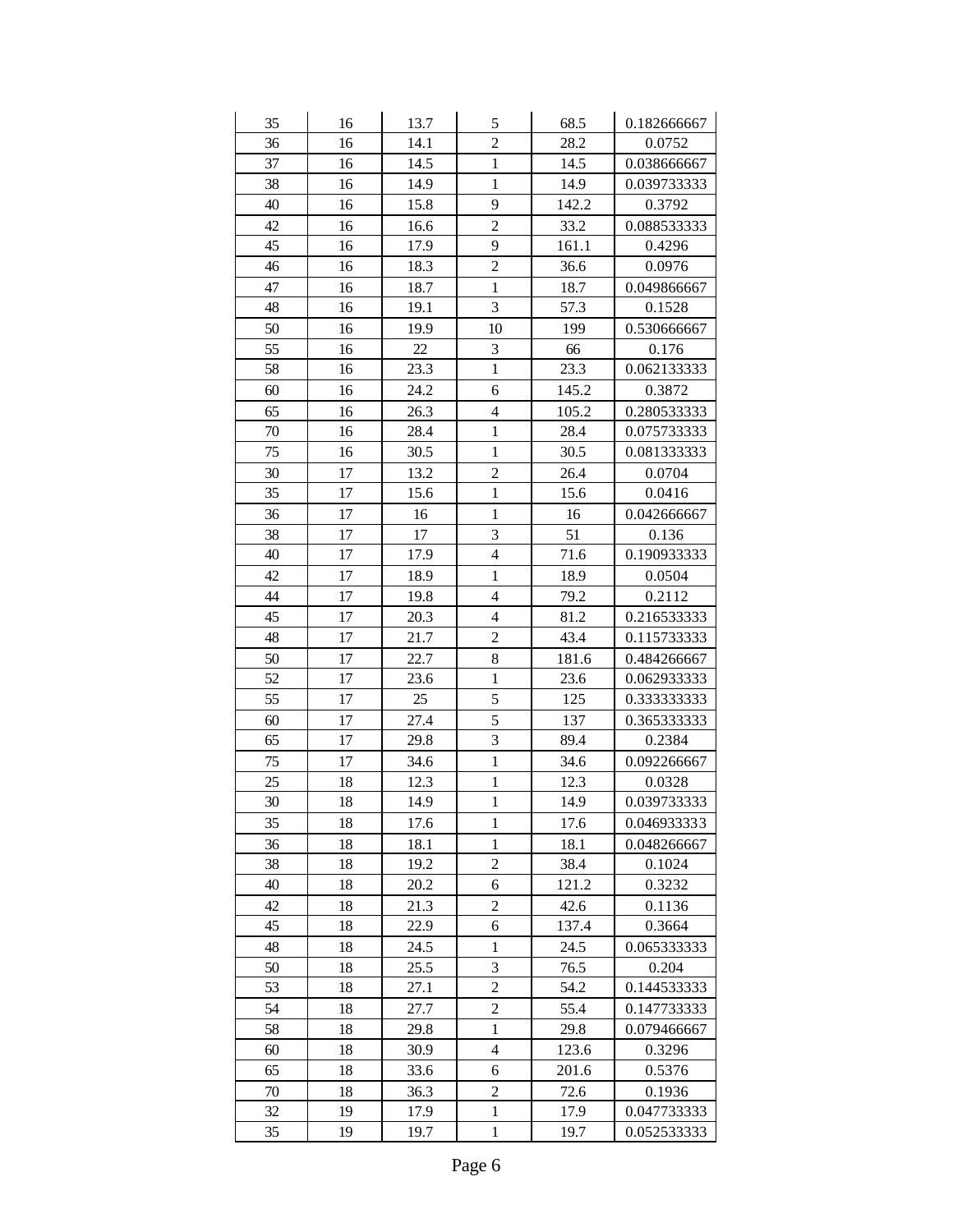| 35 | 16 | 13.7 | 5                        | 68.5  | 0.182666667 |
|----|----|------|--------------------------|-------|-------------|
| 36 | 16 | 14.1 | $\overline{2}$           | 28.2  | 0.0752      |
| 37 | 16 | 14.5 | $\mathbf{1}$             | 14.5  | 0.038666667 |
| 38 | 16 | 14.9 | $\mathbf{1}$             | 14.9  | 0.039733333 |
| 40 | 16 | 15.8 | 9                        | 142.2 | 0.3792      |
| 42 | 16 | 16.6 | $\overline{c}$           | 33.2  | 0.088533333 |
| 45 | 16 | 17.9 | 9                        | 161.1 | 0.4296      |
| 46 | 16 | 18.3 | $\overline{c}$           | 36.6  | 0.0976      |
| 47 | 16 | 18.7 | $\mathbf{1}$             | 18.7  | 0.049866667 |
| 48 | 16 | 19.1 | $\overline{3}$           | 57.3  | 0.1528      |
| 50 | 16 | 19.9 | 10                       | 199   | 0.530666667 |
| 55 | 16 | 22   | 3                        | 66    | 0.176       |
| 58 | 16 | 23.3 | $\mathbf{1}$             | 23.3  | 0.062133333 |
| 60 | 16 | 24.2 | 6                        | 145.2 | 0.3872      |
| 65 | 16 | 26.3 | $\overline{4}$           | 105.2 | 0.280533333 |
| 70 | 16 | 28.4 | $\mathbf{1}$             | 28.4  | 0.075733333 |
| 75 | 16 | 30.5 | $\mathbf{1}$             | 30.5  | 0.081333333 |
| 30 | 17 | 13.2 | $\overline{c}$           | 26.4  | 0.0704      |
| 35 | 17 | 15.6 | $\mathbf{1}$             | 15.6  | 0.0416      |
| 36 | 17 | 16   | $\mathbf{1}$             | 16    | 0.042666667 |
| 38 | 17 | 17   | 3                        | 51    | 0.136       |
| 40 | 17 | 17.9 | $\overline{4}$           | 71.6  | 0.190933333 |
| 42 | 17 | 18.9 | $\mathbf{1}$             | 18.9  | 0.0504      |
| 44 | 17 | 19.8 | $\overline{\mathcal{L}}$ | 79.2  | 0.2112      |
| 45 | 17 | 20.3 | $\overline{4}$           | 81.2  | 0.216533333 |
| 48 | 17 | 21.7 | $\overline{c}$           | 43.4  | 0.115733333 |
| 50 | 17 | 22.7 | 8                        | 181.6 | 0.484266667 |
| 52 | 17 | 23.6 | $\mathbf{1}$             | 23.6  | 0.062933333 |
| 55 | 17 | 25   | 5                        | 125   | 0.333333333 |
| 60 | 17 | 27.4 | 5                        | 137   | 0.365333333 |
| 65 | 17 | 29.8 | 3                        | 89.4  | 0.2384      |
| 75 | 17 | 34.6 | $\mathbf{1}$             | 34.6  | 0.092266667 |
| 25 | 18 | 12.3 | $\mathbf 1$              | 12.3  | 0.0328      |
| 30 | 18 | 14.9 | $\mathbf{1}$             | 14.9  | 0.039733333 |
| 35 | 18 | 17.6 | $\mathbf{1}$             | 17.6  | 0.046933333 |
| 36 | 18 | 18.1 | $\mathbf{1}$             | 18.1  | 0.048266667 |
| 38 | 18 | 19.2 | $\overline{c}$           | 38.4  | 0.1024      |
| 40 | 18 | 20.2 | 6                        | 121.2 | 0.3232      |
| 42 | 18 | 21.3 | $\overline{c}$           | 42.6  | 0.1136      |
| 45 | 18 | 22.9 | 6                        | 137.4 | 0.3664      |
| 48 | 18 | 24.5 | $\mathbf{1}$             | 24.5  | 0.065333333 |
| 50 | 18 | 25.5 | 3                        | 76.5  | 0.204       |
| 53 | 18 | 27.1 | $\overline{c}$           | 54.2  | 0.144533333 |
| 54 | 18 | 27.7 | $\overline{c}$           | 55.4  | 0.147733333 |
| 58 | 18 | 29.8 | $\,1$                    | 29.8  | 0.079466667 |
| 60 | 18 | 30.9 | $\overline{4}$           | 123.6 | 0.3296      |
| 65 | 18 | 33.6 | 6                        | 201.6 | 0.5376      |
| 70 | 18 | 36.3 | $\boldsymbol{2}$         | 72.6  | 0.1936      |
| 32 | 19 | 17.9 | $\mathbf{1}$             | 17.9  | 0.047733333 |
| 35 | 19 | 19.7 | $\,1$                    | 19.7  | 0.052533333 |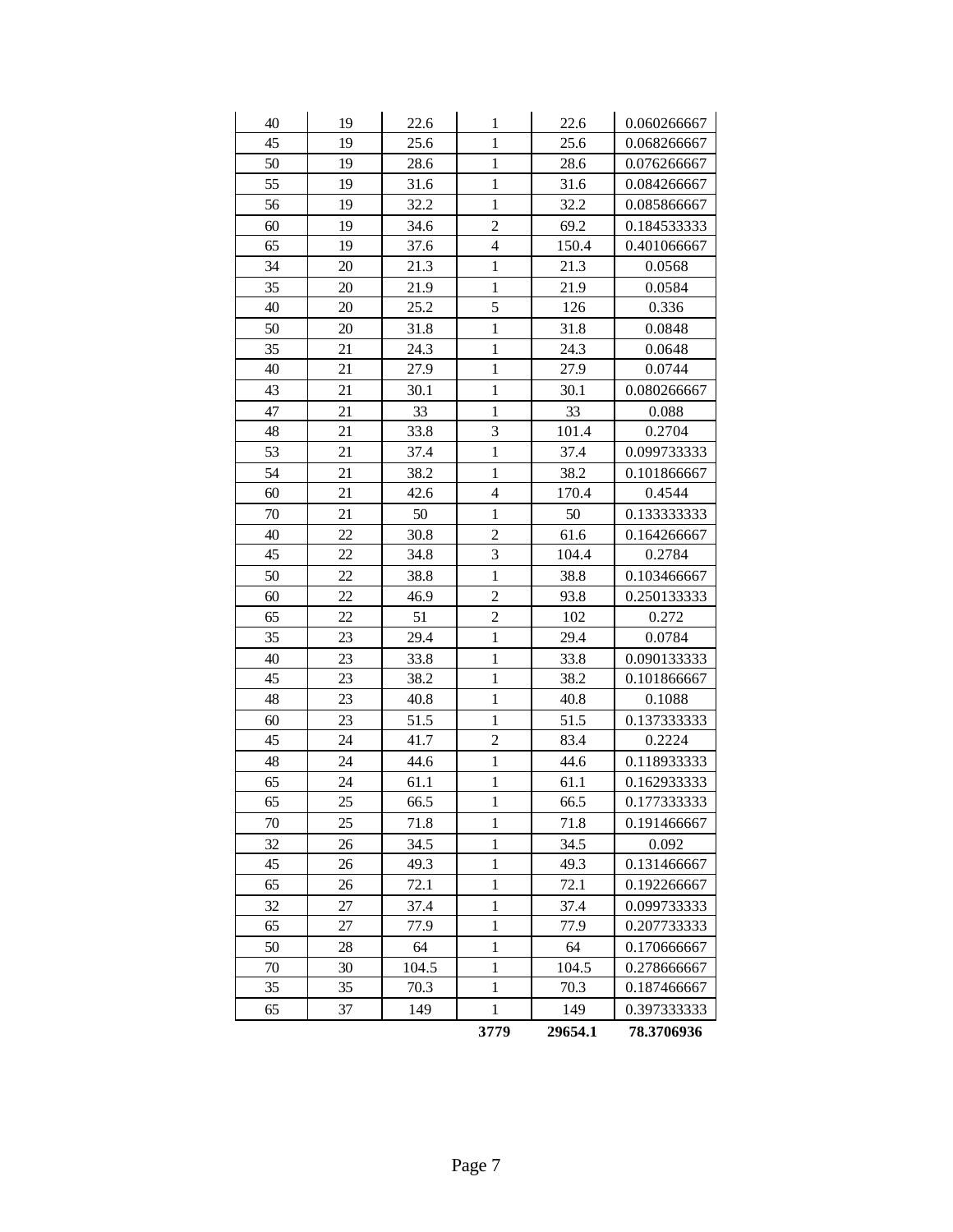| 40 | 19 | 22.6  | 1              | 22.6    | 0.060266667 |
|----|----|-------|----------------|---------|-------------|
| 45 | 19 | 25.6  | $\mathbf{1}$   | 25.6    | 0.068266667 |
| 50 | 19 | 28.6  | $\mathbf{1}$   | 28.6    | 0.076266667 |
| 55 | 19 | 31.6  | $\mathbf{1}$   | 31.6    | 0.084266667 |
| 56 | 19 | 32.2  | $\mathbf{1}$   | 32.2    | 0.085866667 |
| 60 | 19 | 34.6  | $\overline{c}$ | 69.2    | 0.184533333 |
| 65 | 19 | 37.6  | $\overline{4}$ | 150.4   | 0.401066667 |
| 34 | 20 | 21.3  | $\mathbf{1}$   | 21.3    | 0.0568      |
| 35 | 20 | 21.9  | $\mathbf 1$    | 21.9    | 0.0584      |
| 40 | 20 | 25.2  | 5              | 126     | 0.336       |
| 50 | 20 | 31.8  | $\mathbf{1}$   | 31.8    | 0.0848      |
| 35 | 21 | 24.3  | $\mathbf{1}$   | 24.3    | 0.0648      |
| 40 | 21 | 27.9  | $\mathbf{1}$   | 27.9    | 0.0744      |
| 43 | 21 | 30.1  | $\mathbf{1}$   | 30.1    | 0.080266667 |
| 47 | 21 | 33    | $\mathbf{1}$   | 33      | 0.088       |
| 48 | 21 | 33.8  | 3              | 101.4   | 0.2704      |
| 53 | 21 | 37.4  | $\mathbf{1}$   | 37.4    | 0.099733333 |
| 54 | 21 | 38.2  | $\mathbf{1}$   | 38.2    | 0.101866667 |
| 60 | 21 | 42.6  | $\overline{4}$ | 170.4   | 0.4544      |
| 70 | 21 | 50    | $\mathbf{1}$   | 50      | 0.133333333 |
| 40 | 22 | 30.8  | $\overline{c}$ | 61.6    | 0.164266667 |
| 45 | 22 | 34.8  | 3              | 104.4   | 0.2784      |
| 50 | 22 | 38.8  | $\mathbf{1}$   | 38.8    | 0.103466667 |
| 60 | 22 | 46.9  | $\overline{c}$ | 93.8    | 0.250133333 |
| 65 | 22 | 51    | $\overline{c}$ | 102     | 0.272       |
| 35 | 23 | 29.4  | $\mathbf{1}$   | 29.4    | 0.0784      |
| 40 | 23 | 33.8  | $\mathbf{1}$   | 33.8    | 0.090133333 |
| 45 | 23 | 38.2  | $\mathbf{1}$   | 38.2    | 0.101866667 |
| 48 | 23 | 40.8  | $\mathbf{1}$   | 40.8    | 0.1088      |
| 60 | 23 | 51.5  | $\mathbf{1}$   | 51.5    | 0.137333333 |
| 45 | 24 | 41.7  | $\overline{c}$ | 83.4    | 0.2224      |
| 48 | 24 | 44.6  | $\mathbf{1}$   | 44.6    | 0.118933333 |
| 65 | 24 | 61.1  | $\,1$          | 61.1    | 0.162933333 |
| 65 | 25 | 66.5  | $\mathbf{1}$   | 66.5    | 0.177333333 |
| 70 | 25 | 71.8  | 1              | 71.8    | 0.191466667 |
| 32 | 26 | 34.5  | $\mathbf{1}$   | 34.5    | 0.092       |
| 45 | 26 | 49.3  | $\mathbf{1}$   | 49.3    | 0.131466667 |
| 65 | 26 | 72.1  | $\,1$          | 72.1    | 0.192266667 |
| 32 | 27 | 37.4  | $\mathbf{1}$   | 37.4    | 0.099733333 |
| 65 | 27 | 77.9  | $\mathbf{1}$   | 77.9    | 0.207733333 |
| 50 | 28 | 64    | $\mathbf{1}$   | 64      | 0.170666667 |
| 70 | 30 | 104.5 | $\mathbf{1}$   | 104.5   | 0.278666667 |
| 35 | 35 | 70.3  | $\mathbf{1}$   | 70.3    | 0.187466667 |
| 65 | 37 | 149   | $\mathbf{1}$   | 149     | 0.397333333 |
|    |    |       | 3779           | 29654.1 | 78.3706936  |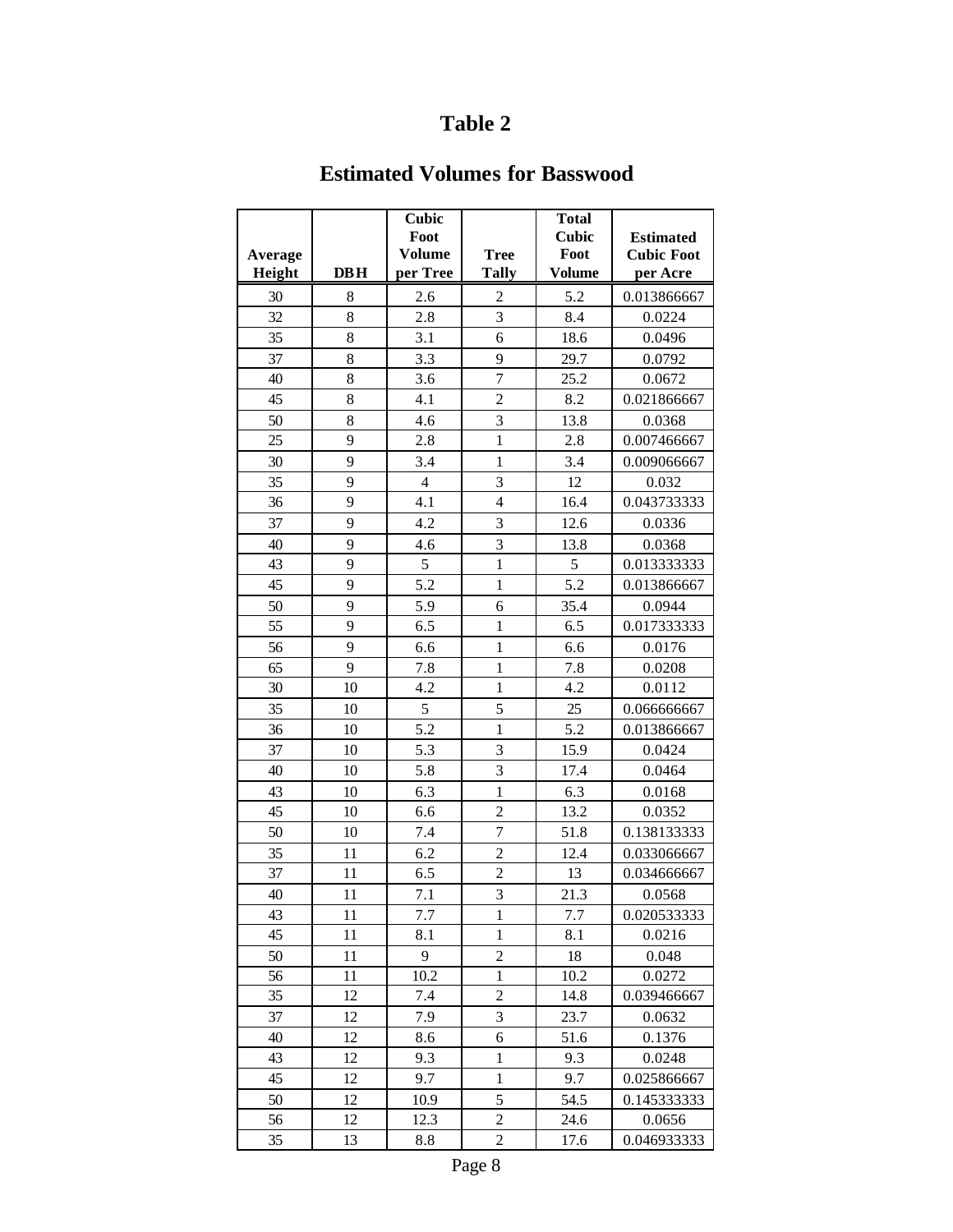### **Estimated Volumes for Basswood**

|         |     | Cubic<br>Foot  |                | <b>Total</b><br><b>Cubic</b> | <b>Estimated</b>  |
|---------|-----|----------------|----------------|------------------------------|-------------------|
| Average |     | Volume         | <b>Tree</b>    | Foot                         | <b>Cubic Foot</b> |
| Height  | DBH | per Tree       | <b>Tally</b>   | <b>Volume</b>                | per Acre          |
| 30      | 8   | 2.6            | $\overline{c}$ | 5.2                          | 0.013866667       |
| 32      | 8   | 2.8            | $\overline{3}$ | 8.4                          | 0.0224            |
| 35      | 8   | 3.1            | 6              | 18.6                         | 0.0496            |
| 37      | 8   | 3.3            | 9              | 29.7                         | 0.0792            |
| 40      | 8   | 3.6            | $\overline{7}$ | 25.2                         | 0.0672            |
| 45      | 8   | 4.1            | $\overline{c}$ | 8.2                          | 0.021866667       |
| 50      | 8   | 4.6            | $\overline{3}$ | 13.8                         | 0.0368            |
| 25      | 9   | 2.8            | $\mathbf{1}$   | 2.8                          | 0.007466667       |
| 30      | 9   | 3.4            | $\mathbf{1}$   | 3.4                          | 0.009066667       |
| 35      | 9   | $\overline{4}$ | 3              | 12                           | 0.032             |
| 36      | 9   | 4.1            | $\overline{4}$ | 16.4                         | 0.043733333       |
| 37      | 9   | 4.2            | $\overline{3}$ | 12.6                         | 0.0336            |
| 40      | 9   | 4.6            | $\overline{3}$ | 13.8                         | 0.0368            |
| 43      | 9   | 5              | $\mathbf{1}$   | 5                            | 0.013333333       |
| 45      | 9   | 5.2            | $\mathbf{1}$   | 5.2                          | 0.013866667       |
| 50      | 9   | 5.9            | 6              | 35.4                         | 0.0944            |
| 55      | 9   | 6.5            | $\mathbf{1}$   | 6.5                          | 0.017333333       |
| 56      | 9   | 6.6            | $\mathbf{1}$   | 6.6                          | 0.0176            |
| 65      | 9   | 7.8            | $\mathbf{1}$   | 7.8                          | 0.0208            |
| 30      | 10  | 4.2            | $\mathbf{1}$   | 4.2                          | 0.0112            |
| 35      | 10  | 5              | 5              | 25                           | 0.066666667       |
| 36      | 10  | 5.2            | $\mathbf{1}$   | 5.2                          | 0.013866667       |
| 37      | 10  | 5.3            | 3              | 15.9                         | 0.0424            |
| 40      | 10  | 5.8            | 3              | 17.4                         | 0.0464            |
| 43      | 10  | 6.3            | $\mathbf{1}$   | 6.3                          | 0.0168            |
| 45      | 10  | 6.6            | $\overline{2}$ | 13.2                         | 0.0352            |
| 50      | 10  | 7.4            | $\overline{7}$ | 51.8                         | 0.138133333       |
| 35      | 11  | 6.2            | $\overline{c}$ | 12.4                         | 0.033066667       |
| 37      | 11  | 6.5            | $\overline{c}$ | 13                           | 0.034666667       |
| 40      | 11  | 7.1            | $\overline{3}$ | 21.3                         | 0.0568            |
| 43      | 11  | 7.7            | 1              | 7.7                          | 0.020533333       |
| 45      | 11  | 8.1            | $\mathbf{1}$   | 8.1                          | 0.0216            |
| 50      | 11  | 9              | $\overline{c}$ | 18                           | 0.048             |
| 56      | 11  | 10.2           | 1              | 10.2                         | 0.0272            |
| 35      | 12  | 7.4            | 2              | 14.8                         | 0.039466667       |
| 37      | 12  | 7.9            | 3              | 23.7                         | 0.0632            |
| 40      | 12  | 8.6            | 6              | 51.6                         | 0.1376            |
| 43      | 12  | 9.3            | $\,1$          | 9.3                          | 0.0248            |
| 45      | 12  | 9.7            | $\,1$          | 9.7                          | 0.025866667       |
| 50      | 12  | 10.9           | 5              | 54.5                         | 0.145333333       |
| 56      | 12  | 12.3           | $\overline{c}$ | 24.6                         | 0.0656            |
| 35      | 13  | 8.8            | $\overline{c}$ | 17.6                         | 0.046933333       |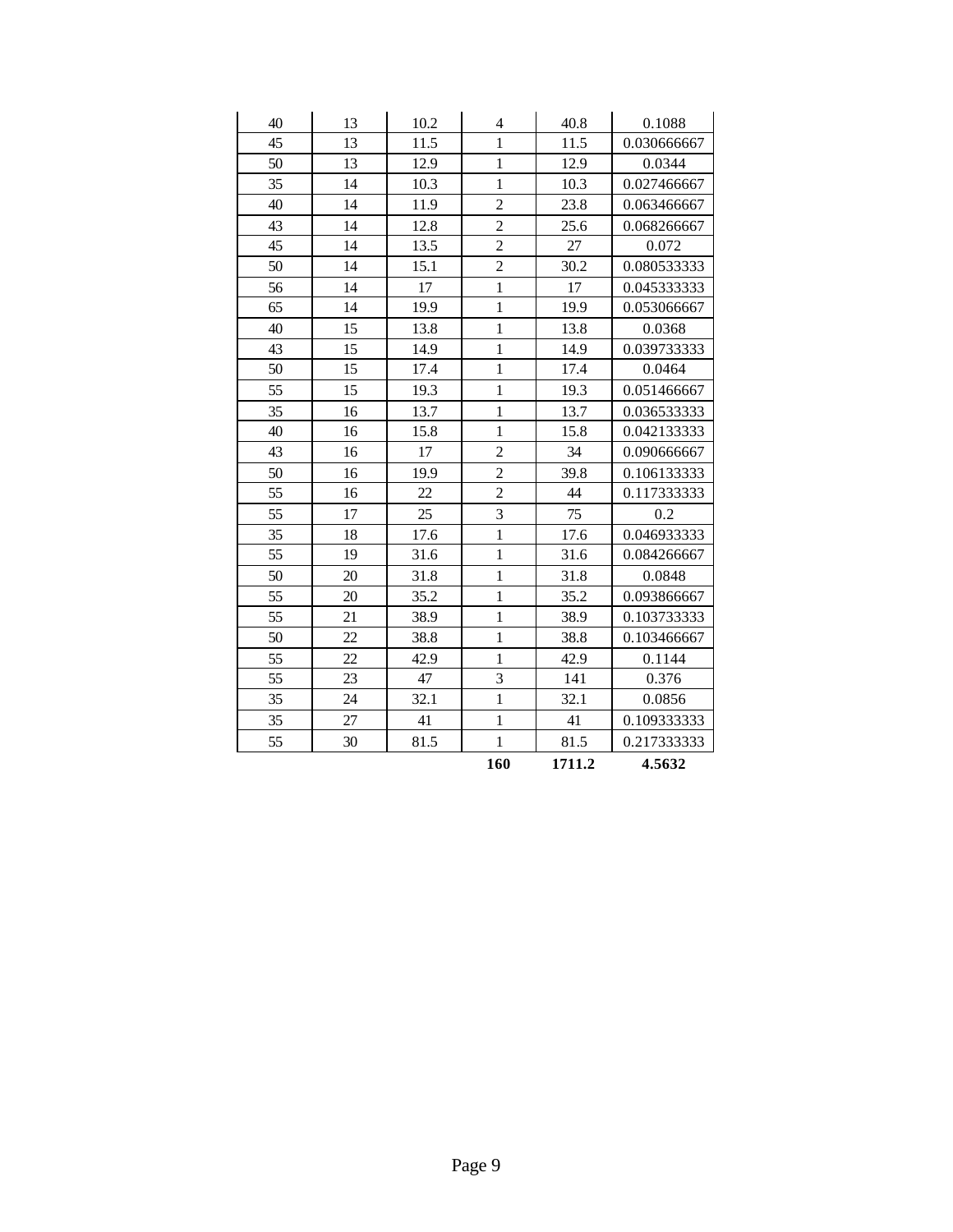| 40 | 13 | 10.2 | 4                       | 40.8   | 0.1088      |
|----|----|------|-------------------------|--------|-------------|
| 45 | 13 | 11.5 | $\mathbf{1}$            | 11.5   | 0.030666667 |
| 50 | 13 | 12.9 | $\mathbf{1}$            | 12.9   | 0.0344      |
| 35 | 14 | 10.3 | $\mathbf{1}$            | 10.3   | 0.027466667 |
| 40 | 14 | 11.9 | $\overline{2}$          | 23.8   | 0.063466667 |
| 43 | 14 | 12.8 | $\overline{c}$          | 25.6   | 0.068266667 |
| 45 | 14 | 13.5 | $\overline{c}$          | 27     | 0.072       |
| 50 | 14 | 15.1 | $\overline{2}$          | 30.2   | 0.080533333 |
| 56 | 14 | 17   | $\mathbf{1}$            | 17     | 0.045333333 |
| 65 | 14 | 19.9 | $\mathbf{1}$            | 19.9   | 0.053066667 |
| 40 | 15 | 13.8 | $\mathbf{1}$            | 13.8   | 0.0368      |
| 43 | 15 | 14.9 | $\mathbf{1}$            | 14.9   | 0.039733333 |
| 50 | 15 | 17.4 | $\mathbf{1}$            | 17.4   | 0.0464      |
| 55 | 15 | 19.3 | $\mathbf{1}$            | 19.3   | 0.051466667 |
| 35 | 16 | 13.7 | $\mathbf{1}$            | 13.7   | 0.036533333 |
| 40 | 16 | 15.8 | $\mathbf{1}$            | 15.8   | 0.042133333 |
| 43 | 16 | 17   | $\overline{c}$          | 34     | 0.090666667 |
| 50 | 16 | 19.9 | $\overline{c}$          | 39.8   | 0.106133333 |
| 55 | 16 | 22   | $\overline{2}$          | 44     | 0.117333333 |
| 55 | 17 | 25   | 3                       | 75     | 0.2         |
| 35 | 18 | 17.6 | $\mathbf{1}$            | 17.6   | 0.046933333 |
| 55 | 19 | 31.6 | $\mathbf{1}$            | 31.6   | 0.084266667 |
| 50 | 20 | 31.8 | $\mathbf{1}$            | 31.8   | 0.0848      |
| 55 | 20 | 35.2 | $\mathbf{1}$            | 35.2   | 0.093866667 |
| 55 | 21 | 38.9 | $\mathbf{1}$            | 38.9   | 0.103733333 |
| 50 | 22 | 38.8 | $\mathbf{1}$            | 38.8   | 0.103466667 |
| 55 | 22 | 42.9 | $\mathbf{1}$            | 42.9   | 0.1144      |
| 55 | 23 | 47   | $\overline{\mathbf{3}}$ | 141    | 0.376       |
| 35 | 24 | 32.1 | $\mathbf{1}$            | 32.1   | 0.0856      |
| 35 | 27 | 41   | $\mathbf{1}$            | 41     | 0.109333333 |
| 55 | 30 | 81.5 | $\mathbf{1}$            | 81.5   | 0.217333333 |
|    |    |      | 160                     | 1711.2 | 4.5632      |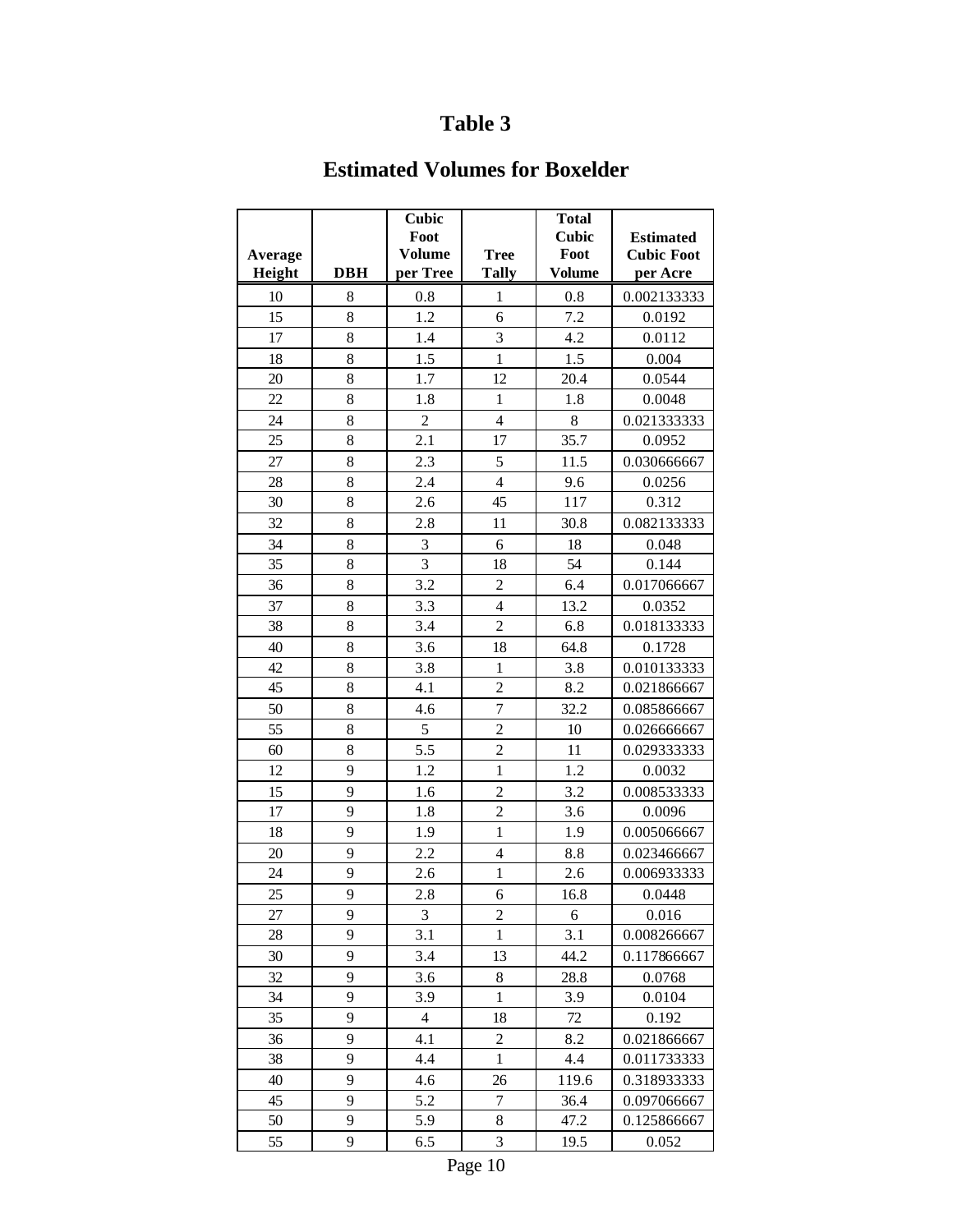### **Estimated Volumes for Boxelder**

| <b>Cubic</b><br>Foot<br><b>Estimated</b><br><b>Volume</b><br>Foot<br><b>Tree</b><br><b>Cubic Foot</b><br>Average<br><b>DBH</b><br>per Tree<br><b>Tally</b><br>Height<br><b>Volume</b><br>per Acre<br>10<br>0.8<br>0.002133333<br>8<br>1<br>0.8<br>15<br>8<br>1.2<br>7.2<br>0.0192<br>6<br>$\overline{3}$<br>8<br>1.4<br>4.2<br>17<br>0.0112<br>$\mathbf{1}$<br>8<br>1.5<br>0.004<br>18<br>1.5<br>8<br>1.7<br>12<br>20<br>0.0544<br>20.4<br>22<br>8<br>$\mathbf{1}$<br>1.8<br>0.0048<br>1.8<br>$\overline{c}$<br>8<br>8<br>$\overline{4}$<br>24<br>0.021333333<br>25<br>35.7<br>8<br>2.1<br>17<br>0.0952<br>5<br>27<br>8<br>2.3<br>0.030666667<br>11.5<br>$\overline{4}$<br>8<br>28<br>2.4<br>0.0256<br>9.6<br>8<br>30<br>2.6<br>45<br>117<br>0.312<br>32<br>8<br>2.8<br>11<br>0.082133333<br>30.8<br>$\overline{3}$<br>34<br>8<br>6<br>18<br>0.048<br>$\overline{3}$<br>35<br>8<br>18<br>54<br>0.144<br>36<br>8<br>3.2<br>$\overline{c}$<br>0.017066667<br>6.4 |  |
|----------------------------------------------------------------------------------------------------------------------------------------------------------------------------------------------------------------------------------------------------------------------------------------------------------------------------------------------------------------------------------------------------------------------------------------------------------------------------------------------------------------------------------------------------------------------------------------------------------------------------------------------------------------------------------------------------------------------------------------------------------------------------------------------------------------------------------------------------------------------------------------------------------------------------------------------------------------|--|
|                                                                                                                                                                                                                                                                                                                                                                                                                                                                                                                                                                                                                                                                                                                                                                                                                                                                                                                                                                |  |
|                                                                                                                                                                                                                                                                                                                                                                                                                                                                                                                                                                                                                                                                                                                                                                                                                                                                                                                                                                |  |
|                                                                                                                                                                                                                                                                                                                                                                                                                                                                                                                                                                                                                                                                                                                                                                                                                                                                                                                                                                |  |
|                                                                                                                                                                                                                                                                                                                                                                                                                                                                                                                                                                                                                                                                                                                                                                                                                                                                                                                                                                |  |
|                                                                                                                                                                                                                                                                                                                                                                                                                                                                                                                                                                                                                                                                                                                                                                                                                                                                                                                                                                |  |
|                                                                                                                                                                                                                                                                                                                                                                                                                                                                                                                                                                                                                                                                                                                                                                                                                                                                                                                                                                |  |
|                                                                                                                                                                                                                                                                                                                                                                                                                                                                                                                                                                                                                                                                                                                                                                                                                                                                                                                                                                |  |
|                                                                                                                                                                                                                                                                                                                                                                                                                                                                                                                                                                                                                                                                                                                                                                                                                                                                                                                                                                |  |
|                                                                                                                                                                                                                                                                                                                                                                                                                                                                                                                                                                                                                                                                                                                                                                                                                                                                                                                                                                |  |
|                                                                                                                                                                                                                                                                                                                                                                                                                                                                                                                                                                                                                                                                                                                                                                                                                                                                                                                                                                |  |
|                                                                                                                                                                                                                                                                                                                                                                                                                                                                                                                                                                                                                                                                                                                                                                                                                                                                                                                                                                |  |
|                                                                                                                                                                                                                                                                                                                                                                                                                                                                                                                                                                                                                                                                                                                                                                                                                                                                                                                                                                |  |
|                                                                                                                                                                                                                                                                                                                                                                                                                                                                                                                                                                                                                                                                                                                                                                                                                                                                                                                                                                |  |
|                                                                                                                                                                                                                                                                                                                                                                                                                                                                                                                                                                                                                                                                                                                                                                                                                                                                                                                                                                |  |
|                                                                                                                                                                                                                                                                                                                                                                                                                                                                                                                                                                                                                                                                                                                                                                                                                                                                                                                                                                |  |
|                                                                                                                                                                                                                                                                                                                                                                                                                                                                                                                                                                                                                                                                                                                                                                                                                                                                                                                                                                |  |
|                                                                                                                                                                                                                                                                                                                                                                                                                                                                                                                                                                                                                                                                                                                                                                                                                                                                                                                                                                |  |
|                                                                                                                                                                                                                                                                                                                                                                                                                                                                                                                                                                                                                                                                                                                                                                                                                                                                                                                                                                |  |
| 37<br>8<br>3.3<br>$\overline{4}$<br>13.2<br>0.0352                                                                                                                                                                                                                                                                                                                                                                                                                                                                                                                                                                                                                                                                                                                                                                                                                                                                                                             |  |
| $\overline{2}$<br>8<br>38<br>3.4<br>0.018133333<br>6.8                                                                                                                                                                                                                                                                                                                                                                                                                                                                                                                                                                                                                                                                                                                                                                                                                                                                                                         |  |
| 8<br>3.6<br>40<br>18<br>64.8<br>0.1728                                                                                                                                                                                                                                                                                                                                                                                                                                                                                                                                                                                                                                                                                                                                                                                                                                                                                                                         |  |
| 42<br>8<br>3.8<br>$\mathbf{1}$<br>3.8<br>0.010133333                                                                                                                                                                                                                                                                                                                                                                                                                                                                                                                                                                                                                                                                                                                                                                                                                                                                                                           |  |
| $\overline{c}$<br>8<br>45<br>4.1<br>8.2<br>0.021866667                                                                                                                                                                                                                                                                                                                                                                                                                                                                                                                                                                                                                                                                                                                                                                                                                                                                                                         |  |
| $\overline{7}$<br>8<br>50<br>4.6<br>32.2<br>0.085866667                                                                                                                                                                                                                                                                                                                                                                                                                                                                                                                                                                                                                                                                                                                                                                                                                                                                                                        |  |
| 5<br>55<br>8<br>$\overline{c}$<br>10<br>0.026666667                                                                                                                                                                                                                                                                                                                                                                                                                                                                                                                                                                                                                                                                                                                                                                                                                                                                                                            |  |
| $\overline{c}$<br>8<br>5.5<br>0.029333333<br>60<br>11                                                                                                                                                                                                                                                                                                                                                                                                                                                                                                                                                                                                                                                                                                                                                                                                                                                                                                          |  |
| $\mathbf{1}$<br>1.2<br>12<br>9<br>0.0032<br>1.2                                                                                                                                                                                                                                                                                                                                                                                                                                                                                                                                                                                                                                                                                                                                                                                                                                                                                                                |  |
| $\overline{c}$<br>9<br>0.008533333<br>15<br>1.6<br>3.2                                                                                                                                                                                                                                                                                                                                                                                                                                                                                                                                                                                                                                                                                                                                                                                                                                                                                                         |  |
| $\overline{c}$<br>9<br>1.8<br>17<br>3.6<br>0.0096                                                                                                                                                                                                                                                                                                                                                                                                                                                                                                                                                                                                                                                                                                                                                                                                                                                                                                              |  |
| 9<br>1.9<br>$\mathbf{1}$<br>0.005066667<br>18<br>1.9                                                                                                                                                                                                                                                                                                                                                                                                                                                                                                                                                                                                                                                                                                                                                                                                                                                                                                           |  |
| 2.2<br>20<br>9<br>$\overline{4}$<br>8.8<br>0.023466667                                                                                                                                                                                                                                                                                                                                                                                                                                                                                                                                                                                                                                                                                                                                                                                                                                                                                                         |  |
| 9<br>$\mathbf{1}$<br>24<br>2.6<br>0.006933333<br>2.6                                                                                                                                                                                                                                                                                                                                                                                                                                                                                                                                                                                                                                                                                                                                                                                                                                                                                                           |  |
| 9<br>25<br>2.8<br>6<br>16.8<br>0.0448                                                                                                                                                                                                                                                                                                                                                                                                                                                                                                                                                                                                                                                                                                                                                                                                                                                                                                                          |  |
| 27<br>3<br>$\overline{\mathbf{c}}$<br>0.016<br>9<br>6                                                                                                                                                                                                                                                                                                                                                                                                                                                                                                                                                                                                                                                                                                                                                                                                                                                                                                          |  |
| $\mathbf{1}$<br>9<br>28<br>3.1<br>3.1<br>0.008266667                                                                                                                                                                                                                                                                                                                                                                                                                                                                                                                                                                                                                                                                                                                                                                                                                                                                                                           |  |
| 9<br>30<br>3.4<br>13<br>44.2<br>0.117866667                                                                                                                                                                                                                                                                                                                                                                                                                                                                                                                                                                                                                                                                                                                                                                                                                                                                                                                    |  |
| 9<br>8<br>32<br>3.6<br>28.8<br>0.0768                                                                                                                                                                                                                                                                                                                                                                                                                                                                                                                                                                                                                                                                                                                                                                                                                                                                                                                          |  |
| 9<br>34<br>3.9<br>$\mathbf{1}$<br>0.0104<br>3.9                                                                                                                                                                                                                                                                                                                                                                                                                                                                                                                                                                                                                                                                                                                                                                                                                                                                                                                |  |
| 9<br>35<br>4<br>18<br>72<br>0.192                                                                                                                                                                                                                                                                                                                                                                                                                                                                                                                                                                                                                                                                                                                                                                                                                                                                                                                              |  |
| 9<br>$\overline{c}$<br>8.2<br>36<br>4.1<br>0.021866667                                                                                                                                                                                                                                                                                                                                                                                                                                                                                                                                                                                                                                                                                                                                                                                                                                                                                                         |  |
| $\mathbf{1}$<br>9<br>38<br>4.4<br>4.4<br>0.011733333                                                                                                                                                                                                                                                                                                                                                                                                                                                                                                                                                                                                                                                                                                                                                                                                                                                                                                           |  |
| 9<br>40<br>26<br>4.6<br>119.6<br>0.318933333                                                                                                                                                                                                                                                                                                                                                                                                                                                                                                                                                                                                                                                                                                                                                                                                                                                                                                                   |  |
| 9<br>5.2<br>$\boldsymbol{7}$<br>45<br>36.4<br>0.097066667                                                                                                                                                                                                                                                                                                                                                                                                                                                                                                                                                                                                                                                                                                                                                                                                                                                                                                      |  |
| 9<br>$8\,$<br>50<br>5.9<br>47.2<br>0.125866667                                                                                                                                                                                                                                                                                                                                                                                                                                                                                                                                                                                                                                                                                                                                                                                                                                                                                                                 |  |
| 3<br>9<br>55<br>6.5<br>19.5<br>0.052                                                                                                                                                                                                                                                                                                                                                                                                                                                                                                                                                                                                                                                                                                                                                                                                                                                                                                                           |  |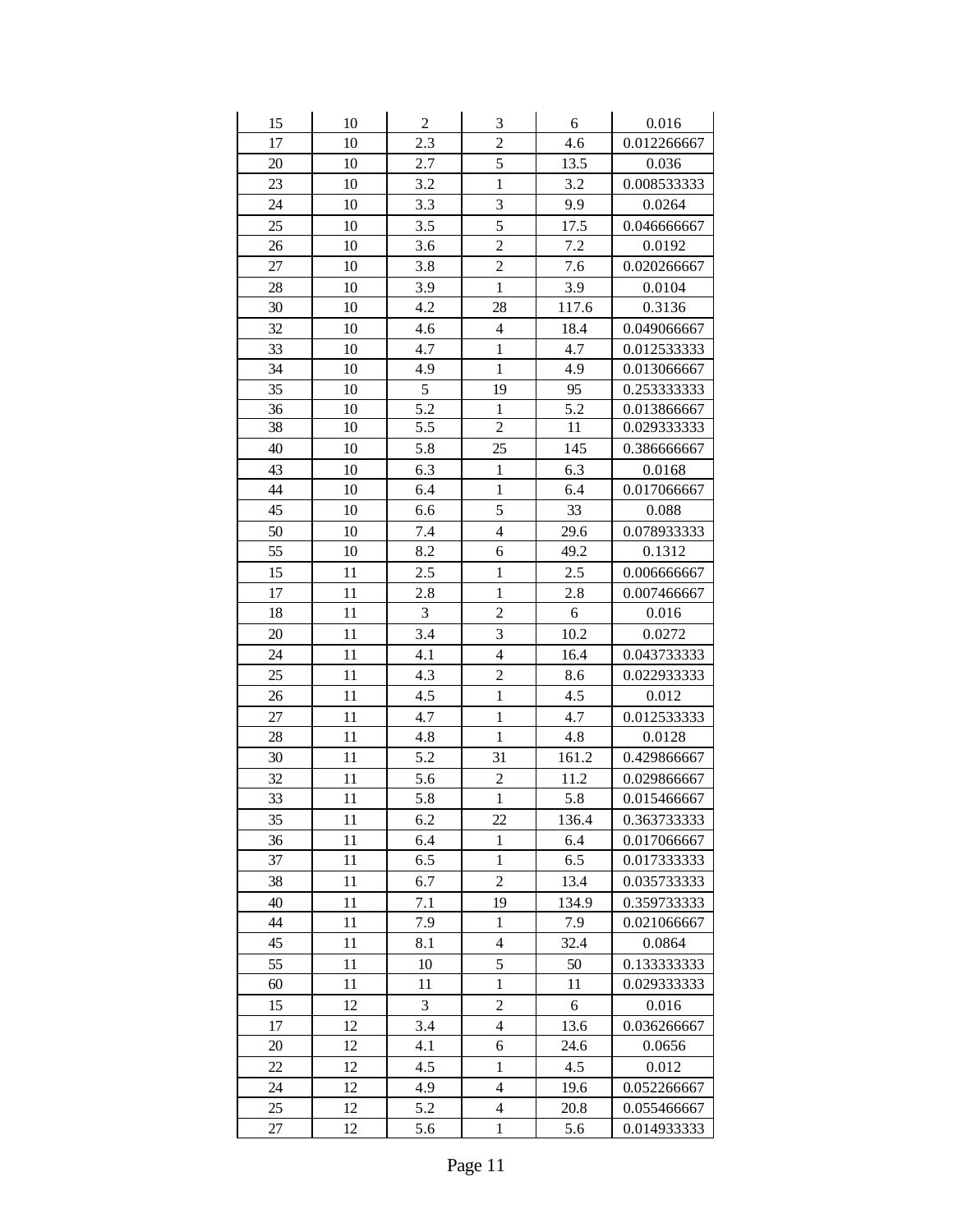| 15 | 10 | $\boldsymbol{2}$ | $\mathfrak{Z}$           | 6     | 0.016       |
|----|----|------------------|--------------------------|-------|-------------|
| 17 | 10 | 2.3              | $\overline{c}$           | 4.6   | 0.012266667 |
| 20 | 10 | 2.7              | 5                        | 13.5  | 0.036       |
| 23 | 10 | 3.2              | $\mathbf{1}$             | 3.2   | 0.008533333 |
| 24 | 10 | 3.3              | 3                        | 9.9   | 0.0264      |
| 25 | 10 | 3.5              | 5                        | 17.5  | 0.046666667 |
| 26 | 10 | 3.6              | $\overline{2}$           | 7.2   | 0.0192      |
| 27 | 10 | 3.8              | $\overline{c}$           | 7.6   | 0.020266667 |
| 28 | 10 | 3.9              | $\mathbf{1}$             | 3.9   | 0.0104      |
| 30 | 10 | 4.2              | 28                       | 117.6 | 0.3136      |
| 32 | 10 | 4.6              | $\overline{\mathcal{L}}$ | 18.4  | 0.049066667 |
| 33 | 10 | 4.7              | $\mathbf{1}$             | 4.7   | 0.012533333 |
| 34 | 10 | 4.9              | $\mathbf{1}$             | 4.9   | 0.013066667 |
| 35 | 10 | 5                | 19                       | 95    | 0.253333333 |
| 36 | 10 | 5.2              | $\mathbf{1}$             | 5.2   | 0.013866667 |
| 38 | 10 | 5.5              | $\overline{2}$           | 11    | 0.029333333 |
| 40 | 10 | 5.8              | 25                       | 145   | 0.386666667 |
| 43 | 10 | 6.3              | $\,1$                    | 6.3   | 0.0168      |
| 44 | 10 | 6.4              | $\mathbf{1}$             | 6.4   | 0.017066667 |
| 45 | 10 | 6.6              | 5                        | 33    | 0.088       |
| 50 | 10 | 7.4              | $\overline{4}$           | 29.6  | 0.078933333 |
| 55 | 10 | 8.2              | 6                        | 49.2  | 0.1312      |
| 15 | 11 | 2.5              | $\mathbf{1}$             | 2.5   | 0.006666667 |
| 17 | 11 | 2.8              | $\mathbf{1}$             | 2.8   | 0.007466667 |
| 18 | 11 | 3                | $\overline{c}$           | 6     | 0.016       |
| 20 | 11 | 3.4              | $\overline{\mathbf{3}}$  | 10.2  | 0.0272      |
| 24 | 11 | 4.1              | $\overline{\mathbf{4}}$  | 16.4  | 0.043733333 |
| 25 | 11 | 4.3              | $\overline{c}$           | 8.6   | 0.022933333 |
| 26 | 11 | 4.5              | $\mathbf{1}$             | 4.5   | 0.012       |
| 27 | 11 | 4.7              | $\mathbf{1}$             | 4.7   | 0.012533333 |
| 28 | 11 | 4.8              | $\mathbf{1}$             | 4.8   | 0.0128      |
| 30 | 11 | 5.2              | 31                       | 161.2 | 0.429866667 |
| 32 | 11 | 5.6              | $\overline{c}$           | 11.2  | 0.029866667 |
| 33 | 11 | 5.8              | $\mathbf{1}$             | 5.8   | 0.015466667 |
| 35 | 11 | 6.2              | 22                       | 136.4 | 0.363733333 |
| 36 | 11 | 6.4              | 1                        | 6.4   | 0.017066667 |
| 37 | 11 | 6.5              | 1                        | 6.5   | 0.017333333 |
| 38 | 11 | 6.7              | $\overline{c}$           | 13.4  | 0.035733333 |
| 40 | 11 | 7.1              | 19                       | 134.9 | 0.359733333 |
| 44 | 11 | 7.9              | $\mathbf{1}$             | 7.9   | 0.021066667 |
| 45 | 11 | 8.1              | $\overline{\mathcal{L}}$ | 32.4  | 0.0864      |
| 55 | 11 | 10               | 5                        | 50    | 0.133333333 |
| 60 | 11 | 11               | $\mathbf{1}$             | 11    | 0.029333333 |
| 15 | 12 | 3                | $\overline{c}$           | 6     | 0.016       |
| 17 | 12 | 3.4              | $\overline{\mathbf{4}}$  | 13.6  | 0.036266667 |
| 20 | 12 | 4.1              | 6                        | 24.6  | 0.0656      |
| 22 | 12 | 4.5              | $\mathbf{1}$             | 4.5   | 0.012       |
| 24 | 12 | 4.9              | $\overline{\mathbf{4}}$  | 19.6  | 0.052266667 |
| 25 | 12 | 5.2              | $\overline{4}$           | 20.8  | 0.055466667 |
| 27 | 12 | 5.6              | 1                        | 5.6   | 0.014933333 |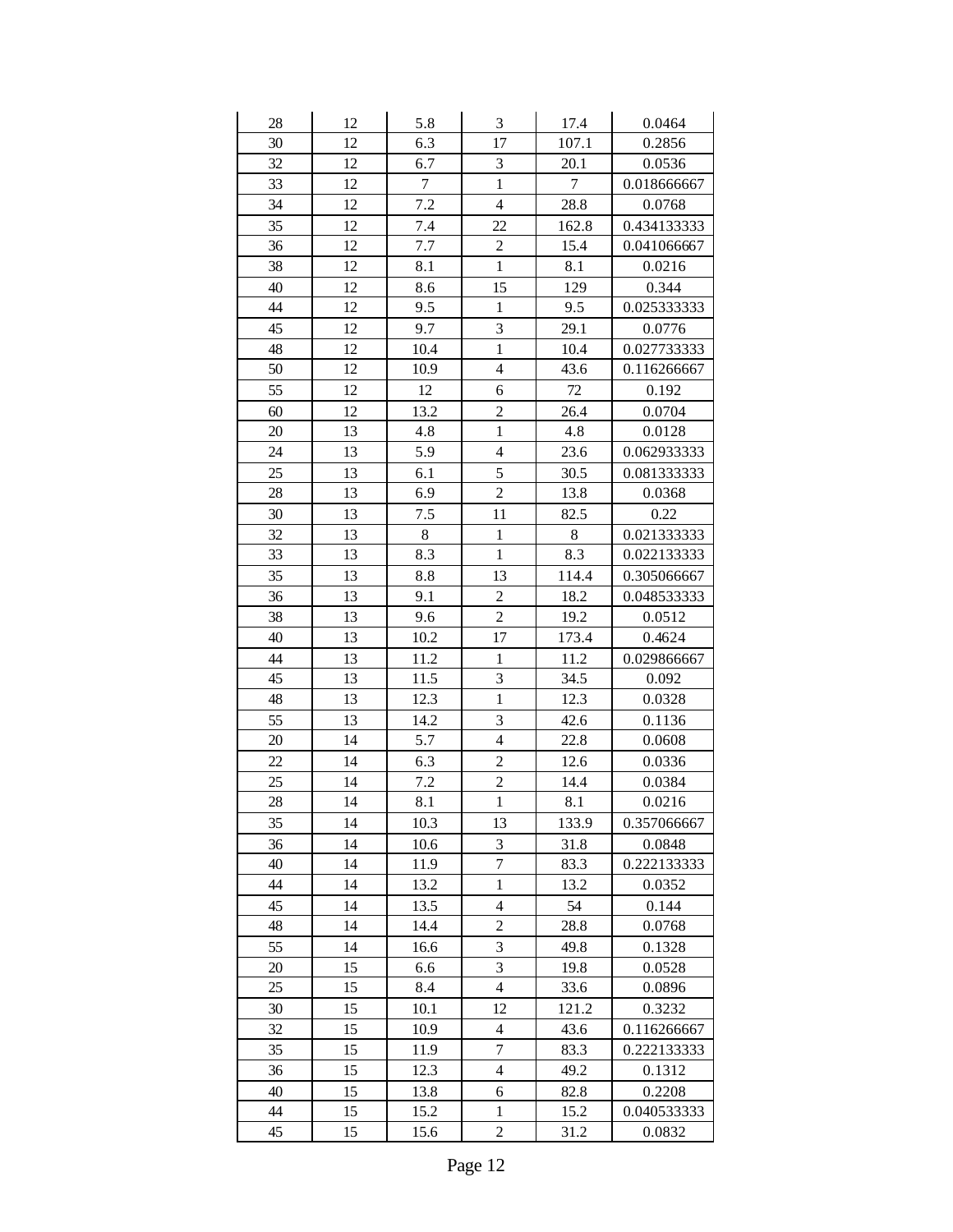| 28 | 12 | 5.8              | $\mathfrak{Z}$          | 17.4   | 0.0464      |
|----|----|------------------|-------------------------|--------|-------------|
| 30 | 12 | 6.3              | 17                      | 107.1  | 0.2856      |
| 32 | 12 | 6.7              | 3                       | 20.1   | 0.0536      |
| 33 | 12 | $\boldsymbol{7}$ | $\mathbf{1}$            | $\tau$ | 0.018666667 |
| 34 | 12 | 7.2              | $\overline{\mathbf{4}}$ | 28.8   | 0.0768      |
| 35 | 12 | 7.4              | 22                      | 162.8  | 0.434133333 |
| 36 | 12 | 7.7              | $\overline{c}$          | 15.4   | 0.041066667 |
| 38 | 12 | 8.1              | $\mathbf{1}$            | 8.1    | 0.0216      |
| 40 | 12 | 8.6              | 15                      | 129    | 0.344       |
| 44 | 12 | 9.5              | $\mathbf{1}$            | 9.5    | 0.025333333 |
| 45 | 12 | 9.7              | 3                       | 29.1   | 0.0776      |
| 48 | 12 | 10.4             | $\mathbf{1}$            | 10.4   | 0.027733333 |
| 50 | 12 | 10.9             | $\overline{4}$          | 43.6   | 0.116266667 |
| 55 | 12 | 12               | 6                       | $72\,$ | 0.192       |
| 60 | 12 | 13.2             | $\overline{c}$          | 26.4   | 0.0704      |
| 20 | 13 | 4.8              | $\mathbf{1}$            | 4.8    | 0.0128      |
| 24 | 13 | 5.9              | $\overline{4}$          | 23.6   | 0.062933333 |
| 25 | 13 | 6.1              | 5                       | 30.5   | 0.081333333 |
| 28 | 13 | 6.9              | $\overline{2}$          | 13.8   | 0.0368      |
| 30 | 13 | 7.5              | 11                      | 82.5   | 0.22        |
| 32 | 13 | 8                | $\mathbf{1}$            | $8\,$  | 0.021333333 |
| 33 | 13 | 8.3              | $\mathbf{1}$            | 8.3    | 0.022133333 |
| 35 | 13 | 8.8              | 13                      | 114.4  | 0.305066667 |
| 36 | 13 | 9.1              | $\overline{c}$          | 18.2   | 0.048533333 |
| 38 | 13 | 9.6              | $\overline{c}$          | 19.2   | 0.0512      |
| 40 | 13 | 10.2             | 17                      | 173.4  | 0.4624      |
| 44 | 13 | 11.2             | $\mathbf{1}$            | 11.2   | 0.029866667 |
| 45 | 13 | 11.5             | 3                       | 34.5   | 0.092       |
| 48 | 13 | 12.3             | $\mathbf{1}$            | 12.3   | 0.0328      |
| 55 | 13 | 14.2             | 3                       | 42.6   | 0.1136      |
| 20 | 14 | 5.7              | $\overline{4}$          | 22.8   | 0.0608      |
| 22 | 14 | 6.3              | $\overline{2}$          | 12.6   | 0.0336      |
| 25 | 14 | 7.2              | $\overline{c}$          | 14.4   | 0.0384      |
| 28 | 14 | 8.1              | $\,1$                   | 8.1    | 0.0216      |
| 35 | 14 | 10.3             | 13                      | 133.9  | 0.357066667 |
| 36 | 14 | 10.6             | 3                       | 31.8   | 0.0848      |
| 40 | 14 | 11.9             | $\overline{7}$          | 83.3   | 0.222133333 |
| 44 | 14 | 13.2             | $\,1$                   | 13.2   | 0.0352      |
| 45 | 14 | 13.5             | 4                       | 54     | 0.144       |
| 48 | 14 | 14.4             | $\overline{2}$          | 28.8   | 0.0768      |
| 55 | 14 | 16.6             | 3                       | 49.8   | 0.1328      |
| 20 | 15 | 6.6              | 3                       | 19.8   | 0.0528      |
| 25 | 15 | 8.4              | $\overline{4}$          | 33.6   | 0.0896      |
| 30 | 15 | 10.1             | 12                      | 121.2  | 0.3232      |
| 32 | 15 | 10.9             | $\overline{4}$          | 43.6   | 0.116266667 |
| 35 | 15 | 11.9             | $\overline{7}$          | 83.3   | 0.222133333 |
| 36 | 15 | 12.3             | $\overline{4}$          | 49.2   | 0.1312      |
| 40 | 15 | 13.8             | 6                       | 82.8   | 0.2208      |
| 44 | 15 | 15.2             | $\mathbf{1}$            | 15.2   | 0.040533333 |
| 45 | 15 | 15.6             | $\overline{c}$          | 31.2   | 0.0832      |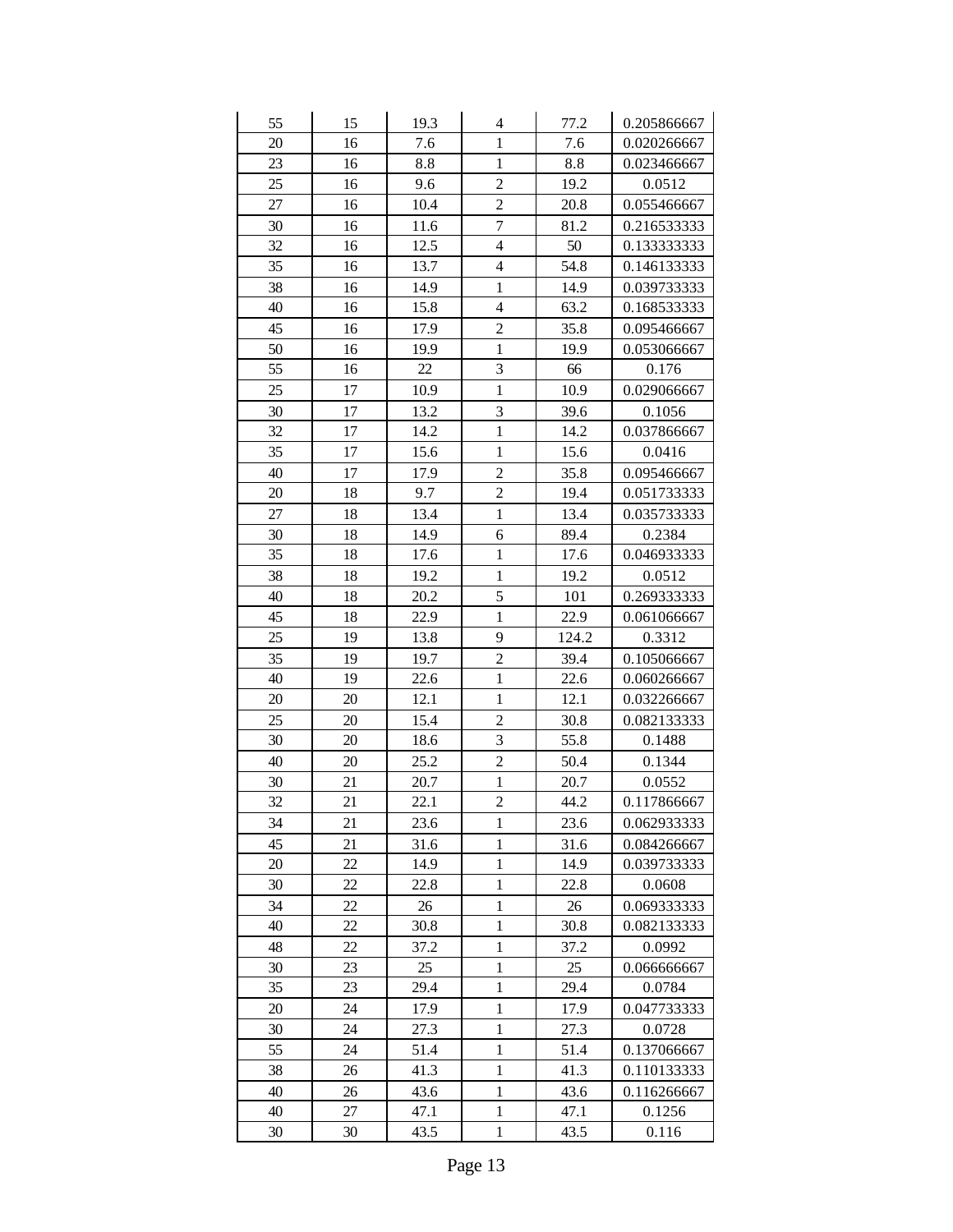| 55       | 15       | 19.3 | 4                            | 77.2         | 0.205866667 |
|----------|----------|------|------------------------------|--------------|-------------|
| 20       | 16       | 7.6  | $\mathbf{1}$                 | 7.6          | 0.020266667 |
| 23       | 16       | 8.8  | $\mathbf{1}$                 | 8.8          | 0.023466667 |
| 25       | 16       | 9.6  | $\overline{2}$               | 19.2         | 0.0512      |
| 27       | 16       | 10.4 | $\overline{c}$               | 20.8         | 0.055466667 |
| 30       | 16       | 11.6 | $\overline{7}$               | 81.2         | 0.216533333 |
| 32       | 16       | 12.5 | $\overline{\mathcal{L}}$     | 50           | 0.133333333 |
| 35       | 16       | 13.7 | $\overline{\mathbf{4}}$      | 54.8         | 0.146133333 |
| 38       | 16       | 14.9 | $\mathbf{1}$                 | 14.9         | 0.039733333 |
| 40       | 16       | 15.8 | $\overline{4}$               | 63.2         | 0.168533333 |
| 45       | 16       | 17.9 | $\overline{c}$               | 35.8         | 0.095466667 |
| 50       | 16       | 19.9 | $\mathbf{1}$                 | 19.9         | 0.053066667 |
| 55       | 16       | 22   | $\overline{3}$               | 66           | 0.176       |
| 25       | 17       | 10.9 | $\mathbf{1}$                 | 10.9         | 0.029066667 |
| 30       | 17       | 13.2 | 3                            | 39.6         | 0.1056      |
| 32       | 17       | 14.2 | $\mathbf{1}$                 | 14.2         | 0.037866667 |
| 35       | 17       | 15.6 | $\mathbf{1}$                 | 15.6         | 0.0416      |
| 40       | 17       | 17.9 | $\overline{2}$               | 35.8         | 0.095466667 |
| 20       | 18       | 9.7  | $\overline{c}$               | 19.4         | 0.051733333 |
| 27       | 18       | 13.4 | $\mathbf{1}$                 | 13.4         | 0.035733333 |
| 30       | 18       | 14.9 | 6                            | 89.4         | 0.2384      |
| 35       | 18       | 17.6 | $\mathbf{1}$                 | 17.6         | 0.046933333 |
| 38       | 18       | 19.2 | $\mathbf{1}$                 | 19.2         | 0.0512      |
| 40       | 18       | 20.2 | 5                            | 101          | 0.269333333 |
| 45       | 18       | 22.9 | $\mathbf{1}$                 | 22.9         | 0.061066667 |
|          |          |      |                              |              |             |
| 25       | 19       | 13.8 | 9                            | 124.2        | 0.3312      |
| 35       | 19       | 19.7 | $\overline{2}$               | 39.4         | 0.105066667 |
| 40       | 19       | 22.6 | $\mathbf{1}$                 | 22.6         | 0.060266667 |
| 20       | 20       | 12.1 | $\mathbf{1}$                 | 12.1         | 0.032266667 |
| 25       | 20       | 15.4 | $\overline{c}$               | 30.8         | 0.082133333 |
| 30       | 20       | 18.6 | 3                            | 55.8         | 0.1488      |
| 40       | 20       | 25.2 | $\overline{2}$               | 50.4         | 0.1344      |
| 30       | 21       | 20.7 | $\mathbf{1}$                 | 20.7         | 0.0552      |
| 32       | 21       | 22.1 | $\overline{c}$               | 44.2         | 0.117866667 |
| 34       | 21       | 23.6 | $\mathbf{1}$                 | 23.6         | 0.062933333 |
| 45       | 21       | 31.6 | $\mathbf{1}$                 | 31.6         | 0.084266667 |
| 20       | 22       | 14.9 | $\mathbf{1}$                 | 14.9         | 0.039733333 |
| 30       | 22       | 22.8 | $\mathbf{1}$                 | 22.8         | 0.0608      |
| 34       | 22       | 26   | $\mathbf{1}$                 | $26\,$       | 0.069333333 |
| 40       | 22       | 30.8 | $\mathbf{1}$                 | 30.8         | 0.082133333 |
| 48       | 22       | 37.2 | $\mathbf{1}$                 | 37.2         | 0.0992      |
| 30       | 23       | 25   | $\mathbf{1}$                 | 25           | 0.066666667 |
| 35       | 23       | 29.4 | $\mathbf{1}$                 | 29.4         | 0.0784      |
| 20       | 24       | 17.9 | $\mathbf{1}$                 | 17.9         | 0.047733333 |
| 30       | 24       | 27.3 | $\mathbf{1}$                 | 27.3         | 0.0728      |
| 55       | 24       | 51.4 | $\mathbf{1}$                 | 51.4         | 0.137066667 |
| 38       | 26       | 41.3 | $\mathbf{1}$                 | 41.3         | 0.110133333 |
| 40       | 26       | 43.6 | $\mathbf{1}$                 | 43.6         | 0.116266667 |
| 40<br>30 | 27<br>30 | 47.1 | $\mathbf{1}$<br>$\mathbf{1}$ | 47.1<br>43.5 | 0.1256      |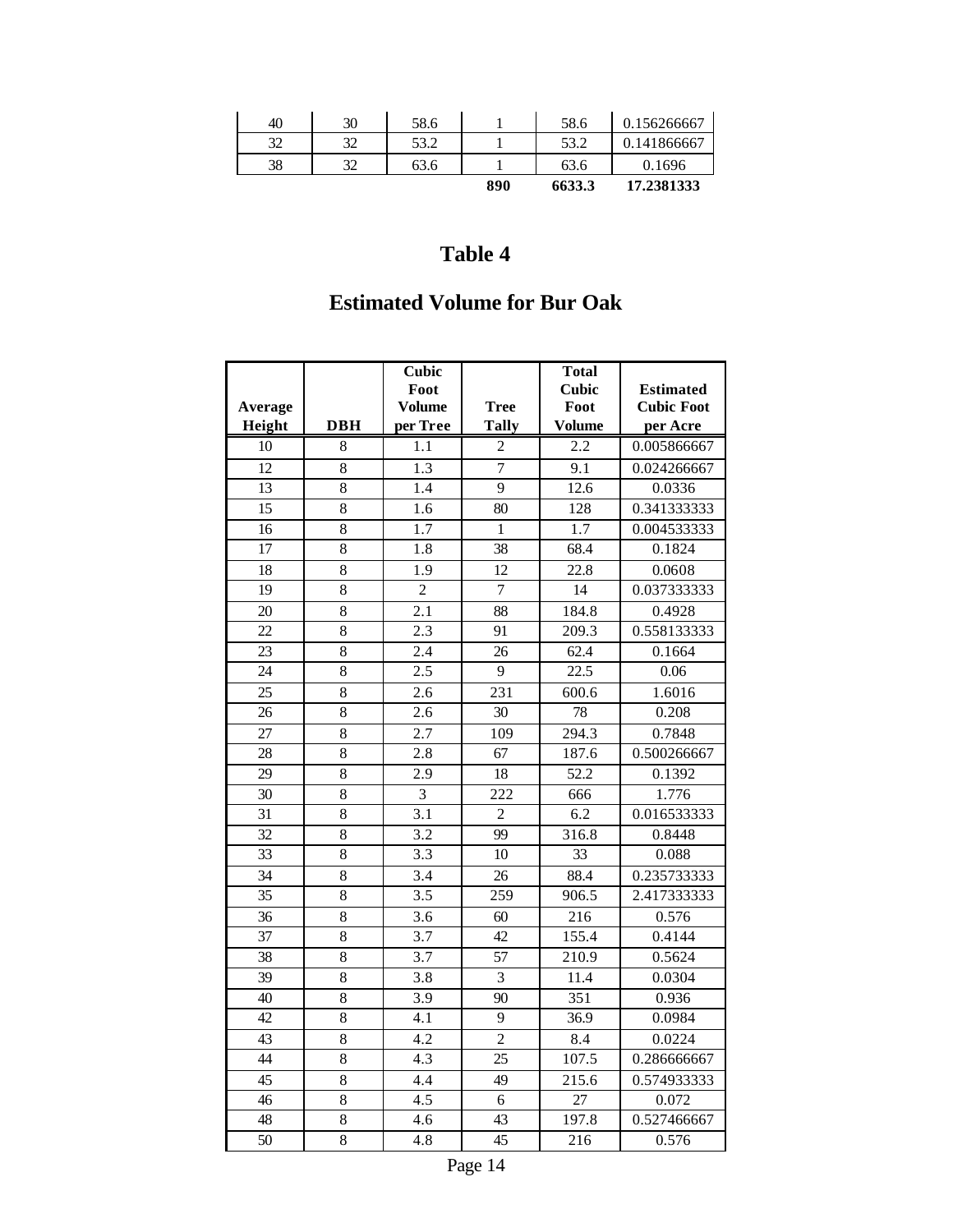| 40 | 30 | 58.6 |     | 58.6   | 0.156266667 |
|----|----|------|-----|--------|-------------|
| 32 | 32 | 53.2 |     | 53.2   | 0.141866667 |
| 38 | 32 | 63.6 |     | 63.6   | 0.1696      |
|    |    |      | 890 | 6633.3 | 17.2381333  |

## **Estimated Volume for Bur Oak**

| 1.1<br>2.2<br>0.005866667<br>10<br>8<br>2<br>$\overline{7}$<br>12<br>1.3<br>9.1<br>0.024266667<br>8<br>9<br>13<br>8<br>1.4<br>12.6<br>0.0336<br>15<br>8<br>1.6<br>128<br>0.341333333<br>80<br>16<br>8<br>1.7<br>$\mathbf{1}$<br>1.7<br>0.004533333<br>$\overline{17}$<br>$\overline{8}$<br>1.8<br>38<br>68.4<br>0.1824<br>8<br>22.8<br>18<br>1.9<br>12<br>0.0608<br>$\overline{8}$<br>19<br>$\overline{2}$<br>7<br>0.037333333<br>14<br>8<br>2.1<br>88<br>20<br>184.8<br>0.4928<br>8<br>$2.\overline{3}$<br>22<br>91<br>209.3<br>0.558133333<br>62.4<br>23<br>$8\,$<br>2.4<br>26<br>0.1664<br>8<br>9<br>24<br>2.5<br>22.5<br>0.06<br>25<br>8<br>231<br>2.6<br>600.6<br>1.6016<br>$\overline{78}$<br>8<br>0.208<br>26<br>2.6<br>30<br>27<br>8<br>2.7<br>294.3<br>0.7848<br>109<br>8<br>0.500266667<br>28<br>2.8<br>67<br>187.6<br>$\overline{8}$<br>29<br>18<br>52.2<br>2.9<br>0.1392<br>$\overline{8}$<br>30<br>3<br>222<br>1.776<br>666<br>31<br>8<br>3.1<br>$\overline{2}$<br>6.2<br>0.016533333<br>3.2<br>316.8<br>32<br>8<br>99<br>0.8448<br>33<br>8<br>3.3<br>10<br>33<br>0.088<br>34<br>8<br>3.4<br>88.4<br>26<br>0.235733333<br>35<br>8<br>259<br>2.417333333<br>3.5<br>906.5<br>8<br>216<br>0.576<br>36<br>3.6<br>60<br>37<br>8<br>3.7<br>155.4<br>0.4144<br>42<br>3.7<br>57<br>38<br>8<br>210.9<br>0.5624<br>$\overline{8}$<br>39<br>3.8<br>3<br>11.4<br>0.0304<br>$\overline{8}$<br>40<br>3.9<br>351<br>90<br>0.936<br>42<br>8<br>9<br>36.9<br>4.1<br>0.0984<br>8<br>4.2<br>$\overline{c}$<br>43<br>8.4<br>0.0224<br>4.3<br>44<br>8<br>25<br>107.5<br>0.286666667<br>$\overline{45}$<br>8<br>4.4<br>49<br>215.6<br>0.574933333 | Average |            | <b>Cubic</b><br>Foot<br><b>Volume</b> | <b>Tree</b>  | <b>Total</b><br><b>Cubic</b><br>Foot | <b>Estimated</b><br><b>Cubic Foot</b> |
|------------------------------------------------------------------------------------------------------------------------------------------------------------------------------------------------------------------------------------------------------------------------------------------------------------------------------------------------------------------------------------------------------------------------------------------------------------------------------------------------------------------------------------------------------------------------------------------------------------------------------------------------------------------------------------------------------------------------------------------------------------------------------------------------------------------------------------------------------------------------------------------------------------------------------------------------------------------------------------------------------------------------------------------------------------------------------------------------------------------------------------------------------------------------------------------------------------------------------------------------------------------------------------------------------------------------------------------------------------------------------------------------------------------------------------------------------------------------------------------------------------------------------------------------------------------------------------------------------------------------------------------|---------|------------|---------------------------------------|--------------|--------------------------------------|---------------------------------------|
|                                                                                                                                                                                                                                                                                                                                                                                                                                                                                                                                                                                                                                                                                                                                                                                                                                                                                                                                                                                                                                                                                                                                                                                                                                                                                                                                                                                                                                                                                                                                                                                                                                          | Height  | <b>DBH</b> | per Tree                              | <b>Tally</b> | <b>Volume</b>                        | per Acre                              |
|                                                                                                                                                                                                                                                                                                                                                                                                                                                                                                                                                                                                                                                                                                                                                                                                                                                                                                                                                                                                                                                                                                                                                                                                                                                                                                                                                                                                                                                                                                                                                                                                                                          |         |            |                                       |              |                                      |                                       |
|                                                                                                                                                                                                                                                                                                                                                                                                                                                                                                                                                                                                                                                                                                                                                                                                                                                                                                                                                                                                                                                                                                                                                                                                                                                                                                                                                                                                                                                                                                                                                                                                                                          |         |            |                                       |              |                                      |                                       |
|                                                                                                                                                                                                                                                                                                                                                                                                                                                                                                                                                                                                                                                                                                                                                                                                                                                                                                                                                                                                                                                                                                                                                                                                                                                                                                                                                                                                                                                                                                                                                                                                                                          |         |            |                                       |              |                                      |                                       |
|                                                                                                                                                                                                                                                                                                                                                                                                                                                                                                                                                                                                                                                                                                                                                                                                                                                                                                                                                                                                                                                                                                                                                                                                                                                                                                                                                                                                                                                                                                                                                                                                                                          |         |            |                                       |              |                                      |                                       |
|                                                                                                                                                                                                                                                                                                                                                                                                                                                                                                                                                                                                                                                                                                                                                                                                                                                                                                                                                                                                                                                                                                                                                                                                                                                                                                                                                                                                                                                                                                                                                                                                                                          |         |            |                                       |              |                                      |                                       |
|                                                                                                                                                                                                                                                                                                                                                                                                                                                                                                                                                                                                                                                                                                                                                                                                                                                                                                                                                                                                                                                                                                                                                                                                                                                                                                                                                                                                                                                                                                                                                                                                                                          |         |            |                                       |              |                                      |                                       |
|                                                                                                                                                                                                                                                                                                                                                                                                                                                                                                                                                                                                                                                                                                                                                                                                                                                                                                                                                                                                                                                                                                                                                                                                                                                                                                                                                                                                                                                                                                                                                                                                                                          |         |            |                                       |              |                                      |                                       |
|                                                                                                                                                                                                                                                                                                                                                                                                                                                                                                                                                                                                                                                                                                                                                                                                                                                                                                                                                                                                                                                                                                                                                                                                                                                                                                                                                                                                                                                                                                                                                                                                                                          |         |            |                                       |              |                                      |                                       |
|                                                                                                                                                                                                                                                                                                                                                                                                                                                                                                                                                                                                                                                                                                                                                                                                                                                                                                                                                                                                                                                                                                                                                                                                                                                                                                                                                                                                                                                                                                                                                                                                                                          |         |            |                                       |              |                                      |                                       |
|                                                                                                                                                                                                                                                                                                                                                                                                                                                                                                                                                                                                                                                                                                                                                                                                                                                                                                                                                                                                                                                                                                                                                                                                                                                                                                                                                                                                                                                                                                                                                                                                                                          |         |            |                                       |              |                                      |                                       |
|                                                                                                                                                                                                                                                                                                                                                                                                                                                                                                                                                                                                                                                                                                                                                                                                                                                                                                                                                                                                                                                                                                                                                                                                                                                                                                                                                                                                                                                                                                                                                                                                                                          |         |            |                                       |              |                                      |                                       |
|                                                                                                                                                                                                                                                                                                                                                                                                                                                                                                                                                                                                                                                                                                                                                                                                                                                                                                                                                                                                                                                                                                                                                                                                                                                                                                                                                                                                                                                                                                                                                                                                                                          |         |            |                                       |              |                                      |                                       |
|                                                                                                                                                                                                                                                                                                                                                                                                                                                                                                                                                                                                                                                                                                                                                                                                                                                                                                                                                                                                                                                                                                                                                                                                                                                                                                                                                                                                                                                                                                                                                                                                                                          |         |            |                                       |              |                                      |                                       |
|                                                                                                                                                                                                                                                                                                                                                                                                                                                                                                                                                                                                                                                                                                                                                                                                                                                                                                                                                                                                                                                                                                                                                                                                                                                                                                                                                                                                                                                                                                                                                                                                                                          |         |            |                                       |              |                                      |                                       |
|                                                                                                                                                                                                                                                                                                                                                                                                                                                                                                                                                                                                                                                                                                                                                                                                                                                                                                                                                                                                                                                                                                                                                                                                                                                                                                                                                                                                                                                                                                                                                                                                                                          |         |            |                                       |              |                                      |                                       |
|                                                                                                                                                                                                                                                                                                                                                                                                                                                                                                                                                                                                                                                                                                                                                                                                                                                                                                                                                                                                                                                                                                                                                                                                                                                                                                                                                                                                                                                                                                                                                                                                                                          |         |            |                                       |              |                                      |                                       |
|                                                                                                                                                                                                                                                                                                                                                                                                                                                                                                                                                                                                                                                                                                                                                                                                                                                                                                                                                                                                                                                                                                                                                                                                                                                                                                                                                                                                                                                                                                                                                                                                                                          |         |            |                                       |              |                                      |                                       |
|                                                                                                                                                                                                                                                                                                                                                                                                                                                                                                                                                                                                                                                                                                                                                                                                                                                                                                                                                                                                                                                                                                                                                                                                                                                                                                                                                                                                                                                                                                                                                                                                                                          |         |            |                                       |              |                                      |                                       |
|                                                                                                                                                                                                                                                                                                                                                                                                                                                                                                                                                                                                                                                                                                                                                                                                                                                                                                                                                                                                                                                                                                                                                                                                                                                                                                                                                                                                                                                                                                                                                                                                                                          |         |            |                                       |              |                                      |                                       |
|                                                                                                                                                                                                                                                                                                                                                                                                                                                                                                                                                                                                                                                                                                                                                                                                                                                                                                                                                                                                                                                                                                                                                                                                                                                                                                                                                                                                                                                                                                                                                                                                                                          |         |            |                                       |              |                                      |                                       |
|                                                                                                                                                                                                                                                                                                                                                                                                                                                                                                                                                                                                                                                                                                                                                                                                                                                                                                                                                                                                                                                                                                                                                                                                                                                                                                                                                                                                                                                                                                                                                                                                                                          |         |            |                                       |              |                                      |                                       |
|                                                                                                                                                                                                                                                                                                                                                                                                                                                                                                                                                                                                                                                                                                                                                                                                                                                                                                                                                                                                                                                                                                                                                                                                                                                                                                                                                                                                                                                                                                                                                                                                                                          |         |            |                                       |              |                                      |                                       |
|                                                                                                                                                                                                                                                                                                                                                                                                                                                                                                                                                                                                                                                                                                                                                                                                                                                                                                                                                                                                                                                                                                                                                                                                                                                                                                                                                                                                                                                                                                                                                                                                                                          |         |            |                                       |              |                                      |                                       |
|                                                                                                                                                                                                                                                                                                                                                                                                                                                                                                                                                                                                                                                                                                                                                                                                                                                                                                                                                                                                                                                                                                                                                                                                                                                                                                                                                                                                                                                                                                                                                                                                                                          |         |            |                                       |              |                                      |                                       |
|                                                                                                                                                                                                                                                                                                                                                                                                                                                                                                                                                                                                                                                                                                                                                                                                                                                                                                                                                                                                                                                                                                                                                                                                                                                                                                                                                                                                                                                                                                                                                                                                                                          |         |            |                                       |              |                                      |                                       |
|                                                                                                                                                                                                                                                                                                                                                                                                                                                                                                                                                                                                                                                                                                                                                                                                                                                                                                                                                                                                                                                                                                                                                                                                                                                                                                                                                                                                                                                                                                                                                                                                                                          |         |            |                                       |              |                                      |                                       |
|                                                                                                                                                                                                                                                                                                                                                                                                                                                                                                                                                                                                                                                                                                                                                                                                                                                                                                                                                                                                                                                                                                                                                                                                                                                                                                                                                                                                                                                                                                                                                                                                                                          |         |            |                                       |              |                                      |                                       |
|                                                                                                                                                                                                                                                                                                                                                                                                                                                                                                                                                                                                                                                                                                                                                                                                                                                                                                                                                                                                                                                                                                                                                                                                                                                                                                                                                                                                                                                                                                                                                                                                                                          |         |            |                                       |              |                                      |                                       |
|                                                                                                                                                                                                                                                                                                                                                                                                                                                                                                                                                                                                                                                                                                                                                                                                                                                                                                                                                                                                                                                                                                                                                                                                                                                                                                                                                                                                                                                                                                                                                                                                                                          |         |            |                                       |              |                                      |                                       |
|                                                                                                                                                                                                                                                                                                                                                                                                                                                                                                                                                                                                                                                                                                                                                                                                                                                                                                                                                                                                                                                                                                                                                                                                                                                                                                                                                                                                                                                                                                                                                                                                                                          |         |            |                                       |              |                                      |                                       |
|                                                                                                                                                                                                                                                                                                                                                                                                                                                                                                                                                                                                                                                                                                                                                                                                                                                                                                                                                                                                                                                                                                                                                                                                                                                                                                                                                                                                                                                                                                                                                                                                                                          |         |            |                                       |              |                                      |                                       |
|                                                                                                                                                                                                                                                                                                                                                                                                                                                                                                                                                                                                                                                                                                                                                                                                                                                                                                                                                                                                                                                                                                                                                                                                                                                                                                                                                                                                                                                                                                                                                                                                                                          |         |            |                                       |              |                                      |                                       |
|                                                                                                                                                                                                                                                                                                                                                                                                                                                                                                                                                                                                                                                                                                                                                                                                                                                                                                                                                                                                                                                                                                                                                                                                                                                                                                                                                                                                                                                                                                                                                                                                                                          | 46      | 8          | 4.5                                   | 6            | 27                                   | 0.072                                 |
| 8<br>197.8<br>0.527466667<br>48<br>4.6<br>43                                                                                                                                                                                                                                                                                                                                                                                                                                                                                                                                                                                                                                                                                                                                                                                                                                                                                                                                                                                                                                                                                                                                                                                                                                                                                                                                                                                                                                                                                                                                                                                             |         |            |                                       |              |                                      |                                       |
| 50<br>8<br>4.8<br>45<br>216<br>0.576                                                                                                                                                                                                                                                                                                                                                                                                                                                                                                                                                                                                                                                                                                                                                                                                                                                                                                                                                                                                                                                                                                                                                                                                                                                                                                                                                                                                                                                                                                                                                                                                     |         |            |                                       |              |                                      |                                       |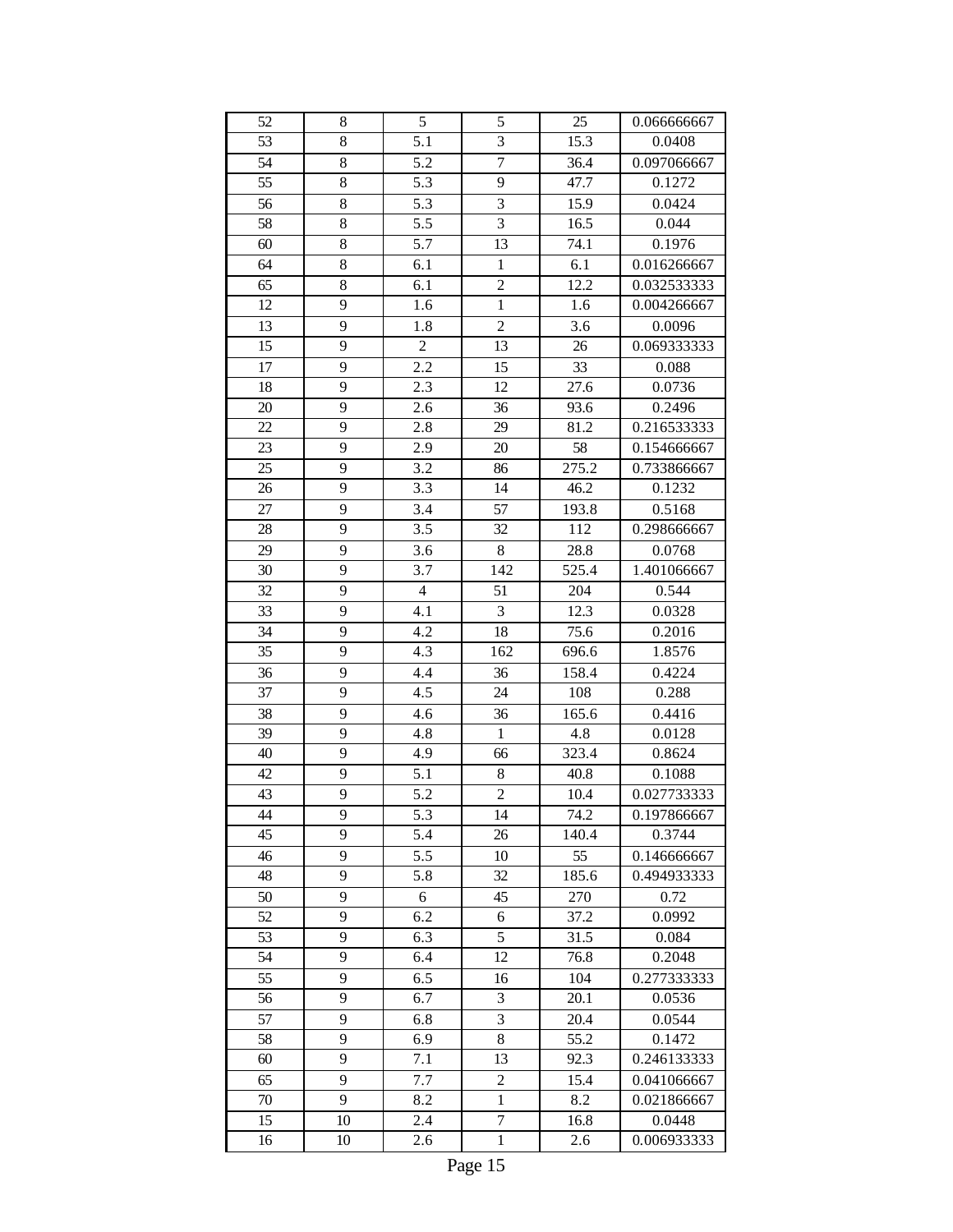| 52       | 8       | 5              | 5                       | 25           | 0.066666667                |
|----------|---------|----------------|-------------------------|--------------|----------------------------|
| 53       | 8       | 5.1            | 3                       | 15.3         | 0.0408                     |
| 54       | $8\,$   | 5.2            | $\overline{7}$          | 36.4         | 0.097066667                |
| 55       | 8       | 5.3            | 9                       | 47.7         | 0.1272                     |
| 56       | 8       | 5.3            | 3                       | 15.9         | 0.0424                     |
| 58       | $8\,$   | 5.5            | 3                       | 16.5         | 0.044                      |
| 60       | 8       | 5.7            | 13                      | 74.1         | 0.1976                     |
| 64       | 8       | 6.1            | $\mathbf{1}$            | 6.1          | 0.016266667                |
| 65       | $\,8\,$ | 6.1            | $\overline{2}$          | 12.2         | 0.032533333                |
| 12       | 9       | 1.6            | $\mathbf{1}$            | 1.6          | 0.004266667                |
| 13       | 9       | 1.8            | $\overline{c}$          | 3.6          | 0.0096                     |
| 15       | 9       | $\overline{c}$ | 13                      | 26           | 0.069333333                |
| 17       | 9       | 2.2            | 15                      | 33           | 0.088                      |
| 18       | 9       | 2.3            | 12                      | 27.6         | 0.0736                     |
| 20       | 9       | 2.6            | 36                      | 93.6         | 0.2496                     |
| 22       | 9       | 2.8            | 29                      | 81.2         | 0.216533333                |
| 23       | 9       | 2.9            | 20                      | 58           | 0.154666667                |
| 25       | 9       | 3.2            | 86                      | 275.2        | 0.733866667                |
| 26       | 9       | 3.3            | 14                      | 46.2         | 0.1232                     |
| 27       | 9       | 3.4            | 57                      | 193.8        | 0.5168                     |
| 28       | 9       | 3.5            | 32                      | 112          | 0.298666667                |
| 29       | 9       | 3.6            | $\,8\,$                 | 28.8         | 0.0768                     |
| 30       | 9       | 3.7            | 142                     | 525.4        | 1.401066667                |
| 32       | 9       | $\overline{4}$ | 51                      | 204          | 0.544                      |
| 33       | 9       | 4.1            | 3                       | 12.3         | 0.0328                     |
| 34       | 9       | 4.2            | 18                      | 75.6         | 0.2016                     |
| 35       | 9       | 4.3            | 162                     | 696.6        | 1.8576                     |
| 36       | 9       | 4.4            | 36                      | 158.4        | 0.4224                     |
| 37       | 9       | 4.5            | 24                      | 108          | 0.288                      |
| 38       | 9       | 4.6            | 36                      | 165.6        | 0.4416                     |
| 39       | 9       | 4.8            | 1                       | 4.8          | 0.0128                     |
| 40       | 9       | 4.9            | 66                      | 323.4        | 0.8624                     |
| 42       |         |                |                         |              |                            |
| 43       | 9<br>9  | 5.1<br>5.2     | $8\,$<br>$\overline{c}$ | 40.8<br>10.4 | 0.1088<br>0.027733333      |
| 44       |         |                |                         |              |                            |
| 45       | 9<br>9  | 5.3            | 14                      | 74.2         | 0.197866667<br>0.3744      |
|          |         | 5.4            | 26                      | 140.4        |                            |
| 46<br>48 | 9<br>9  | 5.5            | 10<br>32                | 55<br>185.6  | 0.146666667<br>0.494933333 |
| 50       | 9       | 5.8<br>6       | 45                      | 270          | 0.72                       |
| 52       | 9       | 6.2            |                         |              | 0.0992                     |
|          |         |                | 6<br>5                  | 37.2         | 0.084                      |
| 53       | 9       | 6.3            |                         | 31.5         |                            |
| 54       | 9       | 6.4            | 12                      | 76.8         | 0.2048                     |
| 55       | 9       | 6.5            | 16                      | 104<br>20.1  | 0.277333333                |
| 56       | 9       | 6.7            | 3                       |              | 0.0536                     |
| 57       | 9       | 6.8            | 3<br>8                  | 20.4         | 0.0544                     |
| 58       | 9       | 6.9            |                         | 55.2         | 0.1472                     |
| 60       | 9       | 7.1            | 13                      | 92.3         | 0.246133333                |
| 65       | 9       | 7.7            | $\overline{c}$          | 15.4         | 0.041066667                |
| 70       | 9       | 8.2            | $\mathbf{1}$            | 8.2          | 0.021866667                |
| 15       | 10      | 2.4            | $\overline{7}$          | 16.8         | 0.0448                     |
| 16       | 10      | 2.6            | $\mathbf{1}$            | 2.6          | 0.006933333                |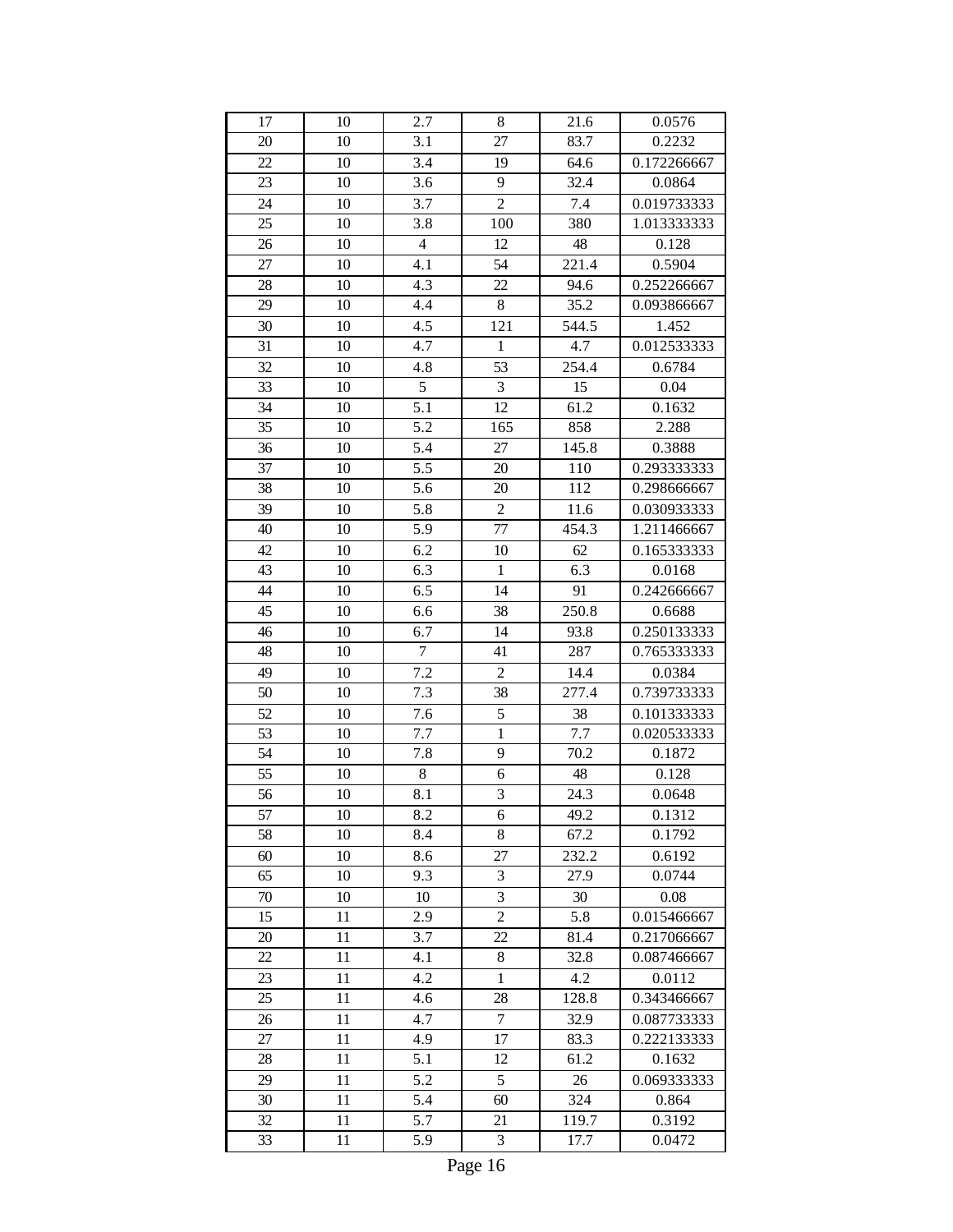| 17     | 10 | 2.7            | 8                | $21.6\,$ | 0.0576      |
|--------|----|----------------|------------------|----------|-------------|
| 20     | 10 | 3.1            | 27               | 83.7     | 0.2232      |
| 22     | 10 | 3.4            | 19               | 64.6     | 0.172266667 |
| 23     | 10 | 3.6            | 9                | 32.4     | 0.0864      |
| 24     | 10 | 3.7            | $\overline{2}$   | 7.4      | 0.019733333 |
| 25     | 10 | 3.8            | 100              | 380      | 1.013333333 |
| 26     | 10 | $\overline{4}$ | 12               | 48       | 0.128       |
| 27     | 10 | 4.1            | 54               | 221.4    | 0.5904      |
| 28     | 10 | 4.3            | 22               | 94.6     | 0.252266667 |
| 29     | 10 | 4.4            | 8                | 35.2     | 0.093866667 |
| 30     | 10 | 4.5            | 121              | 544.5    | 1.452       |
| 31     | 10 | 4.7            | $\mathbf{1}$     | 4.7      | 0.012533333 |
| 32     | 10 | 4.8            | 53               | 254.4    | 0.6784      |
| 33     | 10 | $\overline{5}$ | 3                | 15       | 0.04        |
| 34     | 10 | 5.1            | 12               | 61.2     | 0.1632      |
| 35     | 10 | 5.2            | 165              | 858      | 2.288       |
| 36     | 10 | 5.4            | 27               | 145.8    | 0.3888      |
| 37     | 10 | 5.5            | 20               | 110      | 0.293333333 |
| 38     | 10 | 5.6            | 20               | 112      | 0.298666667 |
| 39     | 10 | 5.8            | $\boldsymbol{2}$ | 11.6     | 0.030933333 |
| 40     | 10 | 5.9            | 77               | 454.3    | 1.211466667 |
| 42     | 10 | 6.2            | 10               | 62       | 0.165333333 |
| 43     | 10 | 6.3            | $\mathbf{1}$     | 6.3      | 0.0168      |
| 44     | 10 | 6.5            | 14               | 91       | 0.242666667 |
| 45     | 10 | 6.6            | 38               | 250.8    | 0.6688      |
| 46     | 10 | 6.7            | 14               | 93.8     | 0.250133333 |
| 48     | 10 | $\overline{7}$ | 41               | 287      | 0.765333333 |
| 49     | 10 | 7.2            | $\overline{c}$   | 14.4     | 0.0384      |
| 50     | 10 | 7.3            | 38               | 277.4    | 0.739733333 |
| 52     | 10 | 7.6            | 5                | 38       | 0.101333333 |
| 53     | 10 | 7.7            | $\mathbf{1}$     | 7.7      | 0.020533333 |
| 54     | 10 | 7.8            | 9                | 70.2     | 0.1872      |
| 55     | 10 | 8              | 6                | 48       | 0.128       |
| 56     | 10 | 8.1            | 3                | 24.3     | 0.0648      |
| 57     | 10 | 8.2            | 6                | 49.2     | 0.1312      |
| 58     | 10 | 8.4            | 8                | 67.2     | 0.1792      |
| 60     | 10 | 8.6            | 27               | 232.2    | 0.6192      |
| 65     | 10 | 9.3            | 3                | 27.9     | 0.0744      |
| 70     | 10 | 10             | 3                | 30       | 0.08        |
| 15     | 11 | 2.9            | $\overline{c}$   | 5.8      | 0.015466667 |
| 20     | 11 | 3.7            | 22               | 81.4     | 0.217066667 |
| $22\,$ | 11 | 4.1            | 8                | 32.8     | 0.087466667 |
| 23     | 11 | 4.2            | $\mathbf{1}$     | 4.2      | 0.0112      |
| 25     | 11 | 4.6            | 28               | 128.8    | 0.343466667 |
| 26     | 11 | 4.7            | $\boldsymbol{7}$ | 32.9     | 0.087733333 |
| 27     | 11 | 4.9            | 17               | 83.3     | 0.222133333 |
| 28     | 11 | 5.1            | 12               | 61.2     | 0.1632      |
| 29     | 11 | 5.2            | 5                | 26       | 0.069333333 |
| 30     | 11 | 5.4            | 60               | 324      | 0.864       |
| 32     | 11 | 5.7            | 21               | 119.7    | 0.3192      |
| 33     | 11 | 5.9            | 3                | 17.7     | 0.0472      |
|        |    |                |                  |          |             |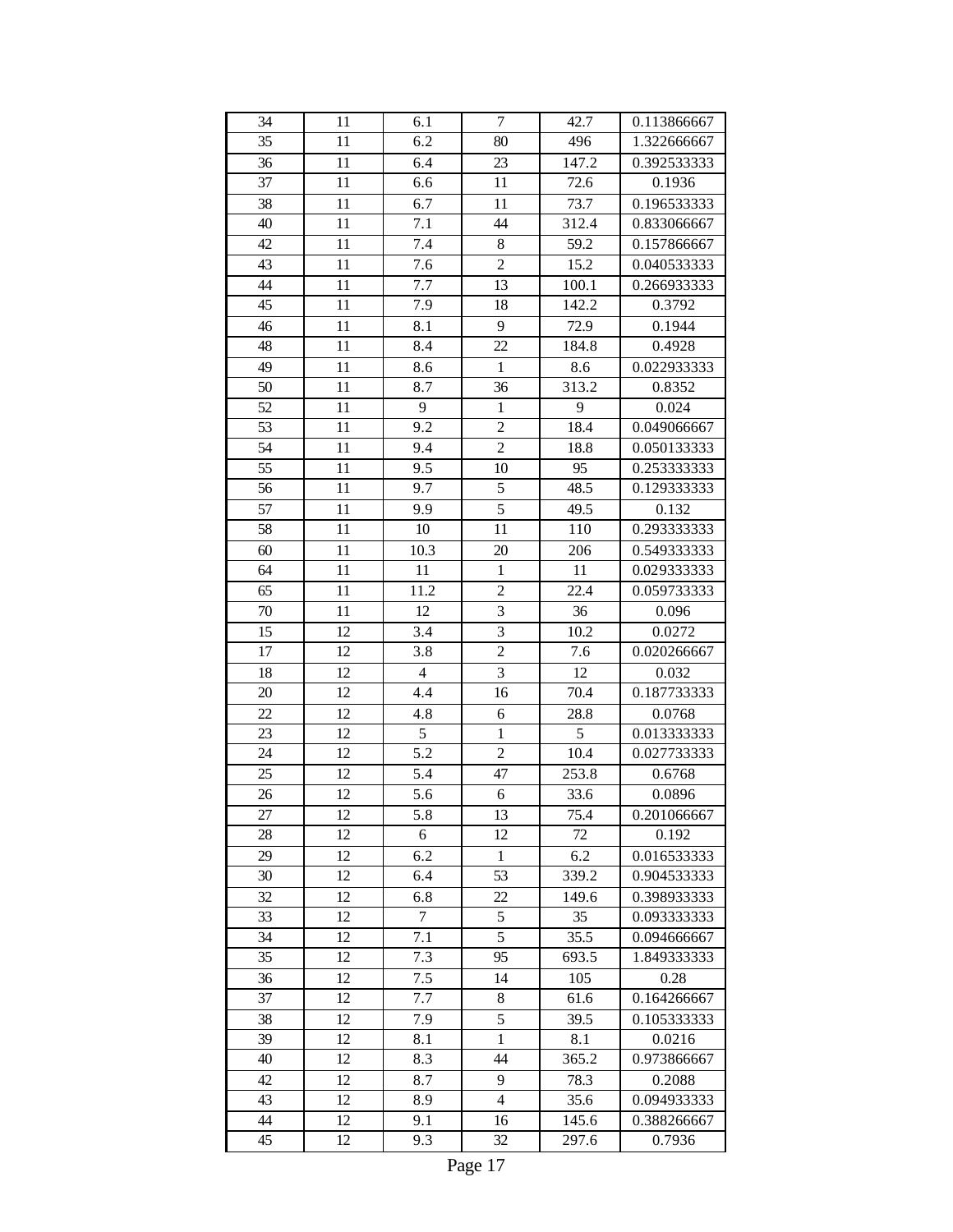| 34 | 11 | 6.1            | $\tau$                  | 42.7  | 0.113866667 |
|----|----|----------------|-------------------------|-------|-------------|
| 35 | 11 | 6.2            | 80                      | 496   | 1.322666667 |
| 36 | 11 | 6.4            | 23                      | 147.2 | 0.392533333 |
| 37 | 11 | 6.6            | 11                      | 72.6  | 0.1936      |
| 38 | 11 | 6.7            | 11                      | 73.7  | 0.196533333 |
| 40 | 11 | 7.1            | 44                      | 312.4 | 0.833066667 |
| 42 | 11 | 7.4            | 8                       | 59.2  | 0.157866667 |
| 43 | 11 | 7.6            | $\overline{2}$          | 15.2  | 0.040533333 |
| 44 | 11 | 7.7            | 13                      | 100.1 | 0.266933333 |
| 45 | 11 | 7.9            | 18                      | 142.2 | 0.3792      |
| 46 | 11 | 8.1            | 9                       | 72.9  | 0.1944      |
| 48 | 11 | 8.4            | 22                      | 184.8 | 0.4928      |
| 49 | 11 | 8.6            | $\mathbf{1}$            | 8.6   | 0.022933333 |
| 50 | 11 | 8.7            | 36                      | 313.2 | 0.8352      |
| 52 | 11 | 9              | $\mathbf 1$             | 9     | 0.024       |
| 53 | 11 | 9.2            | $\overline{c}$          | 18.4  | 0.049066667 |
| 54 | 11 | 9.4            | $\overline{2}$          | 18.8  | 0.050133333 |
| 55 | 11 | 9.5            | 10                      | 95    | 0.253333333 |
| 56 | 11 | 9.7            | 5                       | 48.5  | 0.129333333 |
| 57 | 11 | 9.9            | $\overline{5}$          | 49.5  | 0.132       |
| 58 | 11 | 10             | 11                      | 110   | 0.293333333 |
| 60 | 11 | 10.3           | 20                      | 206   | 0.549333333 |
| 64 | 11 | 11             | $\mathbf{1}$            | 11    | 0.029333333 |
| 65 | 11 | 11.2           | $\overline{c}$          | 22.4  | 0.059733333 |
| 70 | 11 | 12             | $\overline{3}$          | 36    | 0.096       |
| 15 | 12 | 3.4            | $\overline{3}$          | 10.2  | 0.0272      |
| 17 | 12 | 3.8            | $\overline{2}$          | 7.6   | 0.020266667 |
| 18 | 12 | $\overline{4}$ | $\overline{\mathbf{3}}$ | 12    | 0.032       |
| 20 | 12 | 4.4            | 16                      | 70.4  | 0.187733333 |
| 22 | 12 | 4.8            | 6                       | 28.8  | 0.0768      |
| 23 | 12 | 5              | $\mathbf{1}$            | 5     | 0.013333333 |
| 24 | 12 | 5.2            | $\overline{c}$          | 10.4  | 0.027733333 |
| 25 | 12 | 5.4            | 47                      | 253.8 | 0.6768      |
| 26 | 12 | 5.6            | 6                       | 33.6  | 0.0896      |
| 27 | 12 | 5.8            | 13                      | 75.4  | 0.201066667 |
| 28 | 12 | 6              | 12                      | 72    | 0.192       |
| 29 | 12 | 6.2            | $\mathbf{1}$            | 6.2   | 0.016533333 |
| 30 | 12 | 6.4            | 53                      | 339.2 | 0.904533333 |
| 32 | 12 | 6.8            | 22                      | 149.6 | 0.398933333 |
| 33 | 12 | 7              | 5                       | 35    | 0.093333333 |
| 34 | 12 | 7.1            | 5                       | 35.5  | 0.094666667 |
|    |    | 7.3            | 95                      |       |             |
| 35 | 12 |                |                         | 693.5 | 1.849333333 |
| 36 | 12 | 7.5            | 14                      | 105   | 0.28        |
| 37 | 12 | 7.7            | 8                       | 61.6  | 0.164266667 |
| 38 | 12 | 7.9            | 5                       | 39.5  | 0.105333333 |
| 39 | 12 | 8.1            | $\mathbf{1}$            | 8.1   | 0.0216      |
| 40 | 12 | 8.3            | 44                      | 365.2 | 0.973866667 |
| 42 | 12 | 8.7            | 9                       | 78.3  | 0.2088      |
| 43 | 12 | 8.9            | 4                       | 35.6  | 0.094933333 |
| 44 | 12 | 9.1            | 16                      | 145.6 | 0.388266667 |
| 45 | 12 | 9.3            | 32                      | 297.6 | 0.7936      |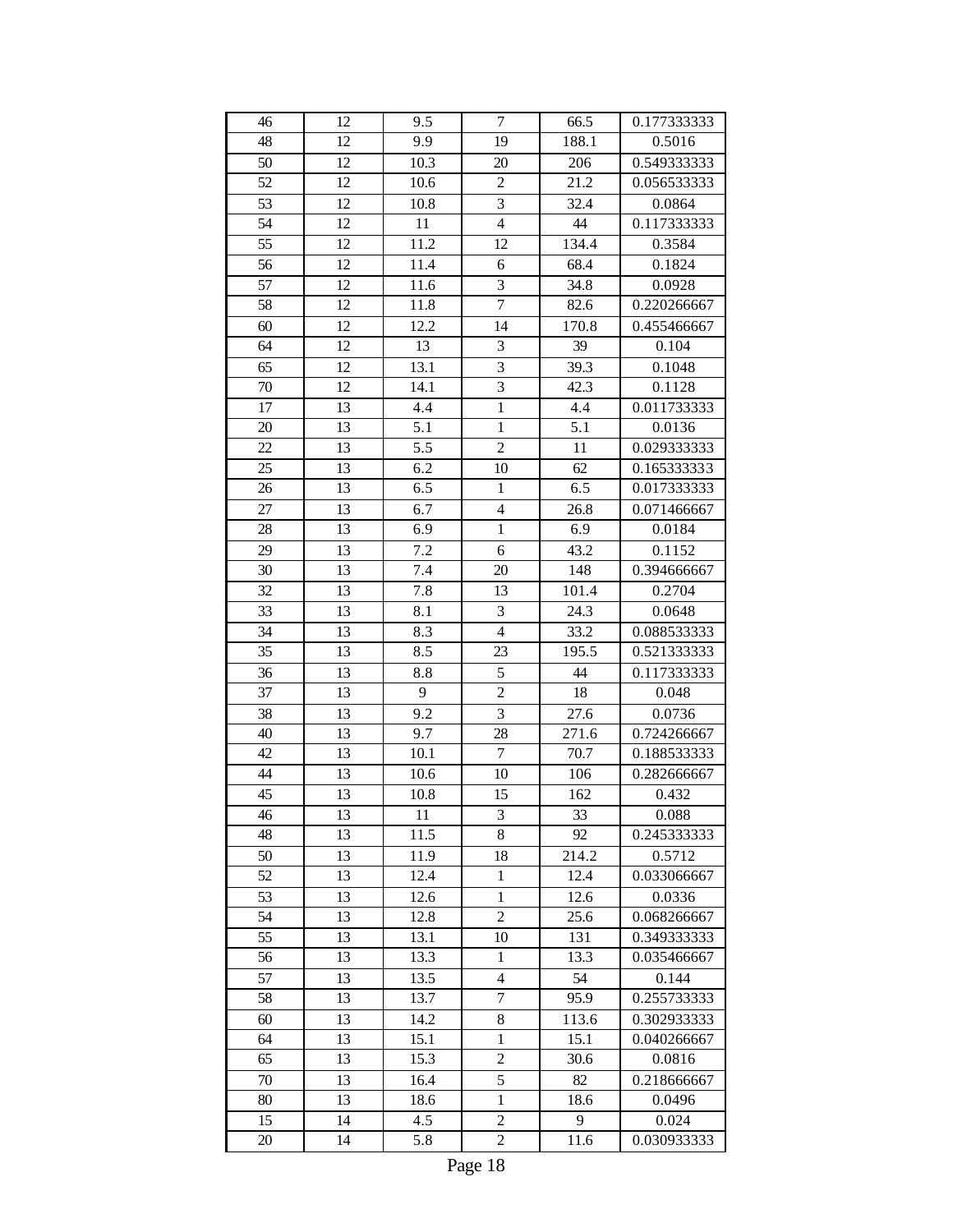| 46 | 12 | 9.5  | $\overline{7}$          | 66.5  | 0.177333333 |
|----|----|------|-------------------------|-------|-------------|
| 48 | 12 | 9.9  | 19                      | 188.1 | 0.5016      |
| 50 | 12 | 10.3 | 20                      | 206   | 0.549333333 |
| 52 | 12 | 10.6 | $\sqrt{2}$              | 21.2  | 0.056533333 |
| 53 | 12 | 10.8 | $\overline{\mathbf{3}}$ | 32.4  | 0.0864      |
| 54 | 12 | 11   | $\overline{4}$          | 44    | 0.117333333 |
| 55 | 12 | 11.2 | 12                      | 134.4 | 0.3584      |
| 56 | 12 | 11.4 | 6                       | 68.4  | 0.1824      |
| 57 | 12 | 11.6 | 3                       | 34.8  | 0.0928      |
| 58 | 12 | 11.8 | $\overline{7}$          | 82.6  | 0.220266667 |
| 60 | 12 | 12.2 | 14                      | 170.8 | 0.455466667 |
| 64 | 12 | 13   | 3                       | 39    | 0.104       |
| 65 | 12 | 13.1 | 3                       | 39.3  | 0.1048      |
| 70 | 12 | 14.1 | $\overline{3}$          | 42.3  | 0.1128      |
| 17 | 13 | 4.4  | $\overline{1}$          | 4.4   | 0.011733333 |
| 20 | 13 | 5.1  | $\mathbf{1}$            | 5.1   | 0.0136      |
| 22 | 13 | 5.5  | $\overline{2}$          | 11    | 0.029333333 |
| 25 | 13 | 6.2  | 10                      | 62    | 0.165333333 |
| 26 | 13 | 6.5  | $\mathbf{1}$            | 6.5   | 0.017333333 |
| 27 | 13 | 6.7  | $\overline{4}$          | 26.8  | 0.071466667 |
| 28 | 13 | 6.9  | $\mathbf{1}$            | 6.9   | 0.0184      |
| 29 | 13 | 7.2  | 6                       | 43.2  | 0.1152      |
| 30 | 13 | 7.4  | 20                      | 148   | 0.394666667 |
| 32 | 13 | 7.8  | 13                      | 101.4 | 0.2704      |
| 33 | 13 | 8.1  | 3                       | 24.3  | 0.0648      |
| 34 | 13 | 8.3  | $\overline{4}$          | 33.2  | 0.088533333 |
| 35 | 13 | 8.5  | 23                      | 195.5 | 0.521333333 |
| 36 | 13 | 8.8  | 5                       | 44    | 0.117333333 |
| 37 | 13 | 9    | $\overline{2}$          | 18    | 0.048       |
| 38 | 13 | 9.2  | $\overline{3}$          | 27.6  | 0.0736      |
| 40 | 13 | 9.7  | 28                      | 271.6 | 0.724266667 |
| 42 | 13 | 10.1 | $\boldsymbol{7}$        | 70.7  | 0.188533333 |
| 44 | 13 | 10.6 | 10                      | 106   | 0.282666667 |
| 45 | 13 | 10.8 | 15                      | 162   | 0.432       |
| 46 | 13 | 11   | 3                       | 33    | 0.088       |
| 48 | 13 | 11.5 | 8                       | 92    | 0.245333333 |
| 50 | 13 | 11.9 | 18                      | 214.2 | 0.5712      |
| 52 | 13 | 12.4 | $\mathbf{1}$            | 12.4  | 0.033066667 |
| 53 | 13 | 12.6 | $\mathbf{1}$            | 12.6  | 0.0336      |
| 54 | 13 | 12.8 | $\overline{2}$          | 25.6  | 0.068266667 |
| 55 | 13 | 13.1 | 10                      | 131   | 0.349333333 |
| 56 | 13 | 13.3 | $\,1$                   | 13.3  | 0.035466667 |
| 57 | 13 | 13.5 | $\overline{4}$          | 54    | 0.144       |
| 58 | 13 | 13.7 | $\overline{7}$          | 95.9  | 0.255733333 |
| 60 | 13 | 14.2 | 8                       | 113.6 | 0.302933333 |
| 64 | 13 | 15.1 | $\mathbf{1}$            | 15.1  | 0.040266667 |
| 65 | 13 | 15.3 | $\overline{c}$          | 30.6  | 0.0816      |
| 70 | 13 | 16.4 | 5                       | 82    | 0.218666667 |
| 80 | 13 | 18.6 | $\mathbf{1}$            | 18.6  | 0.0496      |
| 15 | 14 | 4.5  | $\overline{c}$          | 9     | 0.024       |
| 20 | 14 | 5.8  | $\overline{c}$          | 11.6  | 0.030933333 |
|    |    |      |                         |       |             |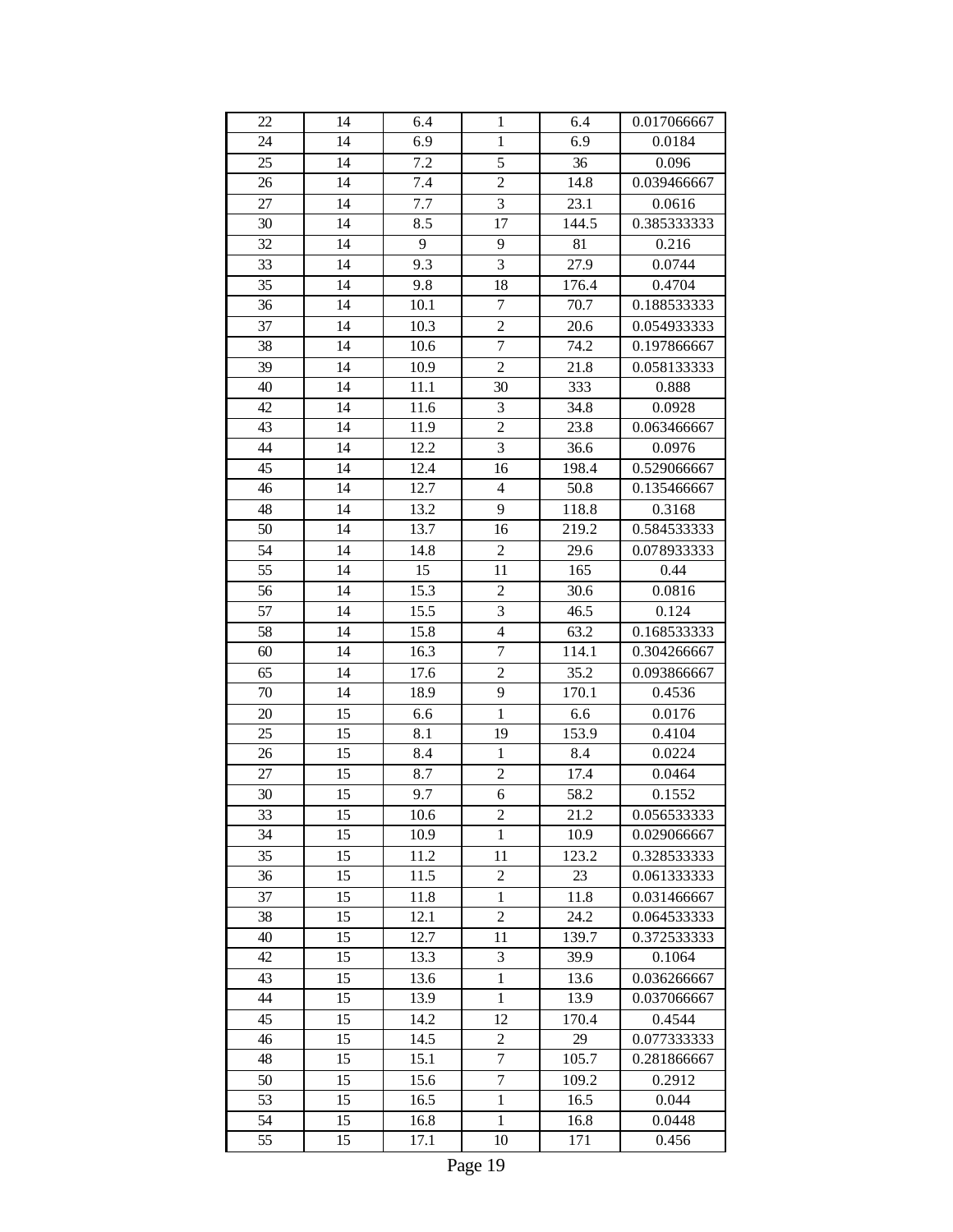| 22 | 14 | 6.4              | $\mathbf{1}$     | 6.4   | 0.017066667 |
|----|----|------------------|------------------|-------|-------------|
| 24 | 14 | 6.9              | $\mathbf{1}$     | 6.9   | 0.0184      |
| 25 | 14 | 7.2              | 5                | 36    | 0.096       |
| 26 | 14 | 7.4              | $\overline{2}$   | 14.8  | 0.039466667 |
| 27 | 14 | 7.7              | $\overline{3}$   | 23.1  | 0.0616      |
| 30 | 14 | 8.5              | 17               | 144.5 | 0.385333333 |
| 32 | 14 | 9                | 9                | 81    | 0.216       |
| 33 | 14 | $\overline{9.3}$ | $\overline{3}$   | 27.9  | 0.0744      |
| 35 | 14 | 9.8              | 18               | 176.4 | 0.4704      |
| 36 | 14 | 10.1             | $\boldsymbol{7}$ | 70.7  | 0.188533333 |
| 37 | 14 | 10.3             | $\overline{c}$   | 20.6  | 0.054933333 |
| 38 | 14 | 10.6             | $\boldsymbol{7}$ | 74.2  | 0.197866667 |
| 39 | 14 | 10.9             | $\overline{2}$   | 21.8  | 0.058133333 |
| 40 | 14 | 11.1             | 30               | 333   | 0.888       |
| 42 | 14 | 11.6             | $\mathfrak{Z}$   | 34.8  | 0.0928      |
| 43 | 14 | 11.9             | $\overline{c}$   | 23.8  | 0.063466667 |
| 44 | 14 | 12.2             | $\overline{3}$   | 36.6  | 0.0976      |
| 45 | 14 | 12.4             | 16               | 198.4 | 0.529066667 |
| 46 | 14 | 12.7             | $\overline{4}$   | 50.8  | 0.135466667 |
| 48 | 14 | 13.2             | 9                | 118.8 | 0.3168      |
| 50 | 14 | 13.7             | 16               | 219.2 | 0.584533333 |
| 54 | 14 | 14.8             | $\overline{c}$   | 29.6  | 0.078933333 |
| 55 | 14 | 15               | 11               | 165   | 0.44        |
| 56 | 14 | 15.3             | $\overline{c}$   | 30.6  | 0.0816      |
| 57 | 14 | 15.5             | $\overline{3}$   | 46.5  | 0.124       |
| 58 | 14 | 15.8             | $\overline{4}$   | 63.2  | 0.168533333 |
| 60 | 14 | 16.3             | $\overline{7}$   | 114.1 | 0.304266667 |
| 65 | 14 | 17.6             | $\overline{2}$   | 35.2  | 0.093866667 |
| 70 | 14 | 18.9             | 9                | 170.1 | 0.4536      |
| 20 | 15 | 6.6              | $\mathbf{1}$     | 6.6   | 0.0176      |
| 25 | 15 | 8.1              | 19               | 153.9 | 0.4104      |
| 26 | 15 | 8.4              | $\mathbf{1}$     | 8.4   | 0.0224      |
| 27 | 15 | 8.7              | $\overline{c}$   | 17.4  | 0.0464      |
| 30 | 15 | 9.7              | 6                | 58.2  | 0.1552      |
| 33 | 15 | 10.6             | $\overline{c}$   | 21.2  | 0.056533333 |
| 34 | 15 | 10.9             | $\mathbf{1}$     | 10.9  | 0.029066667 |
| 35 | 15 | 11.2             | 11               | 123.2 | 0.328533333 |
| 36 | 15 | 11.5             | $\boldsymbol{2}$ | 23    | 0.061333333 |
| 37 | 15 | 11.8             | $\mathbf{1}$     | 11.8  | 0.031466667 |
| 38 | 15 | 12.1             | $\overline{2}$   | 24.2  | 0.064533333 |
| 40 | 15 | 12.7             | 11               | 139.7 | 0.372533333 |
| 42 | 15 | 13.3             | $\mathfrak{Z}$   | 39.9  | 0.1064      |
| 43 | 15 | 13.6             | $\mathbf{1}$     | 13.6  | 0.036266667 |
| 44 | 15 | 13.9             | $\mathbf{1}$     | 13.9  | 0.037066667 |
| 45 | 15 | 14.2             | 12               | 170.4 | 0.4544      |
| 46 | 15 | 14.5             | $\overline{c}$   | 29    | 0.077333333 |
| 48 | 15 | 15.1             | $\overline{7}$   | 105.7 | 0.281866667 |
| 50 | 15 | 15.6             | $\overline{7}$   | 109.2 | 0.2912      |
| 53 | 15 | 16.5             | $\mathbf{1}$     | 16.5  | 0.044       |
| 54 | 15 | 16.8             | $\mathbf{1}$     | 16.8  | 0.0448      |
| 55 | 15 | 17.1             | 10               | 171   | 0.456       |
|    |    |                  |                  |       |             |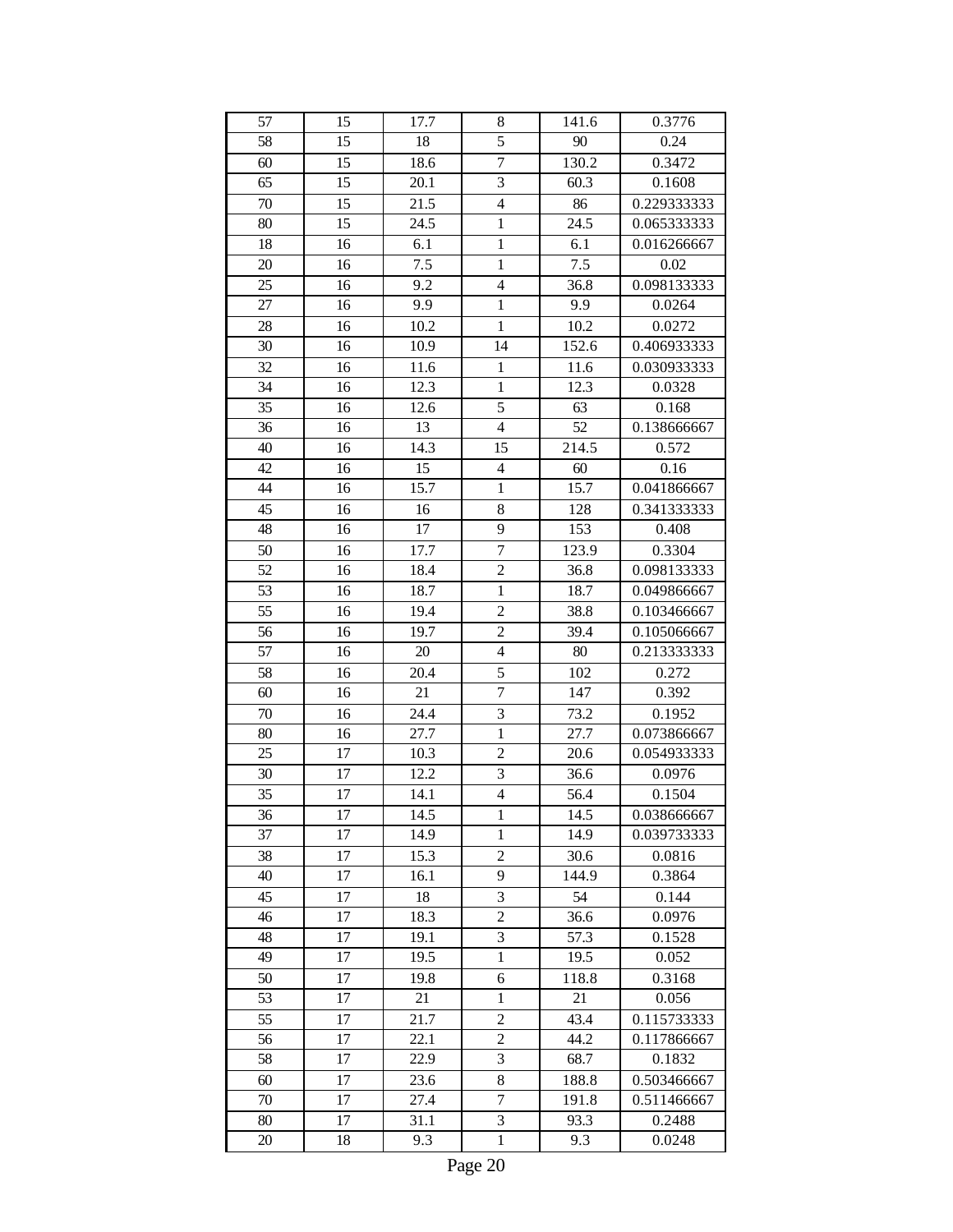| 57 | 15 | 17.7 | 8                       | 141.6 | 0.3776      |
|----|----|------|-------------------------|-------|-------------|
| 58 | 15 | 18   | 5                       | 90    | 0.24        |
| 60 | 15 | 18.6 | $\overline{7}$          | 130.2 | 0.3472      |
| 65 | 15 | 20.1 | $\overline{\mathbf{3}}$ | 60.3  | 0.1608      |
| 70 | 15 | 21.5 | $\overline{4}$          | 86    | 0.229333333 |
| 80 | 15 | 24.5 | $\mathbf 1$             | 24.5  | 0.065333333 |
| 18 | 16 | 6.1  | $\mathbf{1}$            | 6.1   | 0.016266667 |
| 20 | 16 | 7.5  | $\mathbf{1}$            | 7.5   | 0.02        |
| 25 | 16 | 9.2  | $\overline{\mathbf{4}}$ | 36.8  | 0.098133333 |
| 27 | 16 | 9.9  | $\,1$                   | 9.9   | 0.0264      |
| 28 | 16 | 10.2 | $\mathbf{1}$            | 10.2  | 0.0272      |
| 30 | 16 | 10.9 | 14                      | 152.6 | 0.406933333 |
| 32 | 16 | 11.6 | $\mathbf{1}$            | 11.6  | 0.030933333 |
| 34 | 16 | 12.3 | $\mathbf{1}$            | 12.3  | 0.0328      |
| 35 | 16 | 12.6 | 5                       | 63    | 0.168       |
| 36 | 16 | 13   | $\overline{4}$          | 52    | 0.138666667 |
| 40 | 16 | 14.3 | 15                      | 214.5 | 0.572       |
| 42 | 16 | 15   | $\overline{4}$          | 60    | 0.16        |
| 44 | 16 | 15.7 | $\mathbf{1}$            | 15.7  | 0.041866667 |
| 45 | 16 | 16   | 8                       | 128   | 0.341333333 |
| 48 | 16 | 17   | 9                       | 153   | 0.408       |
| 50 | 16 | 17.7 | $\overline{7}$          | 123.9 | 0.3304      |
| 52 | 16 | 18.4 | $\overline{c}$          | 36.8  | 0.098133333 |
| 53 | 16 | 18.7 | $\mathbf{1}$            | 18.7  | 0.049866667 |
| 55 | 16 | 19.4 | $\overline{c}$          | 38.8  | 0.103466667 |
| 56 | 16 | 19.7 | $\overline{c}$          | 39.4  | 0.105066667 |
| 57 | 16 | 20   | $\overline{4}$          | 80    | 0.213333333 |
| 58 | 16 | 20.4 | 5                       | 102   | 0.272       |
| 60 | 16 | 21   | $\overline{7}$          | 147   | 0.392       |
| 70 | 16 | 24.4 | $\overline{\mathbf{3}}$ | 73.2  | 0.1952      |
| 80 | 16 | 27.7 | $\mathbf{1}$            | 27.7  | 0.073866667 |
| 25 | 17 | 10.3 | $\overline{c}$          | 20.6  | 0.054933333 |
| 30 | 17 | 12.2 | 3                       | 36.6  | 0.0976      |
| 35 | 17 | 14.1 | $\overline{\mathbf{4}}$ | 56.4  | 0.1504      |
| 36 | 17 | 14.5 | 1                       | 14.5  | 0.038666667 |
| 37 | 17 | 14.9 | $\mathbf{1}$            | 14.9  | 0.039733333 |
| 38 | 17 | 15.3 | $\overline{c}$          | 30.6  | 0.0816      |
| 40 | 17 | 16.1 | 9                       | 144.9 | 0.3864      |
| 45 | 17 | 18   | 3                       | 54    | 0.144       |
| 46 | 17 | 18.3 | $\overline{c}$          | 36.6  | 0.0976      |
| 48 | 17 | 19.1 | 3                       | 57.3  | 0.1528      |
| 49 | 17 | 19.5 | $\mathbf{1}$            | 19.5  | 0.052       |
| 50 | 17 | 19.8 | 6                       | 118.8 | 0.3168      |
| 53 | 17 | 21   | $\mathbf{1}$            | 21    | 0.056       |
| 55 | 17 | 21.7 | $\overline{c}$          | 43.4  | 0.115733333 |
| 56 | 17 | 22.1 | $\overline{c}$          | 44.2  | 0.117866667 |
| 58 | 17 | 22.9 | 3                       | 68.7  | 0.1832      |
| 60 | 17 | 23.6 | 8                       | 188.8 | 0.503466667 |
| 70 | 17 | 27.4 | $\overline{7}$          | 191.8 | 0.511466667 |
| 80 | 17 | 31.1 | 3                       | 93.3  | 0.2488      |
| 20 | 18 | 9.3  | $\mathbf{1}$            | 9.3   | 0.0248      |
|    |    |      |                         |       |             |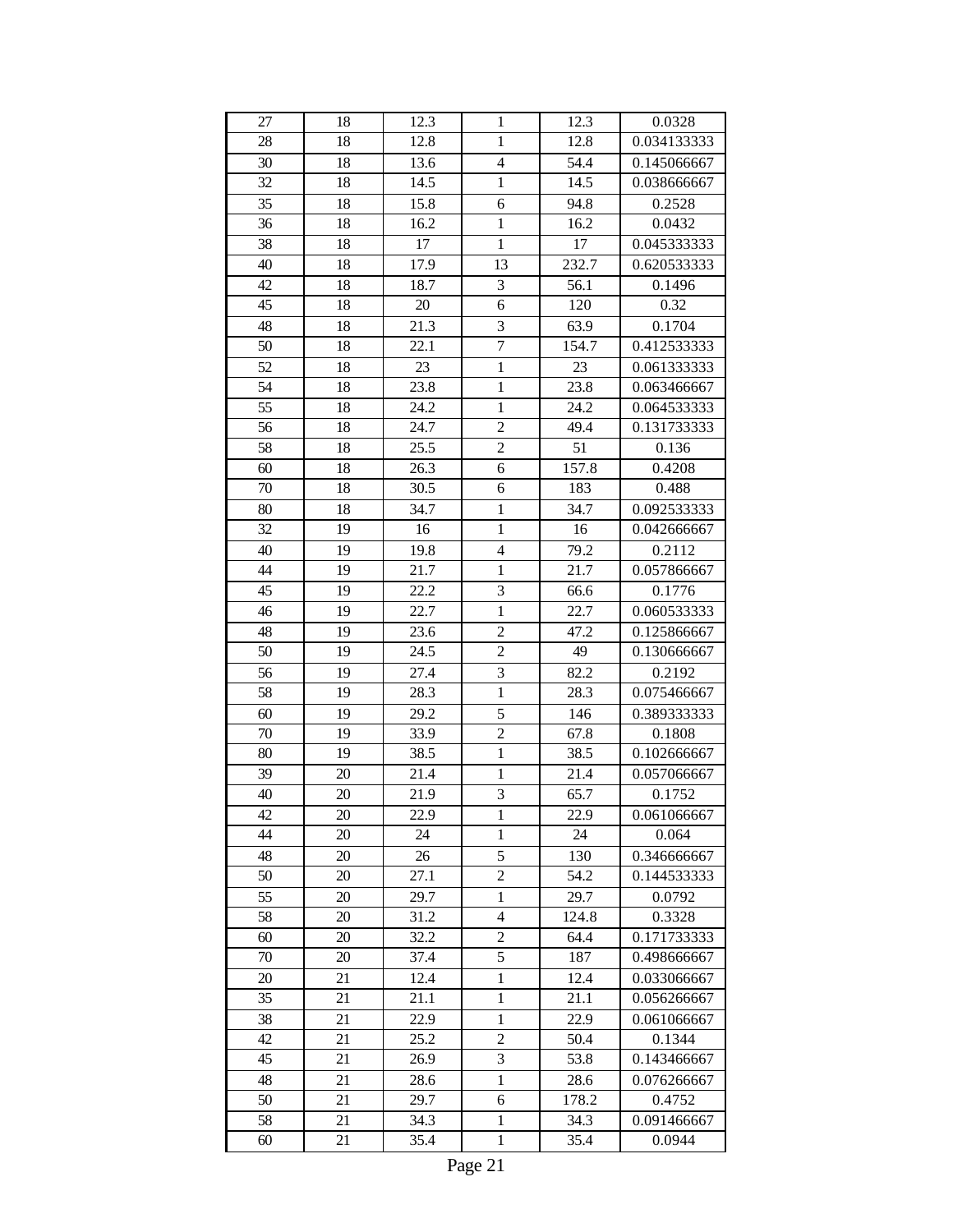| 27 | 18 | 12.3 | 1                | 12.3  | 0.0328      |
|----|----|------|------------------|-------|-------------|
| 28 | 18 | 12.8 | $\mathbf{1}$     | 12.8  | 0.034133333 |
| 30 | 18 | 13.6 | $\overline{4}$   | 54.4  | 0.145066667 |
| 32 | 18 | 14.5 | $\,1$            | 14.5  | 0.038666667 |
| 35 | 18 | 15.8 | 6                | 94.8  | 0.2528      |
| 36 | 18 | 16.2 | $\mathbf{1}$     | 16.2  | 0.0432      |
| 38 | 18 | 17   | $\mathbf{1}$     | 17    | 0.045333333 |
| 40 | 18 | 17.9 | 13               | 232.7 | 0.620533333 |
| 42 | 18 | 18.7 | $\mathfrak{Z}$   | 56.1  | 0.1496      |
| 45 | 18 | 20   | 6                | 120   | 0.32        |
| 48 | 18 | 21.3 | 3                | 63.9  | 0.1704      |
| 50 | 18 | 22.1 | $\boldsymbol{7}$ | 154.7 | 0.412533333 |
| 52 | 18 | 23   | $\mathbf{1}$     | 23    | 0.061333333 |
| 54 | 18 | 23.8 | $\mathbf{1}$     | 23.8  | 0.063466667 |
| 55 | 18 | 24.2 | $\mathbf{1}$     | 24.2  | 0.064533333 |
| 56 | 18 | 24.7 | $\overline{c}$   | 49.4  | 0.131733333 |
| 58 | 18 | 25.5 | $\overline{c}$   | 51    | 0.136       |
| 60 | 18 | 26.3 | 6                | 157.8 | 0.4208      |
| 70 | 18 | 30.5 | 6                | 183   | 0.488       |
| 80 | 18 | 34.7 | $\mathbf{1}$     | 34.7  | 0.092533333 |
| 32 | 19 | 16   | $\mathbf{1}$     | 16    | 0.042666667 |
| 40 | 19 | 19.8 | 4                | 79.2  | 0.2112      |
| 44 | 19 | 21.7 | $\mathbf{1}$     | 21.7  | 0.057866667 |
| 45 | 19 | 22.2 | 3                | 66.6  | 0.1776      |
| 46 | 19 | 22.7 | $\mathbf{1}$     | 22.7  | 0.060533333 |
| 48 | 19 | 23.6 | $\overline{c}$   | 47.2  | 0.125866667 |
| 50 | 19 | 24.5 | $\overline{c}$   | 49    | 0.130666667 |
| 56 | 19 | 27.4 | $\mathfrak{Z}$   | 82.2  | 0.2192      |
| 58 | 19 | 28.3 | $\mathbf{1}$     | 28.3  | 0.075466667 |
| 60 | 19 | 29.2 | 5                | 146   | 0.389333333 |
| 70 | 19 | 33.9 | $\overline{2}$   | 67.8  | 0.1808      |
| 80 | 19 | 38.5 | $\mathbf{1}$     | 38.5  | 0.102666667 |
| 39 | 20 | 21.4 | $\mathbf{1}$     | 21.4  | 0.057066667 |
| 40 | 20 | 21.9 | 3                | 65.7  | 0.1752      |
| 42 | 20 | 22.9 | $\mathbf{1}$     | 22.9  | 0.061066667 |
| 44 | 20 | 24   | $\mathbf{1}$     | 24    | 0.064       |
| 48 | 20 | 26   | 5                | 130   | 0.346666667 |
| 50 | 20 | 27.1 | $\overline{c}$   | 54.2  | 0.144533333 |
| 55 | 20 | 29.7 | $\mathbf{1}$     | 29.7  | 0.0792      |
| 58 | 20 | 31.2 | $\overline{4}$   | 124.8 | 0.3328      |
| 60 | 20 | 32.2 | $\overline{2}$   | 64.4  | 0.171733333 |
| 70 | 20 | 37.4 | 5                | 187   | 0.498666667 |
| 20 | 21 | 12.4 | 1                | 12.4  | 0.033066667 |
| 35 | 21 | 21.1 | $\mathbf{1}$     | 21.1  | 0.056266667 |
| 38 | 21 | 22.9 | $\mathbf{1}$     | 22.9  | 0.061066667 |
| 42 | 21 | 25.2 | $\overline{2}$   | 50.4  | 0.1344      |
| 45 | 21 | 26.9 | 3                | 53.8  | 0.143466667 |
| 48 | 21 | 28.6 | $\mathbf{1}$     | 28.6  | 0.076266667 |
| 50 | 21 | 29.7 | 6                | 178.2 | 0.4752      |
| 58 | 21 | 34.3 | $\mathbf{1}$     | 34.3  | 0.091466667 |
| 60 | 21 | 35.4 | $\mathbf{1}$     | 35.4  | 0.0944      |
|    |    |      |                  |       |             |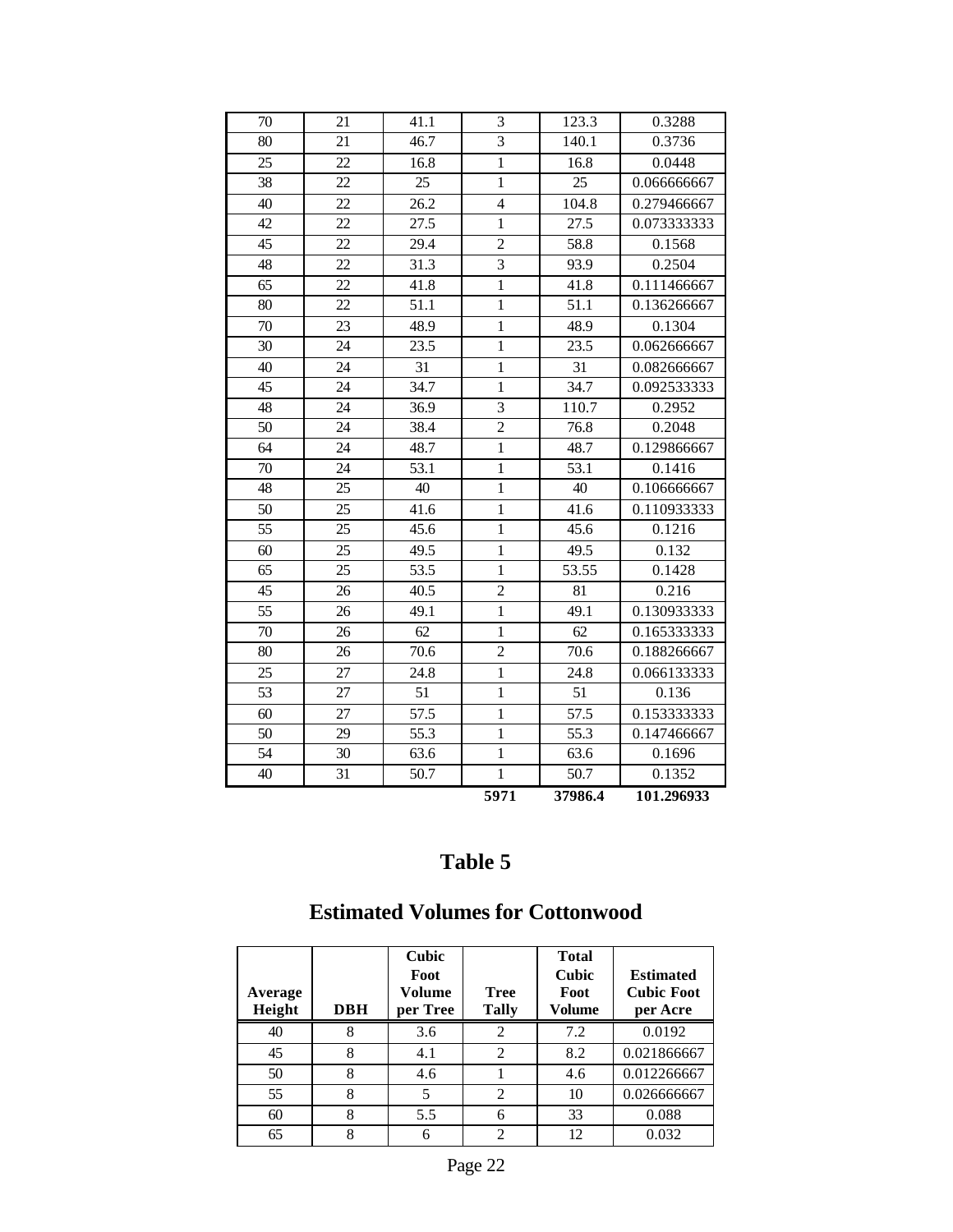|    |    |      | 5971                     | 37986.4 | 101.296933  |
|----|----|------|--------------------------|---------|-------------|
| 40 | 31 | 50.7 | $\mathbf{1}$             | 50.7    | 0.1352      |
| 54 | 30 | 63.6 | $\mathbf{1}$             | 63.6    | 0.1696      |
| 50 | 29 | 55.3 | $\mathbf{1}$             | 55.3    | 0.147466667 |
| 60 | 27 | 57.5 | $\mathbf{1}$             | 57.5    | 0.153333333 |
| 53 | 27 | 51   | $\mathbf{1}$             | 51      | 0.136       |
| 25 | 27 | 24.8 | $\mathbf{1}$             | 24.8    | 0.066133333 |
| 80 | 26 | 70.6 | $\overline{2}$           | 70.6    | 0.188266667 |
| 70 | 26 | 62   | $\mathbf{1}$             | 62      | 0.165333333 |
| 55 | 26 | 49.1 | $\overline{1}$           | 49.1    | 0.130933333 |
| 45 | 26 | 40.5 | $\overline{2}$           | 81      | 0.216       |
| 65 | 25 | 53.5 | $\mathbf{1}$             | 53.55   | 0.1428      |
| 60 | 25 | 49.5 | $\mathbf{1}$             | 49.5    | 0.132       |
| 55 | 25 | 45.6 | $\mathbf{1}$             | 45.6    | 0.1216      |
| 50 | 25 | 41.6 | $\mathbf{1}$             | 41.6    | 0.110933333 |
| 48 | 25 | 40   | $\mathbf{1}$             | 40      | 0.106666667 |
| 70 | 24 | 53.1 | $\mathbf{1}$             | 53.1    | 0.1416      |
| 64 | 24 | 48.7 | $\overline{1}$           | 48.7    | 0.129866667 |
| 50 | 24 | 38.4 | $\overline{2}$           | 76.8    | 0.2048      |
| 48 | 24 | 36.9 | $\overline{3}$           | 110.7   | 0.2952      |
| 45 | 24 | 34.7 | $\mathbf{1}$             | 34.7    | 0.092533333 |
| 40 | 24 | 31   | $\mathbf{1}$             | 31      | 0.082666667 |
| 30 | 24 | 23.5 | $\mathbf{1}$             | 23.5    | 0.062666667 |
| 70 | 23 | 48.9 | $\mathbf{1}$             | 48.9    | 0.1304      |
| 80 | 22 | 51.1 | $\mathbf{1}$             | 51.1    | 0.136266667 |
| 65 | 22 | 41.8 | $\mathbf{1}$             | 41.8    | 0.111466667 |
| 48 | 22 | 31.3 | $\overline{3}$           | 93.9    | 0.2504      |
| 45 | 22 | 29.4 | $\overline{2}$           | 58.8    | 0.1568      |
| 42 | 22 | 27.5 | $\mathbf{1}$             | 27.5    | 0.073333333 |
| 40 | 22 | 26.2 | $\overline{\mathcal{L}}$ | 104.8   | 0.279466667 |
| 38 | 22 | 25   | $\overline{1}$           | 25      | 0.066666667 |
| 25 | 22 | 16.8 | $\mathbf{1}$             | 16.8    | 0.0448      |
| 80 | 21 | 46.7 | $\overline{3}$           | 140.1   | 0.3736      |
| 70 | 21 | 41.1 | 3                        | 123.3   | 0.3288      |

# **Estimated Volumes for Cottonwood**

| Average<br>Height | <b>DBH</b> | Cubic<br>Foot<br>Volume<br>per Tree | <b>Tree</b><br><b>Tally</b> | <b>Total</b><br><b>Cubic</b><br>Foot<br>Volume | <b>Estimated</b><br><b>Cubic Foot</b><br>per Acre |
|-------------------|------------|-------------------------------------|-----------------------------|------------------------------------------------|---------------------------------------------------|
| 40                | 8          | 3.6                                 | 2                           | 7.2                                            | 0.0192                                            |
| 45                | 8          | 4.1                                 | $\mathfrak{D}$              | 8.2                                            | 0.021866667                                       |
| 50                | 8          | 4.6                                 |                             | 4.6                                            | 0.012266667                                       |
| 55                | 8          | 5                                   | $\overline{c}$              | 10                                             | 0.026666667                                       |
| 60                | 8          | 5.5                                 | 6                           | 33                                             | 0.088                                             |
| 65                | 8          | 6                                   | $\mathfrak{D}$              | 12                                             | 0.032                                             |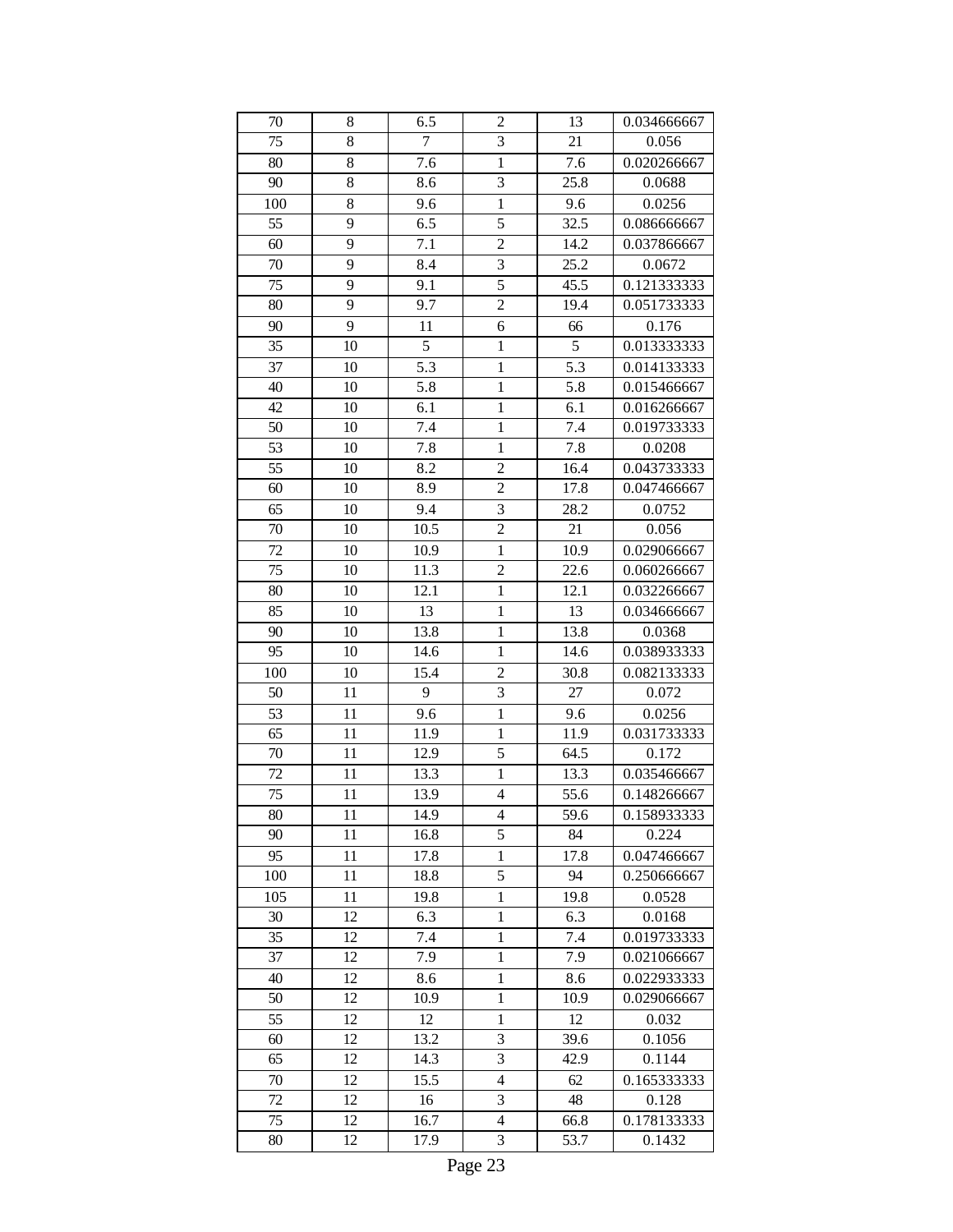| 70  | 8  | 6.5            | $\overline{2}$ | 13   | 0.034666667 |
|-----|----|----------------|----------------|------|-------------|
| 75  | 8  | $\overline{7}$ | 3              | 21   | 0.056       |
| 80  | 8  | 7.6            | $\mathbf{1}$   | 7.6  | 0.020266667 |
| 90  | 8  | 8.6            | 3              | 25.8 | 0.0688      |
| 100 | 8  | 9.6            | $\mathbf{1}$   | 9.6  | 0.0256      |
| 55  | 9  | 6.5            | 5              | 32.5 | 0.086666667 |
| 60  | 9  | 7.1            | $\overline{c}$ | 14.2 | 0.037866667 |
| 70  | 9  | 8.4            | 3              | 25.2 | 0.0672      |
| 75  | 9  | 9.1            | 5              | 45.5 | 0.121333333 |
| 80  | 9  | 9.7            | $\overline{c}$ | 19.4 | 0.051733333 |
| 90  | 9  | 11             | 6              | 66   | 0.176       |
| 35  | 10 | 5              | $\mathbf{1}$   | 5    | 0.013333333 |
| 37  | 10 | 5.3            | $\mathbf{1}$   | 5.3  | 0.014133333 |
| 40  | 10 | 5.8            | $\mathbf{1}$   | 5.8  | 0.015466667 |
| 42  | 10 | 6.1            | $\mathbf{1}$   | 6.1  | 0.016266667 |
| 50  | 10 | 7.4            | $\mathbf{1}$   | 7.4  | 0.019733333 |
| 53  | 10 | 7.8            | $\mathbf{1}$   | 7.8  | 0.0208      |
| 55  | 10 | 8.2            | $\overline{c}$ | 16.4 | 0.043733333 |
| 60  | 10 | 8.9            | $\overline{2}$ | 17.8 | 0.047466667 |
| 65  | 10 | 9.4            | 3              | 28.2 | 0.0752      |
| 70  | 10 | 10.5           | $\overline{c}$ | 21   | 0.056       |
| 72  | 10 | 10.9           | 1              | 10.9 | 0.029066667 |
| 75  | 10 | 11.3           | $\overline{c}$ | 22.6 | 0.060266667 |
| 80  | 10 | 12.1           | $\mathbf{1}$   | 12.1 | 0.032266667 |
| 85  | 10 | 13             | $\mathbf{1}$   | 13   | 0.034666667 |
| 90  | 10 | 13.8           | $\mathbf{1}$   | 13.8 | 0.0368      |
| 95  | 10 | 14.6           | $\mathbf{1}$   | 14.6 | 0.038933333 |
| 100 | 10 | 15.4           | $\overline{c}$ | 30.8 | 0.082133333 |
| 50  | 11 | 9              | 3              | 27   | 0.072       |
| 53  | 11 | 9.6            | $\mathbf{1}$   | 9.6  | 0.0256      |
| 65  | 11 | 11.9           | $\mathbf{1}$   | 11.9 | 0.031733333 |
| 70  | 11 | 12.9           | 5              | 64.5 | 0.172       |
| 72  | 11 | 13.3           | 1              | 13.3 | 0.035466667 |
| 75  | 11 | 13.9           | 4              | 55.6 | 0.148266667 |
| 80  | 11 | 14.9           | 4              | 59.6 | 0.158933333 |
| 90  | 11 | 16.8           | 5              | 84   | 0.224       |
| 95  | 11 | 17.8           | 1              | 17.8 | 0.047466667 |
| 100 | 11 | 18.8           | 5              | 94   | 0.250666667 |
| 105 | 11 | 19.8           | 1              | 19.8 | 0.0528      |
| 30  | 12 | 6.3            | $\mathbf{1}$   | 6.3  | 0.0168      |
| 35  | 12 | 7.4            | 1              | 7.4  | 0.019733333 |
| 37  | 12 | 7.9            | $\mathbf{1}$   | 7.9  | 0.021066667 |
| 40  | 12 | 8.6            | $\mathbf{1}$   | 8.6  | 0.022933333 |
| 50  | 12 | 10.9           | 1              | 10.9 | 0.029066667 |
| 55  | 12 | 12             | $\mathbf{1}$   | 12   | 0.032       |
| 60  | 12 | 13.2           | 3              | 39.6 | 0.1056      |
| 65  | 12 | 14.3           | 3              | 42.9 | 0.1144      |
| 70  | 12 | 15.5           | $\overline{4}$ | 62   | 0.165333333 |
| 72  | 12 | 16             | 3              | 48   | 0.128       |
| 75  | 12 | 16.7           | 4              | 66.8 | 0.178133333 |
| 80  | 12 | 17.9           | 3              | 53.7 | 0.1432      |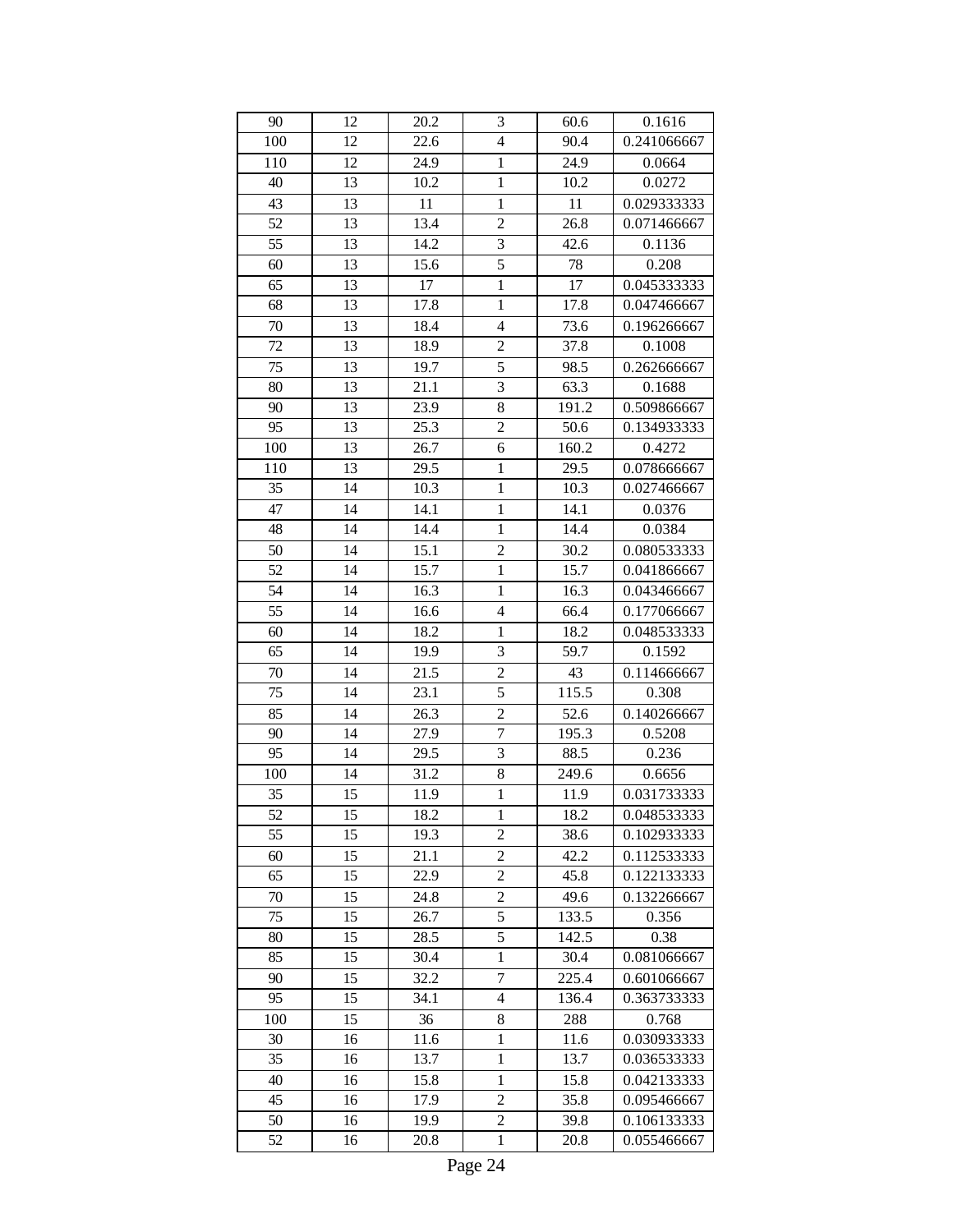| 90       | 12 | 20.2         | 3                                       | 60.6         | 0.1616           |
|----------|----|--------------|-----------------------------------------|--------------|------------------|
| 100      | 12 | 22.6         | $\overline{4}$                          | 90.4         | 0.241066667      |
| 110      | 12 | 24.9         | $\mathbf{1}$                            | 24.9         | 0.0664           |
| 40       | 13 | 10.2         | $\mathbf{1}$                            | 10.2         | 0.0272           |
| 43       | 13 | 11           | $\mathbf{1}$                            | 11           | 0.029333333      |
| 52       | 13 | 13.4         | $\overline{c}$                          | 26.8         | 0.071466667      |
| 55       | 13 | 14.2         | 3                                       | 42.6         | 0.1136           |
| 60       | 13 | 15.6         | 5                                       | 78           | 0.208            |
| 65       | 13 | 17           | $\mathbf{1}$                            | 17           | 0.045333333      |
| 68       | 13 | 17.8         | $\,1$                                   | 17.8         | 0.047466667      |
| 70       | 13 | 18.4         | $\overline{4}$                          | 73.6         | 0.196266667      |
| 72       | 13 | 18.9         | $\overline{c}$                          | 37.8         | 0.1008           |
| 75       | 13 | 19.7         | 5                                       | 98.5         | 0.262666667      |
| 80       | 13 | 21.1         | $\overline{\mathbf{3}}$                 | 63.3         | 0.1688           |
| 90       | 13 | 23.9         | 8                                       | 191.2        | 0.509866667      |
| 95       | 13 | 25.3         | $\overline{2}$                          | 50.6         | 0.134933333      |
| 100      | 13 | 26.7         | 6                                       | 160.2        | 0.4272           |
| 110      | 13 | 29.5         | $\mathbf{1}$                            | 29.5         | 0.078666667      |
| 35       | 14 | 10.3         | $\mathbf{1}$                            | 10.3         | 0.027466667      |
| 47       | 14 |              |                                         |              |                  |
| 48       | 14 | 14.1<br>14.4 | $\,1$<br>$\mathbf{1}$                   | 14.1<br>14.4 | 0.0376<br>0.0384 |
|          |    |              |                                         |              | 0.080533333      |
| 50<br>52 | 14 | 15.1<br>15.7 | $\overline{\mathbf{c}}$<br>$\mathbf{1}$ | 30.2         |                  |
|          | 14 |              |                                         | 15.7         | 0.041866667      |
| 54       | 14 | 16.3         | $\mathbf{1}$                            | 16.3         | 0.043466667      |
| 55       | 14 | 16.6         | $\overline{4}$                          | 66.4         | 0.177066667      |
| 60       | 14 | 18.2         | $\mathbf{1}$                            | 18.2         | 0.048533333      |
| 65       | 14 | 19.9         | $\overline{\mathbf{3}}$                 | 59.7         | 0.1592           |
| 70       | 14 | 21.5         | $\overline{2}$                          | 43           | 0.114666667      |
| 75       | 14 | 23.1         | 5                                       | 115.5        | 0.308            |
| 85       | 14 | 26.3         | $\overline{2}$                          | 52.6         | 0.140266667      |
| 90       | 14 | 27.9         | $\overline{7}$                          | 195.3        | 0.5208           |
| 95       | 14 | 29.5         | $\overline{\mathbf{3}}$                 | 88.5         | 0.236            |
| 100      | 14 | 31.2         | 8                                       | 249.6        | 0.6656           |
| 35       | 15 | 11.9         | $\mathbf{1}$                            | 11.9         | 0.031733333      |
| 52       | 15 | 18.2         | $\mathbf{1}$                            | 18.2         | 0.048533333      |
| 55       | 15 | 19.3         | $\overline{c}$                          | 38.6         | 0.102933333      |
| 60       | 15 | 21.1         | $\overline{c}$                          | 42.2         | 0.112533333      |
| 65       | 15 | 22.9         | $\overline{c}$                          | 45.8         | 0.122133333      |
| 70       | 15 | 24.8         | $\overline{c}$                          | 49.6         | 0.132266667      |
| 75       | 15 | 26.7         | 5                                       | 133.5        | 0.356            |
| 80       | 15 | 28.5         | 5                                       | 142.5        | 0.38             |
| 85       | 15 | 30.4         | $\mathbf{1}$                            | 30.4         | 0.081066667      |
| 90       | 15 | 32.2         | $\overline{7}$                          | 225.4        | 0.601066667      |
| 95       | 15 | 34.1         | $\overline{4}$                          | 136.4        | 0.363733333      |
| 100      | 15 | 36           | 8                                       | 288          | 0.768            |
| 30       | 16 | 11.6         | $\mathbf{1}$                            | 11.6         | 0.030933333      |
| 35       | 16 | 13.7         | $\mathbf{1}$                            | 13.7         | 0.036533333      |
| 40       | 16 | 15.8         | $\mathbf{1}$                            | 15.8         | 0.042133333      |
| 45       | 16 | 17.9         | $\overline{c}$                          | 35.8         | 0.095466667      |
| 50       | 16 | 19.9         | $\overline{c}$                          | 39.8         | 0.106133333      |
| 52       | 16 | 20.8         | $\mathbf{1}$                            | 20.8         | 0.055466667      |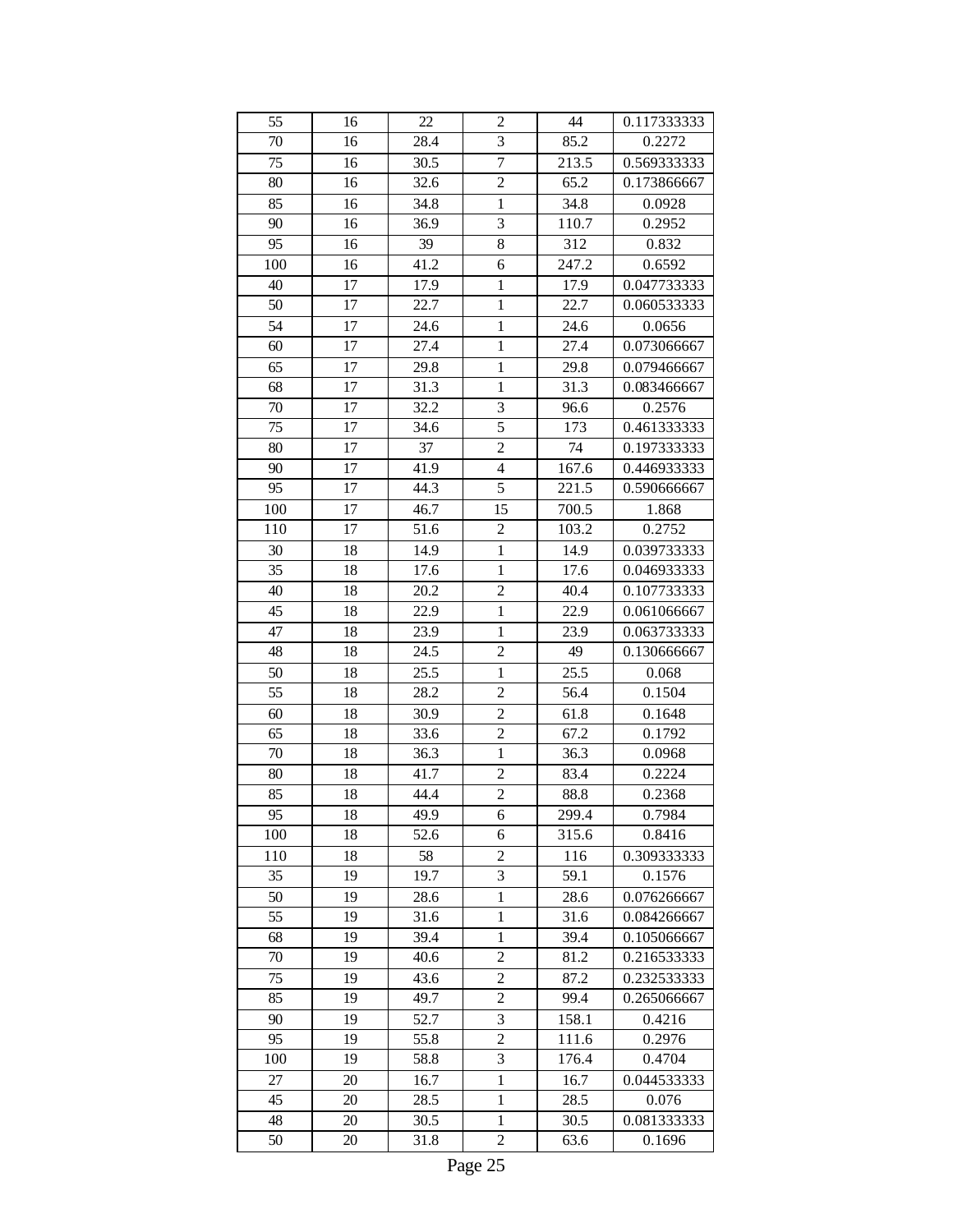| 55  | 16 | 22   | $\overline{c}$          | 44    | 0.117333333 |
|-----|----|------|-------------------------|-------|-------------|
| 70  | 16 | 28.4 | 3                       | 85.2  | 0.2272      |
| 75  | 16 | 30.5 | $\overline{7}$          | 213.5 | 0.569333333 |
| 80  | 16 | 32.6 | $\overline{c}$          | 65.2  | 0.173866667 |
| 85  | 16 | 34.8 | $\mathbf{1}$            | 34.8  | 0.0928      |
| 90  | 16 | 36.9 | 3                       | 110.7 | 0.2952      |
| 95  | 16 | 39   | 8                       | 312   | 0.832       |
| 100 | 16 | 41.2 | 6                       | 247.2 | 0.6592      |
| 40  | 17 | 17.9 | $\mathbf{1}$            | 17.9  | 0.047733333 |
| 50  | 17 | 22.7 | $\mathbf{1}$            | 22.7  | 0.060533333 |
| 54  | 17 | 24.6 | 1                       | 24.6  | 0.0656      |
| 60  | 17 | 27.4 | $\mathbf{1}$            | 27.4  | 0.073066667 |
| 65  | 17 | 29.8 | $\mathbf{1}$            | 29.8  | 0.079466667 |
| 68  | 17 | 31.3 | $\mathbf{1}$            | 31.3  | 0.083466667 |
| 70  | 17 | 32.2 | 3                       | 96.6  | 0.2576      |
| 75  | 17 | 34.6 | 5                       | 173   | 0.461333333 |
| 80  | 17 | 37   | $\overline{c}$          | 74    | 0.197333333 |
| 90  | 17 | 41.9 | $\overline{\mathbf{4}}$ | 167.6 | 0.446933333 |
| 95  | 17 | 44.3 | 5                       | 221.5 | 0.590666667 |
| 100 | 17 | 46.7 | 15                      | 700.5 | 1.868       |
| 110 | 17 | 51.6 | $\overline{c}$          | 103.2 | 0.2752      |
| 30  | 18 | 14.9 | 1                       | 14.9  | 0.039733333 |
| 35  | 18 | 17.6 | $\mathbf{1}$            | 17.6  | 0.046933333 |
| 40  | 18 | 20.2 | $\overline{c}$          | 40.4  | 0.107733333 |
| 45  | 18 | 22.9 | $\mathbf{1}$            | 22.9  | 0.061066667 |
| 47  | 18 | 23.9 | $\mathbf{1}$            | 23.9  | 0.063733333 |
| 48  | 18 | 24.5 | $\overline{c}$          | 49    | 0.130666667 |
| 50  | 18 | 25.5 | $\mathbf{1}$            | 25.5  | 0.068       |
| 55  | 18 | 28.2 | $\overline{c}$          | 56.4  | 0.1504      |
| 60  | 18 | 30.9 | $\overline{c}$          | 61.8  | 0.1648      |
| 65  | 18 | 33.6 | $\overline{c}$          | 67.2  | 0.1792      |
| 70  | 18 | 36.3 | $\mathbf{1}$            | 36.3  | 0.0968      |
| 80  | 18 | 41.7 | $\overline{c}$          | 83.4  | 0.2224      |
| 85  | 18 | 44.4 | $\overline{2}$          | 88.8  | 0.2368      |
| 95  | 18 | 49.9 | 6                       | 299.4 | 0.7984      |
| 100 | 18 | 52.6 | 6                       | 315.6 | 0.8416      |
| 110 | 18 | 58   | $\overline{c}$          | 116   | 0.309333333 |
| 35  | 19 | 19.7 | 3                       | 59.1  | 0.1576      |
| 50  | 19 | 28.6 | 1                       | 28.6  | 0.076266667 |
| 55  | 19 | 31.6 | $\mathbf{1}$            | 31.6  | 0.084266667 |
| 68  | 19 | 39.4 | 1                       | 39.4  | 0.105066667 |
| 70  | 19 | 40.6 | $\overline{c}$          | 81.2  | 0.216533333 |
| 75  | 19 | 43.6 | $\overline{c}$          | 87.2  | 0.232533333 |
| 85  | 19 | 49.7 | 2                       | 99.4  | 0.265066667 |
| 90  | 19 | 52.7 | 3                       | 158.1 | 0.4216      |
| 95  | 19 | 55.8 | $\overline{2}$          | 111.6 | 0.2976      |
| 100 | 19 | 58.8 | 3                       | 176.4 | 0.4704      |
| 27  | 20 | 16.7 | 1                       | 16.7  | 0.044533333 |
| 45  | 20 | 28.5 | 1                       | 28.5  | 0.076       |
| 48  | 20 | 30.5 | 1                       | 30.5  | 0.081333333 |
| 50  | 20 | 31.8 | $\overline{c}$          | 63.6  | 0.1696      |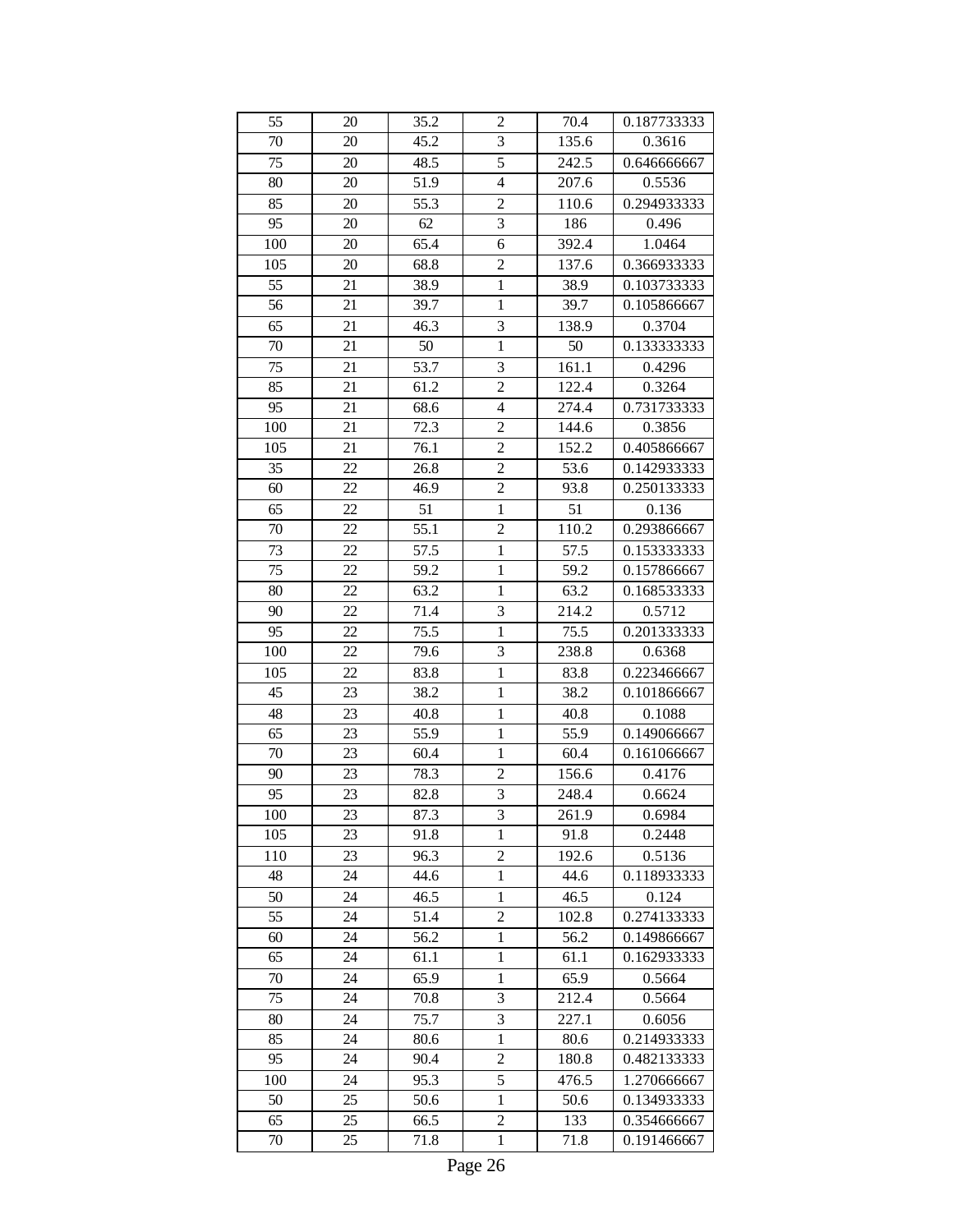| 55  | 20 | 35.2 | $\overline{c}$ | 70.4  | 0.187733333                |
|-----|----|------|----------------|-------|----------------------------|
| 70  | 20 | 45.2 | 3              | 135.6 | 0.3616                     |
| 75  | 20 | 48.5 | 5              | 242.5 | 0.646666667                |
| 80  | 20 | 51.9 | $\overline{4}$ | 207.6 | 0.5536                     |
| 85  | 20 | 55.3 | $\overline{c}$ | 110.6 | 0.294933333                |
| 95  | 20 | 62   | 3              | 186   | 0.496                      |
| 100 | 20 | 65.4 | 6              | 392.4 | 1.0464                     |
| 105 | 20 | 68.8 | $\overline{2}$ | 137.6 | 0.366933333                |
| 55  | 21 | 38.9 | $\mathbf{1}$   | 38.9  | 0.103733333                |
| 56  | 21 | 39.7 | $\mathbf{1}$   | 39.7  | 0.105866667                |
| 65  | 21 | 46.3 | 3              | 138.9 | 0.3704                     |
| 70  | 21 | 50   | $\mathbf{1}$   | 50    | 0.133333333                |
| 75  | 21 | 53.7 | 3              | 161.1 | 0.4296                     |
| 85  | 21 | 61.2 | $\overline{c}$ | 122.4 | 0.3264                     |
| 95  | 21 | 68.6 | $\overline{4}$ | 274.4 | 0.731733333                |
| 100 | 21 | 72.3 | $\overline{c}$ | 144.6 | 0.3856                     |
| 105 | 21 | 76.1 | $\overline{c}$ | 152.2 | 0.405866667                |
| 35  | 22 | 26.8 | $\overline{c}$ | 53.6  | 0.142933333                |
| 60  | 22 | 46.9 | $\overline{c}$ | 93.8  | 0.250133333                |
| 65  | 22 | 51   | $\mathbf{1}$   | 51    | 0.136                      |
| 70  | 22 | 55.1 | $\overline{c}$ | 110.2 | 0.293866667                |
| 73  | 22 | 57.5 | 1              | 57.5  | 0.153333333                |
| 75  | 22 | 59.2 | $\mathbf{1}$   | 59.2  | 0.157866667                |
| 80  | 22 | 63.2 | $\mathbf{1}$   | 63.2  | 0.168533333                |
| 90  | 22 | 71.4 | 3              | 214.2 | 0.5712                     |
| 95  | 22 | 75.5 | $\mathbf{1}$   | 75.5  | 0.201333333                |
| 100 | 22 | 79.6 | 3              | 238.8 | 0.6368                     |
| 105 | 22 | 83.8 | $\mathbf{1}$   | 83.8  | 0.223466667                |
| 45  | 23 | 38.2 | $\mathbf{1}$   | 38.2  | 0.101866667                |
| 48  | 23 | 40.8 | $\mathbf{1}$   | 40.8  | 0.1088                     |
| 65  | 23 | 55.9 | $\mathbf{1}$   | 55.9  | 0.149066667                |
| 70  | 23 | 60.4 | $\mathbf{1}$   | 60.4  | 0.161066667                |
| 90  | 23 | 78.3 | 2              | 156.6 | 0.4176                     |
| 95  | 23 | 82.8 | 3              | 248.4 | 0.6624                     |
| 100 | 23 | 87.3 | 3              | 261.9 | 0.6984                     |
| 105 | 23 | 91.8 | 1              | 91.8  | 0.2448                     |
| 110 | 23 | 96.3 | $\overline{c}$ | 192.6 | 0.5136                     |
| 48  | 24 | 44.6 | 1              | 44.6  | 0.118933333                |
| 50  | 24 | 46.5 | 1              | 46.5  | 0.124                      |
| 55  | 24 | 51.4 | $\overline{c}$ | 102.8 | 0.274133333                |
| 60  | 24 | 56.2 | 1              | 56.2  | 0.149866667                |
| 65  | 24 | 61.1 | $\,1$          | 61.1  | 0.162933333                |
| 70  | 24 | 65.9 | 1              | 65.9  | 0.5664                     |
| 75  | 24 | 70.8 | 3              | 212.4 | 0.5664                     |
| 80  | 24 | 75.7 | 3              | 227.1 | 0.6056                     |
| 85  | 24 | 80.6 | $\mathbf{1}$   | 80.6  | 0.214933333                |
| 95  | 24 | 90.4 | $\overline{c}$ | 180.8 | 0.482133333                |
| 100 | 24 | 95.3 | 5              | 476.5 | 1.270666667                |
| 50  | 25 | 50.6 | 1              | 50.6  | 0.134933333                |
| 65  | 25 | 66.5 | $\overline{c}$ | 133   |                            |
| 70  | 25 | 71.8 | $\mathbf{1}$   | 71.8  | 0.354666667<br>0.191466667 |
|     |    |      |                |       |                            |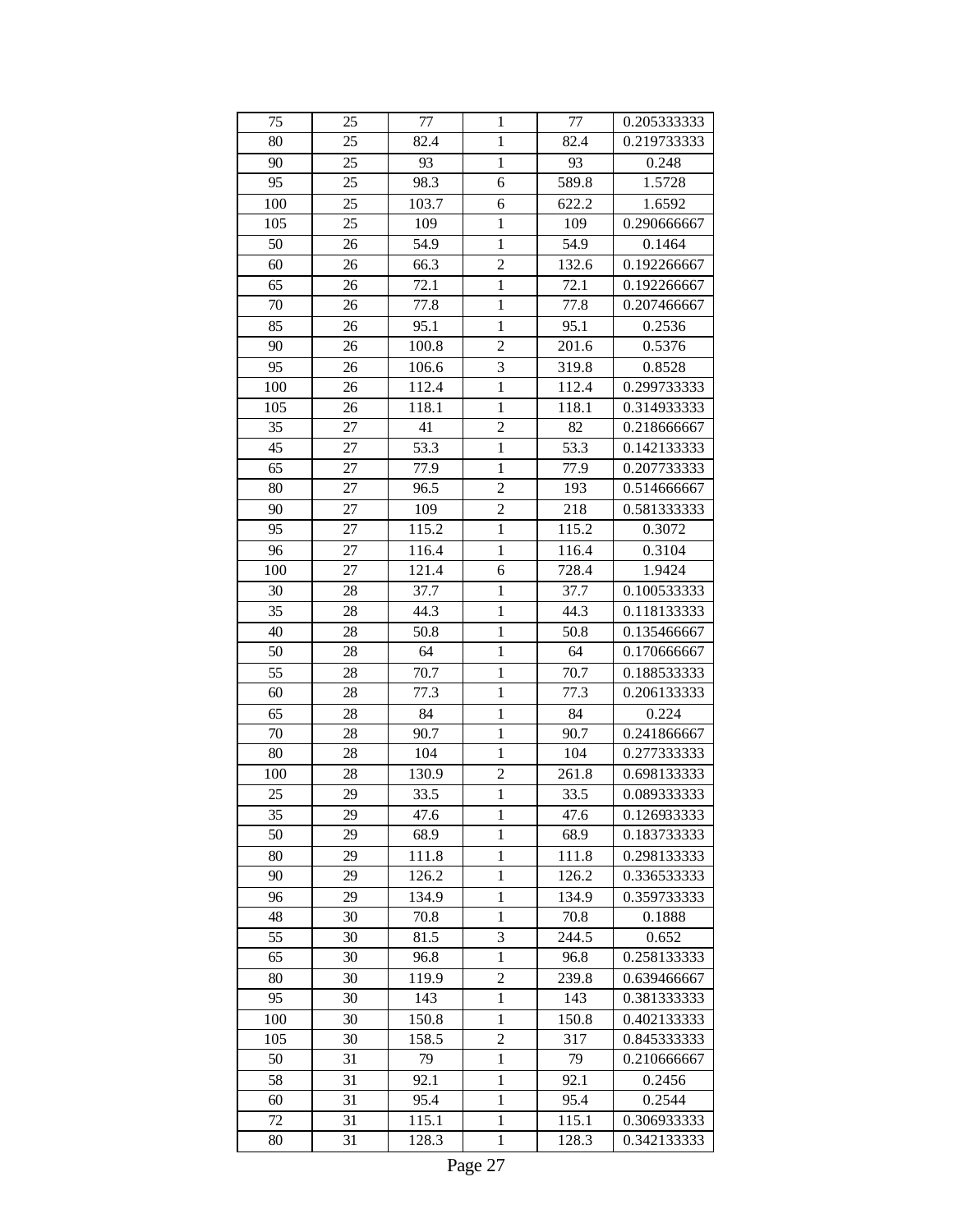| 75  | 25 | 77    | 1              | 77    | 0.205333333 |
|-----|----|-------|----------------|-------|-------------|
| 80  | 25 | 82.4  | $\mathbf{1}$   | 82.4  | 0.219733333 |
| 90  | 25 | 93    | $\mathbf{1}$   | 93    | 0.248       |
| 95  | 25 | 98.3  | 6              | 589.8 | 1.5728      |
| 100 | 25 | 103.7 | 6              | 622.2 | 1.6592      |
| 105 | 25 | 109   | $\mathbf{1}$   | 109   | 0.290666667 |
| 50  | 26 | 54.9  | $\mathbf{1}$   | 54.9  | 0.1464      |
| 60  | 26 | 66.3  | $\overline{2}$ | 132.6 | 0.192266667 |
| 65  | 26 | 72.1  | $\mathbf{1}$   | 72.1  | 0.192266667 |
| 70  | 26 | 77.8  | $\mathbf{1}$   | 77.8  | 0.207466667 |
| 85  | 26 | 95.1  | $\mathbf{1}$   | 95.1  | 0.2536      |
| 90  | 26 | 100.8 | $\overline{c}$ | 201.6 | 0.5376      |
| 95  | 26 | 106.6 | 3              | 319.8 | 0.8528      |
| 100 | 26 | 112.4 | $\mathbf{1}$   | 112.4 | 0.299733333 |
| 105 | 26 | 118.1 | $\mathbf{1}$   | 118.1 | 0.314933333 |
| 35  | 27 | 41    | $\overline{c}$ | 82    | 0.218666667 |
| 45  | 27 | 53.3  | $\mathbf{1}$   | 53.3  | 0.142133333 |
| 65  | 27 | 77.9  | $\mathbf{1}$   | 77.9  | 0.207733333 |
| 80  | 27 | 96.5  | $\overline{2}$ | 193   | 0.514666667 |
| 90  | 27 | 109   | $\overline{c}$ | 218   | 0.581333333 |
| 95  | 27 | 115.2 | $\mathbf{1}$   | 115.2 | 0.3072      |
| 96  | 27 | 116.4 | 1              | 116.4 | 0.3104      |
| 100 | 27 | 121.4 | 6              | 728.4 | 1.9424      |
| 30  | 28 | 37.7  | $\mathbf{1}$   | 37.7  | 0.100533333 |
| 35  | 28 | 44.3  | $\mathbf{1}$   | 44.3  | 0.118133333 |
| 40  | 28 | 50.8  | $\mathbf{1}$   | 50.8  | 0.135466667 |
| 50  | 28 | 64    | $\mathbf{1}$   | 64    | 0.170666667 |
| 55  | 28 | 70.7  | $\mathbf{1}$   | 70.7  | 0.188533333 |
| 60  | 28 | 77.3  | $\mathbf{1}$   | 77.3  | 0.206133333 |
| 65  | 28 | 84    | $\mathbf{1}$   | 84    | 0.224       |
| 70  | 28 | 90.7  | $\mathbf{1}$   | 90.7  | 0.241866667 |
| 80  | 28 | 104   | $\mathbf{1}$   | 104   | 0.277333333 |
| 100 | 28 | 130.9 | $\overline{c}$ | 261.8 | 0.698133333 |
| 25  | 29 | 33.5  | $\mathbf{1}$   | 33.5  | 0.089333333 |
| 35  | 29 | 47.6  | 1              | 47.6  | 0.126933333 |
| 50  | 29 | 68.9  | $\mathbf{1}$   | 68.9  | 0.183733333 |
| 80  | 29 | 111.8 | $\mathbf{1}$   | 111.8 | 0.298133333 |
| 90  | 29 | 126.2 | 1              | 126.2 | 0.336533333 |
| 96  | 29 | 134.9 | 1              | 134.9 | 0.359733333 |
| 48  | 30 | 70.8  | $\mathbf{1}$   | 70.8  | 0.1888      |
| 55  | 30 | 81.5  | 3              | 244.5 | 0.652       |
| 65  | 30 | 96.8  | $\mathbf{1}$   | 96.8  | 0.258133333 |
| 80  | 30 | 119.9 | $\overline{c}$ | 239.8 | 0.639466667 |
| 95  | 30 | 143   | 1              | 143   | 0.381333333 |
| 100 | 30 | 150.8 | $\mathbf{1}$   | 150.8 | 0.402133333 |
| 105 | 30 | 158.5 | $\overline{c}$ | 317   | 0.845333333 |
| 50  | 31 | 79    | 1              | 79    | 0.210666667 |
| 58  | 31 | 92.1  | $\mathbf{1}$   | 92.1  | 0.2456      |
| 60  | 31 | 95.4  | $\mathbf{1}$   | 95.4  | 0.2544      |
| 72  | 31 | 115.1 | 1              | 115.1 | 0.306933333 |
| 80  | 31 | 128.3 | $\mathbf{1}$   | 128.3 | 0.342133333 |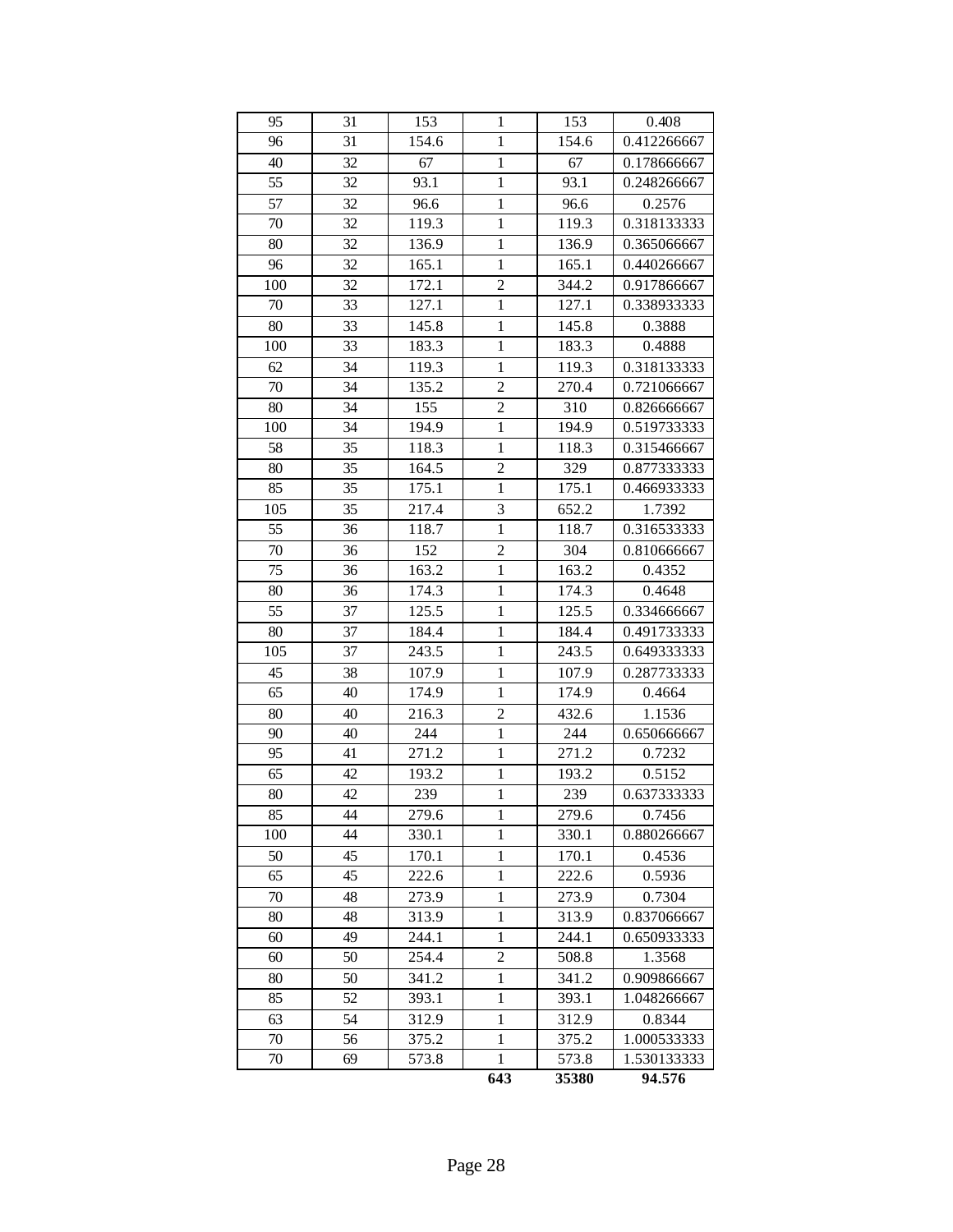| 95  | 31 | 153   | 1              | 153   | 0.408       |
|-----|----|-------|----------------|-------|-------------|
| 96  | 31 | 154.6 | $\mathbf{1}$   | 154.6 | 0.412266667 |
| 40  | 32 | 67    | $\mathbf{1}$   | 67    | 0.178666667 |
| 55  | 32 | 93.1  | $\mathbf{1}$   | 93.1  | 0.248266667 |
| 57  | 32 | 96.6  | $\mathbf{1}$   | 96.6  | 0.2576      |
| 70  | 32 | 119.3 | $\mathbf{1}$   | 119.3 | 0.318133333 |
| 80  | 32 | 136.9 | $\mathbf{1}$   | 136.9 | 0.365066667 |
| 96  | 32 | 165.1 | $\mathbf{1}$   | 165.1 | 0.440266667 |
| 100 | 32 | 172.1 | $\overline{c}$ | 344.2 | 0.917866667 |
| 70  | 33 | 127.1 | $\mathbf{1}$   | 127.1 | 0.338933333 |
| 80  | 33 | 145.8 | 1              | 145.8 | 0.3888      |
| 100 | 33 | 183.3 | $\mathbf{1}$   | 183.3 | 0.4888      |
| 62  | 34 | 119.3 | $\mathbf{1}$   | 119.3 | 0.318133333 |
| 70  | 34 | 135.2 | $\overline{2}$ | 270.4 | 0.721066667 |
| 80  | 34 | 155   | $\overline{c}$ | 310   | 0.826666667 |
| 100 | 34 | 194.9 | $\mathbf{1}$   | 194.9 | 0.519733333 |
| 58  | 35 | 118.3 | $\mathbf{1}$   | 118.3 | 0.315466667 |
| 80  | 35 | 164.5 | $\overline{c}$ | 329   | 0.877333333 |
| 85  | 35 | 175.1 | $\mathbf{1}$   | 175.1 | 0.466933333 |
| 105 | 35 | 217.4 | 3              | 652.2 | 1.7392      |
| 55  | 36 | 118.7 | $\mathbf{1}$   | 118.7 | 0.316533333 |
| 70  | 36 | 152   | $\overline{c}$ | 304   | 0.810666667 |
| 75  | 36 | 163.2 | $\mathbf{1}$   | 163.2 | 0.4352      |
| 80  | 36 | 174.3 | 1              | 174.3 | 0.4648      |
| 55  | 37 | 125.5 | $\mathbf{1}$   | 125.5 | 0.334666667 |
| 80  | 37 | 184.4 | $\mathbf{1}$   | 184.4 | 0.491733333 |
| 105 | 37 | 243.5 | $\mathbf{1}$   | 243.5 | 0.649333333 |
| 45  | 38 | 107.9 | $\mathbf{1}$   | 107.9 | 0.287733333 |
| 65  | 40 | 174.9 | $\mathbf{1}$   | 174.9 | 0.4664      |
| 80  | 40 | 216.3 | $\overline{c}$ | 432.6 | 1.1536      |
| 90  | 40 | 244   | $\mathbf{1}$   | 244   | 0.650666667 |
| 95  | 41 | 271.2 | $\mathbf{1}$   | 271.2 | 0.7232      |
| 65  | 42 | 193.2 | 1              | 193.2 | 0.5152      |
| 80  | 42 | 239   | $\mathbf{1}$   | 239   | 0.637333333 |
| 85  | 44 | 279.6 | 1              | 279.6 | 0.7456      |
| 100 | 44 | 330.1 | 1              | 330.1 | 0.880266667 |
| 50  | 45 | 170.1 | 1              | 170.1 | 0.4536      |
| 65  | 45 | 222.6 | 1              | 222.6 | 0.5936      |
| 70  | 48 | 273.9 | 1              | 273.9 | 0.7304      |
| 80  | 48 | 313.9 | 1              | 313.9 | 0.837066667 |
| 60  | 49 | 244.1 | 1              | 244.1 | 0.650933333 |
| 60  | 50 | 254.4 | $\overline{c}$ | 508.8 | 1.3568      |
| 80  | 50 | 341.2 | 1              | 341.2 | 0.909866667 |
| 85  | 52 | 393.1 | 1              | 393.1 | 1.048266667 |
| 63  | 54 | 312.9 | 1              | 312.9 | 0.8344      |
| 70  | 56 | 375.2 | 1              | 375.2 | 1.000533333 |
| 70  | 69 | 573.8 | 1              | 573.8 | 1.530133333 |
|     |    |       | 643            | 35380 | 94.576      |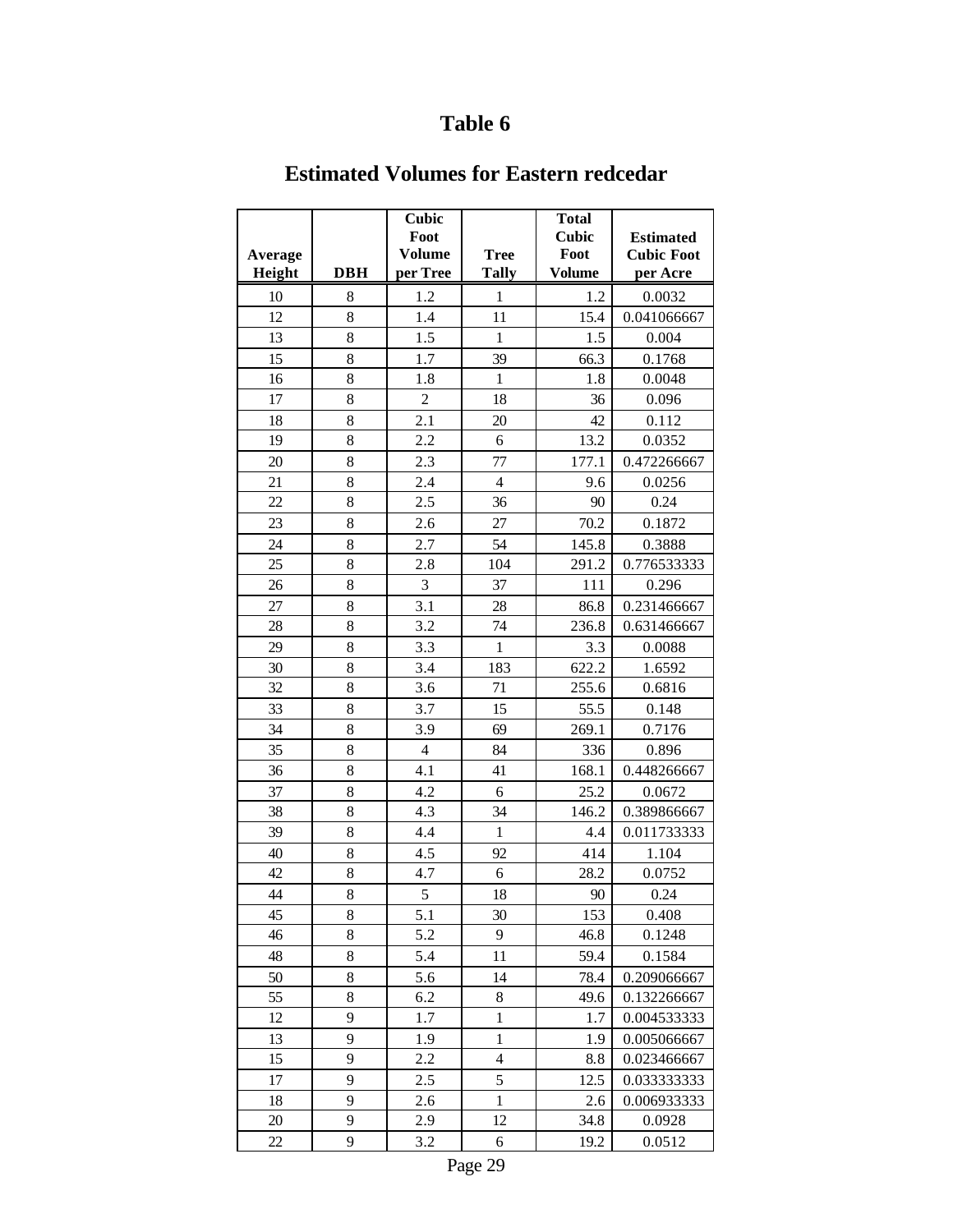|         |            | Cubic<br>Foot  |                | <b>Total</b><br><b>Cubic</b> | <b>Estimated</b>  |
|---------|------------|----------------|----------------|------------------------------|-------------------|
| Average |            | <b>Volume</b>  | <b>Tree</b>    | Foot                         | <b>Cubic Foot</b> |
| Height  | <b>DBH</b> | per Tree       | <b>Tally</b>   | <b>Volume</b>                | per Acre          |
| 10      | 8          | 1.2            | $\mathbf{1}$   | 1.2                          | 0.0032            |
| 12      | 8          | 1.4            | 11             | 15.4                         | 0.041066667       |
| 13      | 8          | 1.5            | $\mathbf{1}$   | 1.5                          | 0.004             |
| 15      | 8          | 1.7            | 39             | 66.3                         | 0.1768            |
| 16      | 8          | 1.8            | $\mathbf 1$    | 1.8                          | 0.0048            |
| 17      | 8          | $\overline{c}$ | 18             | 36                           | 0.096             |
| 18      | 8          | 2.1            | 20             | 42                           | 0.112             |
| 19      | 8          | 2.2            | 6              | 13.2                         | 0.0352            |
| 20      | 8          | 2.3            | 77             | 177.1                        | 0.472266667       |
| 21      | 8          | 2.4            | $\overline{4}$ | 9.6                          | 0.0256            |
| 22      | 8          | 2.5            | 36             | 90                           | 0.24              |
| 23      | 8          | 2.6            | 27             | 70.2                         | 0.1872            |
| 24      | 8          | 2.7            | 54             | 145.8                        | 0.3888            |
| 25      | 8          | 2.8            | 104            | 291.2                        | 0.776533333       |
| 26      | 8          | 3              | 37             | 111                          | 0.296             |
| 27      | 8          | 3.1            | 28             | 86.8                         | 0.231466667       |
| 28      | 8          | 3.2            | 74             | 236.8                        | 0.631466667       |
| 29      | 8          | 3.3            | $\mathbf{1}$   | 3.3                          | 0.0088            |
| 30      | 8          | 3.4            | 183            | 622.2                        | 1.6592            |
| 32      | 8          | 3.6            | 71             | 255.6                        | 0.6816            |
| 33      | 8          | 3.7            | 15             | 55.5                         | 0.148             |
| 34      | 8          | 3.9            | 69             | 269.1                        | 0.7176            |
| 35      | 8          | $\overline{4}$ | 84             | 336                          | 0.896             |
| 36      | 8          | 4.1            | 41             | 168.1                        | 0.448266667       |
| 37      | 8          | 4.2            | 6              | 25.2                         | 0.0672            |
| 38      | 8          | 4.3            | 34             | 146.2                        | 0.389866667       |
| 39      | 8          | 4.4            | $\mathbf{1}$   | 4.4                          | 0.011733333       |
| 40      | 8          | 4.5            | 92             | 414                          | 1.104             |
| 42      | 8          | 4.7            | 6              | 28.2                         | 0.0752            |
| 44      | 8          | 5              | 18             | 90                           | 0.24              |
| 45      | $8\,$      | 5.1            | 30             | 153                          | 0.408             |
| 46      | 8          | 5.2            | 9              | 46.8                         | 0.1248            |
| 48      | 8          | 5.4            | 11             | 59.4                         | 0.1584            |
| 50      | 8          | 5.6            | 14             | 78.4                         | 0.209066667       |
| 55      | 8          | 6.2            | 8              | 49.6                         | 0.132266667       |
| 12      | 9          | 1.7            | $\mathbf{1}$   | 1.7                          | 0.004533333       |
| 13      | 9          | 1.9            | $\mathbf{1}$   | 1.9                          | 0.005066667       |
| 15      | 9          | 2.2            | $\overline{4}$ | 8.8                          | 0.023466667       |
| 17      | 9          | 2.5            | 5              | 12.5                         | 0.033333333       |
| 18      | 9          | 2.6            | $\mathbf{1}$   | 2.6                          | 0.006933333       |
| 20      | 9          | 2.9            | 12             | 34.8                         | 0.0928            |
| 22      | 9          | 3.2            | 6              | 19.2                         | 0.0512            |

### **Estimated Volumes for Eastern redcedar**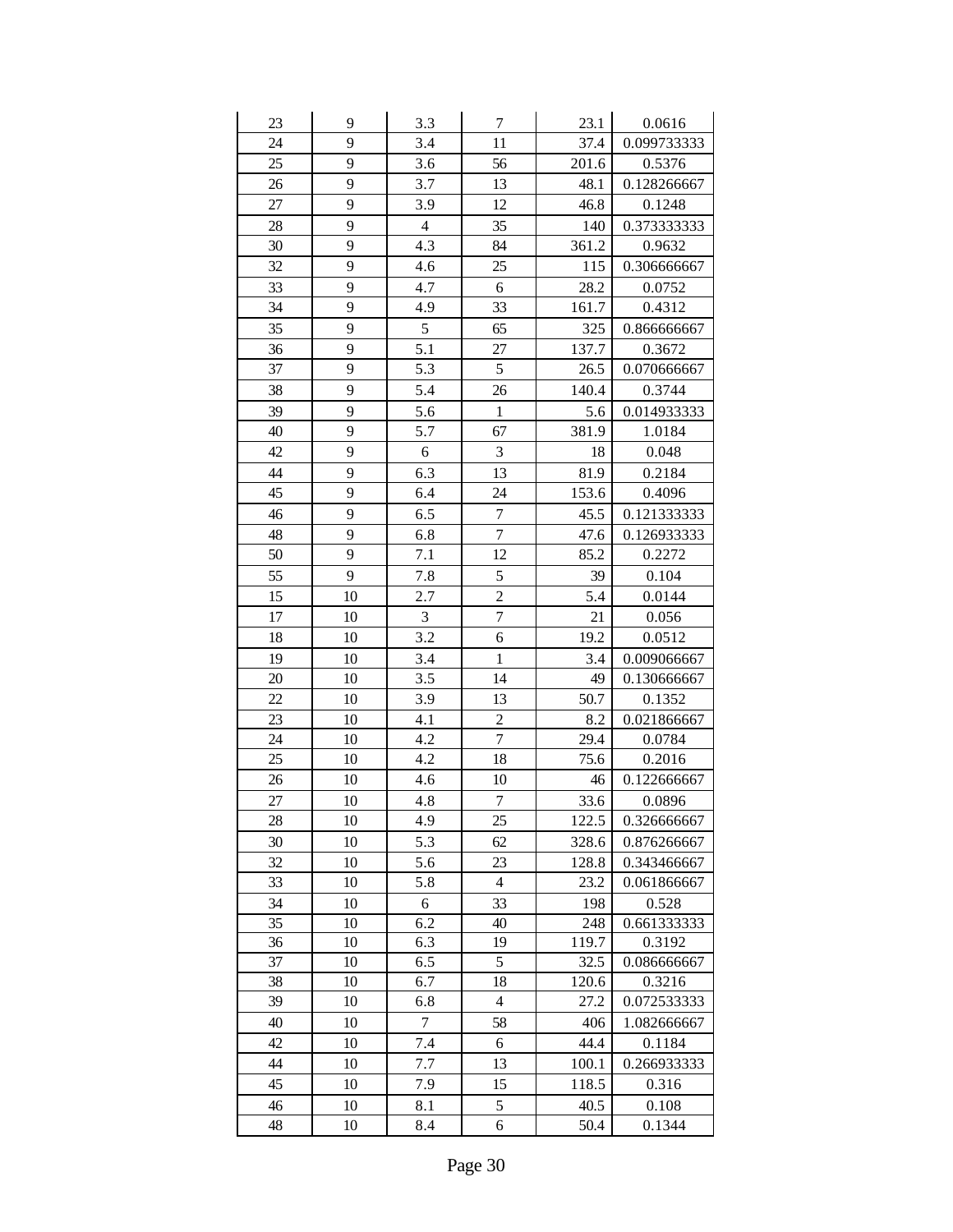| 23 | 9  | 3.3            | $\boldsymbol{7}$ | 23.1  | 0.0616      |
|----|----|----------------|------------------|-------|-------------|
| 24 | 9  | 3.4            | 11               | 37.4  | 0.099733333 |
| 25 | 9  | 3.6            | 56               | 201.6 | 0.5376      |
| 26 | 9  | 3.7            | 13               | 48.1  | 0.128266667 |
| 27 | 9  | 3.9            | 12               | 46.8  | 0.1248      |
| 28 | 9  | $\overline{4}$ | 35               | 140   | 0.373333333 |
| 30 | 9  | 4.3            | 84               | 361.2 | 0.9632      |
| 32 | 9  | 4.6            | 25               | 115   | 0.306666667 |
| 33 | 9  | 4.7            | 6                | 28.2  | 0.0752      |
| 34 | 9  | 4.9            | 33               | 161.7 | 0.4312      |
| 35 | 9  | $\mathfrak{S}$ | 65               | 325   | 0.866666667 |
| 36 | 9  | 5.1            | 27               | 137.7 | 0.3672      |
| 37 | 9  | 5.3            | 5                | 26.5  | 0.070666667 |
| 38 | 9  | 5.4            | 26               | 140.4 | 0.3744      |
| 39 | 9  | 5.6            | $\mathbf{1}$     | 5.6   | 0.014933333 |
| 40 | 9  | 5.7            | 67               | 381.9 | 1.0184      |
| 42 | 9  | 6              | 3                | 18    | 0.048       |
| 44 | 9  | 6.3            | 13               | 81.9  | 0.2184      |
| 45 | 9  | 6.4            | 24               | 153.6 | 0.4096      |
| 46 | 9  | 6.5            | $\overline{7}$   | 45.5  | 0.121333333 |
| 48 | 9  | 6.8            | $\overline{7}$   | 47.6  | 0.126933333 |
| 50 | 9  | 7.1            | 12               | 85.2  | 0.2272      |
| 55 | 9  | 7.8            | 5                | 39    | 0.104       |
| 15 | 10 | 2.7            | $\overline{c}$   | 5.4   | 0.0144      |
| 17 | 10 | 3              | $\overline{7}$   | 21    | 0.056       |
| 18 | 10 | 3.2            | 6                | 19.2  | 0.0512      |
| 19 | 10 | 3.4            | $\mathbf{1}$     | 3.4   | 0.009066667 |
| 20 | 10 | 3.5            | 14               | 49    | 0.130666667 |
| 22 | 10 | 3.9            | 13               | 50.7  | 0.1352      |
| 23 | 10 | 4.1            | $\overline{c}$   | 8.2   | 0.021866667 |
| 24 | 10 | 4.2            | $\overline{7}$   | 29.4  | 0.0784      |
| 25 | 10 | 4.2            | 18               | 75.6  | 0.2016      |
| 26 | 10 | 4.6            | 10               | 46    | 0.122666667 |
| 27 | 10 | 4.8            | $\overline{7}$   | 33.6  | 0.0896      |
| 28 | 10 | 4.9            | 25               | 122.5 | 0.326666667 |
| 30 | 10 | 5.3            | 62               | 328.6 | 0.876266667 |
| 32 | 10 | 5.6            | 23               | 128.8 | 0.343466667 |
| 33 | 10 | 5.8            | $\overline{4}$   | 23.2  | 0.061866667 |
| 34 | 10 | 6              | 33               | 198   | 0.528       |
| 35 | 10 | 6.2            | 40               | 248   | 0.661333333 |
| 36 | 10 | 6.3            | 19               | 119.7 | 0.3192      |
| 37 | 10 | 6.5            | 5                | 32.5  | 0.086666667 |
| 38 | 10 | 6.7            | 18               | 120.6 | 0.3216      |
| 39 | 10 | 6.8            | $\overline{4}$   | 27.2  | 0.072533333 |
| 40 | 10 | $\tau$         | 58               | 406   | 1.082666667 |
| 42 | 10 | 7.4            | 6                | 44.4  | 0.1184      |
| 44 | 10 | 7.7            | 13               | 100.1 | 0.266933333 |
| 45 | 10 | 7.9            | 15               | 118.5 | 0.316       |
| 46 | 10 | 8.1            | 5                | 40.5  | 0.108       |
| 48 | 10 | 8.4            | 6                | 50.4  | 0.1344      |
|    |    |                |                  |       |             |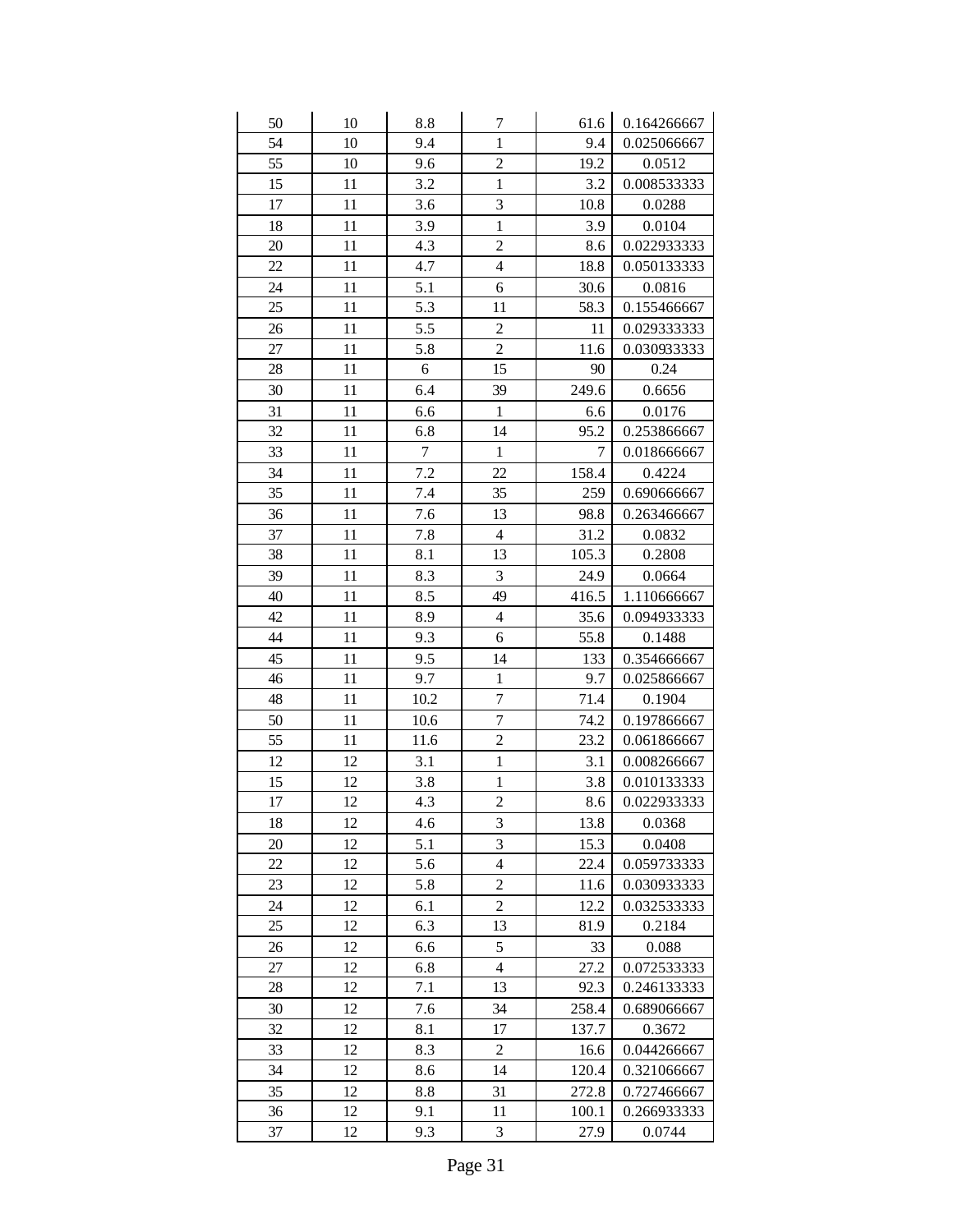| 50 | 10 | 8.8            | 7                       | 61.6  | 0.164266667 |
|----|----|----------------|-------------------------|-------|-------------|
| 54 | 10 | 9.4            | $\mathbf{1}$            | 9.4   | 0.025066667 |
| 55 | 10 | 9.6            | $\overline{c}$          | 19.2  | 0.0512      |
| 15 | 11 | 3.2            | $\mathbf{1}$            | 3.2   | 0.008533333 |
| 17 | 11 | 3.6            | $\overline{\mathbf{3}}$ | 10.8  | 0.0288      |
| 18 | 11 | 3.9            | $\mathbf{1}$            | 3.9   | 0.0104      |
| 20 | 11 | 4.3            | $\overline{c}$          | 8.6   | 0.022933333 |
| 22 | 11 | 4.7            | $\overline{4}$          | 18.8  | 0.050133333 |
| 24 | 11 | 5.1            | 6                       | 30.6  | 0.0816      |
| 25 | 11 | 5.3            | 11                      | 58.3  | 0.155466667 |
| 26 | 11 | 5.5            | $\overline{c}$          | 11    | 0.029333333 |
| 27 | 11 | 5.8            | $\overline{2}$          | 11.6  | 0.030933333 |
| 28 | 11 | 6              | 15                      | 90    | 0.24        |
| 30 | 11 | 6.4            | 39                      | 249.6 | 0.6656      |
| 31 | 11 | 6.6            | $\mathbf{1}$            | 6.6   | 0.0176      |
| 32 | 11 | 6.8            | 14                      | 95.2  | 0.253866667 |
| 33 | 11 | $\overline{7}$ | $\mathbf{1}$            | 7     | 0.018666667 |
| 34 | 11 | 7.2            | 22                      | 158.4 | 0.4224      |
| 35 | 11 | 7.4            | 35                      | 259   | 0.690666667 |
| 36 | 11 | 7.6            | 13                      | 98.8  | 0.263466667 |
| 37 | 11 | 7.8            | $\overline{4}$          | 31.2  | 0.0832      |
| 38 | 11 | 8.1            | 13                      | 105.3 | 0.2808      |
| 39 | 11 | 8.3            | 3                       | 24.9  | 0.0664      |
| 40 | 11 | 8.5            | 49                      | 416.5 | 1.110666667 |
| 42 | 11 | 8.9            | $\overline{4}$          | 35.6  | 0.094933333 |
| 44 | 11 | 9.3            | 6                       | 55.8  | 0.1488      |
| 45 | 11 | 9.5            | 14                      | 133   | 0.354666667 |
| 46 | 11 | 9.7            | $\mathbf{1}$            | 9.7   | 0.025866667 |
| 48 | 11 | 10.2           | $\overline{7}$          | 71.4  | 0.1904      |
| 50 | 11 | 10.6           | $\overline{7}$          | 74.2  | 0.197866667 |
| 55 | 11 | 11.6           | $\overline{c}$          | 23.2  | 0.061866667 |
| 12 | 12 | 3.1            | $\mathbf{1}$            | 3.1   | 0.008266667 |
| 15 | 12 | $3.8\,$        | $\mathbf 1$             | 3.8   | 0.010133333 |
| 17 | 12 | 4.3            | $\overline{c}$          | 8.6   | 0.022933333 |
| 18 | 12 | 4.6            | $\mathfrak{Z}$          | 13.8  | 0.0368      |
| 20 | 12 |                |                         |       |             |
| 22 |    | 5.1            | 3                       | 15.3  | 0.0408      |
|    | 12 | 5.6            | $\overline{4}$          | 22.4  | 0.059733333 |
| 23 | 12 | 5.8            | $\overline{c}$          | 11.6  | 0.030933333 |
| 24 | 12 | 6.1            | $\overline{c}$          | 12.2  | 0.032533333 |
| 25 | 12 | 6.3            | 13                      | 81.9  | 0.2184      |
| 26 | 12 | 6.6            | 5                       | 33    | 0.088       |
| 27 | 12 | 6.8            | $\overline{4}$          | 27.2  | 0.072533333 |
| 28 | 12 | 7.1            | 13                      | 92.3  | 0.246133333 |
| 30 | 12 | 7.6            | 34                      | 258.4 | 0.689066667 |
| 32 | 12 | 8.1            | 17                      | 137.7 | 0.3672      |
| 33 | 12 | 8.3            | $\overline{c}$          | 16.6  | 0.044266667 |
| 34 | 12 | 8.6            | 14                      | 120.4 | 0.321066667 |
| 35 | 12 | 8.8            | 31                      | 272.8 | 0.727466667 |
| 36 | 12 | 9.1            | 11                      | 100.1 | 0.266933333 |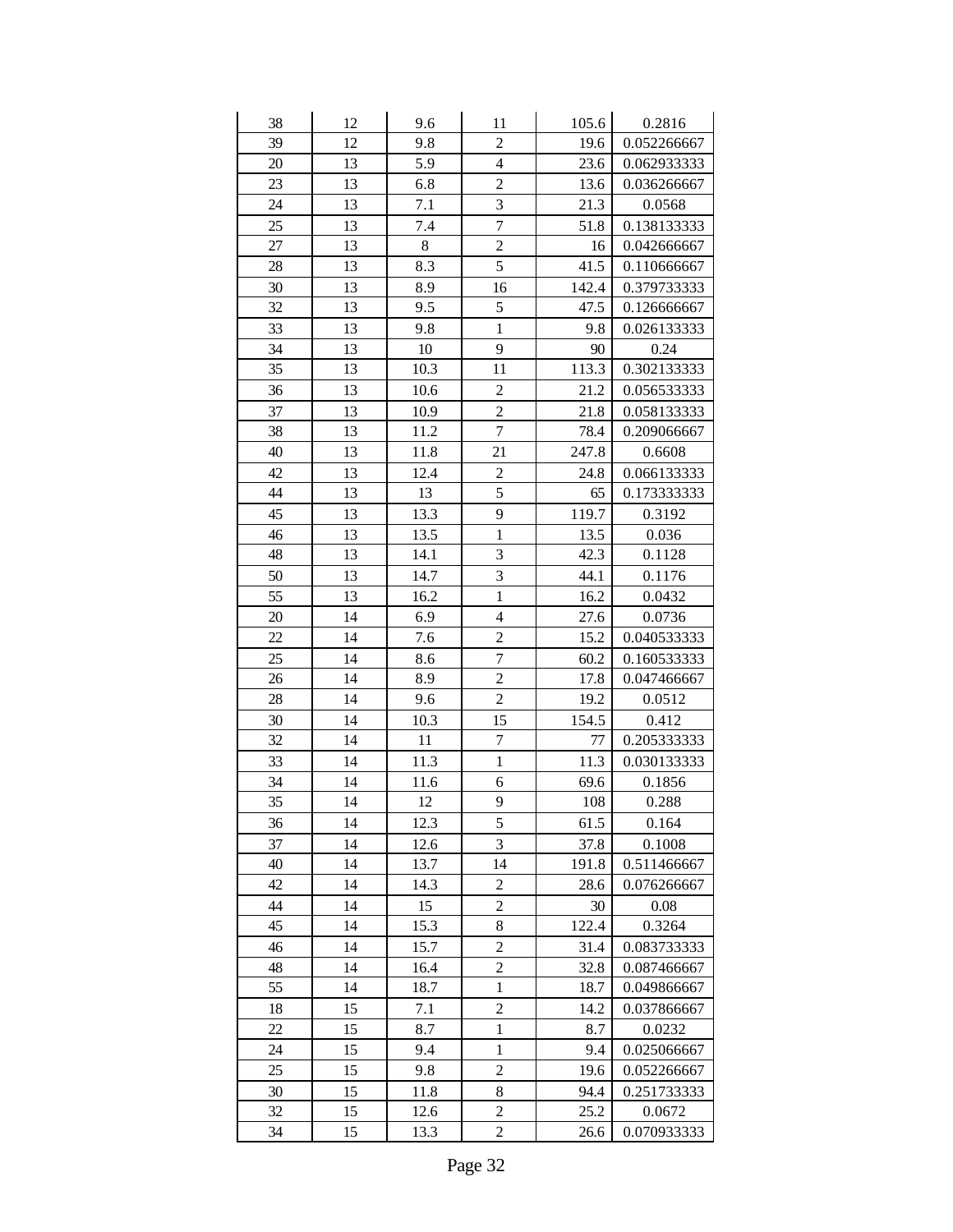| 38 | 12 | 9.6  | 11                      | 105.6 | 0.2816      |
|----|----|------|-------------------------|-------|-------------|
| 39 | 12 | 9.8  | $\overline{c}$          | 19.6  | 0.052266667 |
| 20 | 13 | 5.9  | $\overline{4}$          | 23.6  | 0.062933333 |
| 23 | 13 | 6.8  | $\overline{c}$          | 13.6  | 0.036266667 |
| 24 | 13 | 7.1  | $\overline{\mathbf{3}}$ | 21.3  | 0.0568      |
| 25 | 13 | 7.4  | $\overline{7}$          | 51.8  | 0.138133333 |
| 27 | 13 | 8    | $\overline{c}$          | 16    | 0.042666667 |
| 28 | 13 | 8.3  | 5                       | 41.5  | 0.110666667 |
| 30 | 13 | 8.9  | 16                      | 142.4 | 0.379733333 |
| 32 | 13 | 9.5  | 5                       | 47.5  | 0.126666667 |
| 33 | 13 | 9.8  | $\mathbf{1}$            | 9.8   | 0.026133333 |
| 34 | 13 | 10   | 9                       | 90    | 0.24        |
| 35 | 13 | 10.3 | 11                      | 113.3 | 0.302133333 |
| 36 | 13 | 10.6 | $\overline{c}$          | 21.2  | 0.056533333 |
| 37 | 13 | 10.9 | $\overline{c}$          | 21.8  | 0.058133333 |
| 38 | 13 | 11.2 | $\overline{7}$          | 78.4  | 0.209066667 |
| 40 | 13 | 11.8 | 21                      | 247.8 | 0.6608      |
| 42 | 13 | 12.4 | $\overline{c}$          | 24.8  | 0.066133333 |
| 44 | 13 | 13   | 5                       | 65    | 0.173333333 |
| 45 | 13 | 13.3 | 9                       | 119.7 | 0.3192      |
| 46 | 13 | 13.5 | $\mathbf{1}$            | 13.5  | 0.036       |
| 48 | 13 | 14.1 | 3                       | 42.3  | 0.1128      |
| 50 | 13 | 14.7 | $\overline{\mathbf{3}}$ | 44.1  | 0.1176      |
| 55 | 13 | 16.2 | $\mathbf{1}$            | 16.2  | 0.0432      |
| 20 | 14 | 6.9  | $\overline{4}$          | 27.6  | 0.0736      |
| 22 | 14 | 7.6  | $\overline{c}$          | 15.2  | 0.040533333 |
| 25 | 14 | 8.6  | $\overline{7}$          | 60.2  | 0.160533333 |
| 26 | 14 | 8.9  | $\overline{c}$          | 17.8  | 0.047466667 |
| 28 | 14 | 9.6  | $\overline{c}$          | 19.2  | 0.0512      |
| 30 | 14 | 10.3 | 15                      | 154.5 | 0.412       |
| 32 | 14 | 11   | $\boldsymbol{7}$        | 77    | 0.205333333 |
| 33 | 14 | 11.3 | $\mathbf{1}$            | 11.3  | 0.030133333 |
| 34 | 14 | 11.6 | 6                       | 69.6  | 0.1856      |
| 35 | 14 | 12   | 9                       | 108   | 0.288       |
| 36 | 14 | 12.3 | 5                       | 61.5  | 0.164       |
| 37 | 14 | 12.6 | 3                       | 37.8  | 0.1008      |
| 40 | 14 | 13.7 | 14                      | 191.8 | 0.511466667 |
| 42 | 14 | 14.3 | $\overline{c}$          | 28.6  | 0.076266667 |
| 44 | 14 | 15   | $\overline{c}$          | 30    | 0.08        |
| 45 | 14 | 15.3 | 8                       | 122.4 | 0.3264      |
| 46 | 14 | 15.7 | $\overline{c}$          | 31.4  | 0.083733333 |
| 48 | 14 | 16.4 | $\overline{c}$          | 32.8  | 0.087466667 |
| 55 | 14 | 18.7 | $\mathbf{1}$            | 18.7  | 0.049866667 |
| 18 | 15 | 7.1  | $\overline{c}$          | 14.2  | 0.037866667 |
| 22 | 15 | 8.7  | $\mathbf{1}$            | 8.7   | 0.0232      |
| 24 | 15 | 9.4  | $\mathbf{1}$            | 9.4   | 0.025066667 |
| 25 | 15 | 9.8  | $\overline{c}$          | 19.6  | 0.052266667 |
| 30 | 15 | 11.8 | 8                       | 94.4  | 0.251733333 |
| 32 | 15 | 12.6 | $\overline{c}$          | 25.2  | 0.0672      |
| 34 | 15 | 13.3 | $\overline{c}$          | 26.6  | 0.070933333 |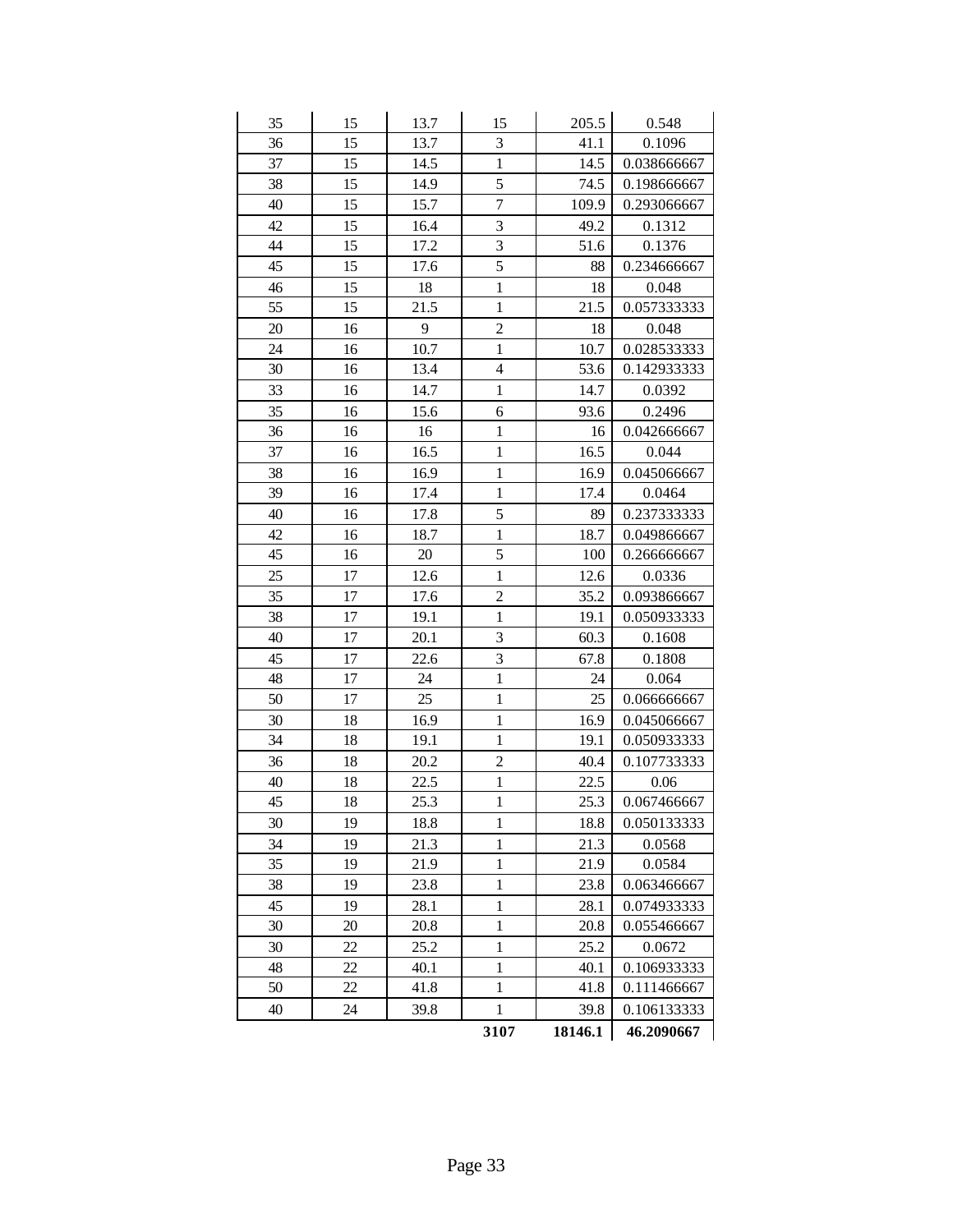| 35 | 15 | 13.7 | 15             | 205.5   | 0.548       |
|----|----|------|----------------|---------|-------------|
| 36 | 15 | 13.7 | 3              | 41.1    | 0.1096      |
| 37 | 15 | 14.5 | $\mathbf{1}$   | 14.5    | 0.038666667 |
| 38 | 15 | 14.9 | 5              | 74.5    | 0.198666667 |
| 40 | 15 | 15.7 | $\overline{7}$ | 109.9   | 0.293066667 |
| 42 | 15 | 16.4 | 3              | 49.2    | 0.1312      |
| 44 | 15 | 17.2 | 3              | 51.6    | 0.1376      |
| 45 | 15 | 17.6 | 5              | 88      | 0.234666667 |
| 46 | 15 | 18   | $\mathbf{1}$   | 18      | 0.048       |
| 55 | 15 | 21.5 | $\mathbf 1$    | 21.5    | 0.057333333 |
| 20 | 16 | 9    | $\overline{c}$ | 18      | 0.048       |
| 24 | 16 | 10.7 | $\mathbf{1}$   | 10.7    | 0.028533333 |
| 30 | 16 | 13.4 | 4              | 53.6    | 0.142933333 |
| 33 | 16 | 14.7 | $\mathbf 1$    | 14.7    | 0.0392      |
| 35 | 16 | 15.6 | 6              | 93.6    | 0.2496      |
| 36 | 16 | 16   | $\mathbf 1$    | 16      | 0.042666667 |
| 37 | 16 | 16.5 | $\mathbf{1}$   | 16.5    | 0.044       |
| 38 | 16 | 16.9 | $\mathbf{1}$   | 16.9    | 0.045066667 |
| 39 | 16 | 17.4 | $\mathbf{1}$   | 17.4    | 0.0464      |
| 40 | 16 | 17.8 | 5              | 89      | 0.237333333 |
| 42 | 16 | 18.7 | $\mathbf 1$    | 18.7    | 0.049866667 |
| 45 | 16 | 20   | 5              | 100     | 0.266666667 |
| 25 | 17 | 12.6 | $\mathbf{1}$   | 12.6    | 0.0336      |
| 35 | 17 | 17.6 | $\overline{c}$ | 35.2    | 0.093866667 |
| 38 | 17 | 19.1 | $\mathbf{1}$   | 19.1    | 0.050933333 |
| 40 | 17 | 20.1 | 3              | 60.3    | 0.1608      |
| 45 | 17 | 22.6 | 3              | 67.8    | 0.1808      |
| 48 | 17 | 24   | $\mathbf{1}$   | 24      | 0.064       |
| 50 | 17 | 25   | $\mathbf 1$    | 25      | 0.066666667 |
| 30 | 18 | 16.9 | $\mathbf{1}$   | 16.9    | 0.045066667 |
| 34 | 18 | 19.1 | $\mathbf{1}$   | 19.1    | 0.050933333 |
| 36 | 18 | 20.2 | $\overline{c}$ | 40.4    | 0.107733333 |
| 40 | 18 | 22.5 | $\mathbf{1}$   | 22.5    | 0.06        |
| 45 | 18 | 25.3 | $\mathbf{1}$   | 25.3    | 0.067466667 |
| 30 | 19 | 18.8 | $\mathbf{1}$   | 18.8    | 0.050133333 |
| 34 | 19 | 21.3 | $\mathbf{1}$   | 21.3    | 0.0568      |
| 35 | 19 | 21.9 | $\mathbf{1}$   | 21.9    | 0.0584      |
| 38 | 19 | 23.8 | $\,1$          | 23.8    | 0.063466667 |
| 45 | 19 | 28.1 | $\mathbf{1}$   | 28.1    | 0.074933333 |
| 30 | 20 | 20.8 | $\mathbf{1}$   | 20.8    | 0.055466667 |
| 30 | 22 | 25.2 | $\mathbf{1}$   | 25.2    | 0.0672      |
| 48 | 22 | 40.1 | $\mathbf{1}$   | 40.1    | 0.106933333 |
| 50 | 22 | 41.8 | $\mathbf{1}$   | 41.8    | 0.111466667 |
| 40 | 24 | 39.8 | $\mathbf{1}$   | 39.8    | 0.106133333 |
|    |    |      | 3107           | 18146.1 | 46.2090667  |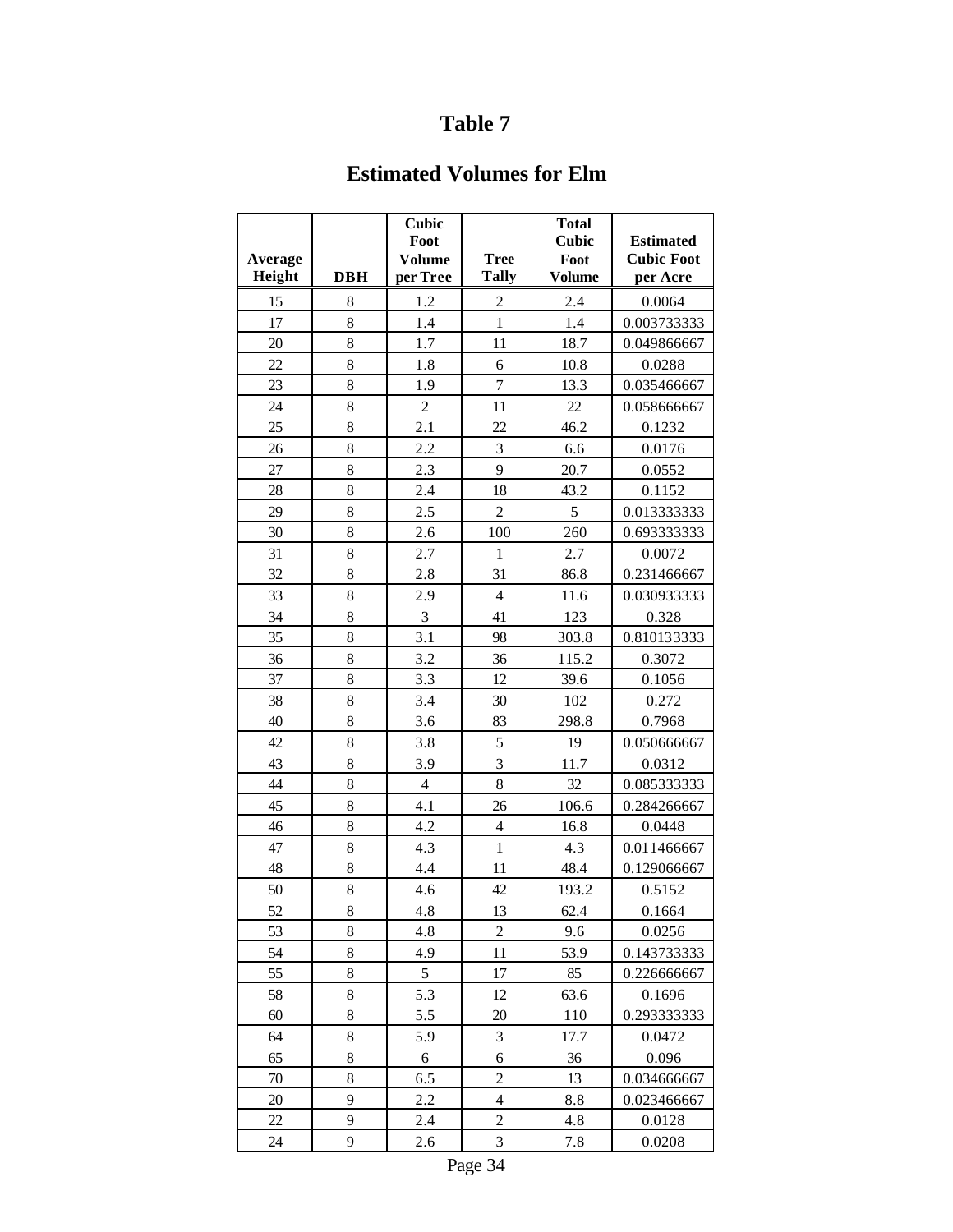## **Estimated Volumes for Elm**

| Average<br>Height | <b>DBH</b> | Cubic<br>Foot<br><b>Volume</b><br>per Tree | <b>Tree</b><br><b>Tally</b> | <b>Total</b><br><b>Cubic</b><br>Foot<br><b>Volume</b> | <b>Estimated</b><br><b>Cubic Foot</b><br>per Acre |
|-------------------|------------|--------------------------------------------|-----------------------------|-------------------------------------------------------|---------------------------------------------------|
| 15                | 8          | 1.2                                        | 2                           | 2.4                                                   | 0.0064                                            |
| 17                | 8          | 1.4                                        | $\mathbf{1}$                | 1.4                                                   | 0.003733333                                       |
| 20                | 8          | 1.7                                        | 11                          | 18.7                                                  | 0.049866667                                       |
| 22                | 8          | 1.8                                        | 6                           | 10.8                                                  | 0.0288                                            |
| 23                | 8          | 1.9                                        | $\overline{7}$              | 13.3                                                  | 0.035466667                                       |
| 24                | 8          | $\overline{2}$                             | 11                          | 22                                                    | 0.058666667                                       |
| 25                | 8          | 2.1                                        | 22                          | 46.2                                                  | 0.1232                                            |
| 26                | 8          | 2.2                                        | 3                           | 6.6                                                   | 0.0176                                            |
| 27                | 8          | 2.3                                        | 9                           | 20.7                                                  | 0.0552                                            |
| 28                | 8          | 2.4                                        | 18                          | 43.2                                                  | 0.1152                                            |
| 29                | 8          | 2.5                                        | $\overline{c}$              | 5                                                     | 0.013333333                                       |
| 30                | 8          | 2.6                                        | 100                         | 260                                                   | 0.693333333                                       |
| 31                | 8          | 2.7                                        | $\mathbf{1}$                | 2.7                                                   | 0.0072                                            |
| 32                | 8          | 2.8                                        | 31                          | 86.8                                                  | 0.231466667                                       |
| 33                | 8          | 2.9                                        | $\overline{4}$              | 11.6                                                  | 0.030933333                                       |
| 34                | 8          | 3                                          | 41                          | 123                                                   | 0.328                                             |
| 35                | 8          | 3.1                                        | 98                          | 303.8                                                 | 0.810133333                                       |
| 36                | 8          | 3.2                                        | 36                          | 115.2                                                 | 0.3072                                            |
| 37                | 8          | 3.3                                        | 12                          | 39.6                                                  | 0.1056                                            |
| 38                | 8          | 3.4                                        | 30                          | 102                                                   | 0.272                                             |
| 40                | 8          | 3.6                                        | 83                          | 298.8                                                 | 0.7968                                            |
| 42                | 8          | 3.8                                        | 5                           | 19                                                    | 0.050666667                                       |
| 43                | 8          | 3.9                                        | $\overline{3}$              | 11.7                                                  | 0.0312                                            |
| 44                | 8          | $\overline{4}$                             | 8                           | 32                                                    | 0.085333333                                       |
| 45                | 8          | 4.1                                        | 26                          | 106.6                                                 | 0.284266667                                       |
| 46                | 8          | 4.2                                        | $\overline{4}$              | 16.8                                                  | 0.0448                                            |
| 47                | 8          | 4.3                                        | $\mathbf{1}$                | 4.3                                                   | 0.011466667                                       |
| 48                | 8          | 4.4                                        | 11                          | 48.4                                                  | 0.129066667                                       |
| 50                | 8          | 4.6                                        | 42                          | 193.2                                                 | 0.5152                                            |
| 52                | 8          | 4.8                                        | 13                          | 62.4                                                  | 0.1664                                            |
| 53                | 8          | 4.8                                        | $\overline{c}$              | 9.6                                                   | 0.0256                                            |
| 54                | 8          | 4.9                                        | 11                          | 53.9                                                  | 0.143733333                                       |
| 55                | 8          | 5                                          | 17                          | 85                                                    | 0.226666667                                       |
| 58                | 8          | 5.3                                        | 12                          | 63.6                                                  | 0.1696                                            |
| 60                | 8          | 5.5                                        | 20                          | 110                                                   | 0.293333333                                       |
| 64                | 8          | 5.9                                        | 3                           | 17.7                                                  | 0.0472                                            |
| 65                | 8          | 6                                          | 6                           | 36                                                    | 0.096                                             |
| 70                | 8          | 6.5                                        | $\overline{c}$              | 13                                                    | 0.034666667                                       |
| 20                | 9          | 2.2                                        | $\overline{4}$              | 8.8                                                   | 0.023466667                                       |
| 22                | 9          | 2.4                                        | $\overline{c}$              | 4.8                                                   | 0.0128                                            |
| 24                | 9          | 2.6                                        | 3                           | 7.8                                                   | 0.0208                                            |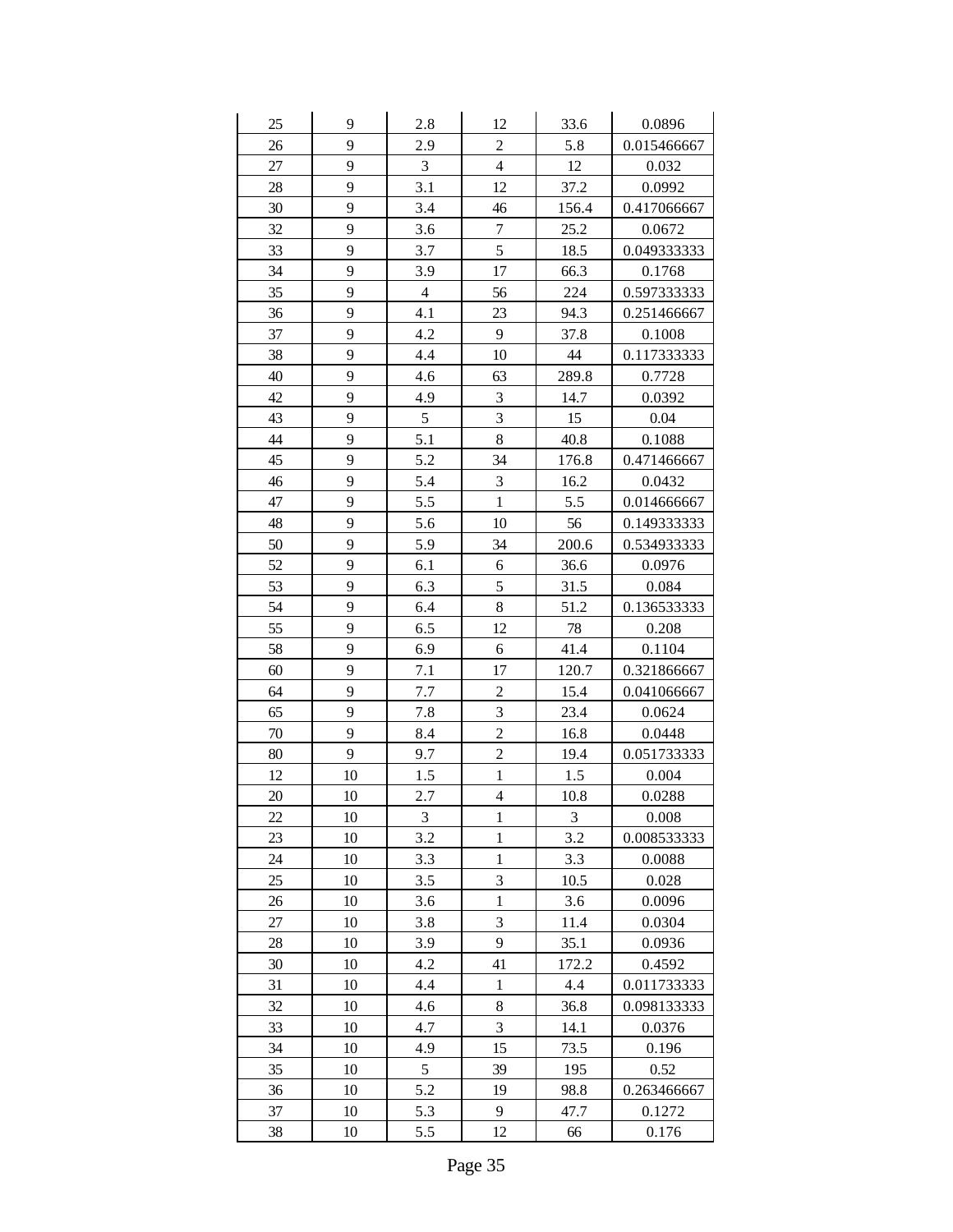| 25     | 9  | 2.8            | 12                      | 33.6  | 0.0896      |
|--------|----|----------------|-------------------------|-------|-------------|
| 26     | 9  | 2.9            | $\overline{c}$          | 5.8   | 0.015466667 |
| $27\,$ | 9  | $\mathfrak{Z}$ | $\overline{\mathbf{4}}$ | 12    | 0.032       |
| 28     | 9  | 3.1            | 12                      | 37.2  | 0.0992      |
| 30     | 9  | 3.4            | 46                      | 156.4 | 0.417066667 |
| 32     | 9  | 3.6            | 7                       | 25.2  | 0.0672      |
| 33     | 9  | 3.7            | 5                       | 18.5  | 0.049333333 |
| 34     | 9  | 3.9            | 17                      | 66.3  | 0.1768      |
| 35     | 9  | $\overline{4}$ | 56                      | 224   | 0.597333333 |
| 36     | 9  | 4.1            | 23                      | 94.3  | 0.251466667 |
| 37     | 9  | 4.2            | 9                       | 37.8  | 0.1008      |
| 38     | 9  | 4.4            | 10                      | 44    | 0.117333333 |
| 40     | 9  | 4.6            | 63                      | 289.8 | 0.7728      |
| 42     | 9  | 4.9            | 3                       | 14.7  | 0.0392      |
| 43     | 9  | $\mathfrak s$  | 3                       | 15    | 0.04        |
| 44     | 9  | 5.1            | 8                       | 40.8  | 0.1088      |
| 45     | 9  | 5.2            | 34                      | 176.8 | 0.471466667 |
| 46     | 9  | 5.4            | 3                       | 16.2  | 0.0432      |
| 47     | 9  | 5.5            | $\mathbf{1}$            | 5.5   | 0.014666667 |
| 48     | 9  | 5.6            | 10                      | 56    | 0.149333333 |
| 50     | 9  | 5.9            | 34                      | 200.6 | 0.534933333 |
| 52     | 9  | 6.1            | 6                       | 36.6  | 0.0976      |
| 53     | 9  | 6.3            | 5                       | 31.5  | 0.084       |
| 54     | 9  | 6.4            | 8                       | 51.2  | 0.136533333 |
| 55     | 9  | 6.5            | 12                      | 78    | 0.208       |
| 58     | 9  | 6.9            | 6                       | 41.4  | 0.1104      |
| 60     | 9  | 7.1            | 17                      | 120.7 | 0.321866667 |
| 64     | 9  | 7.7            | $\overline{c}$          | 15.4  | 0.041066667 |
| 65     | 9  | 7.8            | 3                       | 23.4  | 0.0624      |
| 70     | 9  | 8.4            | $\overline{2}$          | 16.8  | 0.0448      |
| 80     | 9  | 9.7            | $\overline{c}$          | 19.4  | 0.051733333 |
| 12     | 10 | 1.5            | $\mathbf{1}$            | 1.5   | 0.004       |
| 20     | 10 | 2.7            | 4                       | 10.8  | 0.0288      |
| 22     | 10 | 3              | $\mathbf{1}$            | 3     | 0.008       |
| 23     | 10 | 3.2            | $\mathbf{1}$            | 3.2   | 0.008533333 |
| 24     | 10 | 3.3            | $\mathbf{1}$            | 3.3   | 0.0088      |
| 25     | 10 | 3.5            | 3                       | 10.5  | 0.028       |
| 26     | 10 | 3.6            | $\mathbf{1}$            | 3.6   | 0.0096      |
| $27\,$ | 10 | 3.8            | 3                       | 11.4  | 0.0304      |
| 28     | 10 | 3.9            | 9                       | 35.1  | 0.0936      |
| 30     | 10 | 4.2            | 41                      | 172.2 | 0.4592      |
| 31     | 10 | 4.4            | $\mathbf{1}$            | 4.4   | 0.011733333 |
| 32     | 10 | 4.6            | 8                       | 36.8  | 0.098133333 |
| 33     | 10 | 4.7            | 3                       | 14.1  | 0.0376      |
| 34     | 10 | 4.9            | 15                      | 73.5  | 0.196       |
| 35     | 10 | 5              | 39                      | 195   | 0.52        |
| 36     | 10 | 5.2            | 19                      | 98.8  | 0.263466667 |
| 37     | 10 | 5.3            | 9                       | 47.7  | 0.1272      |
| 38     | 10 | 5.5            | 12                      | 66    | 0.176       |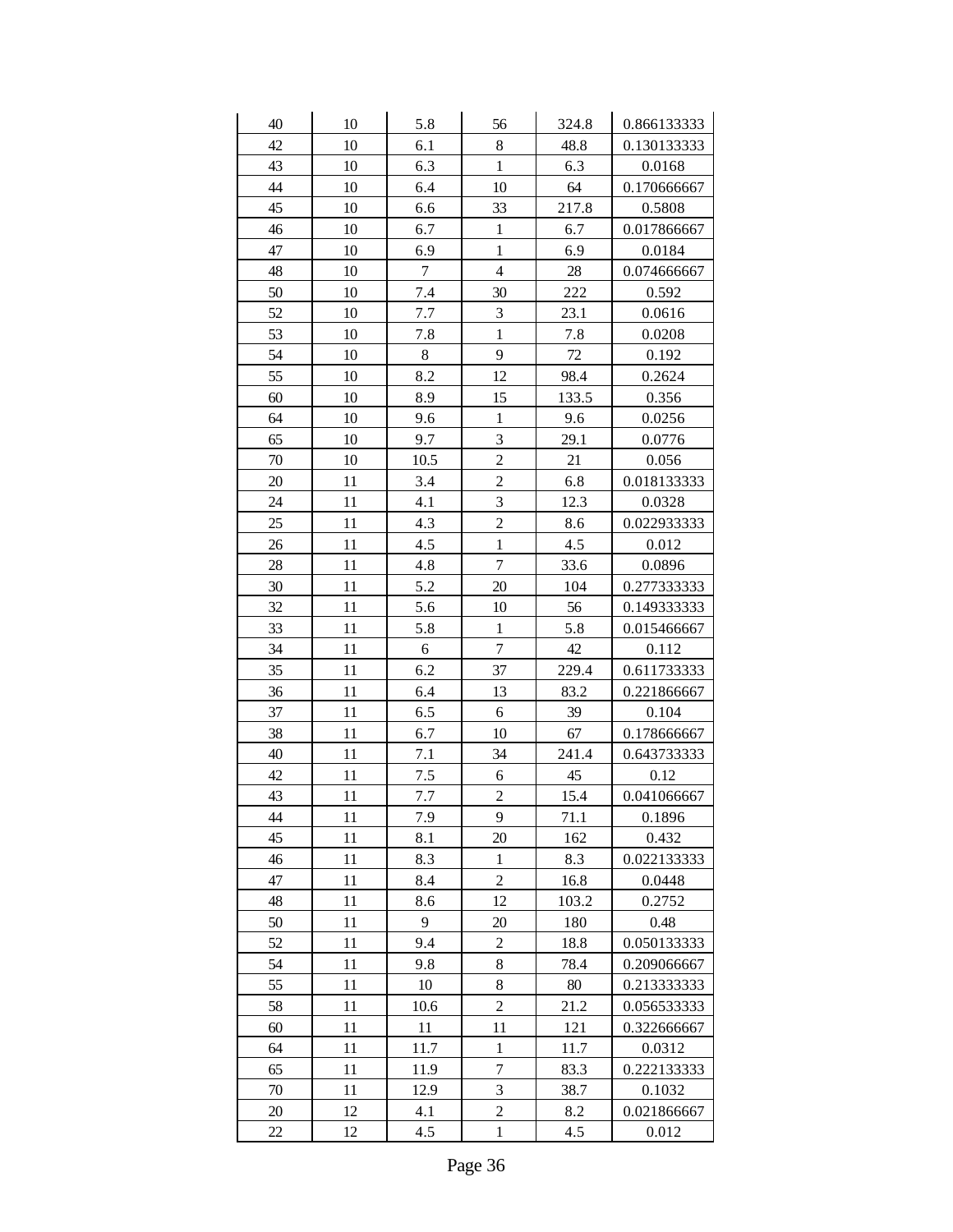| 40 | 10 | 5.8              | 56             | 324.8 | 0.866133333 |
|----|----|------------------|----------------|-------|-------------|
| 42 | 10 | 6.1              | 8              | 48.8  | 0.130133333 |
| 43 | 10 | 6.3              | $\mathbf{1}$   | 6.3   | 0.0168      |
| 44 | 10 | 6.4              | 10             | 64    | 0.170666667 |
| 45 | 10 | 6.6              | 33             | 217.8 | 0.5808      |
| 46 | 10 | 6.7              | $\mathbf{1}$   | 6.7   | 0.017866667 |
| 47 | 10 | 6.9              | $\mathbf{1}$   | 6.9   | 0.0184      |
| 48 | 10 | $\boldsymbol{7}$ | $\overline{4}$ | 28    | 0.074666667 |
| 50 | 10 | 7.4              | 30             | 222   | 0.592       |
| 52 | 10 | 7.7              | 3              | 23.1  | 0.0616      |
| 53 | 10 | 7.8              | $\mathbf{1}$   | 7.8   | 0.0208      |
| 54 | 10 | 8                | 9              | 72    | 0.192       |
| 55 | 10 | 8.2              | 12             | 98.4  | 0.2624      |
| 60 | 10 | 8.9              | 15             | 133.5 | 0.356       |
| 64 | 10 | 9.6              | $\mathbf{1}$   | 9.6   | 0.0256      |
| 65 | 10 | 9.7              | 3              | 29.1  | 0.0776      |
| 70 | 10 | 10.5             | $\overline{c}$ | 21    | 0.056       |
| 20 | 11 | 3.4              | $\overline{2}$ | 6.8   | 0.018133333 |
| 24 | 11 | 4.1              | 3              | 12.3  | 0.0328      |
| 25 | 11 | 4.3              | $\overline{c}$ | 8.6   | 0.022933333 |
| 26 | 11 | 4.5              | $\mathbf{1}$   | 4.5   | 0.012       |
| 28 | 11 | 4.8              | $\overline{7}$ | 33.6  | 0.0896      |
| 30 | 11 | 5.2              | 20             | 104   | 0.277333333 |
| 32 | 11 | 5.6              | 10             | 56    | 0.149333333 |
| 33 | 11 | 5.8              | $\mathbf 1$    | 5.8   | 0.015466667 |
| 34 | 11 | 6                | $\overline{7}$ | 42    | 0.112       |
| 35 | 11 | 6.2              | 37             | 229.4 | 0.611733333 |
| 36 | 11 | 6.4              | 13             | 83.2  | 0.221866667 |
| 37 | 11 | 6.5              | 6              | 39    | 0.104       |
| 38 | 11 | 6.7              | 10             | 67    | 0.178666667 |
| 40 | 11 | 7.1              | 34             | 241.4 | 0.643733333 |
| 42 | 11 | 7.5              | 6              | 45    | 0.12        |
| 43 | 11 | 7.7              | $\overline{c}$ | 15.4  | 0.041066667 |
| 44 | 11 | 7.9              | 9              | 71.1  | 0.1896      |
| 45 | 11 | 8.1              | 20             | 162   | 0.432       |
| 46 | 11 | 8.3              | $\,1$          | 8.3   | 0.022133333 |
| 47 | 11 | 8.4              | $\overline{c}$ | 16.8  | 0.0448      |
| 48 | 11 | 8.6              | 12             | 103.2 | 0.2752      |
| 50 | 11 | 9                | 20             | 180   | 0.48        |
| 52 | 11 | 9.4              | $\overline{c}$ | 18.8  | 0.050133333 |
| 54 | 11 | 9.8              | 8              | 78.4  | 0.209066667 |
| 55 | 11 | 10               | 8              | 80    | 0.213333333 |
| 58 | 11 | 10.6             | $\overline{c}$ | 21.2  | 0.056533333 |
| 60 | 11 | 11               | 11             | 121   | 0.322666667 |
| 64 | 11 | 11.7             | $\,1$          | 11.7  | 0.0312      |
| 65 | 11 | 11.9             | $\overline{7}$ | 83.3  | 0.222133333 |
| 70 | 11 | 12.9             | $\overline{3}$ | 38.7  | 0.1032      |
| 20 | 12 | 4.1              | $\overline{c}$ | 8.2   | 0.021866667 |
| 22 | 12 | 4.5              | $\mathbf{1}$   | 4.5   | 0.012       |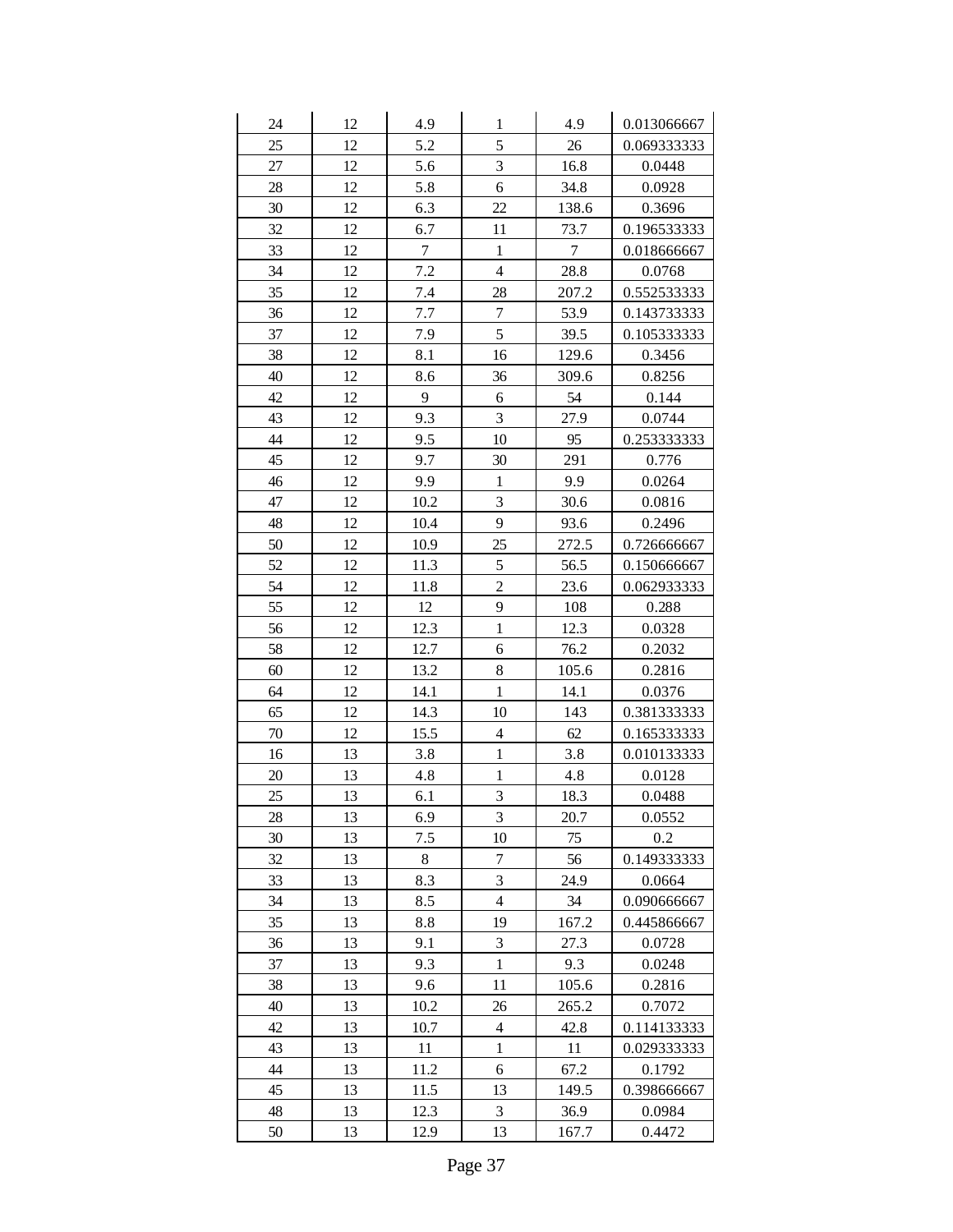| 24     | 12 | 4.9              | $\mathbf{1}$            | 4.9              | 0.013066667 |
|--------|----|------------------|-------------------------|------------------|-------------|
| 25     | 12 | 5.2              | 5                       | 26               | 0.069333333 |
| 27     | 12 | 5.6              | $\overline{3}$          | 16.8             | 0.0448      |
| 28     | 12 | 5.8              | $\sqrt{6}$              | 34.8             | 0.0928      |
| 30     | 12 | 6.3              | 22                      | 138.6            | 0.3696      |
| 32     | 12 | 6.7              | 11                      | 73.7             | 0.196533333 |
| 33     | 12 | $\boldsymbol{7}$ | $\,1$                   | $\boldsymbol{7}$ | 0.018666667 |
| 34     | 12 | 7.2              | $\overline{\mathbf{4}}$ | 28.8             | 0.0768      |
| 35     | 12 | 7.4              | 28                      | 207.2            | 0.552533333 |
| 36     | 12 | 7.7              | $\boldsymbol{7}$        | 53.9             | 0.143733333 |
| 37     | 12 | 7.9              | 5                       | 39.5             | 0.105333333 |
| 38     | 12 | 8.1              | 16                      | 129.6            | 0.3456      |
| 40     | 12 | 8.6              | 36                      | 309.6            | 0.8256      |
| 42     | 12 | 9                | 6                       | 54               | 0.144       |
| 43     | 12 | 9.3              | $\overline{3}$          | 27.9             | 0.0744      |
| 44     | 12 | 9.5              | 10                      | 95               | 0.253333333 |
| 45     | 12 | 9.7              | 30                      | 291              | 0.776       |
| 46     | 12 | 9.9              | $\mathbf{1}$            | 9.9              | 0.0264      |
| 47     | 12 | 10.2             | $\overline{3}$          | 30.6             | 0.0816      |
| 48     | 12 | 10.4             | 9                       | 93.6             | 0.2496      |
| 50     | 12 | 10.9             | 25                      | 272.5            | 0.726666667 |
| 52     | 12 | 11.3             | 5                       | 56.5             | 0.150666667 |
| 54     | 12 | 11.8             | $\overline{c}$          | 23.6             | 0.062933333 |
| 55     | 12 | 12               | 9                       | 108              | 0.288       |
| 56     | 12 | 12.3             | $\mathbf{1}$            | 12.3             | 0.0328      |
| 58     | 12 | 12.7             | 6                       | 76.2             | 0.2032      |
| 60     | 12 | 13.2             | $8\,$                   | 105.6            | 0.2816      |
| 64     | 12 | 14.1             | $\mathbf{1}$            | 14.1             | 0.0376      |
| 65     | 12 | 14.3             | 10                      | 143              | 0.381333333 |
| $70\,$ | 12 | 15.5             | $\overline{4}$          | 62               | 0.165333333 |
| 16     | 13 | 3.8              | $\,1$                   | 3.8              | 0.010133333 |
| 20     | 13 | 4.8              | $\mathbf{1}$            | 4.8              | 0.0128      |
| 25     | 13 | 6.1              | $\overline{3}$          | 18.3             | 0.0488      |
| 28     | 13 | 6.9              | 3                       | 20.7             | 0.0552      |
| 30     | 13 | 7.5              | 10                      | 75               | 0.2         |
| 32     | 13 | 8                | $\boldsymbol{7}$        | 56               | 0.149333333 |
| 33     | 13 | 8.3              | 3                       | 24.9             | 0.0664      |
| 34     | 13 | 8.5              | $\overline{4}$          | 34               | 0.090666667 |
| 35     | 13 | 8.8              | 19                      | 167.2            | 0.445866667 |
| 36     | 13 | 9.1              | $\mathfrak{Z}$          | 27.3             | 0.0728      |
| 37     | 13 | 9.3              | $\mathbf{1}$            | 9.3              | 0.0248      |
| 38     | 13 | 9.6              | 11                      | 105.6            | 0.2816      |
| 40     | 13 | 10.2             | 26                      | 265.2            | 0.7072      |
| 42     | 13 | 10.7             | $\overline{\mathbf{4}}$ | 42.8             | 0.114133333 |
| 43     | 13 | 11               | $\mathbf{1}$            | 11               | 0.029333333 |
| 44     | 13 | 11.2             | 6                       | 67.2             | 0.1792      |
| 45     | 13 | 11.5             | 13                      | 149.5            | 0.398666667 |
| 48     | 13 | 12.3             | $\mathfrak{Z}$          | 36.9             | 0.0984      |
| 50     | 13 | 12.9             | 13                      | 167.7            | 0.4472      |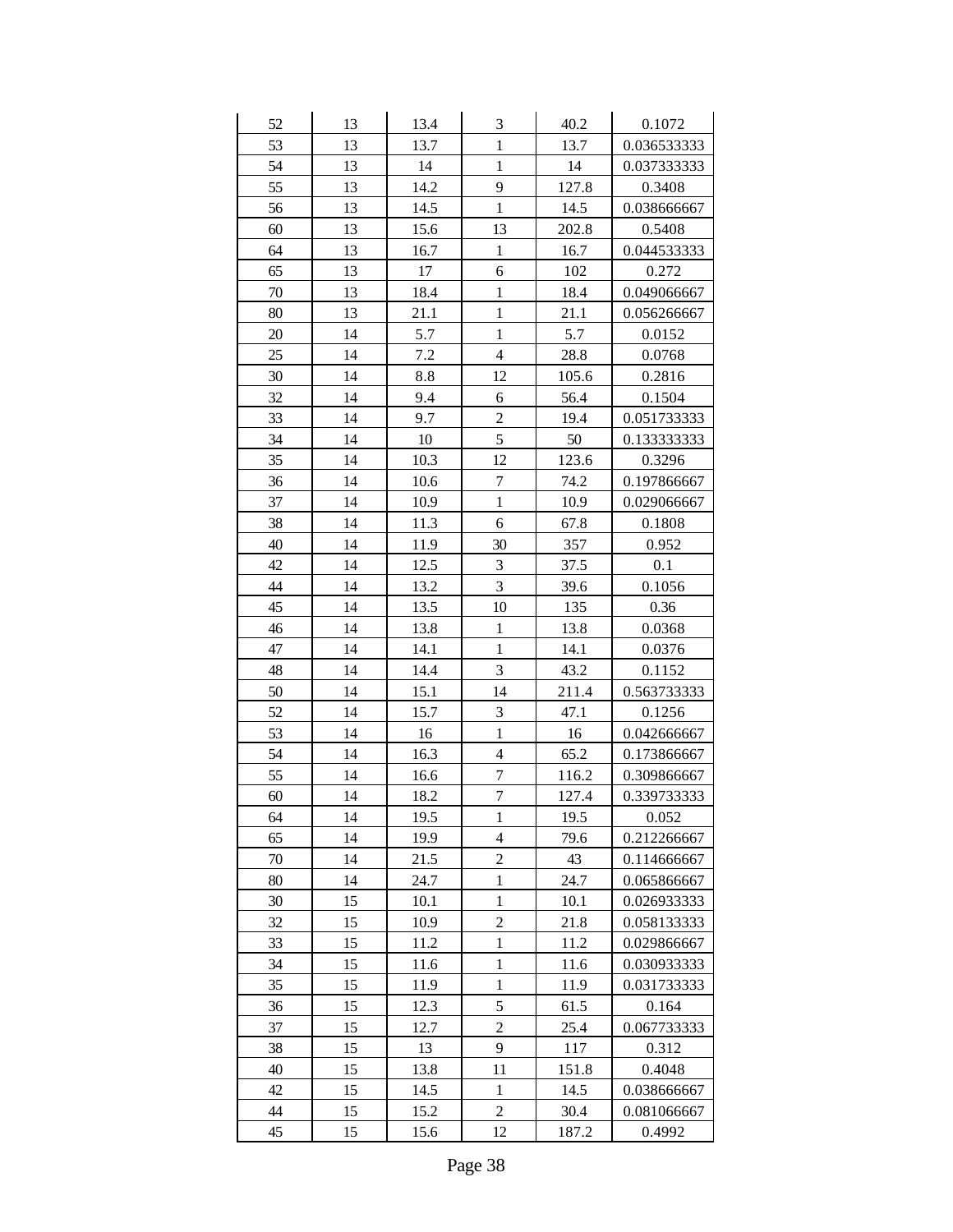| 52 | 13 | 13.4 | $\mathfrak{Z}$          | 40.2  | 0.1072      |
|----|----|------|-------------------------|-------|-------------|
| 53 | 13 | 13.7 | $\mathbf{1}$            | 13.7  | 0.036533333 |
| 54 | 13 | 14   | $\mathbf{1}$            | 14    | 0.037333333 |
| 55 | 13 | 14.2 | 9                       | 127.8 | 0.3408      |
| 56 | 13 | 14.5 | $\mathbf{1}$            | 14.5  | 0.038666667 |
| 60 | 13 | 15.6 | 13                      | 202.8 | 0.5408      |
| 64 | 13 | 16.7 | $\,1$                   | 16.7  | 0.044533333 |
| 65 | 13 | 17   | 6                       | 102   | 0.272       |
| 70 | 13 | 18.4 | $\mathbf{1}$            | 18.4  | 0.049066667 |
| 80 | 13 | 21.1 | $\mathbf{1}$            | 21.1  | 0.056266667 |
| 20 | 14 | 5.7  | $\mathbf{1}$            | 5.7   | 0.0152      |
| 25 | 14 | 7.2  | $\overline{4}$          | 28.8  | 0.0768      |
| 30 | 14 | 8.8  | 12                      | 105.6 | 0.2816      |
| 32 | 14 | 9.4  | 6                       | 56.4  | 0.1504      |
| 33 | 14 | 9.7  | $\overline{c}$          | 19.4  | 0.051733333 |
| 34 | 14 | 10   | 5                       | 50    | 0.133333333 |
| 35 | 14 | 10.3 | 12                      | 123.6 | 0.3296      |
| 36 | 14 | 10.6 | $\boldsymbol{7}$        | 74.2  | 0.197866667 |
| 37 | 14 | 10.9 | $\mathbf 1$             | 10.9  | 0.029066667 |
| 38 | 14 | 11.3 | 6                       | 67.8  | 0.1808      |
| 40 | 14 | 11.9 | 30                      | 357   | 0.952       |
| 42 | 14 | 12.5 | 3                       | 37.5  | 0.1         |
| 44 | 14 | 13.2 | $\overline{3}$          | 39.6  | 0.1056      |
| 45 | 14 | 13.5 | 10                      | 135   | 0.36        |
| 46 | 14 | 13.8 | $\mathbf{1}$            | 13.8  | 0.0368      |
| 47 | 14 | 14.1 | $\mathbf{1}$            | 14.1  | 0.0376      |
| 48 | 14 | 14.4 | $\overline{3}$          | 43.2  | 0.1152      |
| 50 | 14 | 15.1 | 14                      | 211.4 | 0.563733333 |
| 52 | 14 | 15.7 | 3                       | 47.1  | 0.1256      |
| 53 | 14 | 16   | $\mathbf{1}$            | 16    | 0.042666667 |
| 54 | 14 | 16.3 | $\overline{\mathbf{4}}$ | 65.2  | 0.173866667 |
| 55 | 14 | 16.6 | $\tau$                  | 116.2 | 0.309866667 |
| 60 | 14 | 18.2 | $\overline{7}$          | 127.4 | 0.339733333 |
| 64 | 14 | 19.5 | $\mathbf{1}$            | 19.5  | 0.052       |
| 65 | 14 | 19.9 | $\overline{4}$          | 79.6  | 0.212266667 |
| 70 | 14 | 21.5 | $\overline{c}$          | 43    | 0.114666667 |
| 80 | 14 | 24.7 | $\mathbf{1}$            | 24.7  | 0.065866667 |
| 30 | 15 | 10.1 | $\mathbf{1}$            | 10.1  | 0.026933333 |
| 32 | 15 | 10.9 | $\overline{c}$          | 21.8  | 0.058133333 |
| 33 | 15 | 11.2 | $\mathbf{1}$            | 11.2  | 0.029866667 |
| 34 | 15 | 11.6 | $\mathbf{1}$            | 11.6  | 0.030933333 |
| 35 | 15 | 11.9 | $\mathbf{1}$            | 11.9  | 0.031733333 |
| 36 | 15 | 12.3 | 5                       | 61.5  | 0.164       |
| 37 | 15 | 12.7 | $\overline{2}$          | 25.4  | 0.067733333 |
| 38 | 15 | 13   | 9                       | 117   | 0.312       |
| 40 | 15 | 13.8 | 11                      | 151.8 | 0.4048      |
| 42 | 15 | 14.5 | $\mathbf{1}$            | 14.5  | 0.038666667 |
| 44 | 15 | 15.2 | $\overline{2}$          | 30.4  | 0.081066667 |
| 45 | 15 | 15.6 | 12                      | 187.2 | 0.4992      |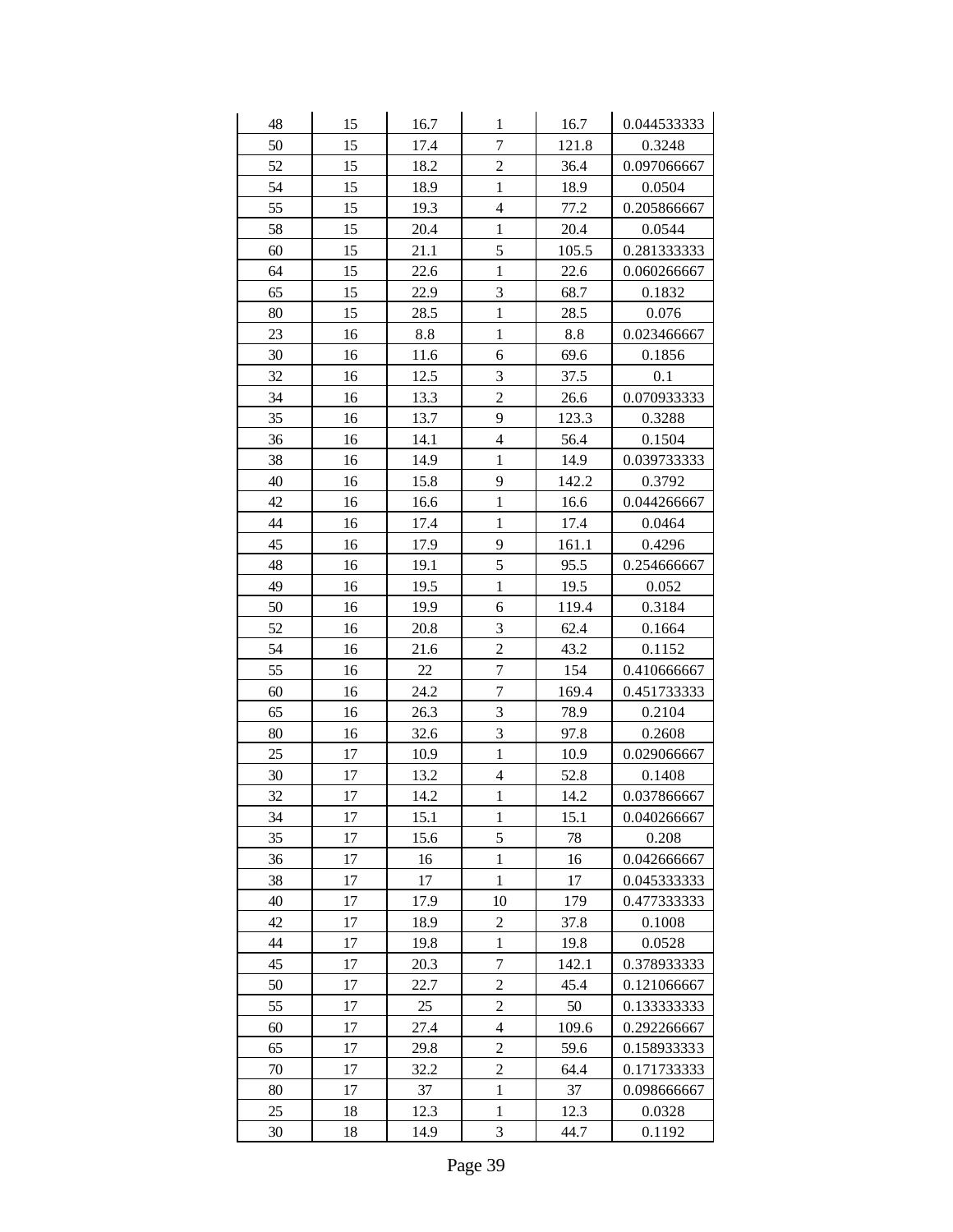| 48 | 15 | 16.7   | $\mathbf{1}$     | 16.7  | 0.044533333 |
|----|----|--------|------------------|-------|-------------|
| 50 | 15 | 17.4   | $\overline{7}$   | 121.8 | 0.3248      |
| 52 | 15 | 18.2   | $\overline{c}$   | 36.4  | 0.097066667 |
| 54 | 15 | 18.9   | $\mathbf{1}$     | 18.9  | 0.0504      |
| 55 | 15 | 19.3   | $\overline{4}$   | 77.2  | 0.205866667 |
| 58 | 15 | 20.4   | $\mathbf{1}$     | 20.4  | 0.0544      |
| 60 | 15 | 21.1   | 5                | 105.5 | 0.281333333 |
| 64 | 15 | 22.6   | $\mathbf{1}$     | 22.6  | 0.060266667 |
| 65 | 15 | 22.9   | 3                | 68.7  | 0.1832      |
| 80 | 15 | 28.5   | $\mathbf{1}$     | 28.5  | 0.076       |
| 23 | 16 | 8.8    | $\mathbf{1}$     | 8.8   | 0.023466667 |
| 30 | 16 | 11.6   | 6                | 69.6  | 0.1856      |
| 32 | 16 | 12.5   | 3                | 37.5  | 0.1         |
| 34 | 16 | 13.3   | $\overline{2}$   | 26.6  | 0.070933333 |
| 35 | 16 | 13.7   | 9                | 123.3 | 0.3288      |
| 36 | 16 | 14.1   | $\overline{4}$   | 56.4  | 0.1504      |
| 38 | 16 | 14.9   | $\mathbf{1}$     | 14.9  | 0.039733333 |
| 40 | 16 | 15.8   | 9                | 142.2 | 0.3792      |
| 42 | 16 | 16.6   | $\mathbf{1}$     | 16.6  | 0.044266667 |
| 44 | 16 | 17.4   | $\mathbf{1}$     | 17.4  | 0.0464      |
| 45 | 16 | 17.9   | 9                | 161.1 | 0.4296      |
| 48 | 16 | 19.1   | 5                | 95.5  | 0.254666667 |
| 49 | 16 | 19.5   | $\mathbf{1}$     | 19.5  | 0.052       |
| 50 | 16 | 19.9   | 6                | 119.4 | 0.3184      |
| 52 | 16 | 20.8   | 3                | 62.4  | 0.1664      |
| 54 | 16 | 21.6   | $\overline{2}$   | 43.2  | 0.1152      |
| 55 | 16 | $22\,$ | $\overline{7}$   | 154   | 0.410666667 |
| 60 | 16 | 24.2   | $\overline{7}$   | 169.4 | 0.451733333 |
| 65 | 16 | 26.3   | 3                | 78.9  | 0.2104      |
| 80 | 16 | 32.6   | $\overline{3}$   | 97.8  | 0.2608      |
| 25 | 17 | 10.9   | $\mathbf{1}$     | 10.9  | 0.029066667 |
| 30 | 17 | 13.2   | $\overline{4}$   | 52.8  | 0.1408      |
| 32 | 17 | 14.2   | $\mathbf{1}$     | 14.2  | 0.037866667 |
| 34 | 17 | 15.1   | $\,1$            | 15.1  | 0.040266667 |
| 35 | 17 | 15.6   | 5                | 78    | 0.208       |
| 36 | 17 | 16     | $\mathbf{1}$     | 16    | 0.042666667 |
| 38 | 17 | 17     | $\mathbf{1}$     | 17    | 0.045333333 |
| 40 | 17 | 17.9   | 10               | 179   | 0.477333333 |
| 42 | 17 | 18.9   | $\overline{c}$   | 37.8  | 0.1008      |
| 44 | 17 | 19.8   | $\,1$            | 19.8  | 0.0528      |
| 45 | 17 | 20.3   | $\boldsymbol{7}$ | 142.1 | 0.378933333 |
| 50 | 17 | 22.7   | $\overline{c}$   | 45.4  | 0.121066667 |
| 55 | 17 | 25     | $\overline{c}$   | 50    | 0.133333333 |
| 60 | 17 | 27.4   | 4                | 109.6 | 0.292266667 |
| 65 | 17 | 29.8   | $\overline{c}$   | 59.6  | 0.158933333 |
| 70 | 17 | 32.2   | $\overline{2}$   | 64.4  | 0.171733333 |
| 80 | 17 | 37     | $\mathbf 1$      | 37    | 0.098666667 |
| 25 | 18 | 12.3   | $\,1$            | 12.3  | 0.0328      |
| 30 | 18 | 14.9   | $\mathfrak{Z}$   | 44.7  | 0.1192      |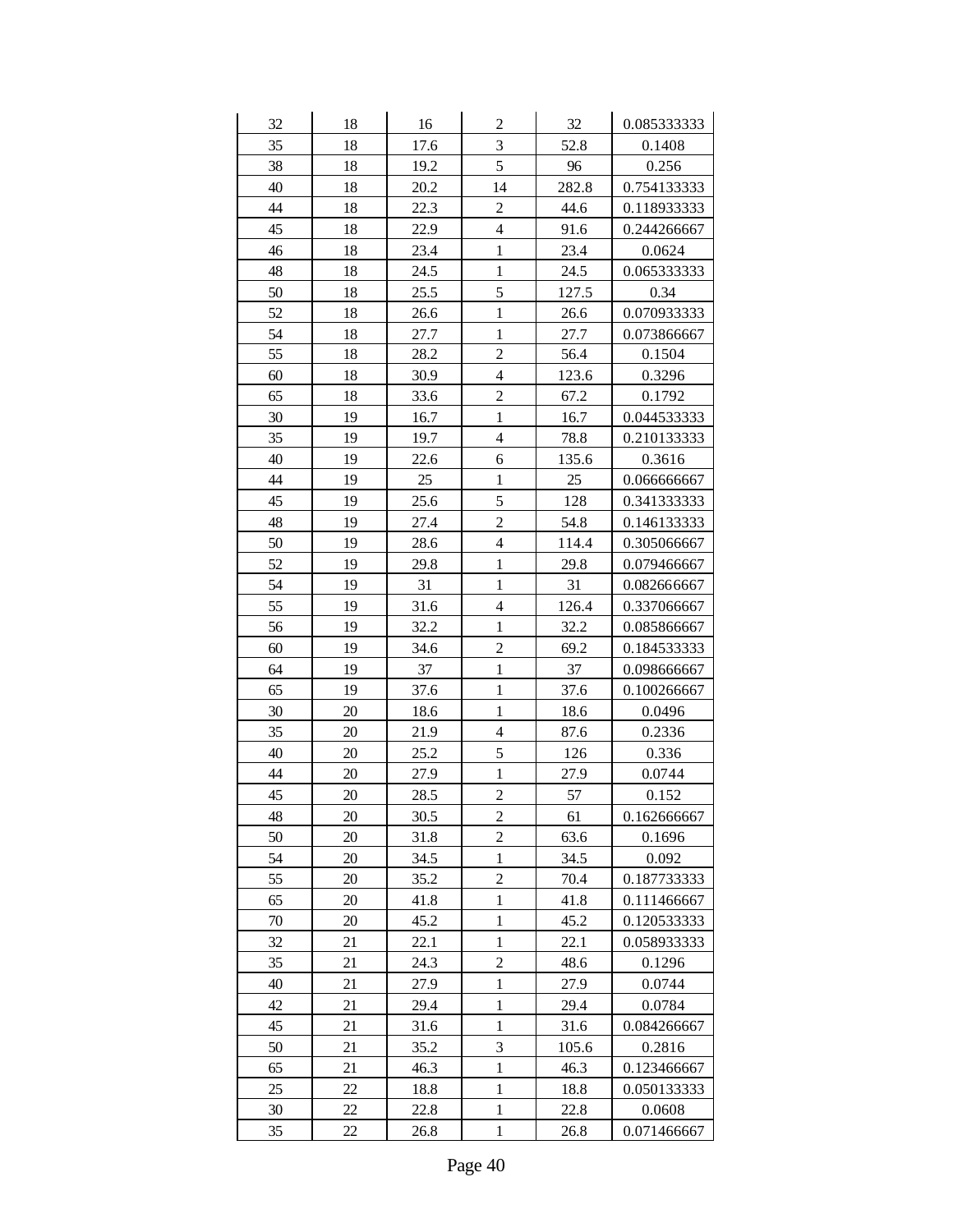| 32 | 18 | 16   | $\overline{c}$          | 32    | 0.085333333 |
|----|----|------|-------------------------|-------|-------------|
| 35 | 18 | 17.6 | 3                       | 52.8  | 0.1408      |
| 38 | 18 | 19.2 | 5                       | 96    | 0.256       |
| 40 | 18 | 20.2 | 14                      | 282.8 | 0.754133333 |
| 44 | 18 | 22.3 | $\overline{c}$          | 44.6  | 0.118933333 |
| 45 | 18 | 22.9 | $\overline{4}$          | 91.6  | 0.244266667 |
| 46 | 18 | 23.4 | $\mathbf{1}$            | 23.4  | 0.0624      |
| 48 | 18 | 24.5 | $\mathbf{1}$            | 24.5  | 0.065333333 |
| 50 | 18 | 25.5 | 5                       | 127.5 | 0.34        |
| 52 | 18 | 26.6 | $\mathbf{1}$            | 26.6  | 0.070933333 |
| 54 | 18 | 27.7 | $\mathbf{1}$            | 27.7  | 0.073866667 |
| 55 | 18 | 28.2 | $\overline{c}$          | 56.4  | 0.1504      |
| 60 | 18 | 30.9 | $\overline{\mathbf{4}}$ | 123.6 | 0.3296      |
| 65 | 18 | 33.6 | $\overline{c}$          | 67.2  | 0.1792      |
| 30 | 19 | 16.7 | $\mathbf{1}$            | 16.7  | 0.044533333 |
| 35 | 19 | 19.7 | $\overline{4}$          | 78.8  | 0.210133333 |
| 40 | 19 | 22.6 | 6                       | 135.6 | 0.3616      |
| 44 | 19 | 25   | $\mathbf{1}$            | 25    | 0.066666667 |
| 45 | 19 | 25.6 | 5                       | 128   | 0.341333333 |
| 48 | 19 | 27.4 | $\overline{c}$          | 54.8  | 0.146133333 |
| 50 | 19 | 28.6 | $\overline{4}$          | 114.4 | 0.305066667 |
| 52 | 19 | 29.8 | $\mathbf{1}$            | 29.8  | 0.079466667 |
| 54 | 19 | 31   | $\mathbf{1}$            | 31    | 0.082666667 |
| 55 | 19 | 31.6 | $\overline{\mathbf{4}}$ | 126.4 | 0.337066667 |
| 56 | 19 | 32.2 | $\mathbf{1}$            | 32.2  | 0.085866667 |
| 60 | 19 | 34.6 | $\overline{c}$          | 69.2  | 0.184533333 |
| 64 | 19 | 37   | $\mathbf{1}$            | 37    | 0.098666667 |
| 65 | 19 | 37.6 | $\mathbf{1}$            | 37.6  | 0.100266667 |
| 30 | 20 | 18.6 | $\mathbf{1}$            | 18.6  | 0.0496      |
| 35 | 20 | 21.9 | $\overline{\mathbf{4}}$ | 87.6  | 0.2336      |
| 40 | 20 | 25.2 | 5                       | 126   | 0.336       |
| 44 | 20 | 27.9 | $\mathbf{1}$            | 27.9  | 0.0744      |
| 45 | 20 | 28.5 | $\overline{c}$          | 57    | 0.152       |
| 48 | 20 | 30.5 | $\overline{c}$          | 61    | 0.162666667 |
| 50 | 20 | 31.8 | $\overline{2}$          | 63.6  | 0.1696      |
| 54 | 20 | 34.5 | $\mathbf{1}$            | 34.5  | 0.092       |
| 55 | 20 | 35.2 | $\overline{c}$          | 70.4  | 0.187733333 |
| 65 | 20 | 41.8 | 1                       | 41.8  | 0.111466667 |
| 70 | 20 | 45.2 | $\mathbf{1}$            | 45.2  | 0.120533333 |
| 32 | 21 | 22.1 | $\mathbf{1}$            | 22.1  | 0.058933333 |
| 35 | 21 | 24.3 | $\overline{c}$          | 48.6  | 0.1296      |
| 40 | 21 | 27.9 | 1                       | 27.9  | 0.0744      |
| 42 | 21 | 29.4 | $\mathbf{1}$            | 29.4  | 0.0784      |
| 45 | 21 | 31.6 | $\mathbf{1}$            | 31.6  | 0.084266667 |
| 50 | 21 | 35.2 | 3                       | 105.6 | 0.2816      |
| 65 | 21 | 46.3 | $\mathbf{1}$            | 46.3  | 0.123466667 |
| 25 | 22 | 18.8 | $\mathbf{1}$            | 18.8  | 0.050133333 |
| 30 | 22 | 22.8 | $\,1$                   | 22.8  | 0.0608      |
| 35 | 22 | 26.8 | $\mathbf{1}$            | 26.8  | 0.071466667 |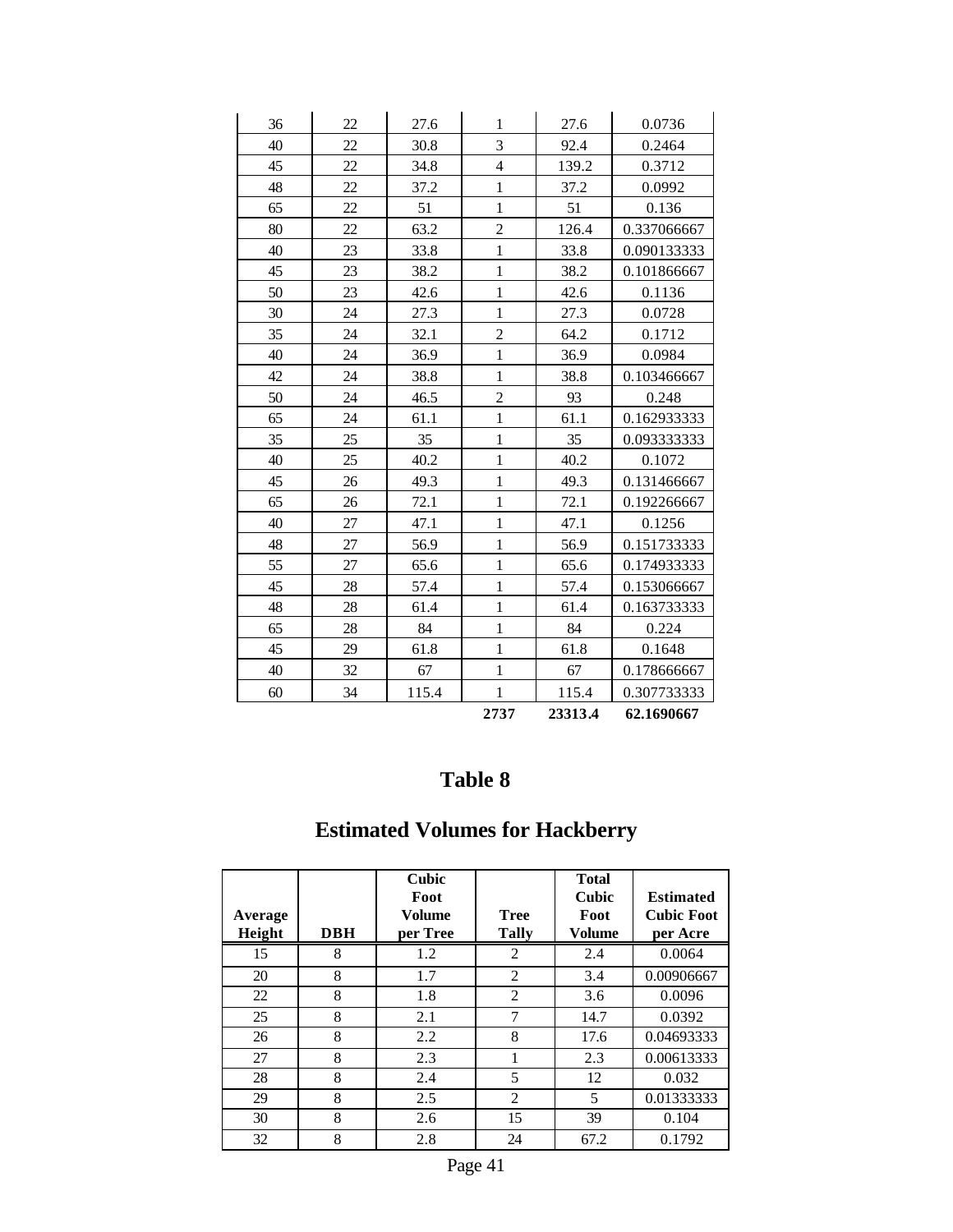| 36 | 22 | 27.6  | $\mathbf{1}$   | 27.6    | 0.0736      |
|----|----|-------|----------------|---------|-------------|
| 40 | 22 | 30.8  | $\overline{3}$ | 92.4    | 0.2464      |
| 45 | 22 | 34.8  | $\overline{4}$ | 139.2   | 0.3712      |
| 48 | 22 | 37.2  | $\mathbf{1}$   | 37.2    | 0.0992      |
| 65 | 22 | 51    | $\mathbf{1}$   | 51      | 0.136       |
| 80 | 22 | 63.2  | $\overline{2}$ | 126.4   | 0.337066667 |
| 40 | 23 | 33.8  | $\mathbf{1}$   | 33.8    | 0.090133333 |
| 45 | 23 | 38.2  | $\mathbf{1}$   | 38.2    | 0.101866667 |
| 50 | 23 | 42.6  | $\mathbf{1}$   | 42.6    | 0.1136      |
| 30 | 24 | 27.3  | $\mathbf{1}$   | 27.3    | 0.0728      |
| 35 | 24 | 32.1  | $\overline{c}$ | 64.2    | 0.1712      |
| 40 | 24 | 36.9  | $\mathbf{1}$   | 36.9    | 0.0984      |
| 42 | 24 | 38.8  | $\mathbf{1}$   | 38.8    | 0.103466667 |
| 50 | 24 | 46.5  | $\overline{c}$ | 93      | 0.248       |
| 65 | 24 | 61.1  | $\mathbf{1}$   | 61.1    | 0.162933333 |
| 35 | 25 | 35    | $\mathbf{1}$   | 35      | 0.093333333 |
| 40 | 25 | 40.2  | $\mathbf{1}$   | 40.2    | 0.1072      |
| 45 | 26 | 49.3  | $\mathbf{1}$   | 49.3    | 0.131466667 |
| 65 | 26 | 72.1  | $\mathbf{1}$   | 72.1    | 0.192266667 |
| 40 | 27 | 47.1  | $\mathbf{1}$   | 47.1    | 0.1256      |
| 48 | 27 | 56.9  | $\mathbf{1}$   | 56.9    | 0.151733333 |
| 55 | 27 | 65.6  | $\mathbf{1}$   | 65.6    | 0.174933333 |
| 45 | 28 | 57.4  | $\mathbf{1}$   | 57.4    | 0.153066667 |
| 48 | 28 | 61.4  | $\mathbf{1}$   | 61.4    | 0.163733333 |
| 65 | 28 | 84    | $\mathbf{1}$   | 84      | 0.224       |
| 45 | 29 | 61.8  | $\mathbf{1}$   | 61.8    | 0.1648      |
| 40 | 32 | 67    | $\mathbf{1}$   | 67      | 0.178666667 |
| 60 | 34 | 115.4 | $\mathbf{1}$   | 115.4   | 0.307733333 |
|    |    |       | 2737           | 23313.4 | 62.1690667  |

# **Estimated Volumes for Hackberry**

| Average<br>Height | <b>DBH</b> | Cubic<br>Foot<br>Volume<br>per Tree | <b>Tree</b><br><b>Tally</b> | <b>Total</b><br><b>Cubic</b><br>Foot<br>Volume | <b>Estimated</b><br><b>Cubic Foot</b><br>per Acre |
|-------------------|------------|-------------------------------------|-----------------------------|------------------------------------------------|---------------------------------------------------|
| 15                | 8          | 1.2                                 | 2                           | 2.4                                            | 0.0064                                            |
| 20                | 8          | 1.7                                 | $\overline{c}$              | 3.4                                            | 0.00906667                                        |
| 22                | 8          | 1.8                                 | $\overline{c}$              | 3.6                                            | 0.0096                                            |
| 25                | 8          | 2.1                                 | 7                           | 14.7                                           | 0.0392                                            |
| 26                | 8          | 2.2                                 | 8                           | 17.6                                           | 0.04693333                                        |
| 27                | 8          | 2.3                                 | 1                           | 2.3                                            | 0.00613333                                        |
| 28                | 8          | 2.4                                 | 5                           | 12                                             | 0.032                                             |
| 29                | 8          | 2.5                                 | $\overline{c}$              | 5                                              | 0.01333333                                        |
| 30                | 8          | 2.6                                 | 15                          | 39                                             | 0.104                                             |
| 32                | 8          | 2.8                                 | 24                          | 67.2                                           | 0.1792                                            |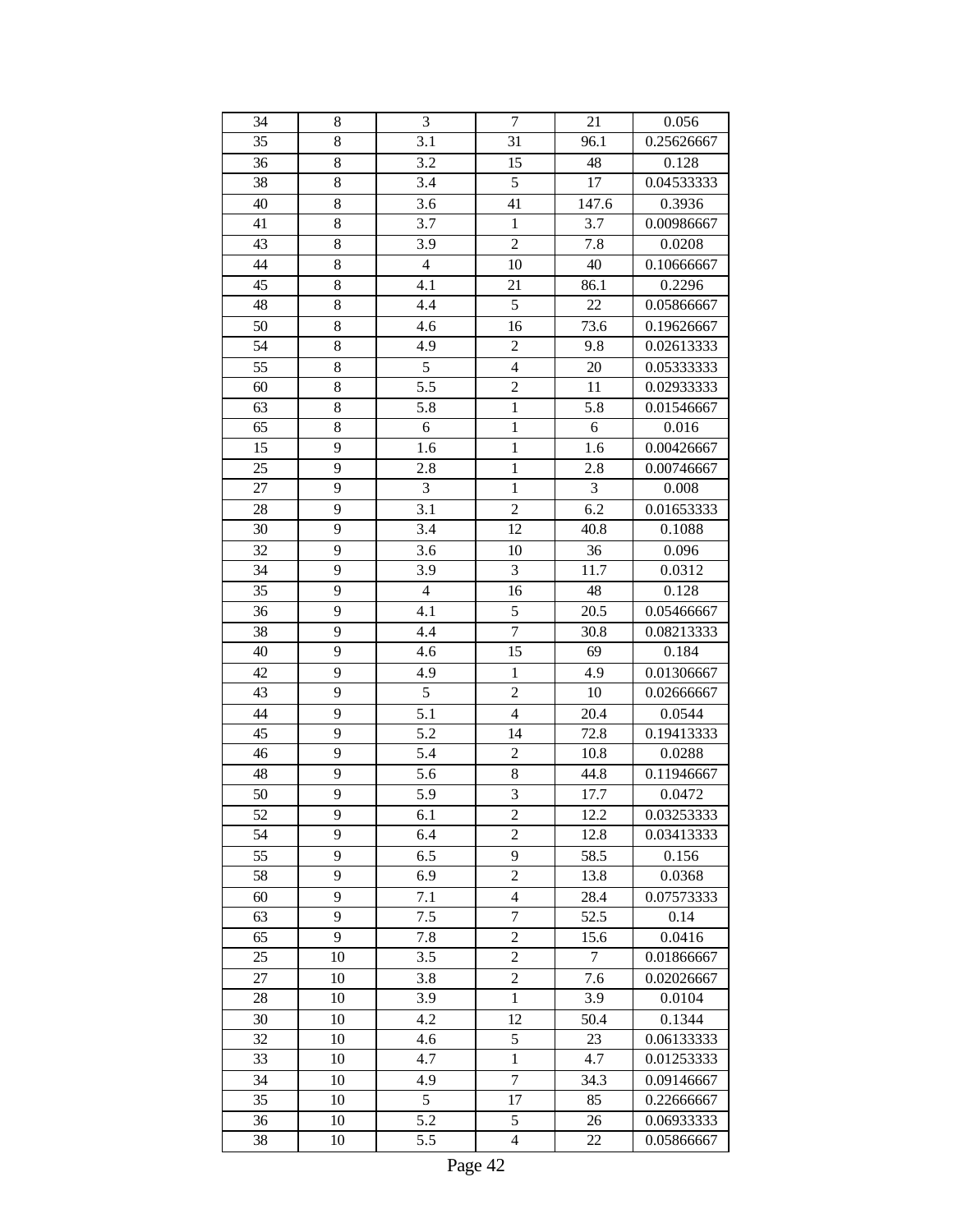| 34              | 8  | 3                | $\tau$         | 21               | 0.056      |
|-----------------|----|------------------|----------------|------------------|------------|
| $\overline{35}$ | 8  | 3.1              | 31             | 96.1             | 0.25626667 |
| 36              | 8  | 3.2              | 15             | 48               | 0.128      |
| 38              | 8  | 3.4              | 5              | 17               | 0.04533333 |
| 40              | 8  | 3.6              | 41             | 147.6            | 0.3936     |
| 41              | 8  | 3.7              | $\mathbf{1}$   | 3.7              | 0.00986667 |
| 43              | 8  | 3.9              | $\overline{2}$ | 7.8              | 0.0208     |
| 44              | 8  | $\overline{4}$   | 10             | 40               | 0.10666667 |
| 45              | 8  | 4.1              | 21             | 86.1             | 0.2296     |
| 48              | 8  | 4.4              | 5              | 22               | 0.05866667 |
| 50              | 8  | 4.6              | 16             | 73.6             | 0.19626667 |
| 54              | 8  | 4.9              | $\overline{c}$ | 9.8              | 0.02613333 |
| 55              | 8  | $\overline{5}$   | $\overline{4}$ | 20               | 0.05333333 |
| 60              | 8  | $\overline{5.5}$ | $\overline{2}$ | 11               | 0.02933333 |
| 63              | 8  | 5.8              | $\overline{1}$ | 5.8              | 0.01546667 |
| 65              | 8  | 6                | $\mathbf{1}$   | $\boldsymbol{6}$ | 0.016      |
| 15              | 9  | 1.6              | $\mathbf{1}$   | 1.6              | 0.00426667 |
| 25              | 9  | 2.8              | $\mathbf{1}$   | 2.8              | 0.00746667 |
| 27              | 9  | 3                | $\mathbf{1}$   | 3                | 0.008      |
| 28              | 9  | 3.1              | $\overline{c}$ | 6.2              | 0.01653333 |
| 30              | 9  | 3.4              | 12             | 40.8             | 0.1088     |
| 32              | 9  | 3.6              | 10             | 36               | 0.096      |
| 34              | 9  | 3.9              | 3              | 11.7             | 0.0312     |
| 35              | 9  | $\overline{4}$   | 16             | 48               | 0.128      |
| 36              | 9  | 4.1              | 5              | 20.5             | 0.05466667 |
| 38              | 9  | 4.4              | $\overline{7}$ | 30.8             | 0.08213333 |
| 40              | 9  | 4.6              | 15             | 69               | 0.184      |
| 42              | 9  | 4.9              | $\mathbf{1}$   | 4.9              | 0.01306667 |
| 43              | 9  | 5                | $\overline{2}$ | 10               | 0.02666667 |
| 44              | 9  | $\overline{5.1}$ | $\overline{4}$ | 20.4             | 0.0544     |
| 45              | 9  | $\overline{5.2}$ | 14             | 72.8             | 0.19413333 |
| 46              | 9  | 5.4              | $\overline{c}$ | 10.8             | 0.0288     |
| 48              | 9  | 5.6              | $8\,$          | 44.8             | 0.11946667 |
| 50              | 9  | 5.9              | 3              | 17.7             | 0.0472     |
| 52              | 9  | 6.1              | $\overline{c}$ | 12.2             | 0.03253333 |
| 54              | 9  | 6.4              | $\overline{2}$ | 12.8             | 0.03413333 |
| 55              | 9  | 6.5              | 9              | 58.5             | 0.156      |
| 58              | 9  | 6.9              | $\overline{c}$ | 13.8             | 0.0368     |
| 60              | 9  | 7.1              | $\overline{4}$ | 28.4             | 0.07573333 |
| 63              | 9  | 7.5              | $\tau$         | 52.5             | 0.14       |
| 65              | 9  | 7.8              | $\overline{c}$ | 15.6             | 0.0416     |
| 25              | 10 | 3.5              | $\overline{c}$ | $\overline{7}$   | 0.01866667 |
| 27              | 10 | 3.8              | $\overline{c}$ | 7.6              | 0.02026667 |
| 28              | 10 | 3.9              | $\mathbf{1}$   | 3.9              | 0.0104     |
| 30              | 10 | 4.2              | 12             | 50.4             | 0.1344     |
| 32              | 10 | 4.6              | 5              | 23               | 0.06133333 |
| 33              | 10 | 4.7              | $\mathbf{1}$   | 4.7              | 0.01253333 |
| 34              | 10 | 4.9              | $\overline{7}$ | 34.3             | 0.09146667 |
| 35              | 10 | 5                | 17             | 85               | 0.22666667 |
| 36              | 10 | 5.2              | 5              | 26               | 0.06933333 |
| 38              | 10 | 5.5              | $\overline{4}$ | 22               | 0.05866667 |
|                 |    |                  |                |                  |            |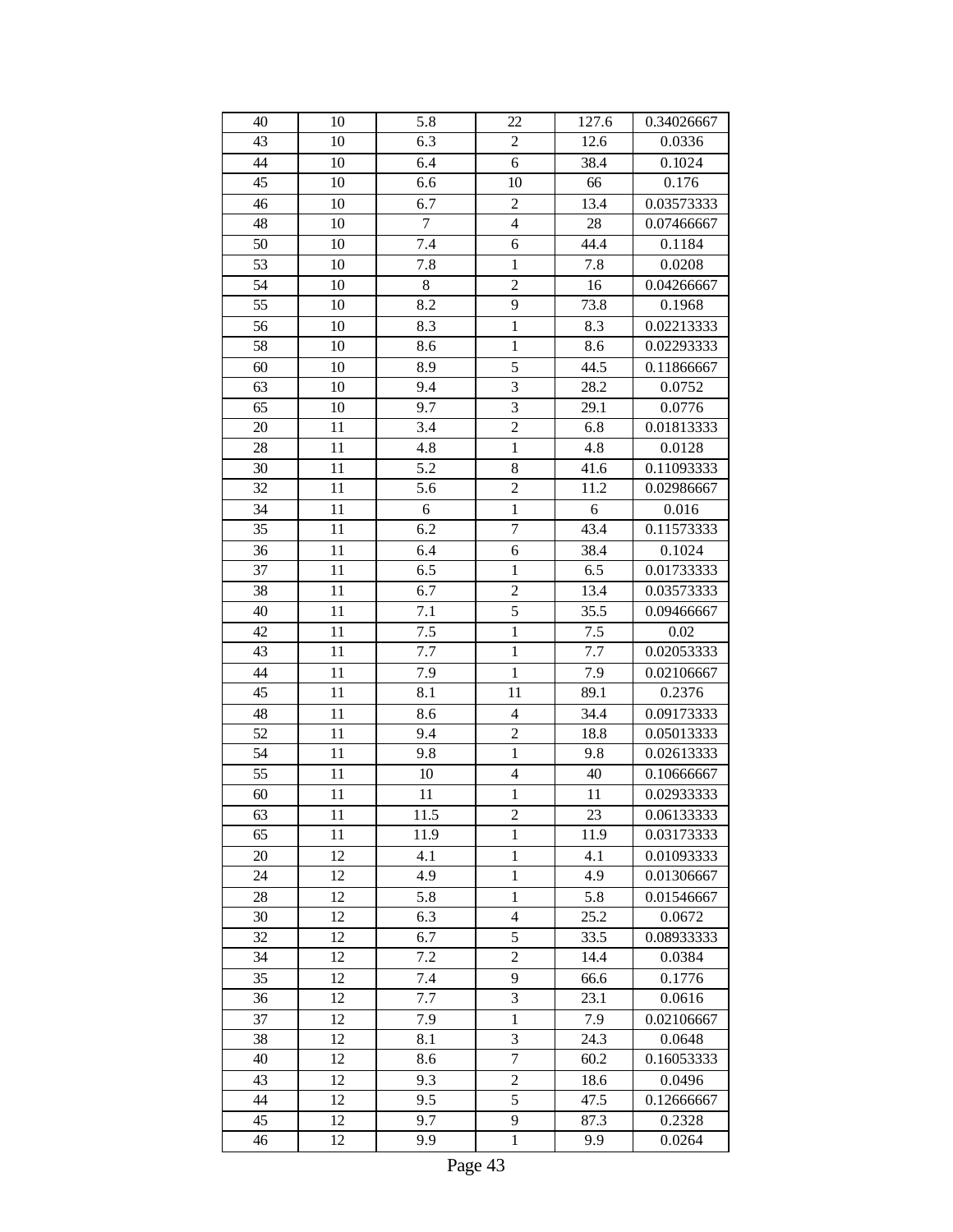| 40 | 10 | 5.8              | 22             | 127.6            | 0.34026667 |
|----|----|------------------|----------------|------------------|------------|
| 43 | 10 | 6.3              | $\overline{c}$ | 12.6             | 0.0336     |
| 44 | 10 | 6.4              | 6              | 38.4             | 0.1024     |
| 45 | 10 | 6.6              | 10             | 66               | 0.176      |
| 46 | 10 | 6.7              | $\overline{c}$ | 13.4             | 0.03573333 |
| 48 | 10 | $\boldsymbol{7}$ | $\overline{4}$ | 28               | 0.07466667 |
| 50 | 10 | 7.4              | 6              | 44.4             | 0.1184     |
| 53 | 10 | 7.8              | $\mathbf{1}$   | 7.8              | 0.0208     |
| 54 | 10 | $8\,$            | $\overline{c}$ | 16               | 0.04266667 |
| 55 | 10 | 8.2              | 9              | 73.8             | 0.1968     |
| 56 | 10 | 8.3              | $\mathbf{1}$   | 8.3              | 0.02213333 |
| 58 | 10 | 8.6              | $\mathbf{1}$   | 8.6              | 0.02293333 |
| 60 | 10 | 8.9              | 5              | 44.5             | 0.11866667 |
| 63 | 10 | 9.4              | 3              | 28.2             | 0.0752     |
| 65 | 10 | 9.7              | 3              | 29.1             | 0.0776     |
| 20 | 11 | 3.4              | $\overline{c}$ | 6.8              | 0.01813333 |
| 28 | 11 | 4.8              | $\mathbf{1}$   | 4.8              | 0.0128     |
| 30 | 11 | 5.2              | $8\,$          | 41.6             | 0.11093333 |
| 32 | 11 | 5.6              | $\overline{2}$ | 11.2             | 0.02986667 |
| 34 | 11 | $\sqrt{6}$       | $\mathbf{1}$   | $\boldsymbol{6}$ | 0.016      |
| 35 | 11 | 6.2              | $\overline{7}$ | 43.4             | 0.11573333 |
| 36 | 11 | 6.4              | 6              | 38.4             | 0.1024     |
| 37 | 11 | 6.5              | $\mathbf{1}$   | 6.5              | 0.01733333 |
| 38 | 11 | 6.7              | $\overline{2}$ | 13.4             | 0.03573333 |
| 40 | 11 | 7.1              | 5              | 35.5             | 0.09466667 |
| 42 | 11 | 7.5              | $\mathbf{1}$   | 7.5              | 0.02       |
| 43 | 11 | 7.7              | $\mathbf{1}$   | 7.7              | 0.02053333 |
| 44 | 11 | 7.9              | $\mathbf{1}$   | 7.9              | 0.02106667 |
| 45 | 11 | 8.1              | 11             | 89.1             | 0.2376     |
| 48 | 11 | 8.6              | $\overline{4}$ | 34.4             | 0.09173333 |
| 52 | 11 | 9.4              | $\overline{c}$ | 18.8             | 0.05013333 |
| 54 | 11 | 9.8              | $\mathbf{1}$   | 9.8              | 0.02613333 |
| 55 | 11 | 10               | 4              | 40               | 0.10666667 |
| 60 | 11 | 11               | $\mathbf{1}$   | 11               | 0.02933333 |
| 63 | 11 | 11.5             | $\overline{c}$ | 23               | 0.06133333 |
| 65 | 11 | 11.9             | 1              | 11.9             | 0.03173333 |
| 20 | 12 | 4.1              | 1              | 4.1              | 0.01093333 |
| 24 | 12 | 4.9              | 1              | 4.9              | 0.01306667 |
| 28 | 12 | 5.8              | 1              | 5.8              | 0.01546667 |
| 30 | 12 | 6.3              | $\overline{4}$ | 25.2             | 0.0672     |
| 32 | 12 | 6.7              | 5              | 33.5             | 0.08933333 |
| 34 | 12 | 7.2              | $\mathfrak{2}$ | 14.4             | 0.0384     |
| 35 | 12 | 7.4              | 9              | 66.6             | 0.1776     |
| 36 | 12 | 7.7              | 3              | 23.1             | 0.0616     |
| 37 | 12 | 7.9              | $\mathbf{1}$   | 7.9              | 0.02106667 |
| 38 | 12 | 8.1              | 3              | 24.3             | 0.0648     |
| 40 | 12 | 8.6              | $\tau$         | 60.2             | 0.16053333 |
| 43 | 12 | 9.3              | $\overline{c}$ | 18.6             | 0.0496     |
| 44 | 12 | 9.5              | 5              | 47.5             | 0.12666667 |
| 45 | 12 | 9.7              | 9              | 87.3             | 0.2328     |
| 46 | 12 | 9.9              | 1              | 9.9              | 0.0264     |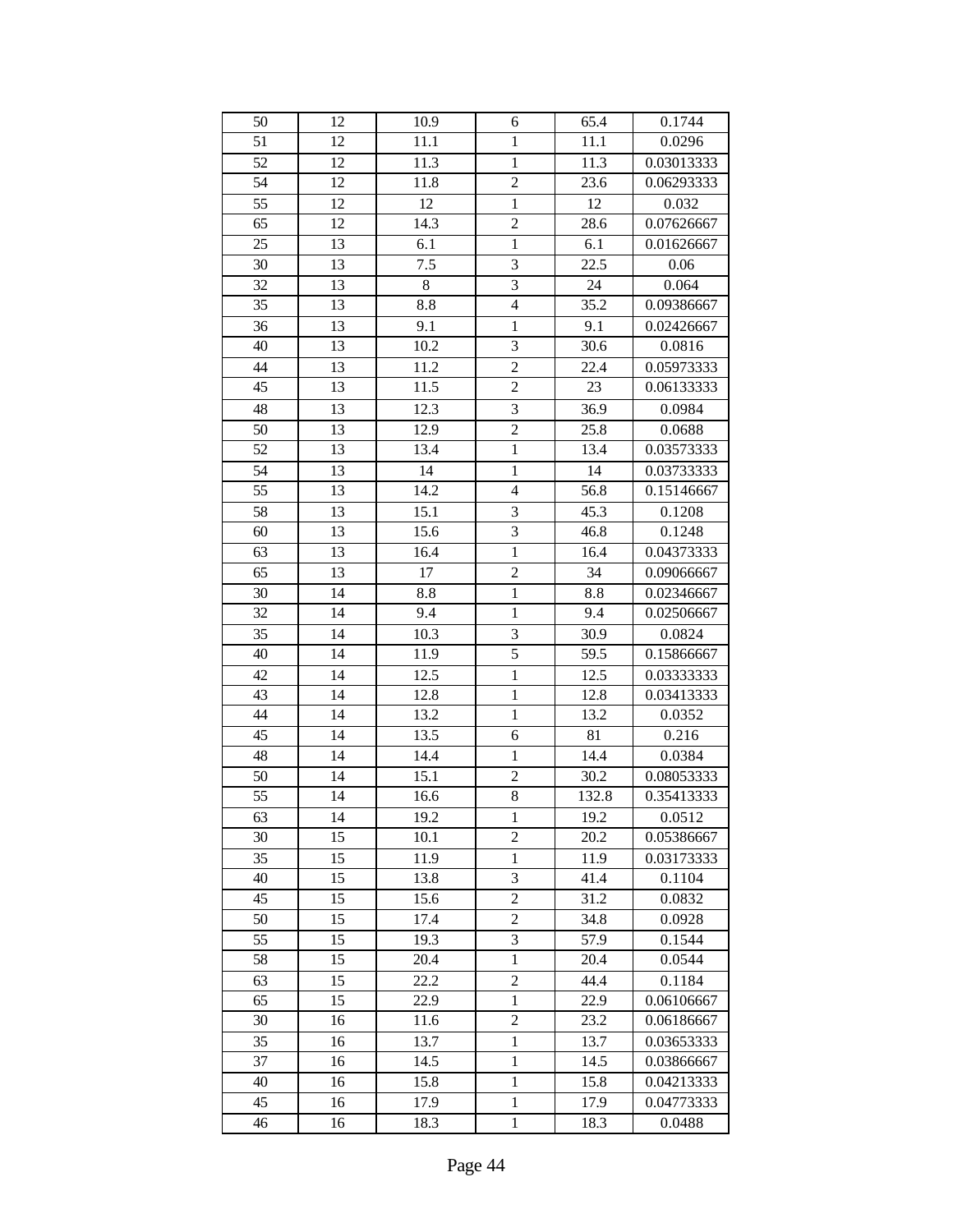| 50 | 12 | 10.9    | 6                       | 65.4  | 0.1744     |
|----|----|---------|-------------------------|-------|------------|
| 51 | 12 | 11.1    | $\mathbf{1}$            | 11.1  | 0.0296     |
| 52 | 12 | 11.3    | $\mathbf{1}$            | 11.3  | 0.03013333 |
| 54 | 12 | 11.8    | $\overline{2}$          | 23.6  | 0.06293333 |
| 55 | 12 | 12      | $\mathbf{1}$            | 12    | 0.032      |
| 65 | 12 | 14.3    | $\overline{c}$          | 28.6  | 0.07626667 |
| 25 | 13 | 6.1     | $\mathbf{1}$            | 6.1   | 0.01626667 |
| 30 | 13 | 7.5     | $\overline{3}$          | 22.5  | 0.06       |
| 32 | 13 | $\,8\,$ | $\overline{\mathbf{3}}$ | 24    | 0.064      |
| 35 | 13 | $8.8\,$ | $\overline{4}$          | 35.2  | 0.09386667 |
| 36 | 13 | 9.1     | $\mathbf{1}$            | 9.1   | 0.02426667 |
| 40 | 13 | 10.2    | 3                       | 30.6  | 0.0816     |
| 44 | 13 | 11.2    | $\overline{2}$          | 22.4  | 0.05973333 |
| 45 | 13 | 11.5    | $\overline{2}$          | 23    | 0.06133333 |
| 48 | 13 | 12.3    | $\overline{\mathbf{3}}$ | 36.9  | 0.0984     |
| 50 | 13 | 12.9    | $\overline{2}$          | 25.8  | 0.0688     |
| 52 | 13 | 13.4    | $\mathbf{1}$            | 13.4  | 0.03573333 |
| 54 | 13 | 14      | $\mathbf{1}$            | 14    | 0.03733333 |
| 55 | 13 | 14.2    | $\overline{4}$          | 56.8  | 0.15146667 |
| 58 | 13 | 15.1    | 3                       | 45.3  | 0.1208     |
| 60 | 13 | 15.6    | 3                       | 46.8  | 0.1248     |
| 63 | 13 | 16.4    | $\mathbf{1}$            | 16.4  | 0.04373333 |
| 65 | 13 | 17      | $\overline{c}$          | 34    | 0.09066667 |
| 30 | 14 | 8.8     | $\mathbf{1}$            | 8.8   | 0.02346667 |
| 32 | 14 | 9.4     | $\,1$                   | 9.4   | 0.02506667 |
| 35 | 14 | 10.3    | 3                       | 30.9  | 0.0824     |
| 40 | 14 | 11.9    | $\overline{5}$          | 59.5  | 0.15866667 |
| 42 | 14 | 12.5    | $\overline{1}$          | 12.5  | 0.03333333 |
| 43 | 14 | 12.8    | $\mathbf{1}$            | 12.8  | 0.03413333 |
| 44 | 14 | 13.2    | $\mathbf{1}$            | 13.2  | 0.0352     |
| 45 | 14 | 13.5    | 6                       | 81    | 0.216      |
| 48 | 14 | 14.4    | $\mathbf{1}$            | 14.4  | 0.0384     |
| 50 | 14 | 15.1    | $\overline{c}$          | 30.2  | 0.08053333 |
| 55 | 14 | 16.6    | 8                       | 132.8 | 0.35413333 |
| 63 | 14 | 19.2    | $\,1$                   | 19.2  | 0.0512     |
| 30 | 15 | 10.1    | $\overline{c}$          | 20.2  | 0.05386667 |
| 35 | 15 | 11.9    | $\mathbf{1}$            | 11.9  | 0.03173333 |
| 40 | 15 | 13.8    | 3                       | 41.4  | 0.1104     |
| 45 | 15 | 15.6    | $\overline{2}$          | 31.2  | 0.0832     |
| 50 | 15 | 17.4    | $\overline{2}$          | 34.8  | 0.0928     |
| 55 | 15 | 19.3    | 3                       | 57.9  | 0.1544     |
| 58 | 15 | 20.4    | $\mathbf{1}$            | 20.4  | 0.0544     |
| 63 | 15 | 22.2    | $\overline{2}$          | 44.4  | 0.1184     |
| 65 | 15 | 22.9    | $\mathbf{1}$            | 22.9  | 0.06106667 |
| 30 | 16 | 11.6    | $\overline{2}$          | 23.2  | 0.06186667 |
| 35 | 16 | 13.7    | $\mathbf{1}$            | 13.7  | 0.03653333 |
| 37 | 16 | 14.5    | $\mathbf{1}$            | 14.5  | 0.03866667 |
| 40 | 16 | 15.8    | $\mathbf{1}$            | 15.8  | 0.04213333 |
| 45 | 16 | 17.9    | $\mathbf{1}$            | 17.9  | 0.04773333 |
| 46 | 16 | 18.3    | $\mathbf{1}$            | 18.3  | 0.0488     |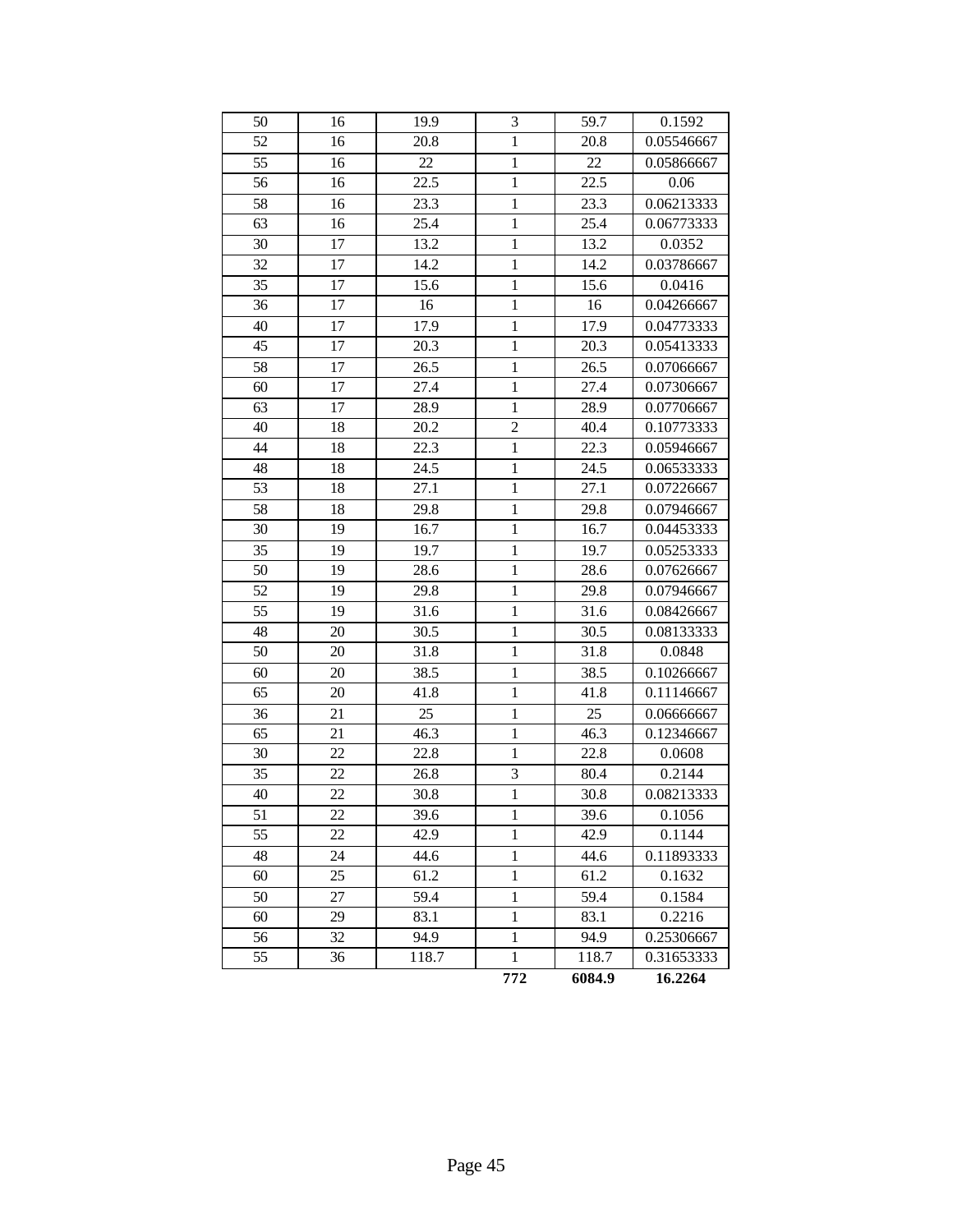| 50              | 16 | 19.9  | 3              | 59.7   | 0.1592     |
|-----------------|----|-------|----------------|--------|------------|
| 52              | 16 | 20.8  | $\mathbf{1}$   | 20.8   | 0.05546667 |
| 55              | 16 | 22    | $\mathbf{1}$   | 22     | 0.05866667 |
| 56              | 16 | 22.5  | $\mathbf{1}$   | 22.5   | 0.06       |
| 58              | 16 | 23.3  | $\mathbf{1}$   | 23.3   | 0.06213333 |
| 63              | 16 | 25.4  | $\mathbf{1}$   | 25.4   | 0.06773333 |
| 30              | 17 | 13.2  | $\mathbf{1}$   | 13.2   | 0.0352     |
| 32              | 17 | 14.2  | $\mathbf{1}$   | 14.2   | 0.03786667 |
| 35              | 17 | 15.6  | $\mathbf{1}$   | 15.6   | 0.0416     |
| 36              | 17 | 16    | $\mathbf{1}$   | 16     | 0.04266667 |
| 40              | 17 | 17.9  | $\mathbf{1}$   | 17.9   | 0.04773333 |
| 45              | 17 | 20.3  | $\mathbf{1}$   | 20.3   | 0.05413333 |
| 58              | 17 | 26.5  | $\mathbf{1}$   | 26.5   | 0.07066667 |
| 60              | 17 | 27.4  | $\mathbf{1}$   | 27.4   | 0.07306667 |
| 63              | 17 | 28.9  | $\mathbf{1}$   | 28.9   | 0.07706667 |
| 40              | 18 | 20.2  | $\overline{c}$ | 40.4   | 0.10773333 |
| 44              | 18 | 22.3  | $\mathbf{1}$   | 22.3   | 0.05946667 |
| 48              | 18 | 24.5  | $\,1$          | 24.5   | 0.06533333 |
| 53              | 18 | 27.1  | $\mathbf{1}$   | 27.1   | 0.07226667 |
| 58              | 18 | 29.8  | $\mathbf{1}$   | 29.8   | 0.07946667 |
| 30              | 19 | 16.7  | $\mathbf{1}$   | 16.7   | 0.04453333 |
| 35              | 19 | 19.7  | $\mathbf{1}$   | 19.7   | 0.05253333 |
| 50              | 19 | 28.6  | $\mathbf{1}$   | 28.6   | 0.07626667 |
| 52              | 19 | 29.8  | $\mathbf{1}$   | 29.8   | 0.07946667 |
| $\overline{55}$ | 19 | 31.6  | $\mathbf{1}$   | 31.6   | 0.08426667 |
| 48              | 20 | 30.5  | $\mathbf{1}$   | 30.5   | 0.08133333 |
| 50              | 20 | 31.8  | $\mathbf{1}$   | 31.8   | 0.0848     |
| 60              | 20 | 38.5  | $\mathbf{1}$   | 38.5   | 0.10266667 |
| 65              | 20 | 41.8  | $\mathbf{1}$   | 41.8   | 0.11146667 |
| 36              | 21 | 25    | $\mathbf{1}$   | 25     | 0.06666667 |
| 65              | 21 | 46.3  | $\mathbf{1}$   | 46.3   | 0.12346667 |
| 30              | 22 | 22.8  | $\,1$          | 22.8   | 0.0608     |
| 35              | 22 | 26.8  | 3              | 80.4   | 0.2144     |
| 40              | 22 | 30.8  | $\overline{1}$ | 30.8   | 0.08213333 |
| 51              | 22 | 39.6  | $\mathbf{1}$   | 39.6   | 0.1056     |
| 55              | 22 | 42.9  | $\mathbf{1}$   | 42.9   | 0.1144     |
| 48              | 24 | 44.6  | $\,1$          | 44.6   | 0.11893333 |
| 60              | 25 | 61.2  | $\mathbf{1}$   | 61.2   | 0.1632     |
| 50              | 27 | 59.4  | $\,1$          | 59.4   | 0.1584     |
| 60              | 29 | 83.1  | $\mathbf 1$    | 83.1   | 0.2216     |
| 56              | 32 | 94.9  | $\mathbf{1}$   | 94.9   | 0.25306667 |
| 55              | 36 | 118.7 | $\mathbf 1$    | 118.7  | 0.31653333 |
|                 |    |       | 772            | 6084.9 | 16.2264    |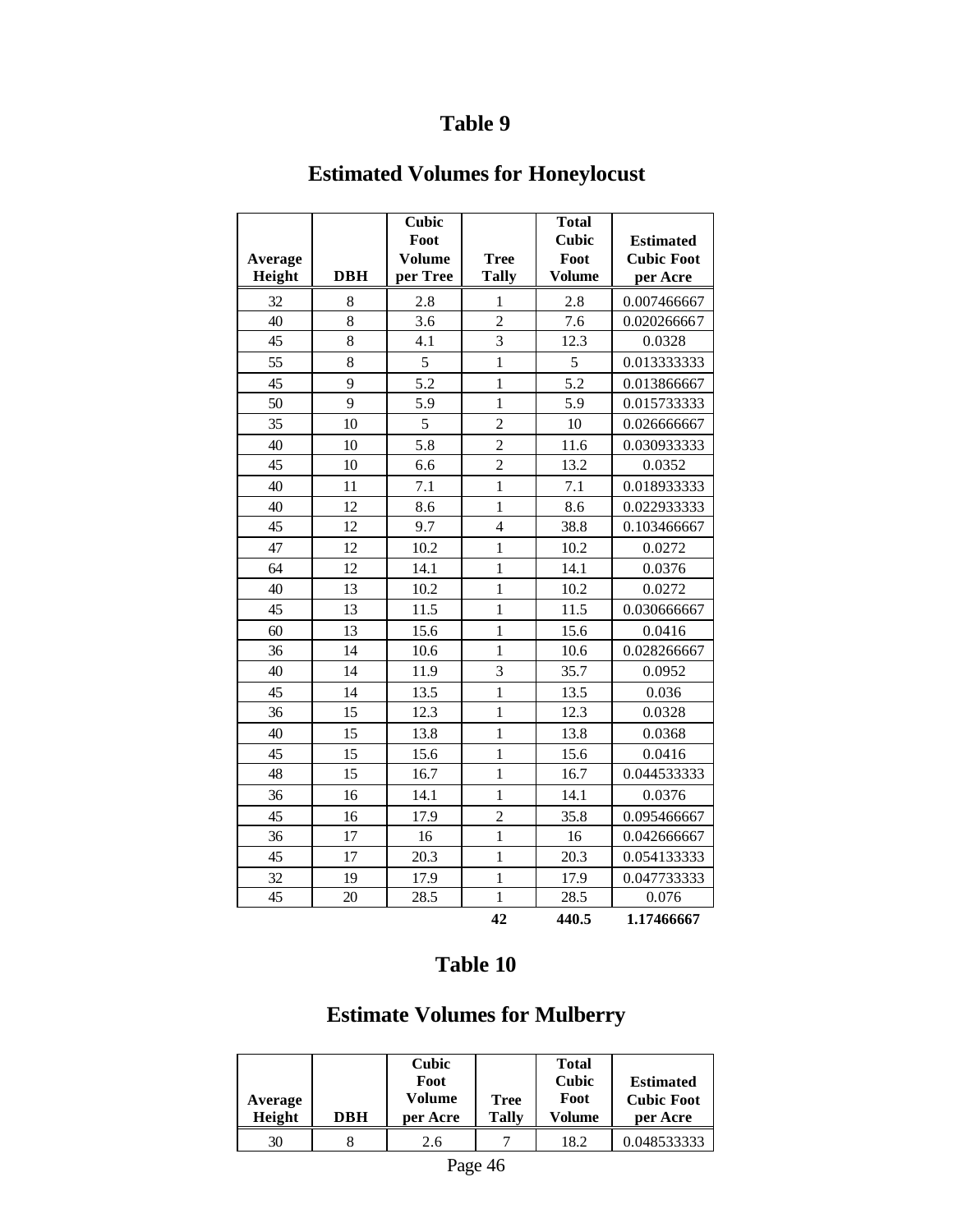# **Estimated Volumes for Honeylocust**

| Average<br>Height | <b>DBH</b> | <b>Cubic</b><br>Foot<br>Volume<br>per Tree | <b>Tree</b><br><b>Tally</b> | <b>Total</b><br><b>Cubic</b><br>Foot<br><b>Volume</b> | <b>Estimated</b><br><b>Cubic Foot</b><br>per Acre |
|-------------------|------------|--------------------------------------------|-----------------------------|-------------------------------------------------------|---------------------------------------------------|
| 32                | 8          | 2.8                                        | 1                           | 2.8                                                   | 0.007466667                                       |
| 40                | 8          | 3.6                                        | $\overline{c}$              | 7.6                                                   | 0.020266667                                       |
| 45                | 8          | 4.1                                        | $\overline{3}$              | 12.3                                                  | 0.0328                                            |
| 55                | 8          | 5                                          | $\mathbf{1}$                | 5                                                     | 0.013333333                                       |
| 45                | 9          | 5.2                                        | $\mathbf{1}$                | 5.2                                                   | 0.013866667                                       |
| 50                | 9          | 5.9                                        | $\mathbf{1}$                | 5.9                                                   | 0.015733333                                       |
| 35                | 10         | 5                                          | $\overline{c}$              | 10                                                    | 0.026666667                                       |
| 40                | 10         | 5.8                                        | $\overline{c}$              | 11.6                                                  | 0.030933333                                       |
| 45                | 10         | 6.6                                        | $\overline{c}$              | 13.2                                                  | 0.0352                                            |
| 40                | 11         | 7.1                                        | $\mathbf{1}$                | 7.1                                                   | 0.018933333                                       |
| 40                | 12         | 8.6                                        | $\mathbf{1}$                | 8.6                                                   | 0.022933333                                       |
| 45                | 12         | 9.7                                        | $\overline{4}$              | 38.8                                                  | 0.103466667                                       |
| 47                | 12         | 10.2                                       | $\mathbf{1}$                | 10.2                                                  | 0.0272                                            |
| 64                | 12         | 14.1                                       | $\mathbf{1}$                | 14.1                                                  | 0.0376                                            |
| 40                | 13         | 10.2                                       | $\mathbf{1}$                | 10.2                                                  | 0.0272                                            |
| 45                | 13         | 11.5                                       | $\mathbf{1}$                | 11.5                                                  | 0.030666667                                       |
| 60                | 13         | 15.6                                       | $\mathbf{1}$                | 15.6                                                  | 0.0416                                            |
| 36                | 14         | 10.6                                       | $\mathbf{1}$                | 10.6                                                  | 0.028266667                                       |
| 40                | 14         | 11.9                                       | $\overline{\mathbf{3}}$     | 35.7                                                  | 0.0952                                            |
| 45                | 14         | 13.5                                       | $\mathbf{1}$                | 13.5                                                  | 0.036                                             |
| 36                | 15         | 12.3                                       | $\mathbf{1}$                | 12.3                                                  | 0.0328                                            |
| 40                | 15         | 13.8                                       | $\mathbf{1}$                | 13.8                                                  | 0.0368                                            |
| 45                | 15         | 15.6                                       | $\mathbf{1}$                | 15.6                                                  | 0.0416                                            |
| 48                | 15         | 16.7                                       | $\mathbf{1}$                | 16.7                                                  | 0.044533333                                       |
| 36                | 16         | 14.1                                       | $\mathbf{1}$                | 14.1                                                  | 0.0376                                            |
| 45                | 16         | 17.9                                       | $\overline{c}$              | 35.8                                                  | 0.095466667                                       |
| 36                | 17         | 16                                         | $\mathbf{1}$                | 16                                                    | 0.042666667                                       |
| 45                | 17         | 20.3                                       | $\mathbf{1}$                | 20.3                                                  | 0.054133333                                       |
| 32                | 19         | 17.9                                       | $\mathbf{1}$                | 17.9                                                  | 0.047733333                                       |
| 45                | 20         | 28.5                                       | $\mathbf{1}$                | 28.5                                                  | 0.076                                             |
|                   |            |                                            | 42                          | 440.5                                                 | 1.17466667                                        |

## **Table 10**

## **Estimate Volumes for Mulberry**

| Average<br>Height | DBH | Cubic<br>Foot<br>Volume<br>per Acre | <b>Tree</b><br>Tallv | <b>Total</b><br>Cubic<br>Foot<br>Volume | <b>Estimated</b><br><b>Cubic Foot</b><br>per Acre |
|-------------------|-----|-------------------------------------|----------------------|-----------------------------------------|---------------------------------------------------|
| 30                |     | 2.6                                 |                      | 18.2                                    | 0.048533333                                       |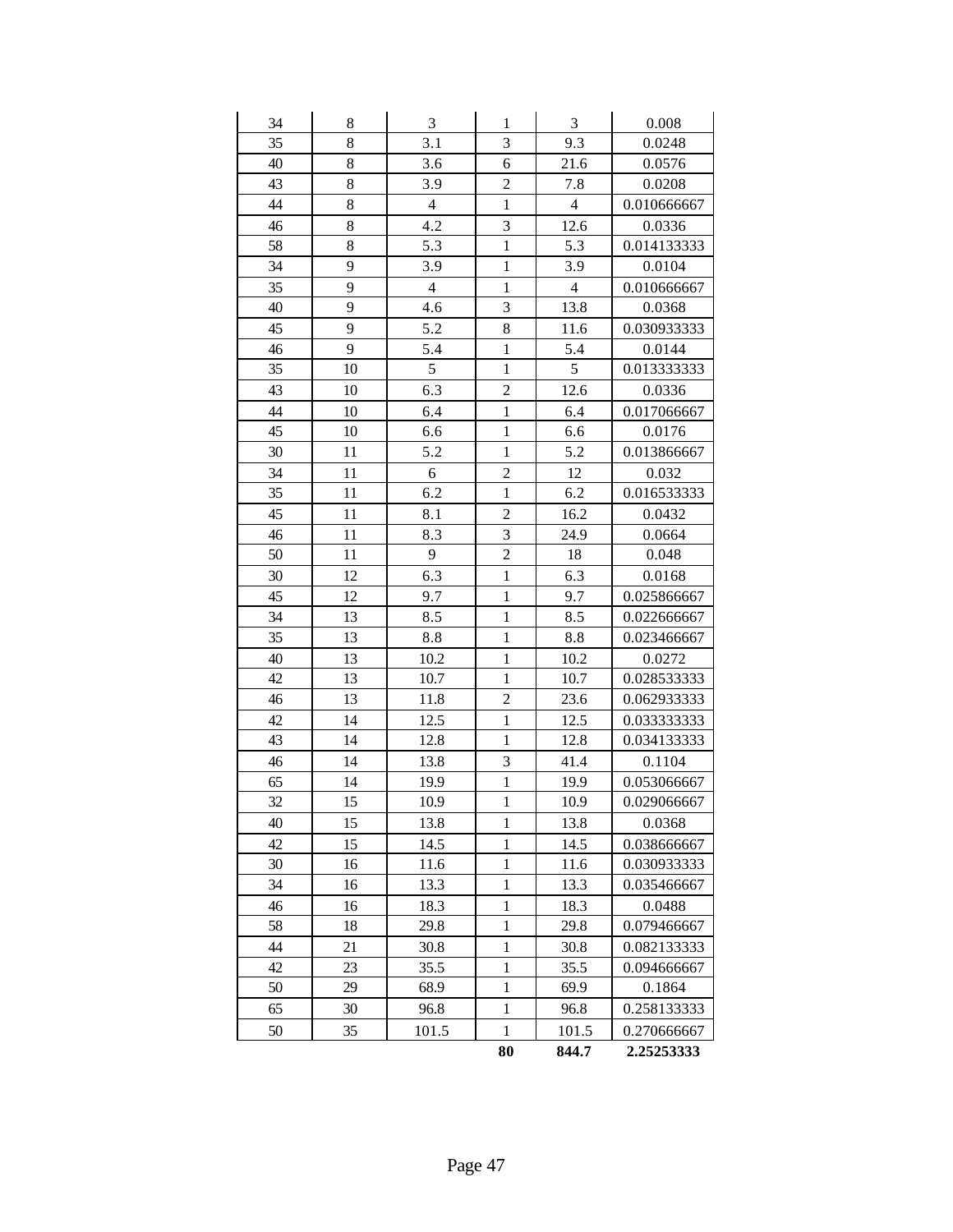| 34 | 8  | $\mathfrak{Z}$ | 1                       | $\mathfrak{Z}$ | 0.008       |
|----|----|----------------|-------------------------|----------------|-------------|
| 35 | 8  | 3.1            | $\overline{3}$          | 9.3            | 0.0248      |
| 40 | 8  | 3.6            | 6                       | 21.6           | 0.0576      |
| 43 | 8  | 3.9            | $\overline{c}$          | 7.8            | 0.0208      |
| 44 | 8  | $\overline{4}$ | $\mathbf{1}$            | $\overline{4}$ | 0.010666667 |
| 46 | 8  | 4.2            | 3                       | 12.6           | 0.0336      |
| 58 | 8  | 5.3            | $\mathbf{1}$            | 5.3            | 0.014133333 |
| 34 | 9  | 3.9            | $\mathbf{1}$            | 3.9            | 0.0104      |
| 35 | 9  | $\overline{4}$ | $\mathbf{1}$            | $\overline{4}$ | 0.010666667 |
| 40 | 9  | 4.6            | 3                       | 13.8           | 0.0368      |
| 45 | 9  | 5.2            | 8                       | 11.6           | 0.030933333 |
| 46 | 9  | 5.4            | $\mathbf 1$             | 5.4            | 0.0144      |
| 35 | 10 | 5              | $\mathbf{1}$            | 5              | 0.013333333 |
| 43 | 10 | 6.3            | $\overline{\mathbf{c}}$ | 12.6           | 0.0336      |
| 44 | 10 | 6.4            | $\mathbf{1}$            | 6.4            | 0.017066667 |
| 45 | 10 | 6.6            | $\mathbf 1$             | 6.6            | 0.0176      |
| 30 | 11 | 5.2            | $\mathbf{1}$            | 5.2            | 0.013866667 |
| 34 | 11 | 6              | $\overline{c}$          | 12             | 0.032       |
| 35 | 11 | 6.2            | $\mathbf{1}$            | 6.2            | 0.016533333 |
| 45 | 11 | 8.1            | $\overline{c}$          | 16.2           | 0.0432      |
| 46 | 11 | 8.3            | 3                       | 24.9           | 0.0664      |
| 50 | 11 | 9              | $\overline{c}$          | 18             | 0.048       |
| 30 | 12 | 6.3            | $\mathbf{1}$            | 6.3            | 0.0168      |
| 45 | 12 | 9.7            | $\mathbf{1}$            | 9.7            | 0.025866667 |
| 34 | 13 | 8.5            | $\mathbf{1}$            | 8.5            | 0.022666667 |
| 35 | 13 | 8.8            | $\mathbf{1}$            | 8.8            | 0.023466667 |
| 40 | 13 | 10.2           | $\mathbf{1}$            | 10.2           | 0.0272      |
| 42 | 13 | 10.7           | $\mathbf 1$             | 10.7           | 0.028533333 |
| 46 | 13 | 11.8           | $\overline{c}$          | 23.6           | 0.062933333 |
| 42 | 14 | 12.5           | $\mathbf 1$             | 12.5           | 0.033333333 |
| 43 | 14 | 12.8           | $\mathbf 1$             | 12.8           | 0.034133333 |
| 46 | 14 | 13.8           | 3                       | 41.4           | 0.1104      |
| 65 | 14 | 19.9           | $\mathbf{1}$            | 19.9           | 0.053066667 |
| 32 | 15 | 10.9           | $\mathbf{1}$            | 10.9           | 0.029066667 |
| 40 | 15 | 13.8           | $\mathbf{1}$            | 13.8           | 0.0368      |
| 42 | 15 | 14.5           | 1                       | 14.5           | 0.038666667 |
| 30 | 16 | 11.6           | $\mathbf 1$             | 11.6           | 0.030933333 |
| 34 | 16 | 13.3           | $\,1\,$                 | 13.3           | 0.035466667 |
| 46 | 16 | 18.3           | $\mathbf{1}$            | 18.3           | 0.0488      |
| 58 | 18 | 29.8           | $\mathbf{1}$            | 29.8           | 0.079466667 |
| 44 | 21 | 30.8           | $\mathbf{1}$            | 30.8           | 0.082133333 |
| 42 | 23 | 35.5           | $\mathbf{1}$            | 35.5           | 0.094666667 |
| 50 | 29 | 68.9           | $\mathbf{1}$            | 69.9           | 0.1864      |
| 65 | 30 | 96.8           | $\,1$                   | 96.8           | 0.258133333 |
| 50 | 35 | 101.5          | $\mathbf{1}$            | 101.5          | 0.270666667 |
|    |    |                | 80                      | 844.7          | 2.25253333  |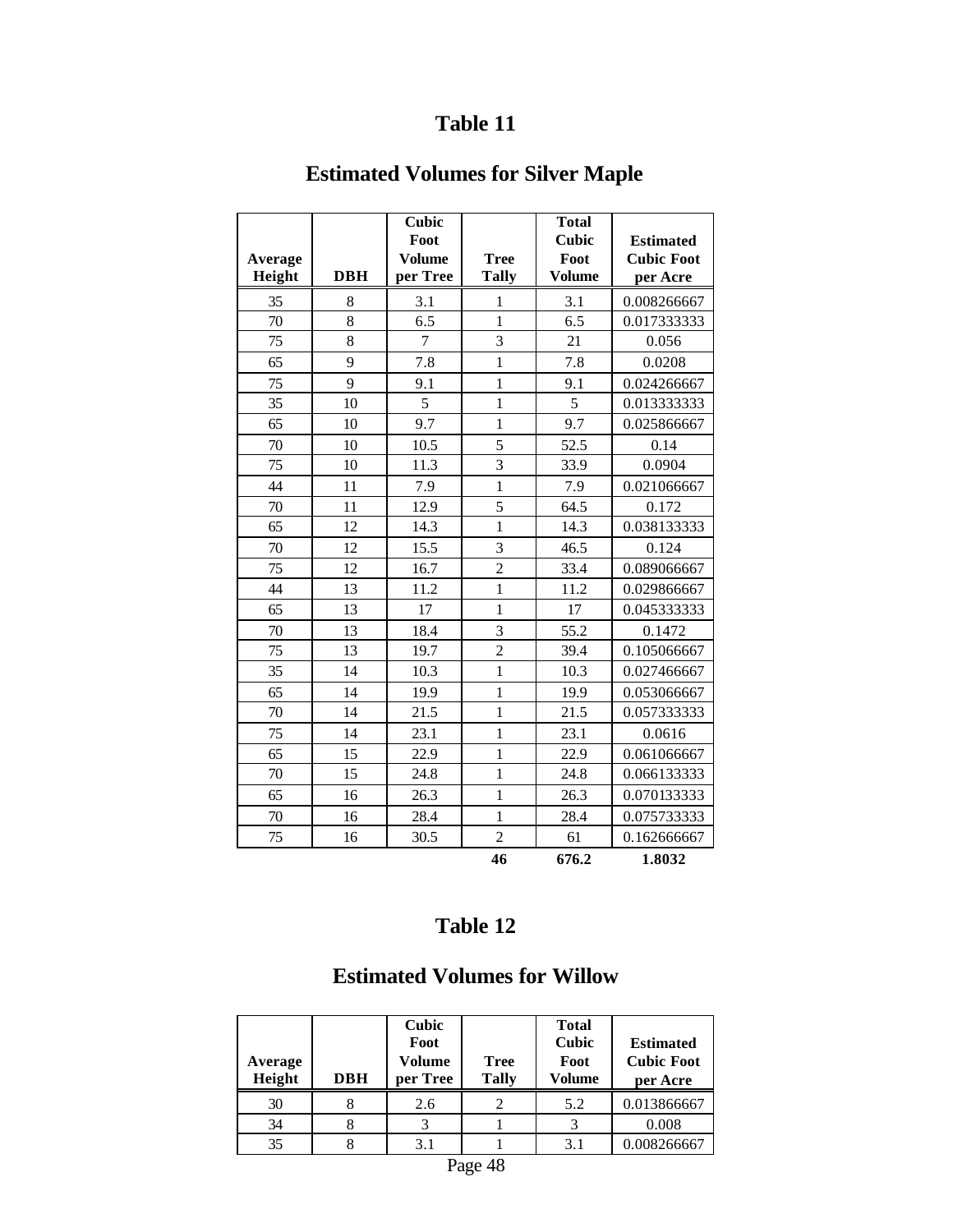## **Estimated Volumes for Silver Maple**

| Average |            | Cubic<br>Foot<br><b>Volume</b> | <b>Tree</b>             | <b>Total</b><br><b>Cubic</b><br>Foot | <b>Estimated</b><br><b>Cubic Foot</b> |
|---------|------------|--------------------------------|-------------------------|--------------------------------------|---------------------------------------|
| Height  | <b>DBH</b> | per Tree                       | <b>Tally</b>            | <b>Volume</b>                        | per Acre                              |
| 35      | 8          | 3.1                            | $\mathbf{1}$            | 3.1                                  | 0.008266667                           |
| 70      | 8          | 6.5                            | $\mathbf{1}$            | 6.5                                  | 0.017333333                           |
| 75      | 8          | $\overline{7}$                 | $\overline{\mathbf{3}}$ | 21                                   | 0.056                                 |
| 65      | 9          | 7.8                            | $\mathbf{1}$            | 7.8                                  | 0.0208                                |
| 75      | 9          | 9.1                            | $\mathbf{1}$            | 9.1                                  | 0.024266667                           |
| 35      | 10         | 5                              | $\mathbf{1}$            | 5                                    | 0.013333333                           |
| 65      | 10         | 9.7                            | $\mathbf{1}$            | 9.7                                  | 0.025866667                           |
| 70      | 10         | 10.5                           | 5                       | 52.5                                 | 0.14                                  |
| 75      | 10         | 11.3                           | $\overline{3}$          | 33.9                                 | 0.0904                                |
| 44      | 11         | 7.9                            | $\mathbf{1}$            | 7.9                                  | 0.021066667                           |
| 70      | 11         | 12.9                           | 5                       | 64.5                                 | 0.172                                 |
| 65      | 12         | 14.3                           | $\mathbf{1}$            | 14.3                                 | 0.038133333                           |
| 70      | 12         | 15.5                           | $\overline{3}$          | 46.5                                 | 0.124                                 |
| 75      | 12         | 16.7                           | $\overline{2}$          | 33.4                                 | 0.089066667                           |
| 44      | 13         | 11.2                           | $\mathbf{1}$            | 11.2                                 | 0.029866667                           |
| 65      | 13         | 17                             | $\mathbf{1}$            | 17                                   | 0.045333333                           |
| 70      | 13         | 18.4                           | 3                       | 55.2                                 | 0.1472                                |
| 75      | 13         | 19.7                           | $\overline{2}$          | 39.4                                 | 0.105066667                           |
| 35      | 14         | 10.3                           | $\mathbf{1}$            | 10.3                                 | 0.027466667                           |
| 65      | 14         | 19.9                           | $\mathbf{1}$            | 19.9                                 | 0.053066667                           |
| 70      | 14         | 21.5                           | $\mathbf{1}$            | 21.5                                 | 0.057333333                           |
| 75      | 14         | 23.1                           | $\mathbf{1}$            | 23.1                                 | 0.0616                                |
| 65      | 15         | 22.9                           | $\mathbf{1}$            | 22.9                                 | 0.061066667                           |
| 70      | 15         | 24.8                           | $\mathbf{1}$            | 24.8                                 | 0.066133333                           |
| 65      | 16         | 26.3                           | $\mathbf{1}$            | 26.3                                 | 0.070133333                           |
| 70      | 16         | 28.4                           | $\mathbf{1}$            | 28.4                                 | 0.075733333                           |
| 75      | 16         | 30.5                           | $\overline{2}$          | 61                                   | 0.162666667                           |
|         |            |                                | 46                      | 676.2                                | 1.8032                                |

### **Table 12**

### **Estimated Volumes for Willow**

| Average<br>Height | <b>DBH</b> | <b>Cubic</b><br>Foot<br>Volume<br>per Tree | <b>Tree</b><br><b>Tally</b> | <b>Total</b><br>Cubic<br>Foot<br>Volume | <b>Estimated</b><br><b>Cubic Foot</b><br>per Acre |
|-------------------|------------|--------------------------------------------|-----------------------------|-----------------------------------------|---------------------------------------------------|
| 30                |            | 2.6                                        |                             | 5.2                                     | 0.013866667                                       |
| 34                |            |                                            |                             |                                         | 0.008                                             |
| 35                |            | 3.1                                        |                             | 3.1                                     | 0.008266667                                       |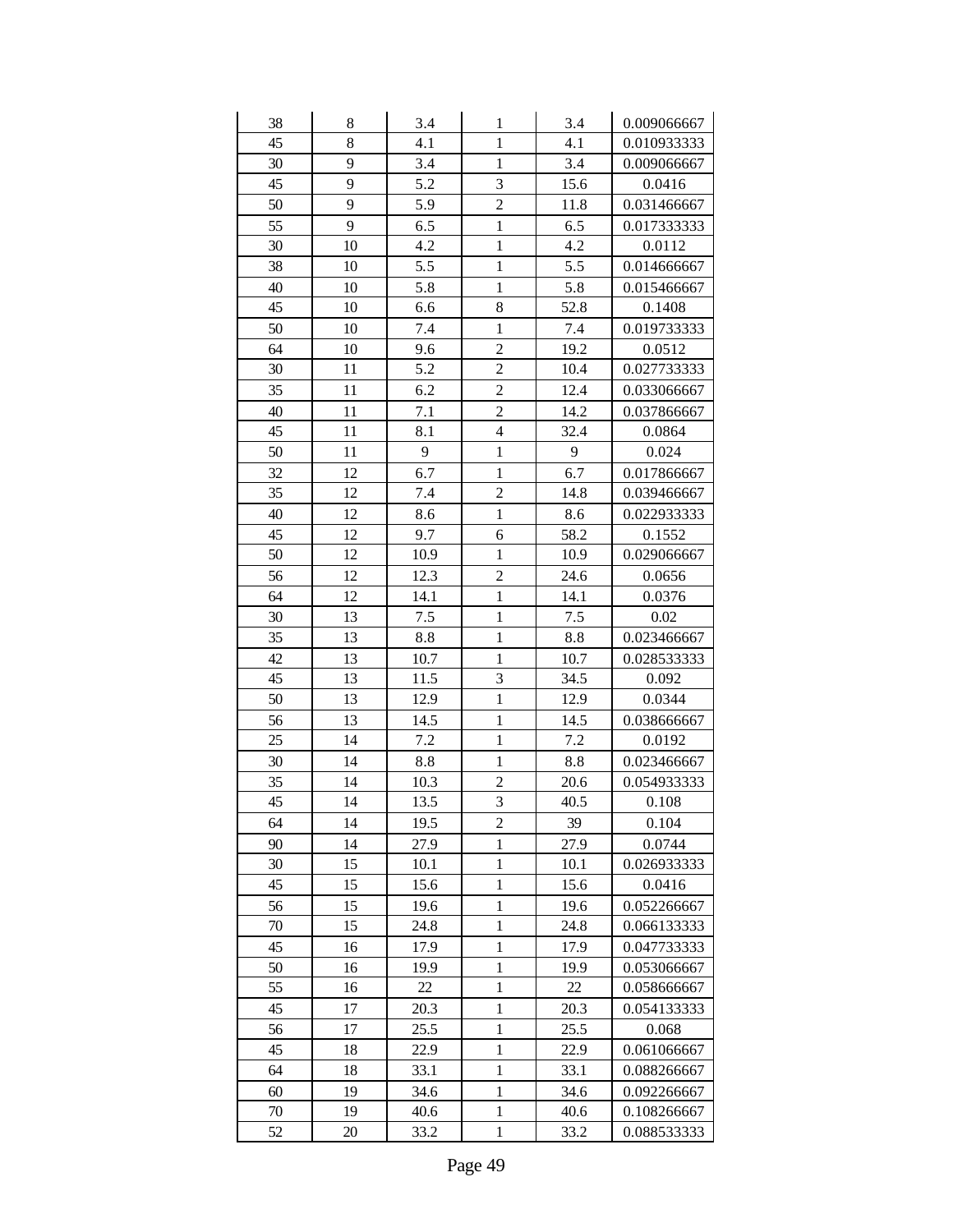| 38 | $8\,$ | 3.4  | 1              | 3.4  | 0.009066667 |
|----|-------|------|----------------|------|-------------|
| 45 | 8     | 4.1  | $\mathbf{1}$   | 4.1  | 0.010933333 |
| 30 | 9     | 3.4  | $\mathbf{1}$   | 3.4  | 0.009066667 |
| 45 | 9     | 5.2  | $\overline{3}$ | 15.6 | 0.0416      |
| 50 | 9     | 5.9  | $\overline{c}$ | 11.8 | 0.031466667 |
| 55 | 9     | 6.5  | $\mathbf{1}$   | 6.5  | 0.017333333 |
| 30 | 10    | 4.2  | $\mathbf{1}$   | 4.2  | 0.0112      |
| 38 | 10    | 5.5  | $\mathbf{1}$   | 5.5  | 0.014666667 |
| 40 | 10    | 5.8  | $\mathbf{1}$   | 5.8  | 0.015466667 |
| 45 | 10    | 6.6  | 8              | 52.8 | 0.1408      |
| 50 | 10    | 7.4  | $\mathbf{1}$   | 7.4  | 0.019733333 |
| 64 | 10    | 9.6  | $\overline{2}$ | 19.2 | 0.0512      |
| 30 | 11    | 5.2  | $\overline{2}$ | 10.4 | 0.027733333 |
| 35 | 11    | 6.2  | $\overline{c}$ | 12.4 | 0.033066667 |
| 40 | 11    | 7.1  | $\overline{c}$ | 14.2 | 0.037866667 |
| 45 | 11    | 8.1  | 4              | 32.4 | 0.0864      |
| 50 | 11    | 9    | $\mathbf{1}$   | 9    | 0.024       |
| 32 | 12    | 6.7  | $\mathbf{1}$   | 6.7  | 0.017866667 |
| 35 | 12    | 7.4  | $\overline{c}$ | 14.8 | 0.039466667 |
| 40 | 12    | 8.6  | $\mathbf{1}$   | 8.6  | 0.022933333 |
| 45 | 12    | 9.7  | 6              | 58.2 | 0.1552      |
| 50 | 12    | 10.9 | $\mathbf{1}$   | 10.9 | 0.029066667 |
| 56 | 12    | 12.3 | $\overline{2}$ | 24.6 | 0.0656      |
| 64 | 12    | 14.1 | $\mathbf{1}$   | 14.1 | 0.0376      |
| 30 | 13    | 7.5  | $\mathbf{1}$   | 7.5  | 0.02        |
| 35 | 13    | 8.8  | $\mathbf{1}$   | 8.8  | 0.023466667 |
| 42 | 13    | 10.7 | $\mathbf{1}$   | 10.7 | 0.028533333 |
| 45 | 13    | 11.5 | 3              | 34.5 | 0.092       |
| 50 | 13    | 12.9 | $\mathbf{1}$   | 12.9 | 0.0344      |
| 56 | 13    | 14.5 | $\mathbf{1}$   | 14.5 | 0.038666667 |
| 25 | 14    | 7.2  | $\mathbf{1}$   | 7.2  | 0.0192      |
| 30 | 14    | 8.8  | $\mathbf{1}$   | 8.8  | 0.023466667 |
| 35 | 14    | 10.3 | $\overline{c}$ | 20.6 | 0.054933333 |
| 45 | 14    | 13.5 | 3              | 40.5 | 0.108       |
| 64 | 14    | 19.5 | $\overline{c}$ | 39   | 0.104       |
| 90 | 14    | 27.9 | $\mathbf{1}$   | 27.9 | 0.0744      |
| 30 | 15    | 10.1 | $\mathbf{1}$   | 10.1 | 0.026933333 |
| 45 | 15    | 15.6 | $\mathbf{1}$   | 15.6 | 0.0416      |
| 56 | 15    | 19.6 | $\mathbf{1}$   | 19.6 | 0.052266667 |
| 70 | 15    | 24.8 | $\mathbf{1}$   | 24.8 | 0.066133333 |
| 45 | 16    | 17.9 | 1              | 17.9 | 0.047733333 |
| 50 | 16    | 19.9 | $\mathbf{1}$   | 19.9 | 0.053066667 |
| 55 | 16    | 22   | $\mathbf{1}$   | 22   | 0.058666667 |
| 45 | 17    | 20.3 | $\mathbf{1}$   | 20.3 | 0.054133333 |
| 56 | 17    | 25.5 | $\mathbf{1}$   | 25.5 | 0.068       |
| 45 | 18    | 22.9 | $\mathbf{1}$   | 22.9 | 0.061066667 |
| 64 | 18    | 33.1 | $\mathbf{1}$   | 33.1 | 0.088266667 |
| 60 | 19    | 34.6 | $\mathbf{1}$   | 34.6 | 0.092266667 |
| 70 | 19    | 40.6 | $\mathbf{1}$   | 40.6 | 0.108266667 |
| 52 | 20    | 33.2 | $\mathbf{1}$   | 33.2 | 0.088533333 |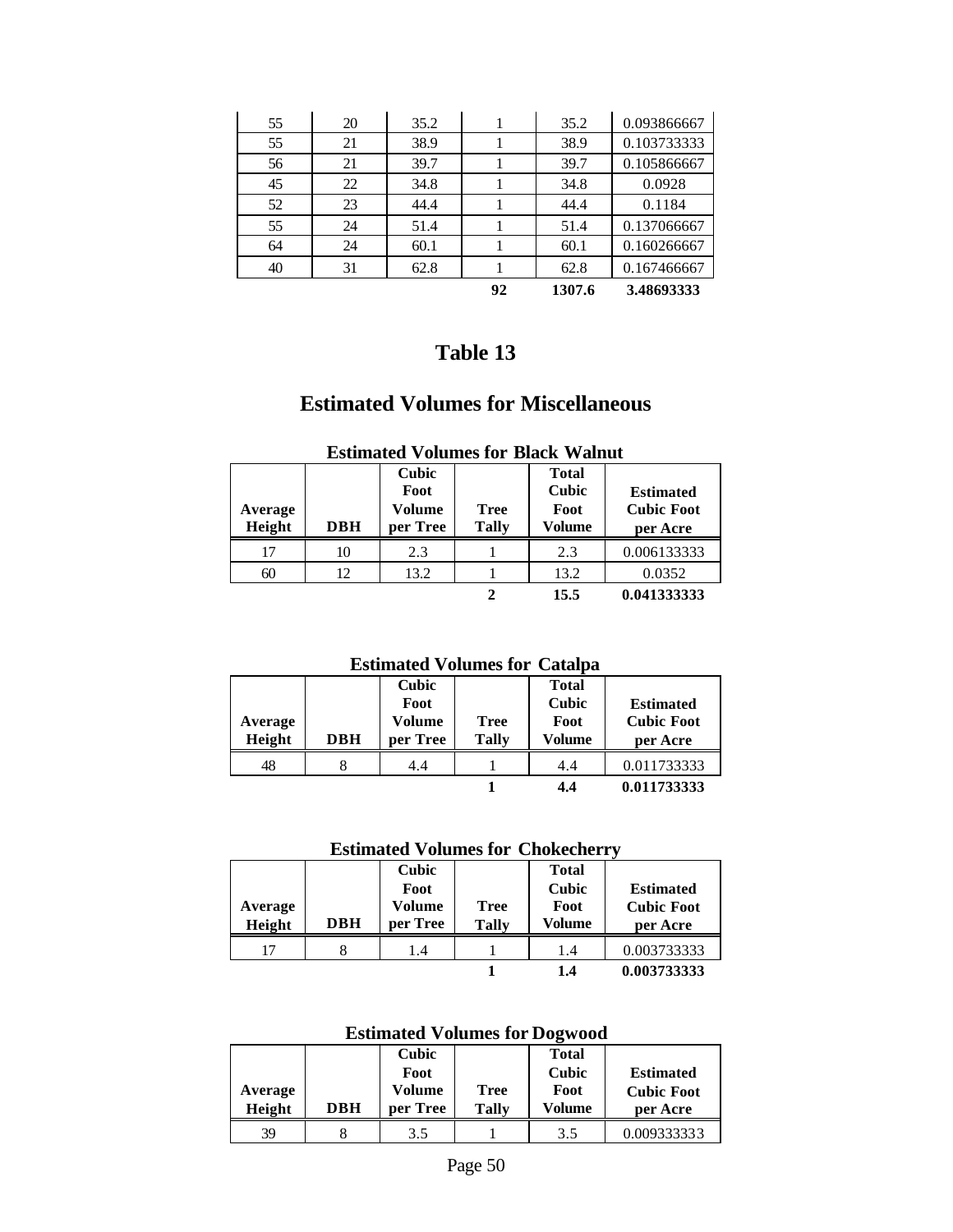|    |    |      | 92 | 1307.6 | 3.48693333  |
|----|----|------|----|--------|-------------|
| 40 | 31 | 62.8 |    | 62.8   | 0.167466667 |
| 64 | 24 | 60.1 |    | 60.1   | 0.160266667 |
| 55 | 24 | 51.4 |    | 51.4   | 0.137066667 |
| 52 | 23 | 44.4 |    | 44.4   | 0.1184      |
| 45 | 22 | 34.8 |    | 34.8   | 0.0928      |
| 56 | 21 | 39.7 |    | 39.7   | 0.105866667 |
| 55 | 21 | 38.9 |    | 38.9   | 0.103733333 |
| 55 | 20 | 35.2 |    | 35.2   | 0.093866667 |

### **Estimated Volumes for Miscellaneous**

| Average<br>Height | <b>DBH</b> | <b>Cubic</b><br>Foot<br>Volume<br>per Tree | <b>Tree</b><br><b>Tally</b> | <b>Total</b><br>Cubic<br>Foot<br>Volume | <b>Estimated</b><br><b>Cubic Foot</b><br>per Acre |
|-------------------|------------|--------------------------------------------|-----------------------------|-----------------------------------------|---------------------------------------------------|
| 17                | 10         | 2.3                                        |                             | 2.3                                     | 0.006133333                                       |
| 60                | 12         | 13.2                                       |                             | 13.2                                    | 0.0352                                            |
|                   |            |                                            |                             | 15.5                                    | 0.041333333                                       |

#### **Estimated Volumes for Black Walnut**

### **Estimated Volumes for Catalpa**

| Average<br>Height | <b>DBH</b> | Cubic<br>Foot<br>Volume<br>per Tree | <b>Tree</b><br>Tally | <b>Total</b><br>Cubic<br>Foot<br>Volume | <b>Estimated</b><br><b>Cubic Foot</b><br>per Acre |
|-------------------|------------|-------------------------------------|----------------------|-----------------------------------------|---------------------------------------------------|
| 48                |            | 4.4                                 |                      | 4.4                                     | 0.011733333                                       |
|                   |            |                                     |                      | 4.4                                     | 0.011733333                                       |

#### **Estimated Volumes for Chokecherry**

| Average<br>Height | <b>DBH</b> | Cubic<br>Foot<br>Volume<br>per Tree | Tree<br><b>Tally</b> | <b>Total</b><br>Cubic<br>Foot<br>Volume | <b>Estimated</b><br><b>Cubic Foot</b><br>per Acre |
|-------------------|------------|-------------------------------------|----------------------|-----------------------------------------|---------------------------------------------------|
| 17                |            | 1.4                                 |                      | 1.4                                     | 0.003733333                                       |
|                   |            |                                     |                      | 1.4                                     | 0.003733333                                       |

#### **Estimated Volumes for Dogwood**

|         |            | Cubic    |              | <b>Total</b> |                   |
|---------|------------|----------|--------------|--------------|-------------------|
|         |            | Foot     |              | Cubic        | <b>Estimated</b>  |
| Average |            | Volume   | Tree         | Foot         | <b>Cubic Foot</b> |
| Height  | <b>DBH</b> | per Tree | <b>Tally</b> | Volume       | per Acre          |
| 39      |            | 3.5      |              | 3.5          | 0.009333333       |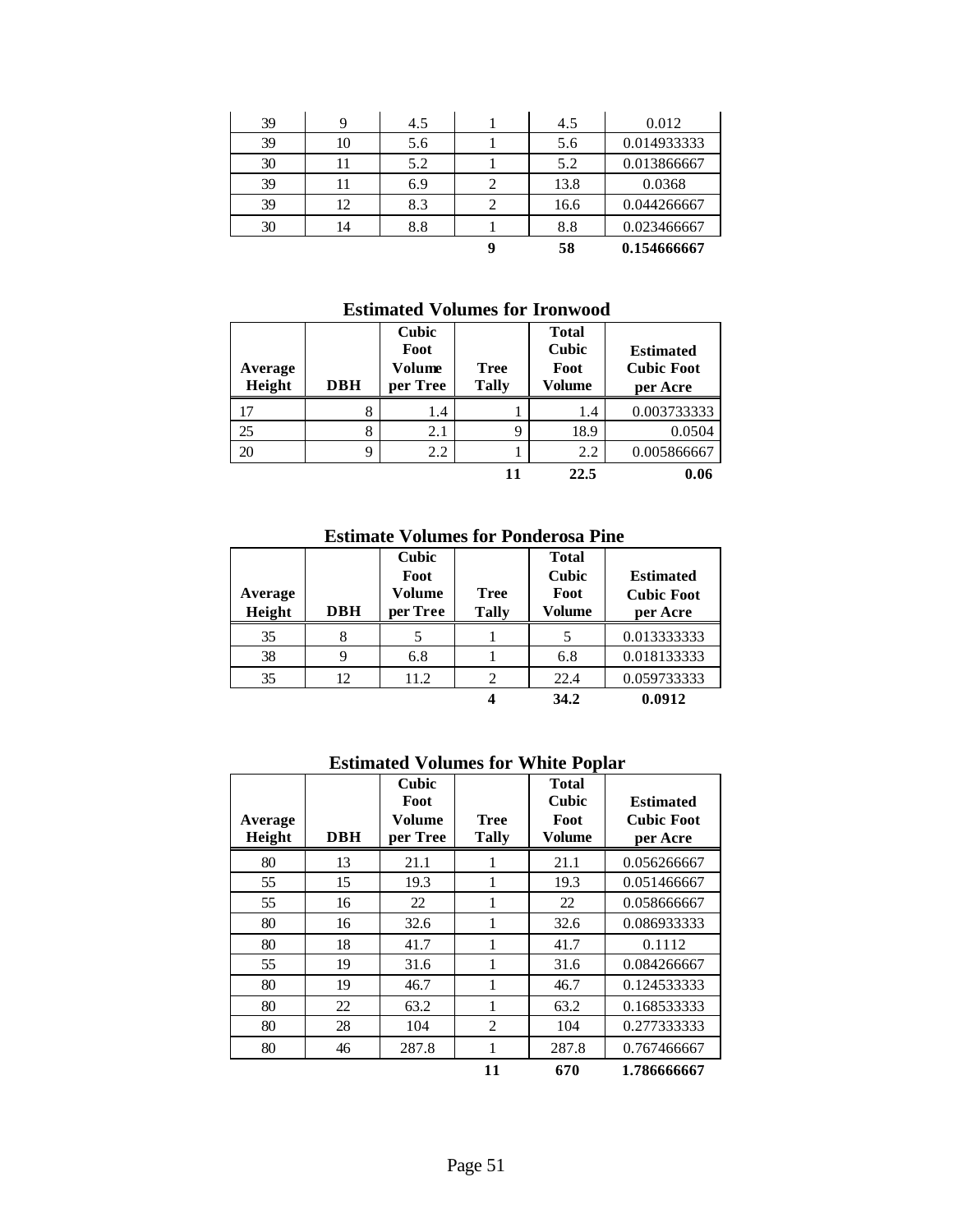| 39 | Q  | 4.5 |   | 4.5  | 0.012       |
|----|----|-----|---|------|-------------|
| 39 | 10 | 5.6 |   | 5.6  | 0.014933333 |
| 30 | 11 | 5.2 |   | 5.2  | 0.013866667 |
| 39 | 11 | 6.9 |   | 13.8 | 0.0368      |
| 39 | 12 | 8.3 |   | 16.6 | 0.044266667 |
| 30 | 14 | 8.8 |   | 8.8  | 0.023466667 |
|    |    |     | q | 58   | 0.154666667 |

#### **Estimated Volumes for Ironwood**

| Average<br>Height | <b>DBH</b> | <b>Cubic</b><br>Foot<br>Volume<br>per Tree | <b>Tree</b><br><b>Tally</b> | <b>Total</b><br>Cubic<br>Foot<br>Volume | <b>Estimated</b><br><b>Cubic Foot</b><br>per Acre |
|-------------------|------------|--------------------------------------------|-----------------------------|-----------------------------------------|---------------------------------------------------|
|                   | 8          | 1.4                                        |                             | 1.4                                     | 0.003733333                                       |
| 25                | 8          | 2.1                                        | 9                           | 18.9                                    | 0.0504                                            |
| 20                | Q          | 2.2                                        |                             | 2.2                                     | 0.005866667                                       |
|                   |            |                                            |                             | 22.5                                    | 0.06                                              |

#### **Estimate Volumes for Ponderosa Pine**

| Average<br>Height | <b>DBH</b> | Cubic<br>Foot<br><b>Volume</b><br>per Tree | <b>Tree</b><br><b>Tally</b> | <b>Total</b><br>Cubic<br>Foot<br>Volume | <b>Estimated</b><br><b>Cubic Foot</b><br>per Acre |
|-------------------|------------|--------------------------------------------|-----------------------------|-----------------------------------------|---------------------------------------------------|
| 35                |            |                                            |                             |                                         | 0.013333333                                       |
| 38                |            | 6.8                                        |                             | 6.8                                     | 0.018133333                                       |
| 35                | 12         | 11.2                                       | 2                           | 22.4                                    | 0.059733333                                       |
|                   |            |                                            |                             | 34.2                                    | 0.0912                                            |

#### **Estimated Volumes for White Poplar**

| Average<br>Height | <b>DBH</b> | Cubic<br>Foot<br>Volume<br>per Tree | <b>Tree</b><br><b>Tally</b> | <b>Total</b><br><b>Cubic</b><br>Foot<br><b>Volume</b> | <b>Estimated</b><br><b>Cubic Foot</b><br>per Acre |
|-------------------|------------|-------------------------------------|-----------------------------|-------------------------------------------------------|---------------------------------------------------|
| 80                | 13         | 21.1                                | 1                           | 21.1                                                  | 0.056266667                                       |
| 55                | 15         | 19.3                                |                             | 19.3                                                  | 0.051466667                                       |
| 55                | 16         | 22                                  | 1                           | 22                                                    | 0.058666667                                       |
| 80                | 16         | 32.6                                | 1                           | 32.6                                                  | 0.086933333                                       |
| 80                | 18         | 41.7                                | 1                           | 41.7                                                  | 0.1112                                            |
| 55                | 19         | 31.6                                |                             | 31.6                                                  | 0.084266667                                       |
| 80                | 19         | 46.7                                | 1                           | 46.7                                                  | 0.124533333                                       |
| 80                | 22         | 63.2                                | 1                           | 63.2                                                  | 0.168533333                                       |
| 80                | 28         | 104                                 | $\overline{2}$              | 104                                                   | 0.277333333                                       |
| 80                | 46         | 287.8                               | 1                           | 287.8                                                 | 0.767466667                                       |
|                   |            |                                     | 11                          | 670                                                   | 1.786666667                                       |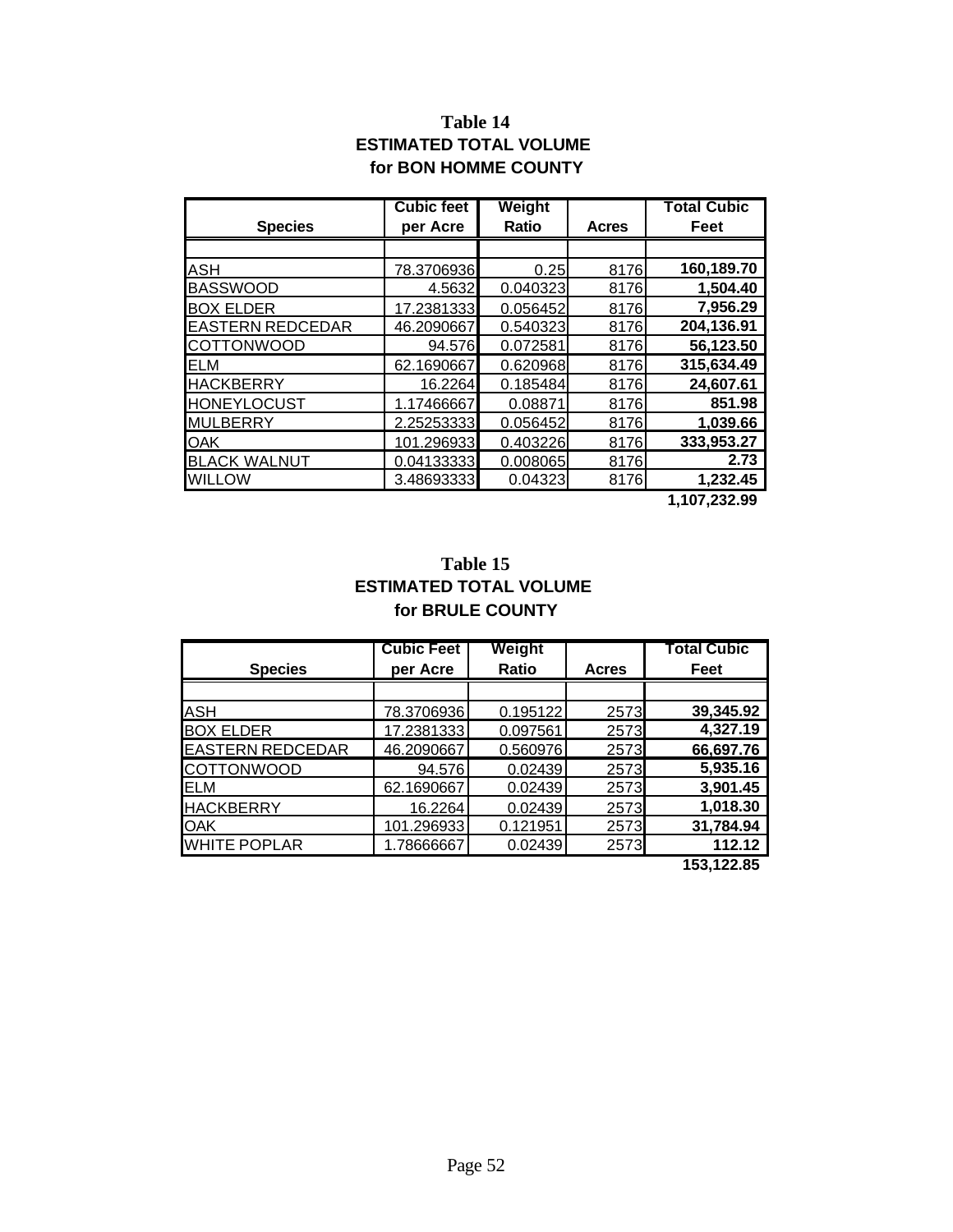### **Table 14 ESTIMATED TOTAL VOLUME for BON HOMME COUNTY**

|                         | <b>Cubic feet</b> | Weight   |       | <b>Total Cubic</b>                    |
|-------------------------|-------------------|----------|-------|---------------------------------------|
| <b>Species</b>          | per Acre          | Ratio    | Acres | Feet                                  |
|                         |                   |          |       |                                       |
| <b>ASH</b>              | 78.3706936        | 0.25     | 8176  | 160,189.70                            |
| <b>BASSWOOD</b>         | 4.5632            | 0.040323 | 8176  | 1,504.40                              |
| <b>BOX ELDER</b>        | 17.2381333        | 0.056452 | 8176  | 7,956.29                              |
| <b>EASTERN REDCEDAR</b> | 46.2090667        | 0.540323 | 8176  | 204,136.91                            |
| <b>COTTONWOOD</b>       | 94.576            | 0.072581 | 8176  | 56,123.50                             |
| <b>ELM</b>              | 62.1690667        | 0.620968 | 8176  | 315,634.49                            |
| <b>HACKBERRY</b>        | 16.2264           | 0.185484 | 8176  | 24,607.61                             |
| <b>HONEYLOCUST</b>      | 1.17466667        | 0.08871  | 8176  | 851.98                                |
| MULBERRY                | 2.25253333        | 0.056452 | 8176  | 1,039.66                              |
| <b>OAK</b>              | 101.296933        | 0.403226 | 8176  | 333,953.27                            |
| <b>BLACK WALNUT</b>     | 0.04133333        | 0.008065 | 8176  | 2.73                                  |
| <b>WILLOW</b>           | 3.48693333        | 0.04323  | 8176  | 1,232.45<br>$\overline{1}$ 107 000 00 |

 **1,107,232.99**

#### **Table 15 ESTIMATED TOTAL VOLUME for BRULE COUNTY**

|                         | <b>Cubic Feet</b> | Weight       |              | <b>Total Cubic</b> |
|-------------------------|-------------------|--------------|--------------|--------------------|
| <b>Species</b>          | per Acre          | <b>Ratio</b> | <b>Acres</b> | Feet               |
|                         |                   |              |              |                    |
| <b>ASH</b>              | 78.3706936        | 0.195122     | 2573         | 39,345.92          |
| <b>BOX ELDER</b>        | 17.2381333        | 0.097561     | 2573         | 4,327.19           |
| <b>EASTERN REDCEDAR</b> | 46.2090667        | 0.560976     | 2573         | 66,697.76          |
| <b>COTTONWOOD</b>       | 94.576            | 0.02439      | 2573         | 5,935.16           |
| <b>ELM</b>              | 62.1690667        | 0.02439      | 2573         | 3,901.45           |
| <b>HACKBERRY</b>        | 16.2264           | 0.02439      | 2573         | 1,018.30           |
| <b>OAK</b>              | 101.296933        | 0.121951     | 2573         | 31,784.94          |
| <b>WHITE POPLAR</b>     | 1.78666667        | 0.02439      | 2573         | 112.12             |
|                         |                   |              |              | AED ADD OF         |

 **153,122.85**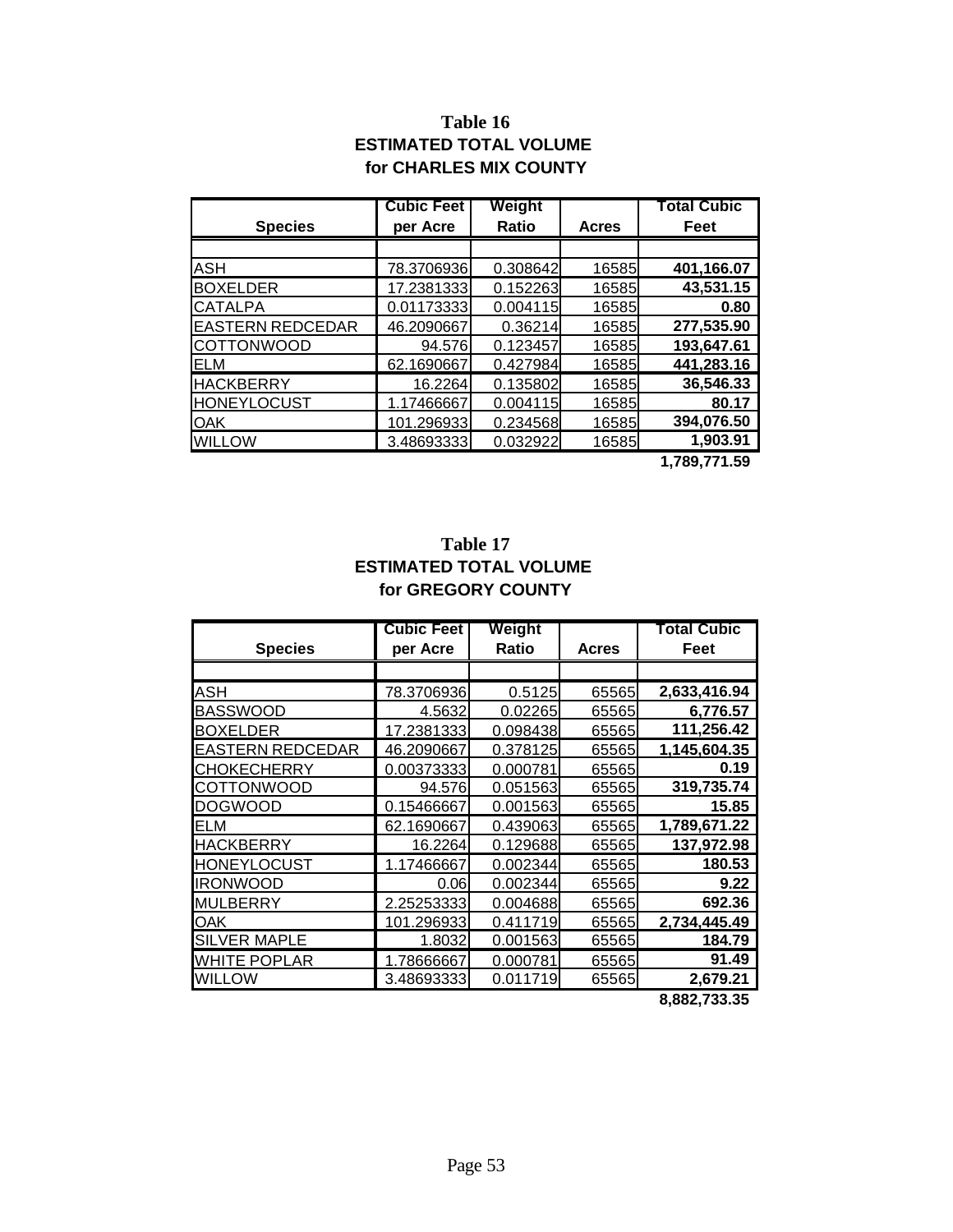### **Table 16 ESTIMATED TOTAL VOLUME for CHARLES MIX COUNTY**

|                         | <b>Cubic Feet</b> | Weight       |              | Total Cubic |
|-------------------------|-------------------|--------------|--------------|-------------|
| <b>Species</b>          | per Acre          | <b>Ratio</b> | <b>Acres</b> | Feet        |
|                         |                   |              |              |             |
| <b>ASH</b>              | 78.3706936        | 0.308642     | 16585        | 401,166.07  |
| <b>BOXELDER</b>         | 17.2381333        | 0.152263     | 16585        | 43,531.15   |
| <b>CATALPA</b>          | 0.01173333        | 0.004115     | 16585        | 0.80        |
| <b>EASTERN REDCEDAR</b> | 46.2090667        | 0.36214      | 16585        | 277,535.90  |
| <b>COTTONWOOD</b>       | 94.576            | 0.123457     | 16585        | 193,647.61  |
| <b>ELM</b>              | 62.1690667        | 0.427984     | 16585        | 441,283.16  |
| <b>HACKBERRY</b>        | 16.2264           | 0.135802     | 16585        | 36,546.33   |
| <b>HONEYLOCUST</b>      | 1.17466667        | 0.004115     | 16585        | 80.17       |
| <b>OAK</b>              | 101.296933        | 0.234568     | 16585        | 394,076.50  |
| <b>WILLOW</b>           | 3.48693333        | 0.032922     | 16585        | 1,903.91    |

 **1,789,771.59**

### **Table 17 ESTIMATED TOTAL VOLUME for GREGORY COUNTY**

|                         | <b>Cubic Feet</b> | Weight   |              | <b>Total Cubic</b> |
|-------------------------|-------------------|----------|--------------|--------------------|
| <b>Species</b>          | per Acre          | Ratio    | <b>Acres</b> | Feet               |
|                         |                   |          |              |                    |
| ASH                     | 78.3706936        | 0.5125   | 65565        | 2,633,416.94       |
| <b>BASSWOOD</b>         | 4.5632            | 0.02265  | 65565        | 6,776.57           |
| <b>BOXELDER</b>         | 17.2381333        | 0.098438 | 65565        | 111,256.42         |
| <b>EASTERN REDCEDAR</b> | 46.2090667        | 0.378125 | 65565        | 1,145,604.35       |
| <b>CHOKECHERRY</b>      | 0.00373333        | 0.000781 | 65565        | 0.19               |
| COTTONWOOD              | 94.576            | 0.051563 | 65565        | 319,735.74         |
| <b>DOGWOOD</b>          | 0.15466667        | 0.001563 | 65565        | 15.85              |
| ELM                     | 62.1690667        | 0.439063 | 65565        | 1,789,671.22       |
| <b>HACKBERRY</b>        | 16.2264           | 0.129688 | 65565        | 137,972.98         |
| <b>HONEYLOCUST</b>      | 1.17466667        | 0.002344 | 65565        | 180.53             |
| <b>IRONWOOD</b>         | 0.06              | 0.002344 | 65565        | 9.22               |
| <b>MULBERRY</b>         | 2.25253333        | 0.004688 | 65565        | 692.36             |
| OAK                     | 101.296933        | 0.411719 | 65565        | 2,734,445.49       |
| <b>SILVER MAPLE</b>     | 1.8032            | 0.001563 | 65565        | 184.79             |
| <b>WHITE POPLAR</b>     | 1.78666667        | 0.000781 | 65565        | 91.49              |
| <b>WILLOW</b>           | 3.48693333        | 0.011719 | 65565        | 2,679.21           |
|                         |                   |          |              | 8,882,733.35       |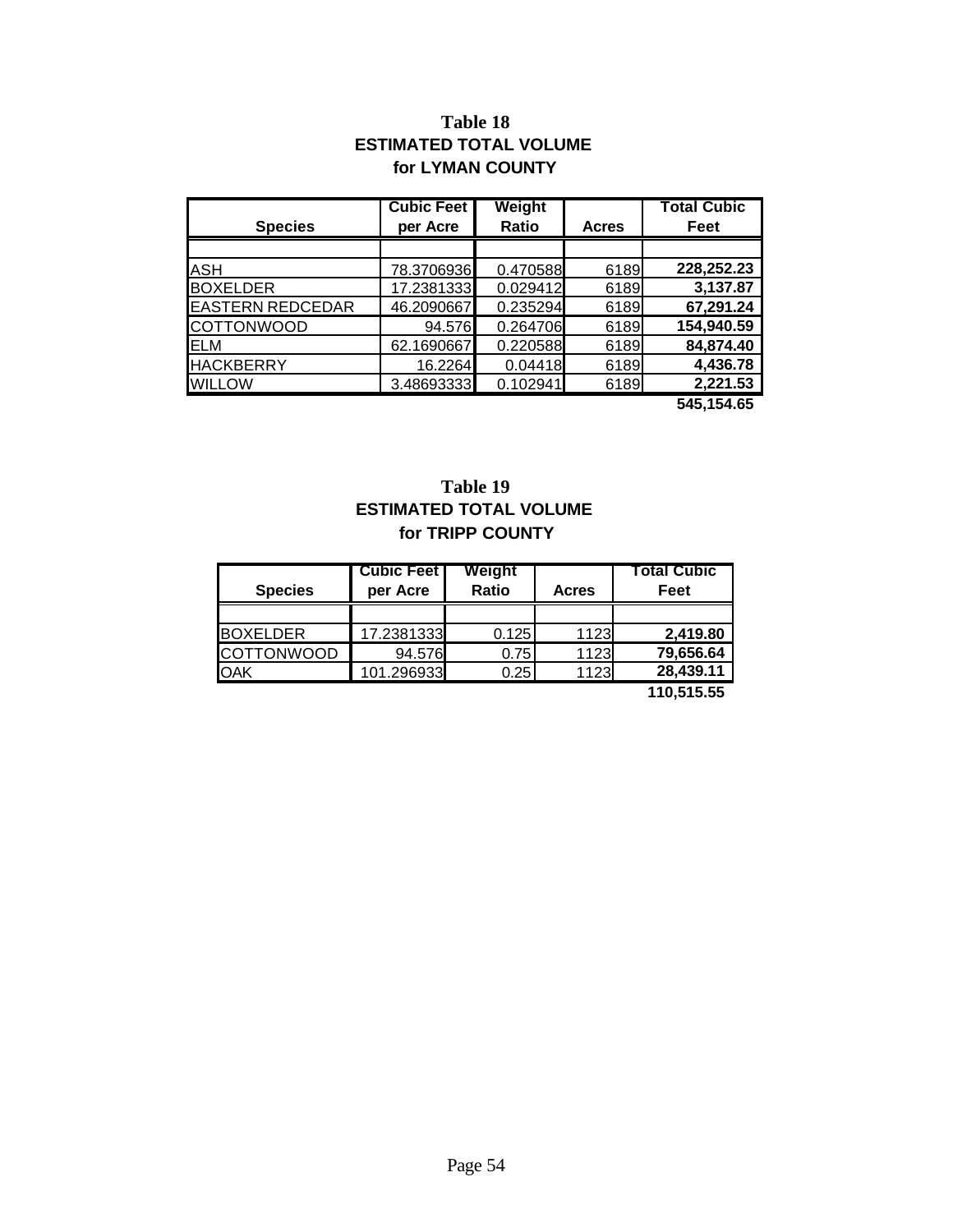### **Table 18 ESTIMATED TOTAL VOLUME for LYMAN COUNTY**

|                         | <b>Cubic Feet</b> | Weight       |              | <b>Total Cubic</b> |
|-------------------------|-------------------|--------------|--------------|--------------------|
| <b>Species</b>          | per Acre          | <b>Ratio</b> | <b>Acres</b> | Feet               |
|                         |                   |              |              |                    |
| <b>ASH</b>              | 78.3706936        | 0.470588     | 6189         | 228,252.23         |
| <b>BOXELDER</b>         | 17.2381333        | 0.029412     | 6189         | 3,137.87           |
| <b>EASTERN REDCEDAR</b> | 46.2090667        | 0.235294     | 6189         | 67,291.24          |
| <b>COTTONWOOD</b>       | 94.576            | 0.264706     | 6189         | 154,940.59         |
| <b>ELM</b>              | 62.1690667        | 0.220588     | 6189         | 84,874.40          |
| <b>HACKBERRY</b>        | 16.2264           | 0.04418      | 6189         | 4,436.78           |
| <b>WILLOW</b>           | 3.48693333        | 0.102941     | 6189         | 2,221.53           |
|                         |                   |              |              | 545,154.65         |

### **Table 19 ESTIMATED TOTAL VOLUME for TRIPP COUNTY**

| <b>Species</b>    | <b>Cubic Feet</b><br>per Acre | Weight<br>Ratio | <b>Acres</b> | Total Cubic<br>Feet |
|-------------------|-------------------------------|-----------------|--------------|---------------------|
|                   |                               |                 |              |                     |
| <b>BOXELDER</b>   | 17.2381333                    | 0.125           | 1123         | 2.419.80            |
| <b>COTTONWOOD</b> | 94.576                        | 0.75            | 1123         | 79,656.64           |
| <b>OAK</b>        | 101.296933                    | 0.25            | 1123         | 28,439.11           |
|                   |                               |                 |              | . <b>.</b>          |

 **110,515.55**